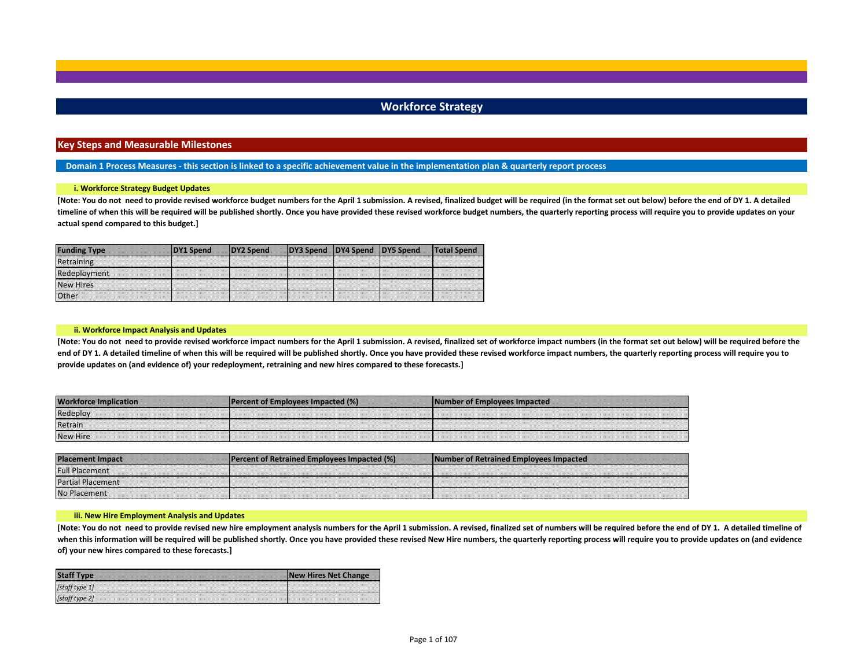## **Workforce Strategy**

#### **Key Steps and Measurable Milestones**

**Domain 1 Process Measures - this section is linked to a specific achievement value in the implementation plan & quarterly report process**

#### **i. Workforce Strategy Budget Updates**

**[Note: You do not need to provide revised workforce budget numbers for the April 1 submission. A revised, finalized budget will be required (in the format set out below) before the end of DY 1. A detailed timeline of when this will be required will be published shortly. Once you have provided these revised workforce budget numbers, the quarterly reporting process will require you to provide updates on your actual spend compared to this budget.]**

| <b>Funding Type</b> | DY1 Spend | DY2 Spend | DY3 Spend DY4 Spend DY5 Spend | <b>Total Spend</b> |
|---------------------|-----------|-----------|-------------------------------|--------------------|
| Retraining          |           |           |                               |                    |
| Redeployment        |           |           |                               |                    |
| New Hires           |           |           |                               |                    |
| <b>Other</b>        |           |           |                               |                    |

#### **ii. Workforce Impact Analysis and Updates**

**[Note: You do not need to provide revised workforce impact numbers for the April 1 submission. A revised, finalized set of workforce impact numbers (in the format set out below) will be required before the**  end of DY 1. A detailed timeline of when this will be required will be published shortly. Once you have provided these revised workforce impact numbers, the quarterly reporting process will require you to **provide updates on (and evidence of) your redeployment, retraining and new hires compared to these forecasts.]** 

| <b>AMO.</b><br>cation | 10/<br><b>TPer</b> | Number of Emplo<br>Impacted |
|-----------------------|--------------------|-----------------------------|
| <b>STARS:</b>         |                    |                             |
| Retrain               |                    |                             |
| New Hire              |                    |                             |

| Placemer<br>Impact       | <b>cent of Retrained Employees Impacted (%)</b> | INm<br><b>Nor of Retrained Employees Impacted</b> |
|--------------------------|-------------------------------------------------|---------------------------------------------------|
| - al placement           |                                                 |                                                   |
| <b>Partial Placement</b> |                                                 |                                                   |
| No Pl                    |                                                 |                                                   |

#### **iii. New Hire Employment Analysis and Updates**

**[Note: You do not need to provide revised new hire employment analysis numbers for the April 1 submission. A revised, finalized set of numbers will be required before the end of DY 1. A detailed timeline of**  when this information will be required will be published shortly. Once you have provided these revised New Hire numbers, the quarterly reporting process will require you to provide updates on (and evidence **of) your new hires compared to these forecasts.]** 

| <b>Staff Type</b> | <b>New Hires Net Change</b> |
|-------------------|-----------------------------|
| [staff type 1]    |                             |
| [staff type 2]    |                             |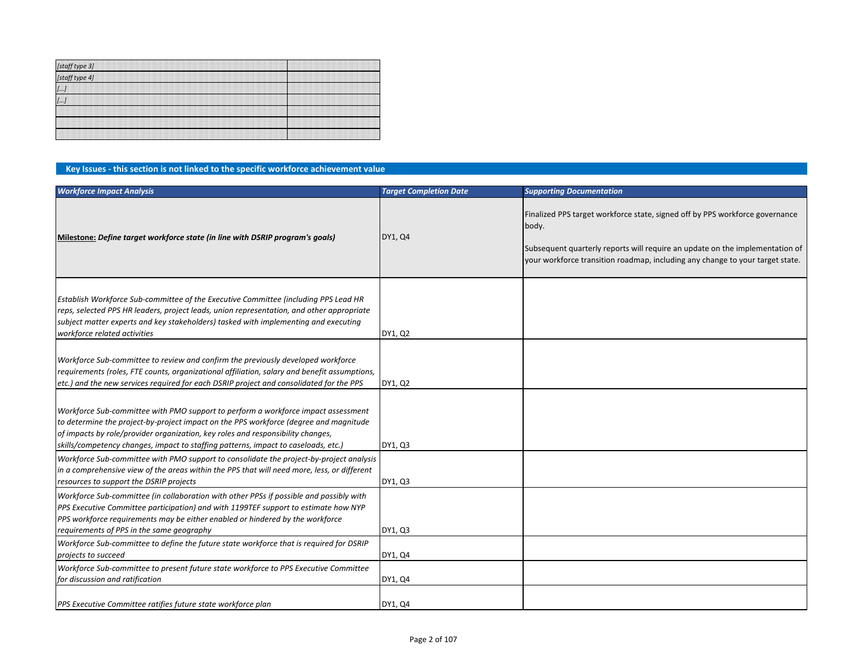| [staff type 3]<br>[staff type 4] |  |
|----------------------------------|--|
| $\left[ \ldots \right]$          |  |
| $\left[\ldots\right]$            |  |
|                                  |  |
|                                  |  |
|                                  |  |

### **Key Issues - this section is not linked to the specific workforce achievement value**

| <b>Workforce Impact Analysis</b>                                                                                                                                                                                                                                                                                                                    | <b>Target Completion Date</b> | <b>Supporting Documentation</b>                                                                                                                                                                                                                        |
|-----------------------------------------------------------------------------------------------------------------------------------------------------------------------------------------------------------------------------------------------------------------------------------------------------------------------------------------------------|-------------------------------|--------------------------------------------------------------------------------------------------------------------------------------------------------------------------------------------------------------------------------------------------------|
| Milestone: Define target workforce state (in line with DSRIP program's goals)                                                                                                                                                                                                                                                                       | DY1, Q4                       | Finalized PPS target workforce state, signed off by PPS workforce governance<br>body.<br>Subsequent quarterly reports will require an update on the implementation of<br>your workforce transition roadmap, including any change to your target state. |
| Establish Workforce Sub-committee of the Executive Committee (including PPS Lead HR<br>reps, selected PPS HR leaders, project leads, union representation, and other appropriate<br>subject matter experts and key stakeholders) tasked with implementing and executing<br>workforce related activities                                             | DY1, Q2                       |                                                                                                                                                                                                                                                        |
| Workforce Sub-committee to review and confirm the previously developed workforce<br>requirements (roles, FTE counts, organizational affiliation, salary and benefit assumptions,<br>etc.) and the new services required for each DSRIP project and consolidated for the PPS                                                                         | DY1, Q2                       |                                                                                                                                                                                                                                                        |
| Workforce Sub-committee with PMO support to perform a workforce impact assessment<br>to determine the project-by-project impact on the PPS workforce (degree and magnitude<br>of impacts by role/provider organization, key roles and responsibility changes,<br>skills/competency changes, impact to staffing patterns, impact to caseloads, etc.) | DY1, Q3                       |                                                                                                                                                                                                                                                        |
| Workforce Sub-committee with PMO support to consolidate the project-by-project analysis<br>in a comprehensive view of the areas within the PPS that will need more, less, or different<br>resources to support the DSRIP projects                                                                                                                   | DY1, Q3                       |                                                                                                                                                                                                                                                        |
| Workforce Sub-committee (in collaboration with other PPSs if possible and possibly with<br>PPS Executive Committee participation) and with 1199TEF support to estimate how NYP<br>PPS workforce requirements may be either enabled or hindered by the workforce<br>requirements of PPS in the same geography                                        | DY1, Q3                       |                                                                                                                                                                                                                                                        |
| Workforce Sub-committee to define the future state workforce that is required for DSRIP<br>projects to succeed                                                                                                                                                                                                                                      | DY1, Q4                       |                                                                                                                                                                                                                                                        |
| Workforce Sub-committee to present future state workforce to PPS Executive Committee<br>for discussion and ratification                                                                                                                                                                                                                             | DY1, Q4                       |                                                                                                                                                                                                                                                        |
| PPS Executive Committee ratifies future state workforce plan                                                                                                                                                                                                                                                                                        | DY1, Q4                       |                                                                                                                                                                                                                                                        |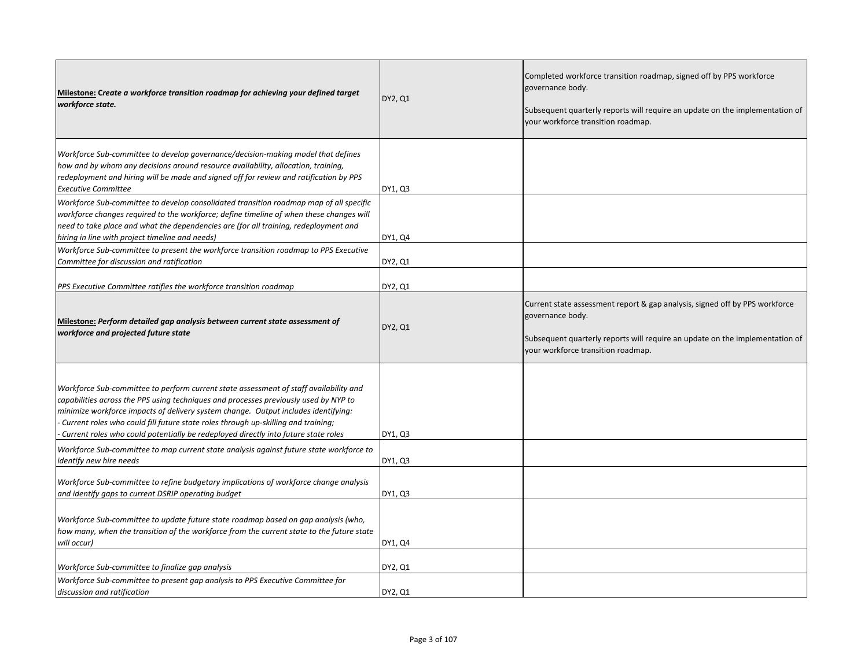| Milestone: Create a workforce transition roadmap for achieving your defined target<br>workforce state.                                                                                                                                                                                                                                                                                                                                         | DY2, Q1 | Completed workforce transition roadmap, signed off by PPS workforce<br>governance body.<br>Subsequent quarterly reports will require an update on the implementation of<br>your workforce transition roadmap.         |
|------------------------------------------------------------------------------------------------------------------------------------------------------------------------------------------------------------------------------------------------------------------------------------------------------------------------------------------------------------------------------------------------------------------------------------------------|---------|-----------------------------------------------------------------------------------------------------------------------------------------------------------------------------------------------------------------------|
| Workforce Sub-committee to develop governance/decision-making model that defines<br>how and by whom any decisions around resource availability, allocation, training,<br>redeployment and hiring will be made and signed off for review and ratification by PPS<br><b>Executive Committee</b>                                                                                                                                                  | DY1, Q3 |                                                                                                                                                                                                                       |
| Workforce Sub-committee to develop consolidated transition roadmap map of all specific<br>workforce changes required to the workforce; define timeline of when these changes will<br>need to take place and what the dependencies are (for all training, redeployment and<br>hiring in line with project timeline and needs)                                                                                                                   | DY1, Q4 |                                                                                                                                                                                                                       |
| Workforce Sub-committee to present the workforce transition roadmap to PPS Executive<br>Committee for discussion and ratification                                                                                                                                                                                                                                                                                                              | DY2, Q1 |                                                                                                                                                                                                                       |
| PPS Executive Committee ratifies the workforce transition roadmap                                                                                                                                                                                                                                                                                                                                                                              | DY2, Q1 |                                                                                                                                                                                                                       |
| Milestone: Perform detailed gap analysis between current state assessment of<br>workforce and projected future state                                                                                                                                                                                                                                                                                                                           | DY2, Q1 | Current state assessment report & gap analysis, signed off by PPS workforce<br>governance body.<br>Subsequent quarterly reports will require an update on the implementation of<br>your workforce transition roadmap. |
| Workforce Sub-committee to perform current state assessment of staff availability and<br>capabilities across the PPS using techniques and processes previously used by NYP to<br>minimize workforce impacts of delivery system change. Output includes identifying:<br>Current roles who could fill future state roles through up-skilling and training;<br>Current roles who could potentially be redeployed directly into future state roles | DY1, Q3 |                                                                                                                                                                                                                       |
| Workforce Sub-committee to map current state analysis against future state workforce to<br>identify new hire needs                                                                                                                                                                                                                                                                                                                             | DY1, Q3 |                                                                                                                                                                                                                       |
| Workforce Sub-committee to refine budgetary implications of workforce change analysis<br>and identify gaps to current DSRIP operating budget                                                                                                                                                                                                                                                                                                   | DY1, Q3 |                                                                                                                                                                                                                       |
| Workforce Sub-committee to update future state roadmap based on gap analysis (who,<br>how many, when the transition of the workforce from the current state to the future state<br>will occur)                                                                                                                                                                                                                                                 | DY1, Q4 |                                                                                                                                                                                                                       |
| Workforce Sub-committee to finalize gap analysis<br>Workforce Sub-committee to present gap analysis to PPS Executive Committee for                                                                                                                                                                                                                                                                                                             | DY2, Q1 |                                                                                                                                                                                                                       |
| discussion and ratification                                                                                                                                                                                                                                                                                                                                                                                                                    | DY2, Q1 |                                                                                                                                                                                                                       |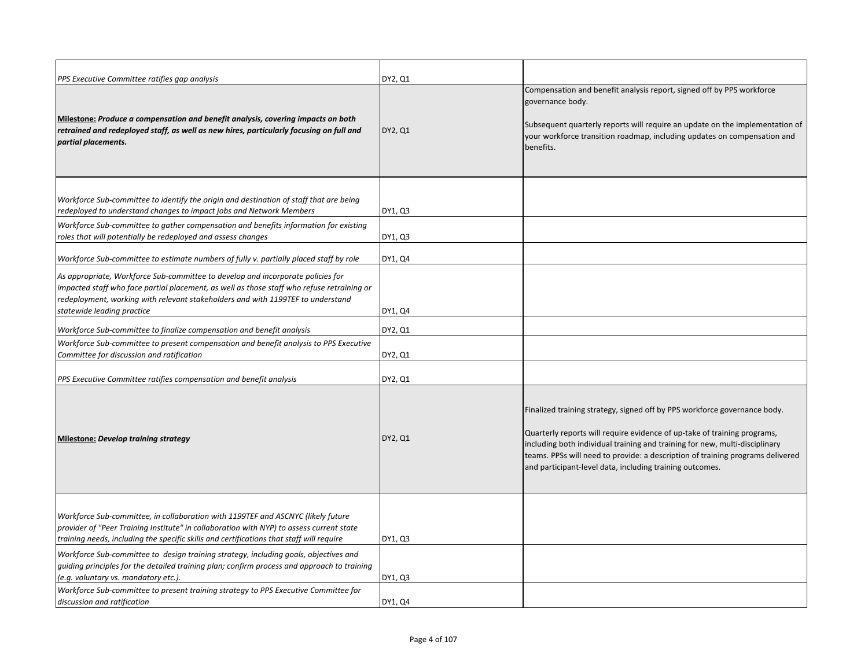| PPS Executive Committee ratifies gap analysis                                                                                                                                                                                                                                                  | DY2, Q1 |                                                                                                                                                                                                                                                                                                                                                                                    |
|------------------------------------------------------------------------------------------------------------------------------------------------------------------------------------------------------------------------------------------------------------------------------------------------|---------|------------------------------------------------------------------------------------------------------------------------------------------------------------------------------------------------------------------------------------------------------------------------------------------------------------------------------------------------------------------------------------|
| Milestone: Produce a compensation and benefit analysis, covering impacts on both<br>retrained and redeployed staff, as well as new hires, particularly focusing on full and<br>partial placements.                                                                                             | DY2, Q1 | Compensation and benefit analysis report, signed off by PPS workforce<br>governance body.<br>Subsequent quarterly reports will require an update on the implementation of<br>your workforce transition roadmap, including updates on compensation and<br>benefits.                                                                                                                 |
| Workforce Sub-committee to identify the origin and destination of staff that are being<br>redeployed to understand changes to impact jobs and Network Members                                                                                                                                  | DY1, Q3 |                                                                                                                                                                                                                                                                                                                                                                                    |
| Workforce Sub-committee to gather compensation and benefits information for existing<br>roles that will potentially be redeployed and assess changes                                                                                                                                           | DY1, Q3 |                                                                                                                                                                                                                                                                                                                                                                                    |
| Workforce Sub-committee to estimate numbers of fully v. partially placed staff by role                                                                                                                                                                                                         | DY1, Q4 |                                                                                                                                                                                                                                                                                                                                                                                    |
| As appropriate, Workforce Sub-committee to develop and incorporate policies for<br>impacted staff who face partial placement, as well as those staff who refuse retraining or<br>redeployment, working with relevant stakeholders and with 1199TEF to understand<br>statewide leading practice | DY1, Q4 |                                                                                                                                                                                                                                                                                                                                                                                    |
| Workforce Sub-committee to finalize compensation and benefit analysis                                                                                                                                                                                                                          | DY2, Q1 |                                                                                                                                                                                                                                                                                                                                                                                    |
| Workforce Sub-committee to present compensation and benefit analysis to PPS Executive<br>Committee for discussion and ratification                                                                                                                                                             | DY2, Q1 |                                                                                                                                                                                                                                                                                                                                                                                    |
| PPS Executive Committee ratifies compensation and benefit analysis                                                                                                                                                                                                                             | DY2, Q1 |                                                                                                                                                                                                                                                                                                                                                                                    |
| Milestone: Develop training strategy                                                                                                                                                                                                                                                           | DY2, Q1 | Finalized training strategy, signed off by PPS workforce governance body.<br>Quarterly reports will require evidence of up-take of training programs,<br>including both individual training and training for new, multi-disciplinary<br>teams. PPSs will need to provide: a description of training programs delivered<br>and participant-level data, including training outcomes. |
| Workforce Sub-committee, in collaboration with 1199TEF and ASCNYC (likely future<br>provider of "Peer Training Institute" in collaboration with NYP) to assess current state<br>training needs, including the specific skills and certifications that staff will require                       | DY1, Q3 |                                                                                                                                                                                                                                                                                                                                                                                    |
| Workforce Sub-committee to design training strategy, including goals, objectives and<br>quiding principles for the detailed training plan; confirm process and approach to training<br>(e.g. voluntary vs. mandatory etc.).                                                                    | DY1, Q3 |                                                                                                                                                                                                                                                                                                                                                                                    |
| Workforce Sub-committee to present training strategy to PPS Executive Committee for<br>discussion and ratification                                                                                                                                                                             | DY1, Q4 |                                                                                                                                                                                                                                                                                                                                                                                    |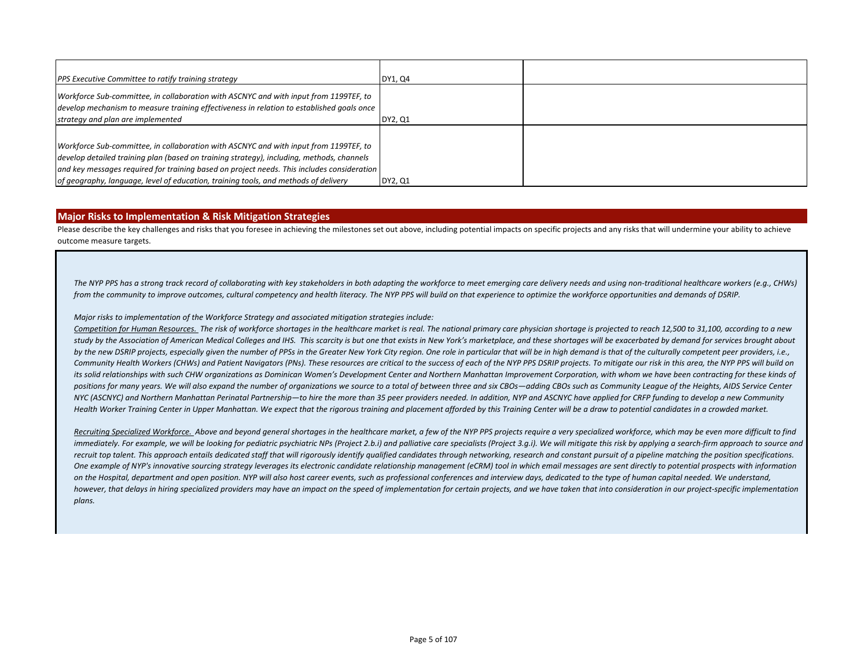| PPS Executive Committee to ratify training strategy                                                                                                                                                                     | DY1, Q4 |  |
|-------------------------------------------------------------------------------------------------------------------------------------------------------------------------------------------------------------------------|---------|--|
| Workforce Sub-committee, in collaboration with ASCNYC and with input from 1199TEF, to<br>develop mechanism to measure training effectiveness in relation to established goals once<br>strategy and plan are implemented | DY2, Q1 |  |
| Workforce Sub-committee, in collaboration with ASCNYC and with input from 1199TEF, to                                                                                                                                   |         |  |
| develop detailed training plan (based on training strategy), including, methods, channels                                                                                                                               |         |  |
| and key messages required for training based on project needs. This includes consideration<br>of geography, language, level of education, training tools, and methods of delivery                                       | DY2, Q1 |  |

### **Major Risks to Implementation & Risk Mitigation Strategies**

Please describe the key challenges and risks that you foresee in achieving the milestones set out above, including potential impacts on specific projects and any risks that will undermine your ability to achieve outcome measure targets.

*The NYP PPS has a strong track record of collaborating with key stakeholders in both adapting the workforce to meet emerging care delivery needs and using non-traditional healthcare workers (e.g., CHWs) from the community to improve outcomes, cultural competency and health literacy. The NYP PPS will build on that experience to optimize the workforce opportunities and demands of DSRIP.* 

#### *Major risks to implementation of the Workforce Strategy and associated mitigation strategies include:*

*Competition for Human Resources. The risk of workforce shortages in the healthcare market is real. The national primary care physician shortage is projected to reach 12,500 to 31,100, according to a new*  study by the Association of American Medical Colleges and IHS. This scarcity is but one that exists in New York's marketplace, and these shortages will be exacerbated by demand for services brought about *by the new DSRIP projects, especially given the number of PPSs in the Greater New York City region. One role in particular that will be in high demand is that of the culturally competent peer providers, i.e.,*  Community Health Workers (CHWs) and Patient Navigators (PNs). These resources are critical to the success of each of the NYP PPS DSRIP projects. To mitigate our risk in this area, the NYP PPS will build on its solid relationships with such CHW organizations as Dominican Women's Development Center and Northern Manhattan Improvement Corporation, with whom we have been contracting for these kinds of positions for many years. We will also expand the number of organizations we source to a total of between three and six CBOs—adding CBOs such as Community League of the Heights, AIDS Service Center *NYC (ASCNYC) and Northern Manhattan Perinatal Partnership—to hire the more than 35 peer providers needed. In addition, NYP and ASCNYC have applied for CRFP funding to develop a new Community Health Worker Training Center in Upper Manhattan. We expect that the rigorous training and placement afforded by this Training Center will be a draw to potential candidates in a crowded market.*

*Recruiting Specialized Workforce. Above and beyond general shortages in the healthcare market, a few of the NYP PPS projects require a very specialized workforce, which may be even more difficult to find immediately. For example, we will be looking for pediatric psychiatric NPs (Project 2.b.i) and palliative care specialists (Project 3.g.i). We will mitigate this risk by applying a search-firm approach to source and*  recruit top talent. This approach entails dedicated staff that will rigorously identify qualified candidates through networking, research and constant pursuit of a pipeline matching the position specifications. *One example of NYP's innovative sourcing strategy leverages its electronic candidate relationship management (eCRM) tool in which email messages are sent directly to potential prospects with information on the Hospital, department and open position. NYP will also host career events, such as professional conferences and interview days, dedicated to the type of human capital needed. We understand, however, that delays in hiring specialized providers may have an impact on the speed of implementation for certain projects, and we have taken that into consideration in our project-specific implementation plans.*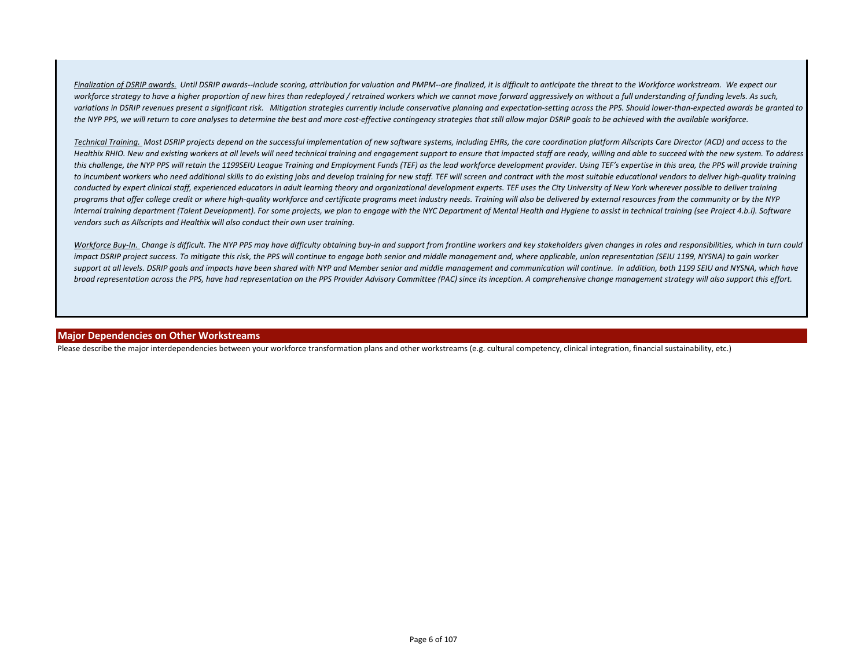Finalization of DSRIP awards. Until DSRIP awards--include scoring, attribution for valuation and PMPM--are finalized, it is difficult to anticipate the threat to the Workforce workstream. We expect our workforce strategy to have a higher proportion of new hires than redeployed / retrained workers which we cannot move forward aggressively on without a full understanding of funding levels. As such, *variations in DSRIP revenues present a significant risk. Mitigation strategies currently include conservative planning and expectation-setting across the PPS. Should lower-than-expected awards be granted to the NYP PPS, we will return to core analyses to determine the best and more cost-effective contingency strategies that still allow major DSRIP goals to be achieved with the available workforce.*

*Technical Training. Most DSRIP projects depend on the successful implementation of new software systems, including EHRs, the care coordination platform Allscripts Care Director (ACD) and access to the Healthix RHIO. New and existing workers at all levels will need technical training and engagement support to ensure that impacted staff are ready, willing and able to succeed with the new system. To address this challenge, the NYP PPS will retain the 1199SEIU League Training and Employment Funds (TEF) as the lead workforce development provider. Using TEF's expertise in this area, the PPS will provide training*  to incumbent workers who need additional skills to do existing jobs and develop training for new staff. TEF will screen and contract with the most suitable educational vendors to deliver high-quality training *conducted by expert clinical staff, experienced educators in adult learning theory and organizational development experts. TEF uses the City University of New York wherever possible to deliver training programs that offer college credit or where high-quality workforce and certificate programs meet industry needs. Training will also be delivered by external resources from the community or by the NYP*  internal training department (Talent Development). For some projects, we plan to engage with the NYC Department of Mental Health and Hygiene to assist in technical training (see Project 4.b.i). Software *vendors such as Allscripts and Healthix will also conduct their own user training.*

Workforce Buy-In. Change is difficult. The NYP PPS may have difficulty obtaining buy-in and support from frontline workers and key stakeholders given changes in roles and responsibilities, which in turn could impact DSRIP project success. To mitigate this risk, the PPS will continue to engage both senior and middle management and, where applicable, union representation (SEIU 1199, NYSNA) to gain worker support at all levels. DSRIP goals and impacts have been shared with NYP and Member senior and middle management and communication will continue. In addition, both 1199 SEIU and NYSNA, which have *broad representation across the PPS, have had representation on the PPS Provider Advisory Committee (PAC) since its inception. A comprehensive change management strategy will also support this effort.*

#### **Major Dependencies on Other Workstreams**

Please describe the major interdependencies between your workforce transformation plans and other workstreams (e.g. cultural competency, clinical integration, financial sustainability, etc.)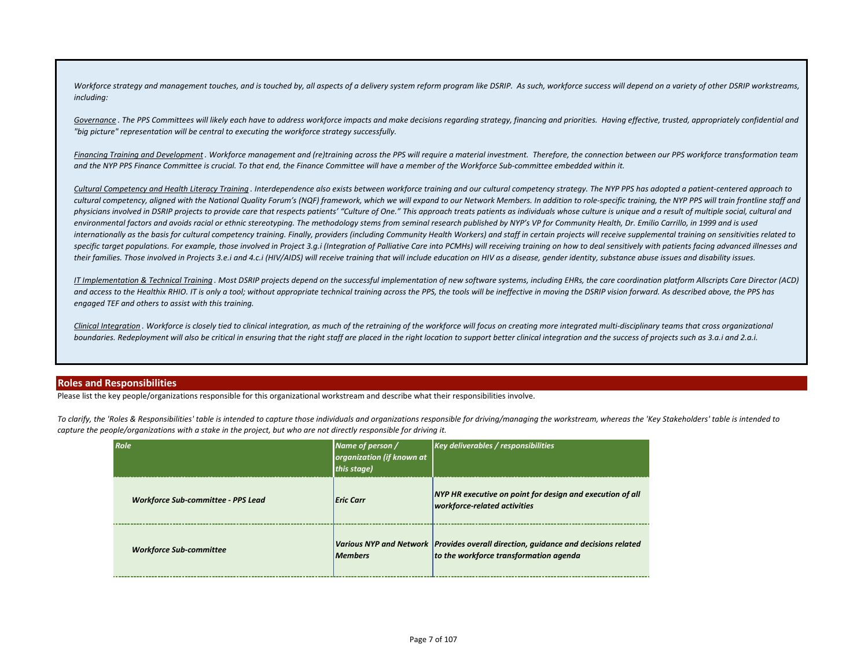Workforce strategy and management touches, and is touched by, all aspects of a delivery system reform program like DSRIP. As such, workforce success will depend on a variety of other DSRIP workstreams, *including:*

Governance. The PPS Committees will likely each have to address workforce impacts and make decisions regarding strategy, financing and priorities. Having effective, trusted, appropriately confidential and *"big picture" representation will be central to executing the workforce strategy successfully.* 

*Financing Training and Development . Workforce management and (re)training across the PPS will require a material investment. Therefore, the connection between our PPS workforce transformation team and the NYP PPS Finance Committee is crucial. To that end, the Finance Committee will have a member of the Workforce Sub-committee embedded within it.* 

*Cultural Competency and Health Literacy Training . Interdependence also exists between workforce training and our cultural competency strategy. The NYP PPS has adopted a patient-centered approach to cultural competency, aligned with the National Quality Forum's (NQF) framework, which we will expand to our Network Members. In addition to role-specific training, the NYP PPS will train frontline staff and physicians involved in DSRIP projects to provide care that respects patients' "Culture of One." This approach treats patients as individuals whose culture is unique and a result of multiple social, cultural and*  environmental factors and avoids racial or ethnic stereotyping. The methodology stems from seminal research published by NYP's VP for Community Health, Dr. Emilio Carrillo, in 1999 and is used *internationally as the basis for cultural competency training. Finally, providers (including Community Health Workers) and staff in certain projects will receive supplemental training on sensitivities related to*  specific target populations. For example, those involved in Project 3.g.i (Integration of Palliative Care into PCMHs) will receiving training on how to deal sensitively with patients facing advanced illnesses and *their families. Those involved in Projects 3.e.i and 4.c.i (HIV/AIDS) will receive training that will include education on HIV as a disease, gender identity, substance abuse issues and disability issues.*

*IT Implementation & Technical Training . Most DSRIP projects depend on the successful implementation of new software systems, including EHRs, the care coordination platform Allscripts Care Director (ACD)*  and access to the Healthix RHIO. IT is only a tool; without appropriate technical training across the PPS, the tools will be ineffective in moving the DSRIP vision forward. As described above, the PPS has *engaged TEF and others to assist with this training.*

*Clinical Integration . Workforce is closely tied to clinical integration, as much of the retraining of the workforce will focus on creating more integrated multi-disciplinary teams that cross organizational boundaries. Redeployment will also be critical in ensuring that the right staff are placed in the right location to support better clinical integration and the success of projects such as 3.a.i and 2.a.i.*

#### **Roles and Responsibilities**

Please list the key people/organizations responsible for this organizational workstream and describe what their responsibilities involve.

*To clarify, the 'Roles & Responsibilities' table is intended to capture those individuals and organizations responsible for driving/managing the workstream, whereas the 'Key Stakeholders' table is intended to capture the people/organizations with a stake in the project, but who are not directly responsible for driving it.*

| Role                                      | Name of person /<br>organization (if known at<br>this stage) | <b>Key deliverables / responsibilities</b>                                                                                     |
|-------------------------------------------|--------------------------------------------------------------|--------------------------------------------------------------------------------------------------------------------------------|
| <b>Workforce Sub-committee - PPS Lead</b> | Eric Carr                                                    | NYP HR executive on point for design and execution of all<br>workforce-related activities                                      |
| <b>Workforce Sub-committee</b>            | <b>Members</b>                                               | Various NYP and Network   Provides overall direction, guidance and decisions related<br>to the workforce transformation agenda |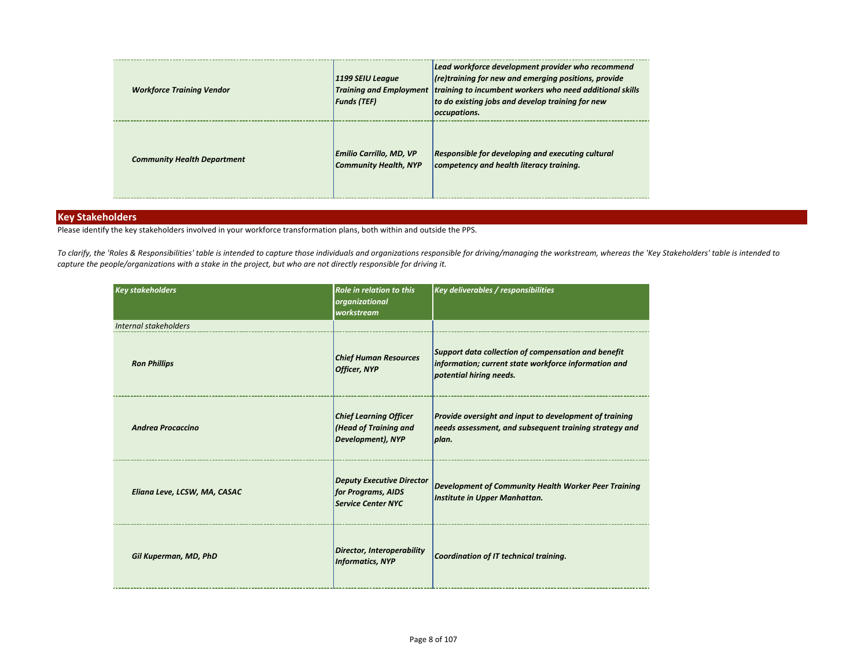| <b>Workforce Training Vendor</b>   | 1199 SEIU League<br><b>Funds (TEF)</b>                         | Lead workforce development provider who recommend<br>$\vert$ (re)training for new and emerging positions, provide<br>Training and Employment   training to incumbent workers who need additional skills<br>to do existing jobs and develop training for new<br>occupations. |
|------------------------------------|----------------------------------------------------------------|-----------------------------------------------------------------------------------------------------------------------------------------------------------------------------------------------------------------------------------------------------------------------------|
| <b>Community Health Department</b> | <b>Emilio Carrillo, MD, VP</b><br><b>Community Health, NYP</b> | Responsible for developing and executing cultural<br>competency and health literacy training.                                                                                                                                                                               |

## **Key Stakeholders**

Please identify the key stakeholders involved in your workforce transformation plans, both within and outside the PPS.

*To clarify, the 'Roles & Responsibilities' table is intended to capture those individuals and organizations responsible for driving/managing the workstream, whereas the 'Key Stakeholders' table is intended to capture the people/organizations with a stake in the project, but who are not directly responsible for driving it.*

| <b>Key stakeholders</b>      | <b>Role in relation to this</b><br>organizational<br>workstream                     | <b>Key deliverables / responsibilities</b>                                                                                             |
|------------------------------|-------------------------------------------------------------------------------------|----------------------------------------------------------------------------------------------------------------------------------------|
| Internal stakeholders        |                                                                                     |                                                                                                                                        |
| <b>Ron Phillips</b>          | <b>Chief Human Resources</b><br><b>Officer, NYP</b>                                 | Support data collection of compensation and benefit<br>information; current state workforce information and<br>potential hiring needs. |
| <b>Andrea Procaccino</b>     | <b>Chief Learning Officer</b><br>(Head of Training and<br>Development), NYP         | Provide oversight and input to development of training<br>needs assessment, and subsequent training strategy and<br> plan.             |
| Eliana Leve, LCSW, MA, CASAC | <b>Deputy Executive Director</b><br>for Programs, AIDS<br><b>Service Center NYC</b> | <b>Development of Community Health Worker Peer Training</b><br>Institute in Upper Manhattan.                                           |
| Gil Kuperman, MD, PhD        | <b>Director, Interoperability</b><br><b>Informatics, NYP</b>                        | Coordination of IT technical training.                                                                                                 |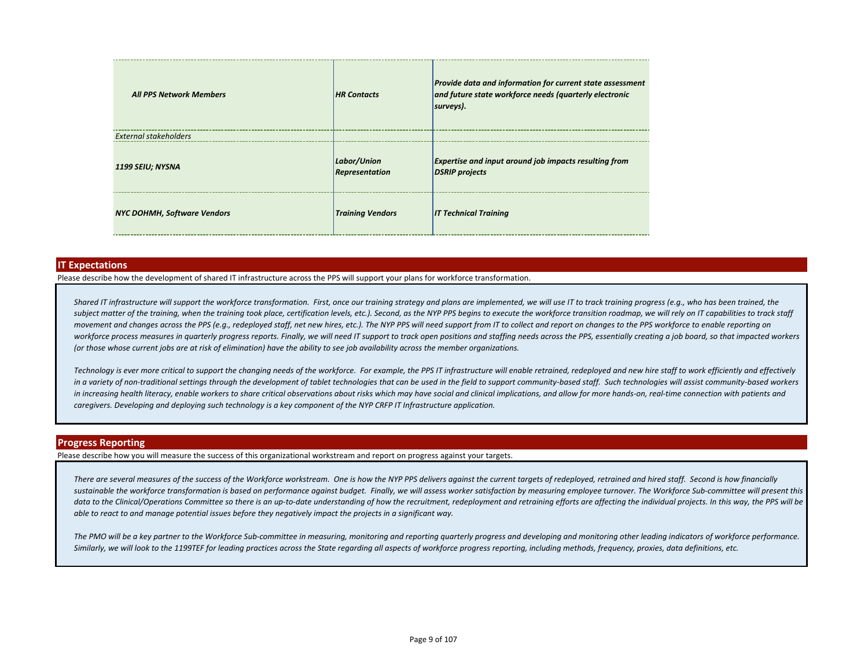| <b>All PPS Network Members</b>     | <b>HR Contacts</b>            | <b>Provide data and information for current state assessment</b><br>and future state workforce needs (quarterly electronic<br>surveys). |
|------------------------------------|-------------------------------|-----------------------------------------------------------------------------------------------------------------------------------------|
| External stakeholders              |                               |                                                                                                                                         |
| 1199 SEIU; NYSNA                   | Labor/Union<br>Representation | <b>Expertise and input around job impacts resulting from</b><br><b>DSRIP</b> projects                                                   |
| <b>NYC DOHMH, Software Vendors</b> | <b>Training Vendors</b>       | <b>IT Technical Training</b>                                                                                                            |

#### **IT Expectations**

Please describe how the development of shared IT infrastructure across the PPS will support your plans for workforce transformation.

Shared IT infrastructure will support the workforce transformation. First, once our training strategy and plans are implemented, we will use IT to track training progress (e.g., who has been trained, the subject matter of the training, when the training took place, certification levels, etc.). Second, as the NYP PPS begins to execute the workforce transition roadmap, we will rely on IT capabilities to track staff *movement and changes across the PPS (e.g., redeployed staff, net new hires, etc.). The NYP PPS will need support from IT to collect and report on changes to the PPS workforce to enable reporting on*  workforce process measures in quarterly progress reports. Finally, we will need IT support to track open positions and staffing needs across the PPS, essentially creating a job board, so that impacted workers *(or those whose current jobs are at risk of elimination) have the ability to see job availability across the member organizations.*

Technology is ever more critical to support the changing needs of the workforce. For example, the PPS IT infrastructure will enable retrained, redeployed and new hire staff to work efficiently and effectively in a variety of non-traditional settings through the development of tablet technologies that can be used in the field to support community-based staff. Such technologies will assist community-based workers *in increasing health literacy, enable workers to share critical observations about risks which may have social and clinical implications, and allow for more hands-on, real-time connection with patients and caregivers. Developing and deploying such technology is a key component of the NYP CRFP IT Infrastructure application.*

#### **Progress Reporting**

Please describe how you will measure the success of this organizational workstream and report on progress against your targets.

*There are several measures of the success of the Workforce workstream. One is how the NYP PPS delivers against the current targets of redeployed, retrained and hired staff. Second is how financially*  sustainable the workforce transformation is based on performance against budget. Finally, we will assess worker satisfaction by measuring employee turnover. The Workforce Sub-committee will present this data to the Clinical/Operations Committee so there is an up-to-date understanding of how the recruitment, redeployment and retraining efforts are affecting the individual projects. In this way, the PPS will be *able to react to and manage potential issues before they negatively impact the projects in a significant way.*

*The PMO will be a key partner to the Workforce Sub-committee in measuring, monitoring and reporting quarterly progress and developing and monitoring other leading indicators of workforce performance. Similarly, we will look to the 1199TEF for leading practices across the State regarding all aspects of workforce progress reporting, including methods, frequency, proxies, data definitions, etc.*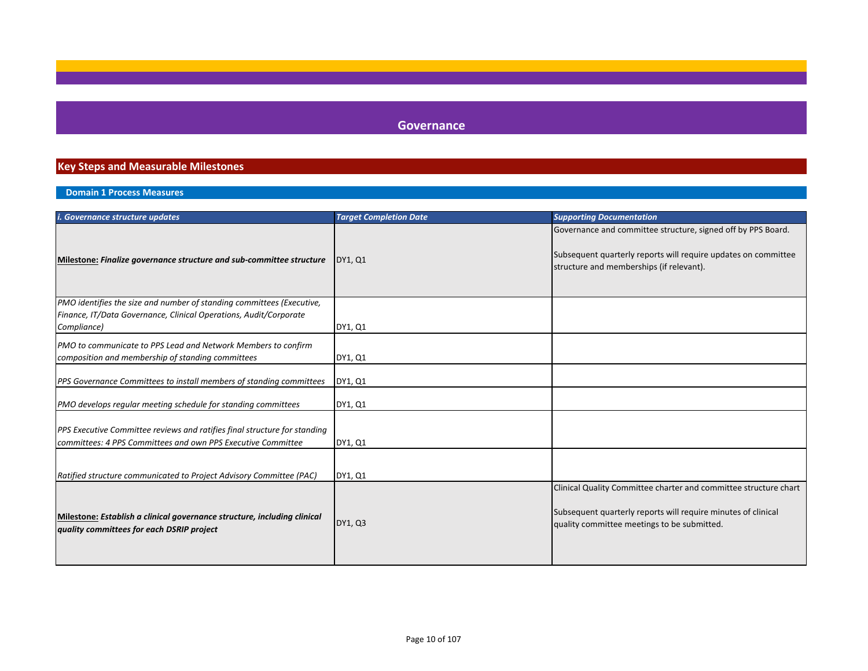## **Governance**

## **Key Steps and Measurable Milestones**

## **Domain 1 Process Measures**

| <i>i. Governance structure updates</i>                                                                                                    | <b>Target Completion Date</b> | <b>Supporting Documentation</b>                                                                                                                                                  |
|-------------------------------------------------------------------------------------------------------------------------------------------|-------------------------------|----------------------------------------------------------------------------------------------------------------------------------------------------------------------------------|
| Milestone: Finalize governance structure and sub-committee structure                                                                      | DY1, Q1                       | Governance and committee structure, signed off by PPS Board.<br>Subsequent quarterly reports will require updates on committee<br>structure and memberships (if relevant).       |
| PMO identifies the size and number of standing committees (Executive,                                                                     |                               |                                                                                                                                                                                  |
| Finance, IT/Data Governance, Clinical Operations, Audit/Corporate                                                                         |                               |                                                                                                                                                                                  |
| Compliance)                                                                                                                               | DY1, Q1                       |                                                                                                                                                                                  |
| PMO to communicate to PPS Lead and Network Members to confirm                                                                             |                               |                                                                                                                                                                                  |
| composition and membership of standing committees                                                                                         | DY1, Q1                       |                                                                                                                                                                                  |
| PPS Governance Committees to install members of standing committees                                                                       | DY1, Q1                       |                                                                                                                                                                                  |
| PMO develops regular meeting schedule for standing committees                                                                             | DY1, Q1                       |                                                                                                                                                                                  |
| PPS Executive Committee reviews and ratifies final structure for standing<br>committees: 4 PPS Committees and own PPS Executive Committee | DY1, Q1                       |                                                                                                                                                                                  |
| Ratified structure communicated to Project Advisory Committee (PAC)                                                                       | DY1, Q1                       |                                                                                                                                                                                  |
| Milestone: Establish a clinical governance structure, including clinical<br>quality committees for each DSRIP project                     | DY1, Q3                       | Clinical Quality Committee charter and committee structure chart<br>Subsequent quarterly reports will require minutes of clinical<br>quality committee meetings to be submitted. |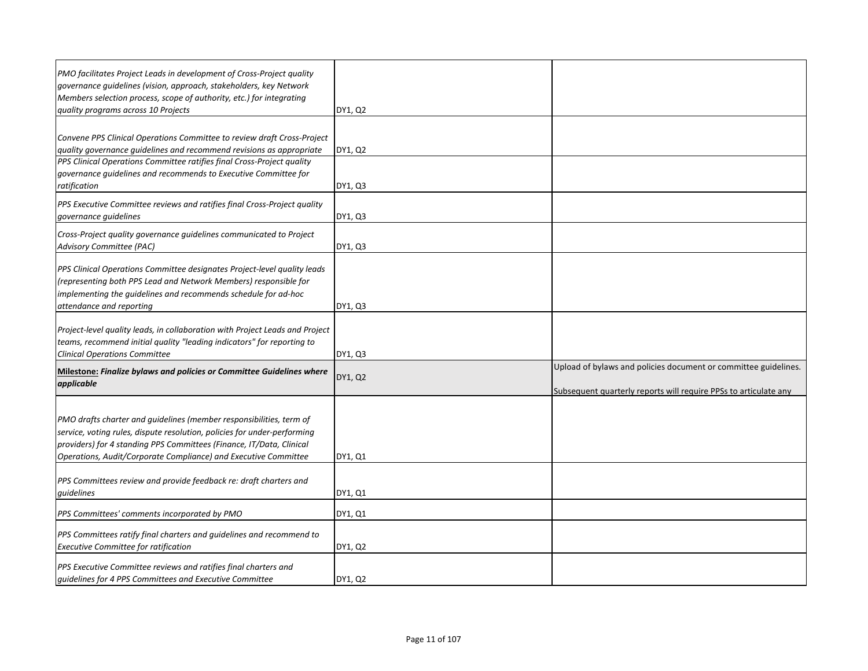| PMO facilitates Project Leads in development of Cross-Project quality<br>governance guidelines (vision, approach, stakeholders, key Network                                                                                                                                                |         |                                                                                                                                     |
|--------------------------------------------------------------------------------------------------------------------------------------------------------------------------------------------------------------------------------------------------------------------------------------------|---------|-------------------------------------------------------------------------------------------------------------------------------------|
| Members selection process, scope of authority, etc.) for integrating                                                                                                                                                                                                                       |         |                                                                                                                                     |
| quality programs across 10 Projects                                                                                                                                                                                                                                                        | DY1, Q2 |                                                                                                                                     |
| Convene PPS Clinical Operations Committee to review draft Cross-Project<br>quality governance guidelines and recommend revisions as appropriate                                                                                                                                            | DY1, Q2 |                                                                                                                                     |
| PPS Clinical Operations Committee ratifies final Cross-Project quality<br>governance guidelines and recommends to Executive Committee for<br>ratification                                                                                                                                  | DY1, Q3 |                                                                                                                                     |
| PPS Executive Committee reviews and ratifies final Cross-Project quality<br>governance guidelines                                                                                                                                                                                          | DY1, Q3 |                                                                                                                                     |
| Cross-Project quality governance guidelines communicated to Project<br>Advisory Committee (PAC)                                                                                                                                                                                            | DY1, Q3 |                                                                                                                                     |
| PPS Clinical Operations Committee designates Project-level quality leads<br>(representing both PPS Lead and Network Members) responsible for<br>implementing the guidelines and recommends schedule for ad-hoc<br>attendance and reporting                                                 | DY1, Q3 |                                                                                                                                     |
| Project-level quality leads, in collaboration with Project Leads and Project<br>teams, recommend initial quality "leading indicators" for reporting to<br><b>Clinical Operations Committee</b>                                                                                             | DY1, Q3 |                                                                                                                                     |
| Milestone: Finalize bylaws and policies or Committee Guidelines where<br>applicable                                                                                                                                                                                                        | DY1, Q2 | Upload of bylaws and policies document or committee guidelines.<br>Subsequent quarterly reports will require PPSs to articulate any |
| PMO drafts charter and guidelines (member responsibilities, term of<br>service, voting rules, dispute resolution, policies for under-performing<br>providers) for 4 standing PPS Committees (Finance, IT/Data, Clinical<br>Operations, Audit/Corporate Compliance) and Executive Committee | DY1, Q1 |                                                                                                                                     |
| PPS Committees review and provide feedback re: draft charters and<br>quidelines                                                                                                                                                                                                            | DY1, Q1 |                                                                                                                                     |
| PPS Committees' comments incorporated by PMO                                                                                                                                                                                                                                               | DY1, Q1 |                                                                                                                                     |
| PPS Committees ratify final charters and guidelines and recommend to<br><b>Executive Committee for ratification</b>                                                                                                                                                                        | DY1, Q2 |                                                                                                                                     |
| <b>PPS Executive Committee reviews and ratifies final charters and</b><br>quidelines for 4 PPS Committees and Executive Committee                                                                                                                                                          | DY1, Q2 |                                                                                                                                     |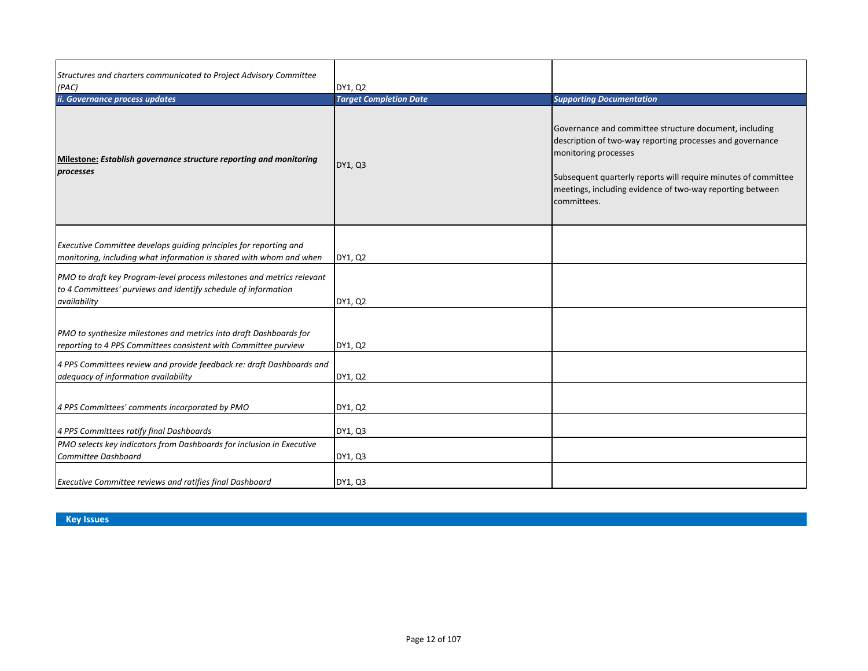| Structures and charters communicated to Project Advisory Committee<br>(PAC)                                                                              | DY1, Q2                       |                                                                                                                                                                                                                                                                                           |
|----------------------------------------------------------------------------------------------------------------------------------------------------------|-------------------------------|-------------------------------------------------------------------------------------------------------------------------------------------------------------------------------------------------------------------------------------------------------------------------------------------|
| ii. Governance process updates                                                                                                                           | <b>Target Completion Date</b> | <b>Supporting Documentation</b>                                                                                                                                                                                                                                                           |
| Milestone: Establish governance structure reporting and monitoring<br>processes                                                                          | DY1, Q3                       | Governance and committee structure document, including<br>description of two-way reporting processes and governance<br>monitoring processes<br>Subsequent quarterly reports will require minutes of committee<br>meetings, including evidence of two-way reporting between<br>committees. |
| Executive Committee develops guiding principles for reporting and<br>monitoring, including what information is shared with whom and when                 | DY1, Q2                       |                                                                                                                                                                                                                                                                                           |
| PMO to draft key Program-level process milestones and metrics relevant<br>to 4 Committees' purviews and identify schedule of information<br>availability | DY1, Q2                       |                                                                                                                                                                                                                                                                                           |
| PMO to synthesize milestones and metrics into draft Dashboards for<br>reporting to 4 PPS Committees consistent with Committee purview                    | DY1, Q2                       |                                                                                                                                                                                                                                                                                           |
| 4 PPS Committees review and provide feedback re: draft Dashboards and<br>adequacy of information availability                                            | DY1, Q2                       |                                                                                                                                                                                                                                                                                           |
| 4 PPS Committees' comments incorporated by PMO                                                                                                           | DY1, Q2                       |                                                                                                                                                                                                                                                                                           |
| 4 PPS Committees ratify final Dashboards                                                                                                                 | DY1, Q3                       |                                                                                                                                                                                                                                                                                           |
| PMO selects key indicators from Dashboards for inclusion in Executive<br>Committee Dashboard                                                             | DY1, Q3                       |                                                                                                                                                                                                                                                                                           |
| Executive Committee reviews and ratifies final Dashboard                                                                                                 | DY1, Q3                       |                                                                                                                                                                                                                                                                                           |

**Key Issues**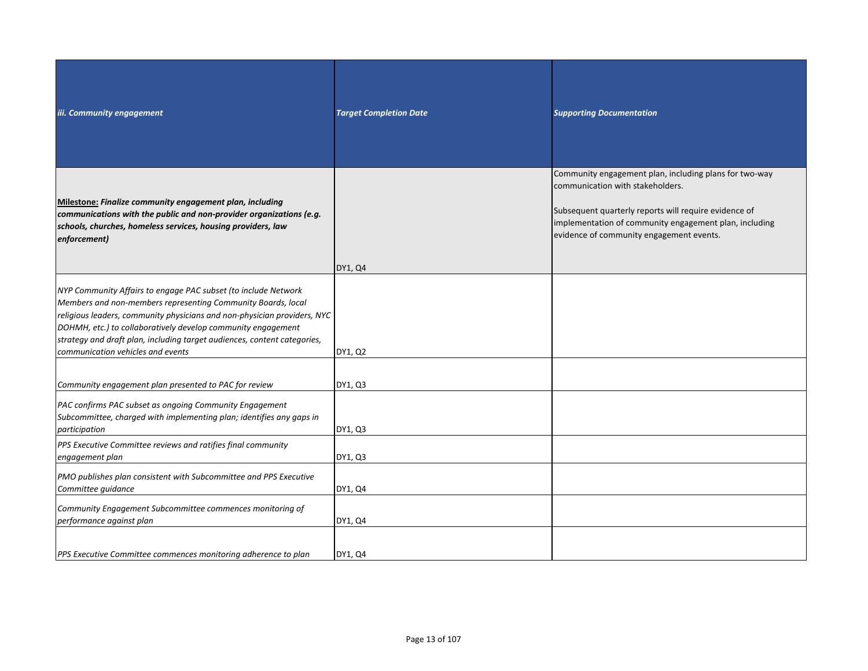| iii. Community engagement                                                                                                                                                                                                                                                                                                                                                                   | <b>Target Completion Date</b> | <b>Supporting Documentation</b>                                                                                                                                                                                                                           |
|---------------------------------------------------------------------------------------------------------------------------------------------------------------------------------------------------------------------------------------------------------------------------------------------------------------------------------------------------------------------------------------------|-------------------------------|-----------------------------------------------------------------------------------------------------------------------------------------------------------------------------------------------------------------------------------------------------------|
| Milestone: Finalize community engagement plan, including<br>communications with the public and non-provider organizations (e.g.<br>schools, churches, homeless services, housing providers, law<br>enforcement)                                                                                                                                                                             | DY1, Q4                       | Community engagement plan, including plans for two-way<br>communication with stakeholders.<br>Subsequent quarterly reports will require evidence of<br>implementation of community engagement plan, including<br>evidence of community engagement events. |
| NYP Community Affairs to engage PAC subset (to include Network<br>Members and non-members representing Community Boards, local<br>religious leaders, community physicians and non-physician providers, NYC<br>DOHMH, etc.) to collaboratively develop community engagement<br>strategy and draft plan, including target audiences, content categories,<br>communication vehicles and events | DY1, Q2                       |                                                                                                                                                                                                                                                           |
| Community engagement plan presented to PAC for review<br>PAC confirms PAC subset as ongoing Community Engagement<br>Subcommittee, charged with implementing plan; identifies any gaps in<br>participation                                                                                                                                                                                   | DY1, Q3<br>DY1, Q3            |                                                                                                                                                                                                                                                           |
| PPS Executive Committee reviews and ratifies final community<br>engagement plan<br>PMO publishes plan consistent with Subcommittee and PPS Executive                                                                                                                                                                                                                                        | DY1, Q3                       |                                                                                                                                                                                                                                                           |
| Committee guidance<br>Community Engagement Subcommittee commences monitoring of<br>performance against plan                                                                                                                                                                                                                                                                                 | DY1, Q4<br>DY1, Q4            |                                                                                                                                                                                                                                                           |
| PPS Executive Committee commences monitoring adherence to plan                                                                                                                                                                                                                                                                                                                              | DY1, Q4                       |                                                                                                                                                                                                                                                           |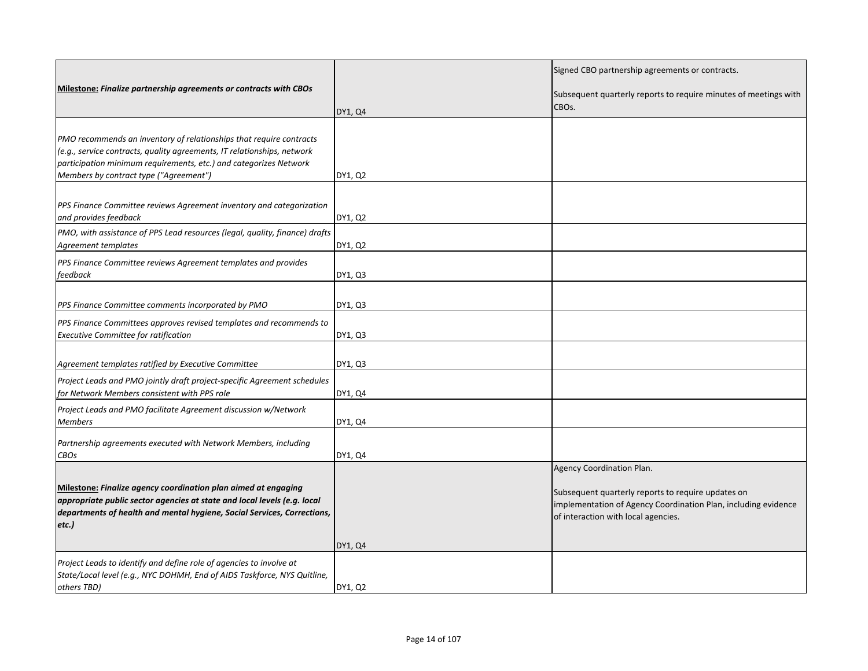| Milestone: Finalize partnership agreements or contracts with CBOs                                                                                                                                                                                             | DY1, Q4 | Signed CBO partnership agreements or contracts.<br>Subsequent quarterly reports to require minutes of meetings with<br>CBOs.                                                             |
|---------------------------------------------------------------------------------------------------------------------------------------------------------------------------------------------------------------------------------------------------------------|---------|------------------------------------------------------------------------------------------------------------------------------------------------------------------------------------------|
| PMO recommends an inventory of relationships that require contracts<br>(e.g., service contracts, quality agreements, IT relationships, network<br>participation minimum requirements, etc.) and categorizes Network<br>Members by contract type ("Agreement") | DY1, Q2 |                                                                                                                                                                                          |
| PPS Finance Committee reviews Agreement inventory and categorization<br>and provides feedback                                                                                                                                                                 | DY1, Q2 |                                                                                                                                                                                          |
| PMO, with assistance of PPS Lead resources (legal, quality, finance) drafts<br>Agreement templates                                                                                                                                                            | DY1, Q2 |                                                                                                                                                                                          |
| PPS Finance Committee reviews Agreement templates and provides<br>feedback                                                                                                                                                                                    | DY1, Q3 |                                                                                                                                                                                          |
| PPS Finance Committee comments incorporated by PMO                                                                                                                                                                                                            | DY1, Q3 |                                                                                                                                                                                          |
| PPS Finance Committees approves revised templates and recommends to<br><b>Executive Committee for ratification</b>                                                                                                                                            | DY1, Q3 |                                                                                                                                                                                          |
| Agreement templates ratified by Executive Committee                                                                                                                                                                                                           | DY1, Q3 |                                                                                                                                                                                          |
| Project Leads and PMO jointly draft project-specific Agreement schedules<br>for Network Members consistent with PPS role                                                                                                                                      | DY1, Q4 |                                                                                                                                                                                          |
| Project Leads and PMO facilitate Agreement discussion w/Network<br><b>Members</b>                                                                                                                                                                             | DY1, Q4 |                                                                                                                                                                                          |
| Partnership agreements executed with Network Members, including<br><b>CBOs</b>                                                                                                                                                                                | DY1, Q4 |                                                                                                                                                                                          |
| Milestone: Finalize agency coordination plan aimed at engaging<br>appropriate public sector agencies at state and local levels (e.g. local<br>departments of health and mental hygiene, Social Services, Corrections,<br>etc.)                                | DY1, Q4 | Agency Coordination Plan.<br>Subsequent quarterly reports to require updates on<br>implementation of Agency Coordination Plan, including evidence<br>of interaction with local agencies. |
| Project Leads to identify and define role of agencies to involve at<br>State/Local level (e.g., NYC DOHMH, End of AIDS Taskforce, NYS Quitline,<br>others TBD)                                                                                                | DY1, Q2 |                                                                                                                                                                                          |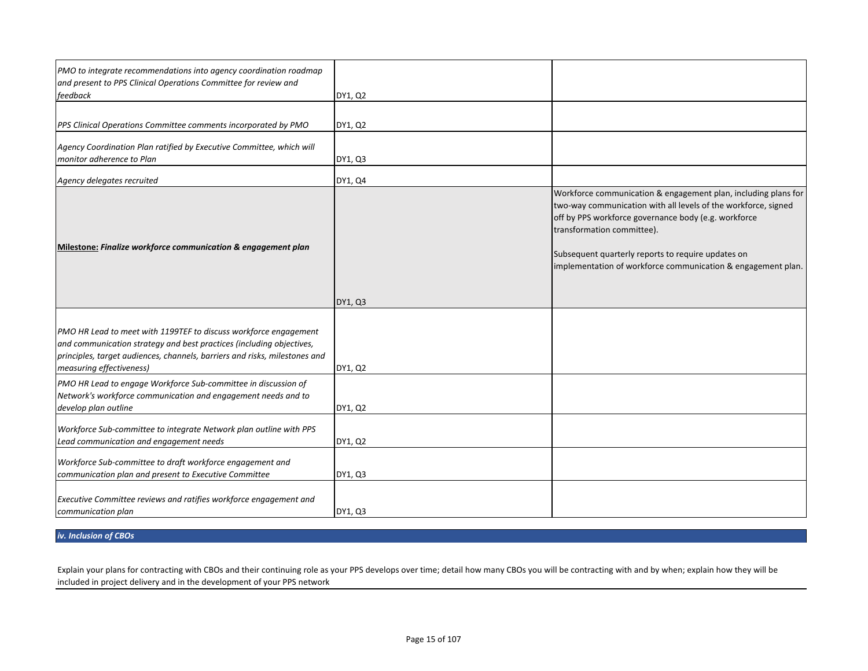| PMO to integrate recommendations into agency coordination roadmap<br>and present to PPS Clinical Operations Committee for review and<br>feedback                                                                                                   | DY1, Q2 |                                                                                                                                                                                                                                                                                                                                              |
|----------------------------------------------------------------------------------------------------------------------------------------------------------------------------------------------------------------------------------------------------|---------|----------------------------------------------------------------------------------------------------------------------------------------------------------------------------------------------------------------------------------------------------------------------------------------------------------------------------------------------|
| PPS Clinical Operations Committee comments incorporated by PMO                                                                                                                                                                                     | DY1, Q2 |                                                                                                                                                                                                                                                                                                                                              |
| Agency Coordination Plan ratified by Executive Committee, which will<br>monitor adherence to Plan                                                                                                                                                  | DY1, Q3 |                                                                                                                                                                                                                                                                                                                                              |
| Agency delegates recruited                                                                                                                                                                                                                         | DY1, Q4 |                                                                                                                                                                                                                                                                                                                                              |
| Milestone: Finalize workforce communication & engagement plan                                                                                                                                                                                      | DY1, Q3 | Workforce communication & engagement plan, including plans for<br>two-way communication with all levels of the workforce, signed<br>off by PPS workforce governance body (e.g. workforce<br>transformation committee).<br>Subsequent quarterly reports to require updates on<br>implementation of workforce communication & engagement plan. |
| PMO HR Lead to meet with 1199TEF to discuss workforce engagement<br>and communication strategy and best practices (including objectives,<br>principles, target audiences, channels, barriers and risks, milestones and<br>measuring effectiveness) | DY1, Q2 |                                                                                                                                                                                                                                                                                                                                              |
| PMO HR Lead to engage Workforce Sub-committee in discussion of<br>Network's workforce communication and engagement needs and to<br>develop plan outline                                                                                            | DY1, Q2 |                                                                                                                                                                                                                                                                                                                                              |
| Workforce Sub-committee to integrate Network plan outline with PPS<br>Lead communication and engagement needs                                                                                                                                      | DY1, Q2 |                                                                                                                                                                                                                                                                                                                                              |
| Workforce Sub-committee to draft workforce engagement and<br>communication plan and present to Executive Committee                                                                                                                                 | DY1, Q3 |                                                                                                                                                                                                                                                                                                                                              |
| Executive Committee reviews and ratifies workforce engagement and<br>communication plan                                                                                                                                                            | DY1, Q3 |                                                                                                                                                                                                                                                                                                                                              |

## *iv. Inclusion of CBOs*

Explain your plans for contracting with CBOs and their continuing role as your PPS develops over time; detail how many CBOs you will be contracting with and by when; explain how they will be included in project delivery and in the development of your PPS network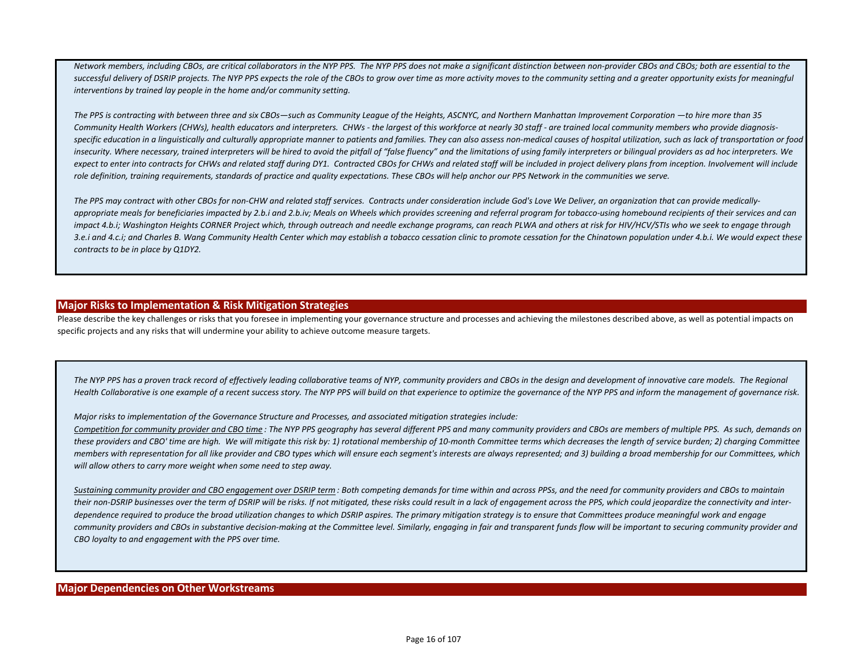*Network members, including CBOs, are critical collaborators in the NYP PPS. The NYP PPS does not make a significant distinction between non-provider CBOs and CBOs; both are essential to the*  successful delivery of DSRIP projects. The NYP PPS expects the role of the CBOs to grow over time as more activity moves to the community setting and a greater opportunity exists for meaningful *interventions by trained lay people in the home and/or community setting.*

*The PPS is contracting with between three and six CBOs—such as Community League of the Heights, ASCNYC, and Northern Manhattan Improvement Corporation —to hire more than 35 Community Health Workers (CHWs), health educators and interpreters. CHWs - the largest of this workforce at nearly 30 staff - are trained local community members who provide diagnosisspecific education in a linguistically and culturally appropriate manner to patients and families. They can also assess non-medical causes of hospital utilization, such as lack of transportation or food insecurity. Where necessary, trained interpreters will be hired to avoid the pitfall of "false fluency" and the limitations of using family interpreters or bilingual providers as ad hoc interpreters. We*  expect to enter into contracts for CHWs and related staff during DY1. Contracted CBOs for CHWs and related staff will be included in project delivery plans from inception. Involvement will include *role definition, training requirements, standards of practice and quality expectations. These CBOs will help anchor our PPS Network in the communities we serve.*

*The PPS may contract with other CBOs for non-CHW and related staff services. Contracts under consideration include God's Love We Deliver, an organization that can provide medically*appropriate meals for beneficiaries impacted by 2.b.i and 2.b.iv; Meals on Wheels which provides screening and referral program for tobacco-using homebound recipients of their services and can *impact 4.b.i; Washington Heights CORNER Project which, through outreach and needle exchange programs, can reach PLWA and others at risk for HIV/HCV/STIs who we seek to engage through*  3.e.i and 4.c.i; and Charles B. Wang Community Health Center which may establish a tobacco cessation clinic to promote cessation for the Chinatown population under 4.b.i. We would expect these *contracts to be in place by Q1DY2.*

## **Major Risks to Implementation & Risk Mitigation Strategies**

Please describe the key challenges or risks that you foresee in implementing your governance structure and processes and achieving the milestones described above, as well as potential impacts on specific projects and any risks that will undermine your ability to achieve outcome measure targets.

The NYP PPS has a proven track record of effectively leading collaborative teams of NYP, community providers and CBOs in the design and development of innovative care models. The Regional *Health Collaborative is one example of a recent success story. The NYP PPS will build on that experience to optimize the governance of the NYP PPS and inform the management of governance risk.* 

*Major risks to implementation of the Governance Structure and Processes, and associated mitigation strategies include:*

*Competition for community provider and CBO time : The NYP PPS geography has several different PPS and many community providers and CBOs are members of multiple PPS. As such, demands on these providers and CBO' time are high. We will mitigate this risk by: 1) rotational membership of 10-month Committee terms which decreases the length of service burden; 2) charging Committee members with representation for all like provider and CBO types which will ensure each segment's interests are always represented; and 3) building a broad membership for our Committees, which will allow others to carry more weight when some need to step away.*

*Sustaining community provider and CBO engagement over DSRIP term : Both competing demands for time within and across PPSs, and the need for community providers and CBOs to maintain their non-DSRIP businesses over the term of DSRIP will be risks. If not mitigated, these risks could result in a lack of engagement across the PPS, which could jeopardize the connectivity and interdependence required to produce the broad utilization changes to which DSRIP aspires. The primary mitigation strategy is to ensure that Committees produce meaningful work and engage*  community providers and CBOs in substantive decision-making at the Committee level. Similarly, engaging in fair and transparent funds flow will be important to securing community provider and *CBO loyalty to and engagement with the PPS over time.*

### **Major Dependencies on Other Workstreams**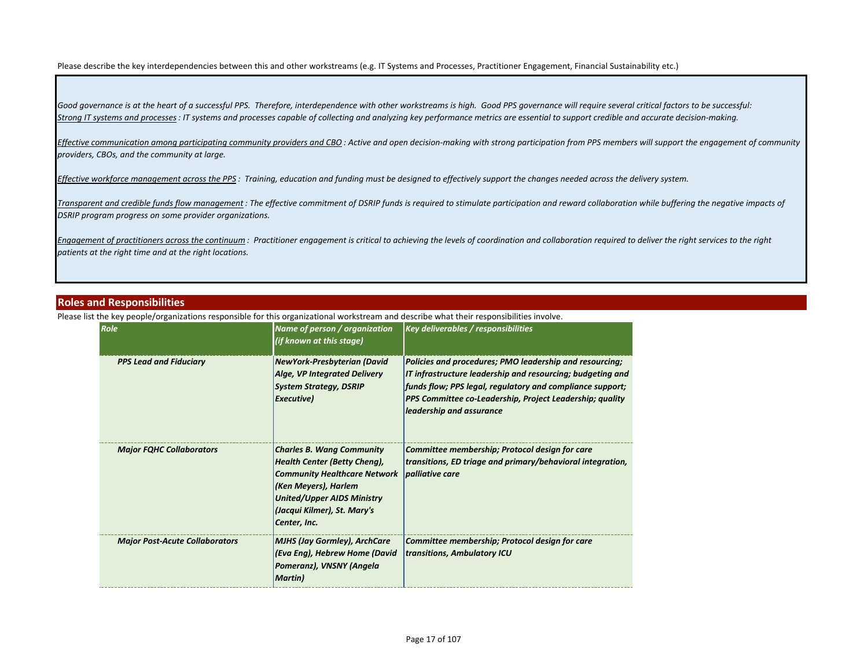Please describe the key interdependencies between this and other workstreams (e.g. IT Systems and Processes, Practitioner Engagement, Financial Sustainability etc.)

*Good governance is at the heart of a successful PPS. Therefore, interdependence with other workstreams is high. Good PPS governance will require several critical factors to be successful: Strong IT systems and processes: IT systems and processes capable of collecting and analyzing key performance metrics are essential to support credible and accurate decision-making.*

*Effective communication among participating community providers and CBO : Active and open decision-making with strong participation from PPS members will support the engagement of community providers, CBOs, and the community at large.*

*Effective workforce management across the PPS : Training, education and funding must be designed to effectively support the changes needed across the delivery system.* 

*Transparent and credible funds flow management : The effective commitment of DSRIP funds is required to stimulate participation and reward collaboration while buffering the negative impacts of DSRIP program progress on some provider organizations.* 

*Engagement of practitioners across the continuum : Practitioner engagement is critical to achieving the levels of coordination and collaboration required to deliver the right services to the right patients at the right time and at the right locations.*

### **Roles and Responsibilities**

Please list the key people/organizations responsible for this organizational workstream and describe what their responsibilities involve.

| Role                                  | Name of person / organization<br>(if known at this stage)                                                                                                                                                                  | <b>Key deliverables / responsibilities</b>                                                                                                                                                                                                                                 |
|---------------------------------------|----------------------------------------------------------------------------------------------------------------------------------------------------------------------------------------------------------------------------|----------------------------------------------------------------------------------------------------------------------------------------------------------------------------------------------------------------------------------------------------------------------------|
| <b>PPS Lead and Fiduciary</b>         | NewYork-Presbyterian (David<br>Alge, VP Integrated Delivery<br><b>System Strategy, DSRIP</b><br>Executive)                                                                                                                 | Policies and procedures; PMO leadership and resourcing;<br>IT infrastructure leadership and resourcing; budgeting and<br>funds flow; PPS legal, regulatory and compliance support;<br>PPS Committee co-Leadership, Project Leadership; quality<br>leadership and assurance |
| <b>Major FQHC Collaborators</b>       | <b>Charles B. Wang Community</b><br><b>Health Center (Betty Cheng),</b><br><b>Community Healthcare Network</b><br>(Ken Meyers), Harlem<br><b>United/Upper AIDS Ministry</b><br>(Jacqui Kilmer), St. Mary's<br>Center, Inc. | Committee membership; Protocol design for care<br>transitions, ED triage and primary/behavioral integration,<br><i>palliative care</i>                                                                                                                                     |
| <b>Major Post-Acute Collaborators</b> | <b>MJHS (Jay Gormley), ArchCare</b><br>(Eva Eng), Hebrew Home (David<br>Pomeranz), VNSNY (Angela<br><b>Martin</b> )                                                                                                        | Committee membership; Protocol design for care<br>transitions, Ambulatory ICU                                                                                                                                                                                              |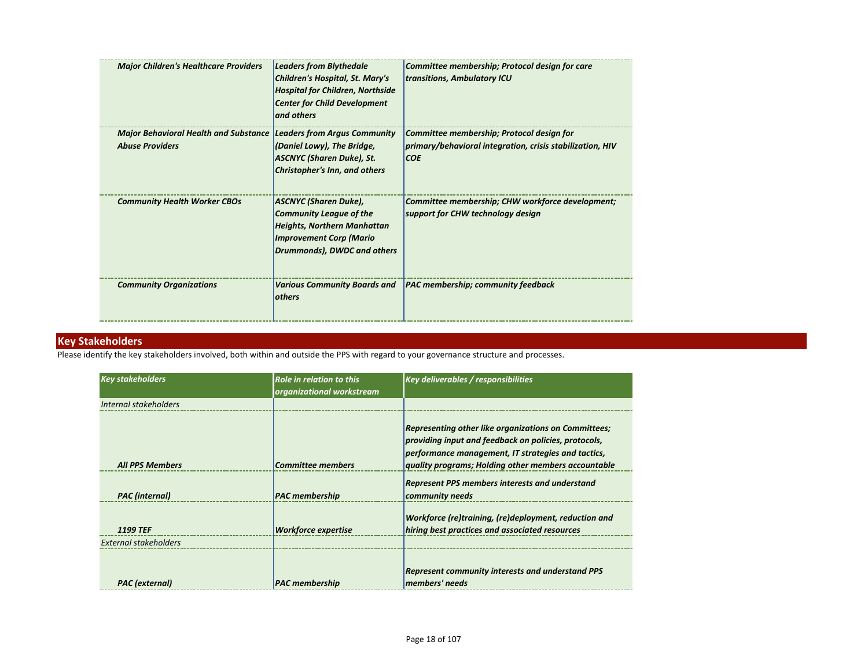| <b>Major Children's Healthcare Providers</b>                                                        | <b>Leaders from Blythedale</b><br><b>Children's Hospital, St. Mary's</b><br><b>Hospital for Children, Northside</b><br><b>Center for Child Development</b><br>and others | Committee membership; Protocol design for care<br>transitions, Ambulatory ICU                                        |
|-----------------------------------------------------------------------------------------------------|--------------------------------------------------------------------------------------------------------------------------------------------------------------------------|----------------------------------------------------------------------------------------------------------------------|
| <b>Major Behavioral Health and Substance Leaders from Argus Community</b><br><b>Abuse Providers</b> | (Daniel Lowy), The Bridge,<br><b>ASCNYC</b> (Sharen Duke), St.<br>Christopher's Inn, and others                                                                          | Committee membership; Protocol design for<br>primary/behavioral integration, crisis stabilization, HIV<br><b>COE</b> |
| <b>Community Health Worker CBOs</b>                                                                 | <b>ASCNYC (Sharen Duke),</b><br><b>Community League of the</b><br><b>Heights, Northern Manhattan</b><br><b>Improvement Corp (Mario</b><br>Drummonds), DWDC and others    | Committee membership; CHW workforce development;<br>support for CHW technology design                                |
| <b>Community Organizations</b>                                                                      | <b>Various Community Boards and</b><br>others                                                                                                                            | <b>PAC membership; community feedback</b>                                                                            |

## **Key Stakeholders**

Please identify the key stakeholders involved, both within and outside the PPS with regard to your governance structure and processes.

| <b>Key stakeholders</b> | <b>Role in relation to this</b><br>organizational workstream | <b>Key deliverables / responsibilities</b>                                                                                                                                                                                |
|-------------------------|--------------------------------------------------------------|---------------------------------------------------------------------------------------------------------------------------------------------------------------------------------------------------------------------------|
| Internal stakeholders   |                                                              |                                                                                                                                                                                                                           |
| <b>All PPS Members</b>  | <b>Committee members</b>                                     | Representing other like organizations on Committees;<br>providing input and feedback on policies, protocols,<br>performance management, IT strategies and tactics,<br>quality programs; Holding other members accountable |
| <b>PAC</b> (internal)   | <b>PAC</b> membership                                        | <b>Represent PPS members interests and understand</b><br>community needs                                                                                                                                                  |
| <b>1199 TEF</b>         | <b>Workforce expertise</b>                                   | Workforce (re)training, (re)deployment, reduction and<br>hiring best practices and associated resources                                                                                                                   |
| External stakeholders   |                                                              |                                                                                                                                                                                                                           |
| <b>PAC</b> (external)   | <b>PAC</b> membership                                        | <b>Represent community interests and understand PPS</b><br>members' needs                                                                                                                                                 |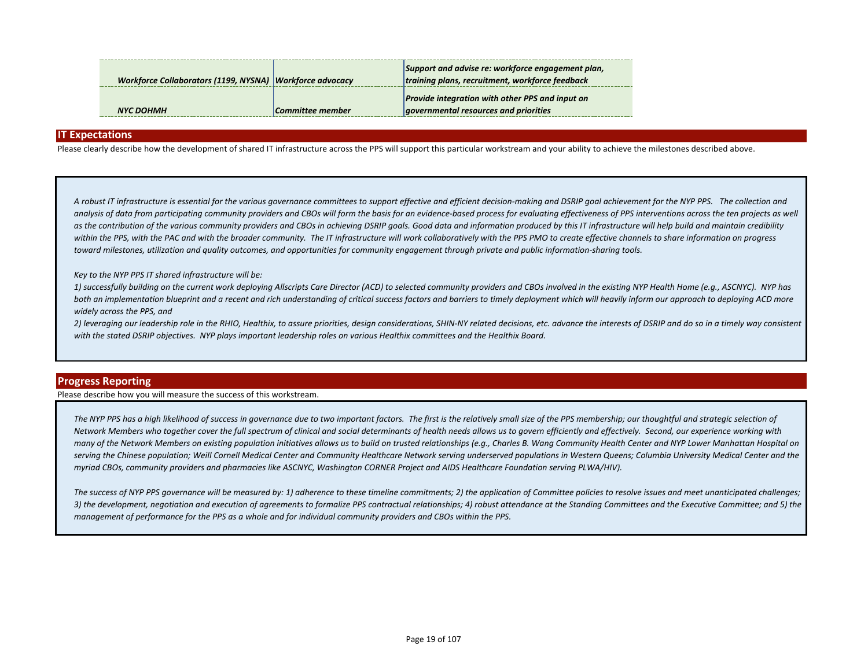| Workforce Collaborators (1199, NYSNA) Workforce advocacy |                  | Support and advise re: workforce engagement plan,<br>training plans, recruitment, workforce feedback |
|----------------------------------------------------------|------------------|------------------------------------------------------------------------------------------------------|
| NYC DOHMH                                                | Committee member | <b>Provide integration with other PPS and input on</b><br>governmental resources and priorities      |

#### **IT Expectations**

Please clearly describe how the development of shared IT infrastructure across the PPS will support this particular workstream and your ability to achieve the milestones described above.

*A robust IT infrastructure is essential for the various governance committees to support effective and efficient decision-making and DSRIP goal achievement for the NYP PPS. The collection and*  analysis of data from participating community providers and CBOs will form the basis for an evidence-based process for evaluating effectiveness of PPS interventions across the ten projects as well as the contribution of the various community providers and CBOs in achieving DSRIP goals. Good data and information produced by this IT infrastructure will help build and maintain credibility within the PPS, with the PAC and with the broader community. The IT infrastructure will work collaboratively with the PPS PMO to create effective channels to share information on progress *toward milestones, utilization and quality outcomes, and opportunities for community engagement through private and public information-sharing tools.*

#### *Key to the NYP PPS IT shared infrastructure will be:*

*1) successfully building on the current work deploying Allscripts Care Director (ACD) to selected community providers and CBOs involved in the existing NYP Health Home (e.g., ASCNYC). NYP has*  both an implementation blueprint and a recent and rich understanding of critical success factors and barriers to timely deployment which will heavily inform our approach to deploying ACD more *widely across the PPS, and*

*2) leveraging our leadership role in the RHIO, Healthix, to assure priorities, design considerations, SHIN-NY related decisions, etc. advance the interests of DSRIP and do so in a timely way consistent with the stated DSRIP objectives. NYP plays important leadership roles on various Healthix committees and the Healthix Board.*

#### **Progress Reporting**

Please describe how you will measure the success of this workstream.

The NYP PPS has a high likelihood of success in governance due to two important factors. The first is the relatively small size of the PPS membership; our thoughtful and strategic selection of *Network Members who together cover the full spectrum of clinical and social determinants of health needs allows us to govern efficiently and effectively. Second, our experience working with many of the Network Members on existing population initiatives allows us to build on trusted relationships (e.g., Charles B. Wang Community Health Center and NYP Lower Manhattan Hospital on serving the Chinese population; Weill Cornell Medical Center and Community Healthcare Network serving underserved populations in Western Queens; Columbia University Medical Center and the myriad CBOs, community providers and pharmacies like ASCNYC, Washington CORNER Project and AIDS Healthcare Foundation serving PLWA/HIV).*

*The success of NYP PPS governance will be measured by: 1) adherence to these timeline commitments; 2) the application of Committee policies to resolve issues and meet unanticipated challenges; 3) the development, negotiation and execution of agreements to formalize PPS contractual relationships; 4) robust attendance at the Standing Committees and the Executive Committee; and 5) the management of performance for the PPS as a whole and for individual community providers and CBOs within the PPS.*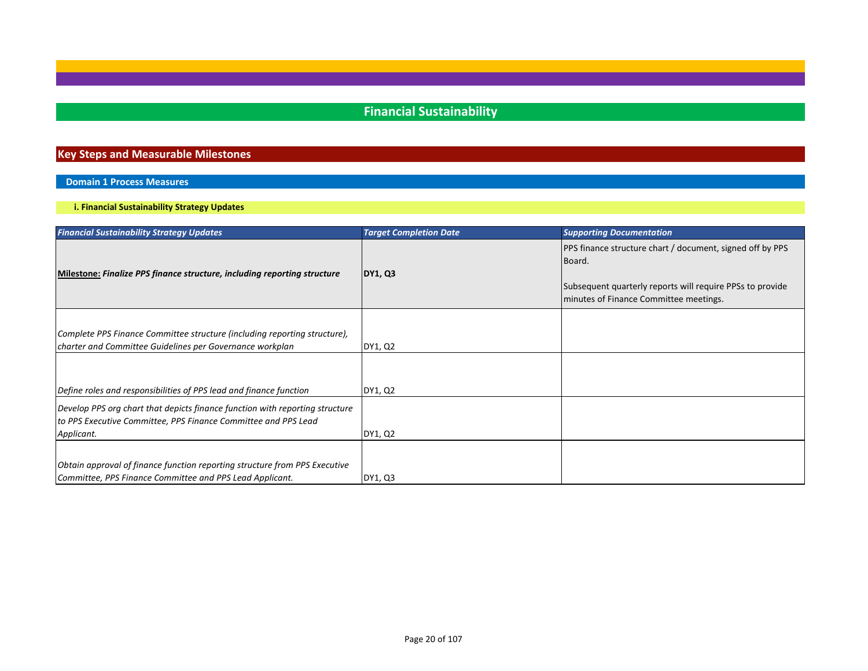## **Financial Sustainability**

## **Key Steps and Measurable Milestones**

## **Domain 1 Process Measures**

**i. Financial Sustainability Strategy Updates**

| <b>Financial Sustainability Strategy Updates</b>                             | <b>Target Completion Date</b> | <b>Supporting Documentation</b>                                            |
|------------------------------------------------------------------------------|-------------------------------|----------------------------------------------------------------------------|
|                                                                              |                               | <b>PPS</b> finance structure chart / document, signed off by PPS<br>Board. |
| Milestone: Finalize PPS finance structure, including reporting structure     | <b>DY1, Q3</b>                |                                                                            |
|                                                                              |                               | Subsequent quarterly reports will require PPSs to provide                  |
|                                                                              |                               | minutes of Finance Committee meetings.                                     |
|                                                                              |                               |                                                                            |
| Complete PPS Finance Committee structure (including reporting structure),    |                               |                                                                            |
| charter and Committee Guidelines per Governance workplan                     | DY1, Q2                       |                                                                            |
|                                                                              |                               |                                                                            |
| Define roles and responsibilities of PPS lead and finance function           | DY1, Q2                       |                                                                            |
| Develop PPS org chart that depicts finance function with reporting structure |                               |                                                                            |
| to PPS Executive Committee, PPS Finance Committee and PPS Lead               |                               |                                                                            |
| Applicant.                                                                   | DY1, Q2                       |                                                                            |
|                                                                              |                               |                                                                            |
| Obtain approval of finance function reporting structure from PPS Executive   |                               |                                                                            |
| Committee, PPS Finance Committee and PPS Lead Applicant.                     | DY1, Q3                       |                                                                            |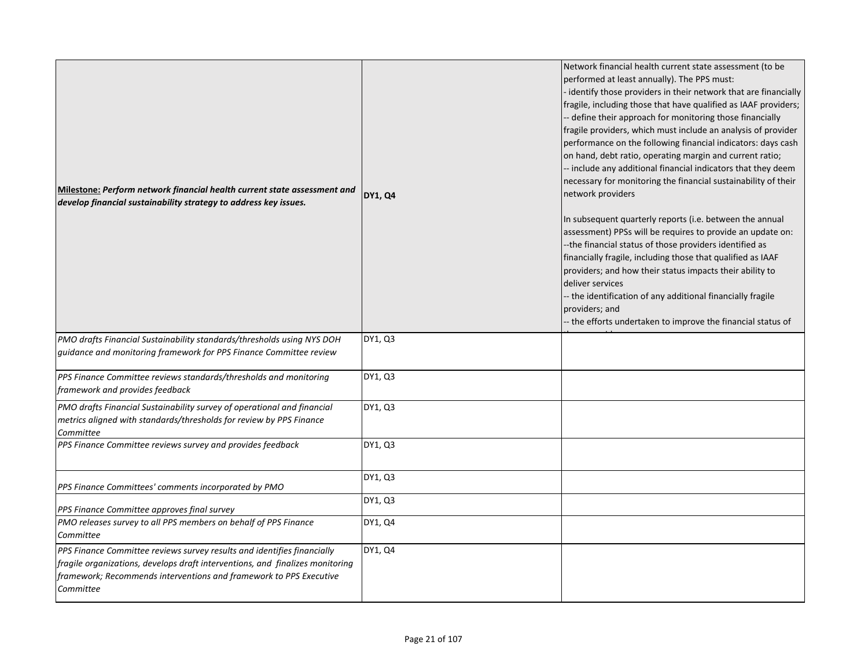| Milestone: Perform network financial health current state assessment and<br>develop financial sustainability strategy to address key issues.                                                                                                | <b>DY1, Q4</b> | Network financial health current state assessment (to be<br>performed at least annually). The PPS must:<br>identify those providers in their network that are financially<br>fragile, including those that have qualified as IAAF providers;<br>- define their approach for monitoring those financially<br>fragile providers, which must include an analysis of provider<br>performance on the following financial indicators: days cash<br>on hand, debt ratio, operating margin and current ratio;<br>-- include any additional financial indicators that they deem<br>necessary for monitoring the financial sustainability of their<br>network providers |
|---------------------------------------------------------------------------------------------------------------------------------------------------------------------------------------------------------------------------------------------|----------------|---------------------------------------------------------------------------------------------------------------------------------------------------------------------------------------------------------------------------------------------------------------------------------------------------------------------------------------------------------------------------------------------------------------------------------------------------------------------------------------------------------------------------------------------------------------------------------------------------------------------------------------------------------------|
|                                                                                                                                                                                                                                             |                | In subsequent quarterly reports (i.e. between the annual<br>assessment) PPSs will be requires to provide an update on:<br>--the financial status of those providers identified as<br>financially fragile, including those that qualified as IAAF<br>providers; and how their status impacts their ability to<br>deliver services<br>-- the identification of any additional financially fragile<br>providers; and<br>-- the efforts undertaken to improve the financial status of                                                                                                                                                                             |
| PMO drafts Financial Sustainability standards/thresholds using NYS DOH<br>guidance and monitoring framework for PPS Finance Committee review                                                                                                | DY1, Q3        |                                                                                                                                                                                                                                                                                                                                                                                                                                                                                                                                                                                                                                                               |
| PPS Finance Committee reviews standards/thresholds and monitoring<br>framework and provides feedback                                                                                                                                        | DY1, Q3        |                                                                                                                                                                                                                                                                                                                                                                                                                                                                                                                                                                                                                                                               |
| PMO drafts Financial Sustainability survey of operational and financial<br>metrics aligned with standards/thresholds for review by PPS Finance<br>Committee                                                                                 | DY1, Q3        |                                                                                                                                                                                                                                                                                                                                                                                                                                                                                                                                                                                                                                                               |
| PPS Finance Committee reviews survey and provides feedback                                                                                                                                                                                  | DY1, Q3        |                                                                                                                                                                                                                                                                                                                                                                                                                                                                                                                                                                                                                                                               |
| PPS Finance Committees' comments incorporated by PMO                                                                                                                                                                                        | DY1, Q3        |                                                                                                                                                                                                                                                                                                                                                                                                                                                                                                                                                                                                                                                               |
| PPS Finance Committee approves final survey                                                                                                                                                                                                 | DY1, Q3        |                                                                                                                                                                                                                                                                                                                                                                                                                                                                                                                                                                                                                                                               |
| PMO releases survey to all PPS members on behalf of PPS Finance<br>Committee                                                                                                                                                                | DY1, Q4        |                                                                                                                                                                                                                                                                                                                                                                                                                                                                                                                                                                                                                                                               |
| PPS Finance Committee reviews survey results and identifies financially<br>fragile organizations, develops draft interventions, and finalizes monitoring<br>framework; Recommends interventions and framework to PPS Executive<br>Committee | DY1, Q4        |                                                                                                                                                                                                                                                                                                                                                                                                                                                                                                                                                                                                                                                               |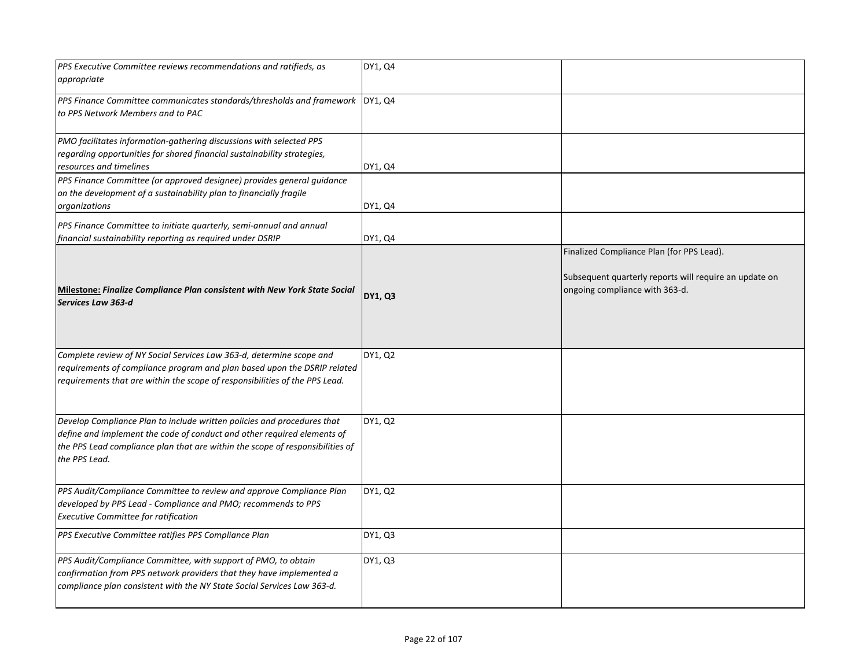| PPS Executive Committee reviews recommendations and ratifieds, as<br>appropriate                                                                                                                                                                     | DY1, Q4        |                                                                                                                                       |
|------------------------------------------------------------------------------------------------------------------------------------------------------------------------------------------------------------------------------------------------------|----------------|---------------------------------------------------------------------------------------------------------------------------------------|
| PPS Finance Committee communicates standards/thresholds and framework   DY1, Q4<br>to PPS Network Members and to PAC                                                                                                                                 |                |                                                                                                                                       |
| PMO facilitates information-gathering discussions with selected PPS<br>regarding opportunities for shared financial sustainability strategies,<br>resources and timelines                                                                            | DY1, Q4        |                                                                                                                                       |
| PPS Finance Committee (or approved designee) provides general guidance<br>on the development of a sustainability plan to financially fragile<br>organizations                                                                                        | DY1, Q4        |                                                                                                                                       |
| PPS Finance Committee to initiate quarterly, semi-annual and annual<br>financial sustainability reporting as required under DSRIP                                                                                                                    | DY1, Q4        |                                                                                                                                       |
| <b>Milestone: Finalize Compliance Plan consistent with New York State Social</b><br>Services Law 363-d                                                                                                                                               | <b>DY1, Q3</b> | Finalized Compliance Plan (for PPS Lead).<br>Subsequent quarterly reports will require an update on<br>ongoing compliance with 363-d. |
| Complete review of NY Social Services Law 363-d, determine scope and<br>requirements of compliance program and plan based upon the DSRIP related<br>requirements that are within the scope of responsibilities of the PPS Lead.                      | DY1, Q2        |                                                                                                                                       |
| Develop Compliance Plan to include written policies and procedures that<br>define and implement the code of conduct and other required elements of<br>the PPS Lead compliance plan that are within the scope of responsibilities of<br>the PPS Lead. | DY1, Q2        |                                                                                                                                       |
| PPS Audit/Compliance Committee to review and approve Compliance Plan<br>developed by PPS Lead - Compliance and PMO; recommends to PPS<br><b>Executive Committee for ratification</b>                                                                 | DY1, Q2        |                                                                                                                                       |
| PPS Executive Committee ratifies PPS Compliance Plan                                                                                                                                                                                                 | DY1, Q3        |                                                                                                                                       |
| PPS Audit/Compliance Committee, with support of PMO, to obtain<br>confirmation from PPS network providers that they have implemented a<br>compliance plan consistent with the NY State Social Services Law 363-d.                                    | DY1, Q3        |                                                                                                                                       |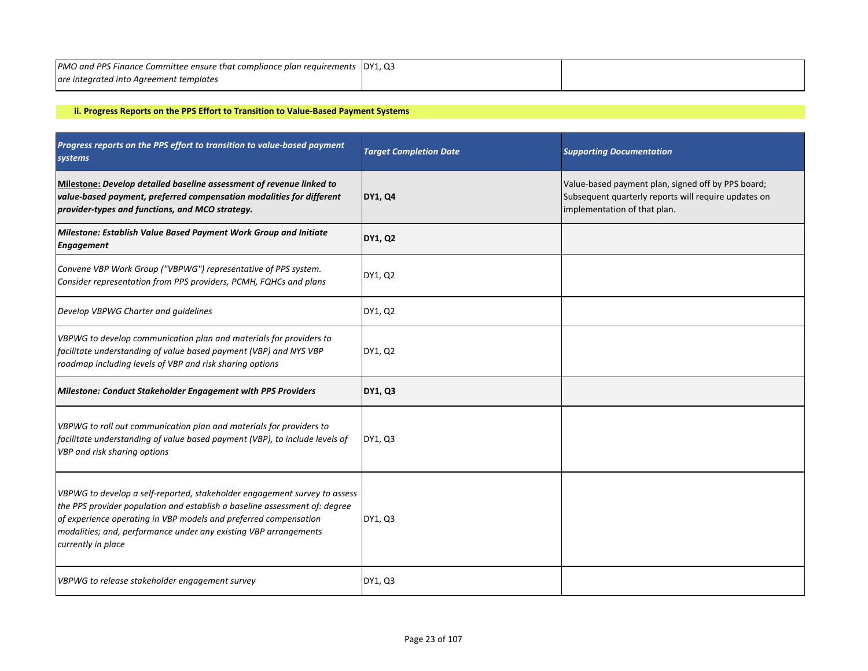| <b>PMO and PPS Finance Committee ensure that compliance plan requirements DY1, Q3</b> |  |
|---------------------------------------------------------------------------------------|--|
| are integrated into Agreement templates                                               |  |

## **ii. Progress Reports on the PPS Effort to Transition to Value-Based Payment Systems**

| Progress reports on the PPS effort to transition to value-based payment<br>systems                                                                                                                                                                                                                                    | <b>Target Completion Date</b> | <b>Supporting Documentation</b>                                                                                                            |
|-----------------------------------------------------------------------------------------------------------------------------------------------------------------------------------------------------------------------------------------------------------------------------------------------------------------------|-------------------------------|--------------------------------------------------------------------------------------------------------------------------------------------|
| Milestone: Develop detailed baseline assessment of revenue linked to<br>value-based payment, preferred compensation modalities for different<br>provider-types and functions, and MCO strategy.                                                                                                                       | <b>DY1, Q4</b>                | Value-based payment plan, signed off by PPS board;<br>Subsequent quarterly reports will require updates on<br>implementation of that plan. |
| Milestone: Establish Value Based Payment Work Group and Initiate<br><b>Engagement</b>                                                                                                                                                                                                                                 | DY1, Q2                       |                                                                                                                                            |
| Convene VBP Work Group ("VBPWG") representative of PPS system.<br>Consider representation from PPS providers, PCMH, FQHCs and plans                                                                                                                                                                                   | DY1, Q2                       |                                                                                                                                            |
| Develop VBPWG Charter and guidelines                                                                                                                                                                                                                                                                                  | DY1, Q2                       |                                                                                                                                            |
| VBPWG to develop communication plan and materials for providers to<br>facilitate understanding of value based payment (VBP) and NYS VBP<br>roadmap including levels of VBP and risk sharing options                                                                                                                   | DY1, Q2                       |                                                                                                                                            |
| Milestone: Conduct Stakeholder Engagement with PPS Providers                                                                                                                                                                                                                                                          | <b>DY1, Q3</b>                |                                                                                                                                            |
| VBPWG to roll out communication plan and materials for providers to<br>facilitate understanding of value based payment (VBP), to include levels of<br>VBP and risk sharing options                                                                                                                                    | DY1, Q3                       |                                                                                                                                            |
| VBPWG to develop a self-reported, stakeholder engagement survey to assess<br>the PPS provider population and establish a baseline assessment of: degree<br>of experience operating in VBP models and preferred compensation<br>modalities; and, performance under any existing VBP arrangements<br>currently in place | DY1, Q3                       |                                                                                                                                            |
| VBPWG to release stakeholder engagement survey                                                                                                                                                                                                                                                                        | DY1, Q3                       |                                                                                                                                            |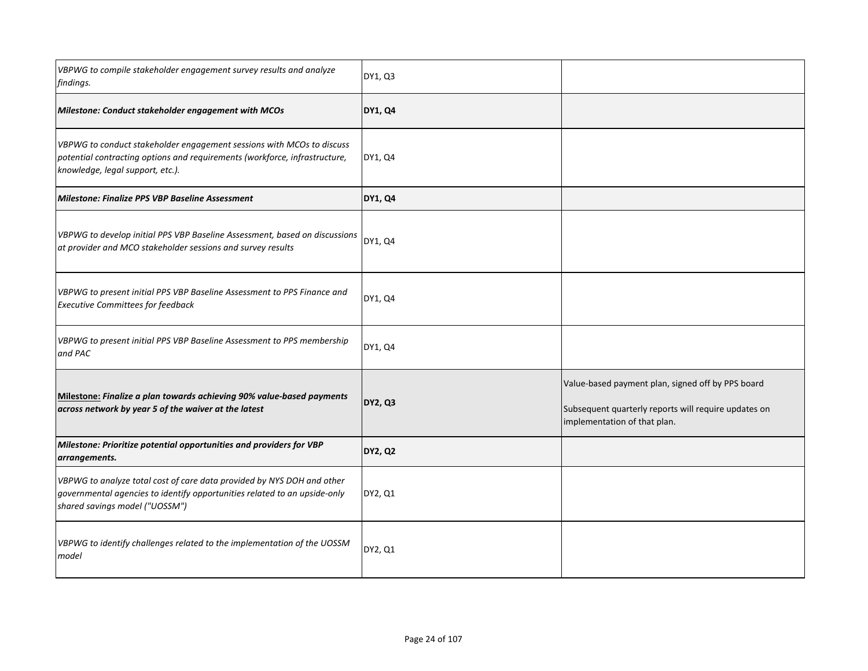| VBPWG to compile stakeholder engagement survey results and analyze<br>findings.                                                                                                         | DY1, Q3        |                                                                                                                                           |
|-----------------------------------------------------------------------------------------------------------------------------------------------------------------------------------------|----------------|-------------------------------------------------------------------------------------------------------------------------------------------|
| Milestone: Conduct stakeholder engagement with MCOs                                                                                                                                     | <b>DY1, Q4</b> |                                                                                                                                           |
| VBPWG to conduct stakeholder engagement sessions with MCOs to discuss<br>potential contracting options and requirements (workforce, infrastructure,<br>knowledge, legal support, etc.). | DY1, Q4        |                                                                                                                                           |
| Milestone: Finalize PPS VBP Baseline Assessment                                                                                                                                         | <b>DY1, Q4</b> |                                                                                                                                           |
| VBPWG to develop initial PPS VBP Baseline Assessment, based on discussions<br>at provider and MCO stakeholder sessions and survey results                                               | DY1, Q4        |                                                                                                                                           |
| VBPWG to present initial PPS VBP Baseline Assessment to PPS Finance and<br><b>Executive Committees for feedback</b>                                                                     | DY1, Q4        |                                                                                                                                           |
| VBPWG to present initial PPS VBP Baseline Assessment to PPS membership<br>and PAC                                                                                                       | DY1, Q4        |                                                                                                                                           |
| Milestone: Finalize a plan towards achieving 90% value-based payments<br>across network by year 5 of the waiver at the latest                                                           | <b>DY2, Q3</b> | Value-based payment plan, signed off by PPS board<br>Subsequent quarterly reports will require updates on<br>implementation of that plan. |
| Milestone: Prioritize potential opportunities and providers for VBP<br>arrangements.                                                                                                    | <b>DY2, Q2</b> |                                                                                                                                           |
| VBPWG to analyze total cost of care data provided by NYS DOH and other<br>governmental agencies to identify opportunities related to an upside-only<br>shared savings model ("UOSSM")   | DY2, Q1        |                                                                                                                                           |
| VBPWG to identify challenges related to the implementation of the UOSSM<br>model                                                                                                        | DY2, Q1        |                                                                                                                                           |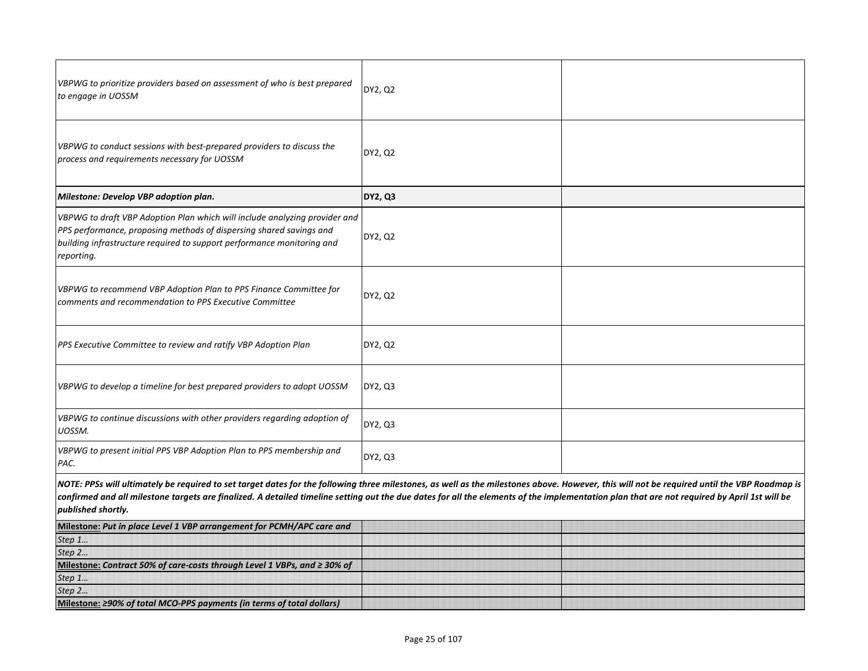| VBPWG to prioritize providers based on assessment of who is best prepared<br>to engage in UOSSM                                                                                                                                                                                                                                                                                                                  | DY2, Q2        |  |
|------------------------------------------------------------------------------------------------------------------------------------------------------------------------------------------------------------------------------------------------------------------------------------------------------------------------------------------------------------------------------------------------------------------|----------------|--|
| VBPWG to conduct sessions with best-prepared providers to discuss the<br>process and requirements necessary for UOSSM                                                                                                                                                                                                                                                                                            | DY2, Q2        |  |
| Milestone: Develop VBP adoption plan.                                                                                                                                                                                                                                                                                                                                                                            | <b>DY2, Q3</b> |  |
| VBPWG to draft VBP Adoption Plan which will include analyzing provider and<br>PPS performance, proposing methods of dispersing shared savings and<br>building infrastructure required to support performance monitoring and<br>reporting.                                                                                                                                                                        | DY2, Q2        |  |
| VBPWG to recommend VBP Adoption Plan to PPS Finance Committee for<br>comments and recommendation to PPS Executive Committee                                                                                                                                                                                                                                                                                      | DY2, Q2        |  |
| PPS Executive Committee to review and ratify VBP Adoption Plan                                                                                                                                                                                                                                                                                                                                                   | DY2, Q2        |  |
| VBPWG to develop a timeline for best prepared providers to adopt UOSSM                                                                                                                                                                                                                                                                                                                                           | DY2, Q3        |  |
| VBPWG to continue discussions with other providers regarding adoption of<br>UOSSM.                                                                                                                                                                                                                                                                                                                               | DY2, Q3        |  |
| VBPWG to present initial PPS VBP Adoption Plan to PPS membership and<br>PAC.                                                                                                                                                                                                                                                                                                                                     | DY2, Q3        |  |
| NOTE: PPSs will ultimately be required to set target dates for the following three milestones, as well as the milestones above. However, this will not be required until the VBP Roadmap is<br>confirmed and all milestone targets are finalized. A detailed timeline setting out the due dates for all the elements of the implementation plan that are not required by April 1st will be<br>published shortly. |                |  |
| Milestone: Put in place Level 1 VBP arrangement for PCMH/APC care and                                                                                                                                                                                                                                                                                                                                            |                |  |
| Step 1                                                                                                                                                                                                                                                                                                                                                                                                           |                |  |
| Step 2<br>Milestone: Contract 50% of care-costs through Level 1 VBPs, and ≥ 30% of                                                                                                                                                                                                                                                                                                                               |                |  |
| Step 1                                                                                                                                                                                                                                                                                                                                                                                                           |                |  |
| Step 2                                                                                                                                                                                                                                                                                                                                                                                                           |                |  |
| Milestone: 290% of total MCO-PPS payments (in terms of total dollars)                                                                                                                                                                                                                                                                                                                                            |                |  |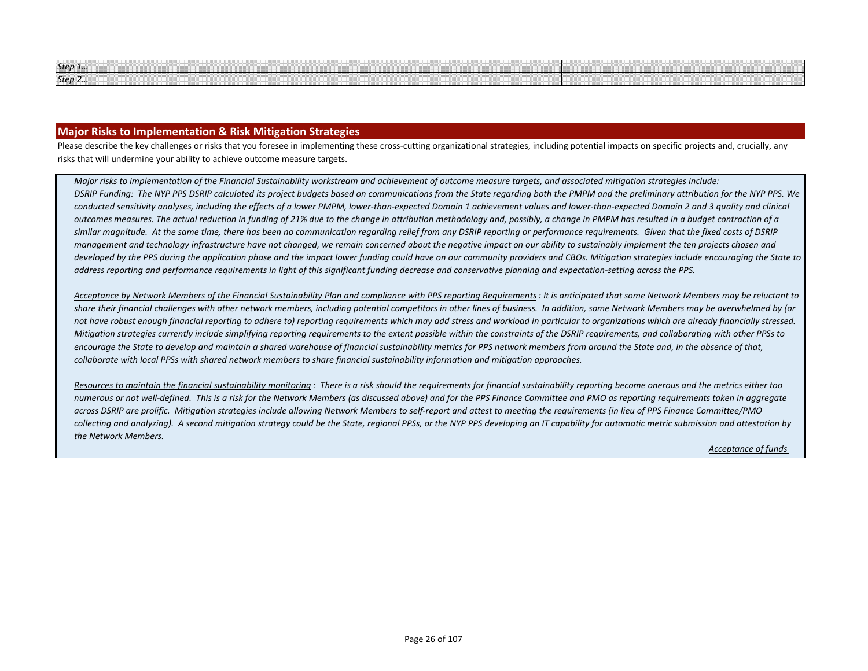| Step $1$<br>,,,,,,,,,,,,,,,,,,,,,,<br>,,,,,,,,,,,,,,,,,,,,,<br>,,,,,,,,,,,,,,,,,,,,,,,,,,,,,,<br>,,,,,,,,,,,,,,,,,,,,,,,,,,,,,,,,,,, | ション・エン アニン エン・エン・エン |
|--------------------------------------------------------------------------------------------------------------------------------------|---------------------|
| Step 2<br>,,,,,,,,,,,,,,,,,,,,<br>,,,,,,,,,,,,,,,,,,,,,,,,,,,,,,,,,<br>,,,,,,,,,,,,,,,,,,,,,,,,,                                     |                     |

### **Major Risks to Implementation & Risk Mitigation Strategies**

Please describe the key challenges or risks that you foresee in implementing these cross-cutting organizational strategies, including potential impacts on specific projects and, crucially, any risks that will undermine your ability to achieve outcome measure targets.

*Major risks to implementation of the Financial Sustainability workstream and achievement of outcome measure targets, and associated mitigation strategies include: DSRIP Funding: The NYP PPS DSRIP calculated its project budgets based on communications from the State regarding both the PMPM and the preliminary attribution for the NYP PPS. We conducted sensitivity analyses, including the effects of a lower PMPM, lower-than-expected Domain 1 achievement values and lower-than-expected Domain 2 and 3 quality and clinical outcomes measures. The actual reduction in funding of 21% due to the change in attribution methodology and, possibly, a change in PMPM has resulted in a budget contraction of a similar magnitude. At the same time, there has been no communication regarding relief from any DSRIP reporting or performance requirements. Given that the fixed costs of DSRIP management and technology infrastructure have not changed, we remain concerned about the negative impact on our ability to sustainably implement the ten projects chosen and developed by the PPS during the application phase and the impact lower funding could have on our community providers and CBOs. Mitigation strategies include encouraging the State to address reporting and performance requirements in light of this significant funding decrease and conservative planning and expectation-setting across the PPS.*

*Acceptance by Network Members of the Financial Sustainability Plan and compliance with PPS reporting Requirements: It is anticipated that some Network Members may be reluctant to share their financial challenges with other network members, including potential competitors in other lines of business. In addition, some Network Members may be overwhelmed by (or not have robust enough financial reporting to adhere to) reporting requirements which may add stress and workload in particular to organizations which are already financially stressed. Mitigation strategies currently include simplifying reporting requirements to the extent possible within the constraints of the DSRIP requirements, and collaborating with other PPSs to*  encourage the State to develop and maintain a shared warehouse of financial sustainability metrics for PPS network members from around the State and, in the absence of that, *collaborate with local PPSs with shared network members to share financial sustainability information and mitigation approaches.* 

*Resources to maintain the financial sustainability monitoring : There is a risk should the requirements for financial sustainability reporting become onerous and the metrics either too numerous or not well-defined. This is a risk for the Network Members (as discussed above) and for the PPS Finance Committee and PMO as reporting requirements taken in aggregate across DSRIP are prolific. Mitigation strategies include allowing Network Members to self-report and attest to meeting the requirements (in lieu of PPS Finance Committee/PMO collecting and analyzing). A second mitigation strategy could be the State, regional PPSs, or the NYP PPS developing an IT capability for automatic metric submission and attestation by the Network Members.* 

 *Acceptance of funds*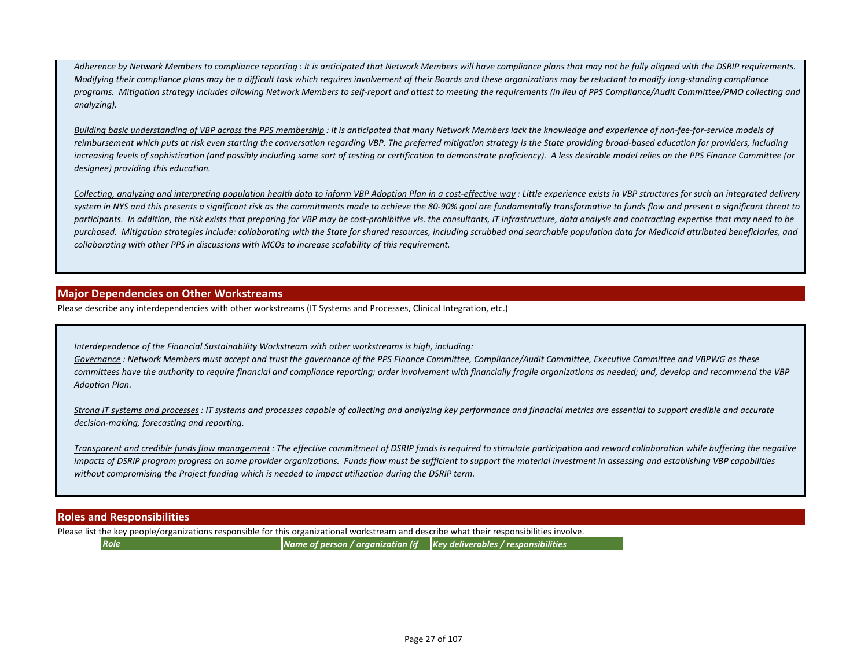*Adherence by Network Members to compliance reporting : It is anticipated that Network Members will have compliance plans that may not be fully aligned with the DSRIP requirements. Modifying their compliance plans may be a difficult task which requires involvement of their Boards and these organizations may be reluctant to modify long-standing compliance programs. Mitigation strategy includes allowing Network Members to self-report and attest to meeting the requirements (in lieu of PPS Compliance/Audit Committee/PMO collecting and analyzing).*

*Building basic understanding of VBP across the PPS membership : It is anticipated that many Network Members lack the knowledge and experience of non-fee-for-service models of reimbursement which puts at risk even starting the conversation regarding VBP. The preferred mitigation strategy is the State providing broad-based education for providers, including increasing levels of sophistication (and possibly including some sort of testing or certification to demonstrate proficiency). A less desirable model relies on the PPS Finance Committee (or designee) providing this education.* 

*Collecting, analyzing and interpreting population health data to inform VBP Adoption Plan in a cost-effective way : Little experience exists in VBP structures for such an integrated delivery system in NYS and this presents a significant risk as the commitments made to achieve the 80-90% goal are fundamentally transformative to funds flow and present a significant threat to participants. In addition, the risk exists that preparing for VBP may be cost-prohibitive vis. the consultants, IT infrastructure, data analysis and contracting expertise that may need to be purchased. Mitigation strategies include: collaborating with the State for shared resources, including scrubbed and searchable population data for Medicaid attributed beneficiaries, and collaborating with other PPS in discussions with MCOs to increase scalability of this requirement.*

## **Major Dependencies on Other Workstreams**

Please describe any interdependencies with other workstreams (IT Systems and Processes, Clinical Integration, etc.)

*Interdependence of the Financial Sustainability Workstream with other workstreams is high, including:*

*Governance : Network Members must accept and trust the governance of the PPS Finance Committee, Compliance/Audit Committee, Executive Committee and VBPWG as these committees have the authority to require financial and compliance reporting; order involvement with financially fragile organizations as needed; and, develop and recommend the VBP Adoption Plan.*

*Strong IT systems and processes: IT systems and processes capable of collecting and analyzing key performance and financial metrics are essential to support credible and accurate decision-making, forecasting and reporting.*

*Transparent and credible funds flow management : The effective commitment of DSRIP funds is required to stimulate participation and reward collaboration while buffering the negative impacts of DSRIP program progress on some provider organizations. Funds flow must be sufficient to support the material investment in assessing and establishing VBP capabilities without compromising the Project funding which is needed to impact utilization during the DSRIP term.* 

## **Roles and Responsibilities**

Please list the key people/organizations responsible for this organizational workstream and describe what their responsibilities involve.

*Role Name of person / organization (if Key deliverables / responsibilities*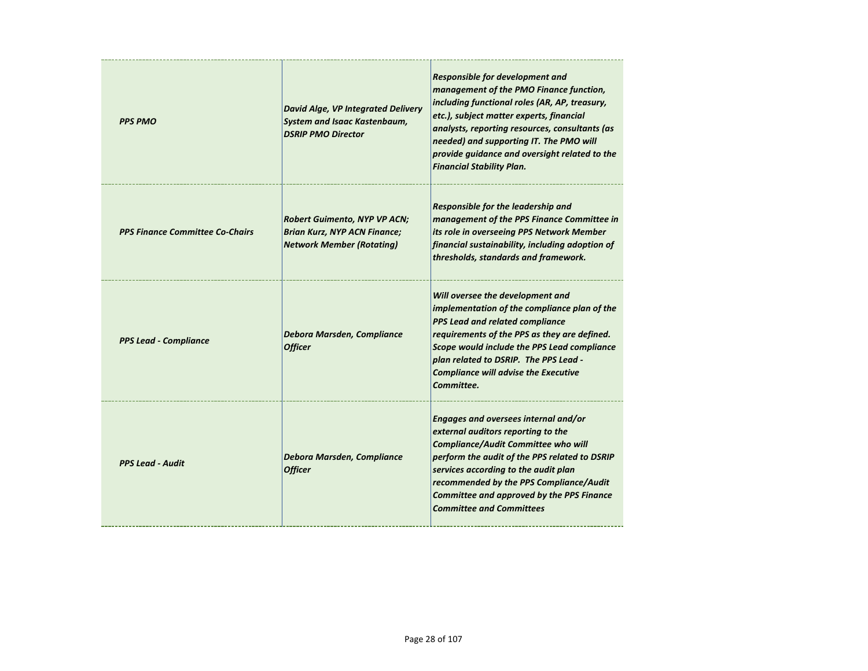| <b>PPS PMO</b>                         | <b>David Alge, VP Integrated Delivery</b><br><b>System and Isaac Kastenbaum,</b><br><b>DSRIP PMO Director</b>  | <b>Responsible for development and</b><br>management of the PMO Finance function,<br>including functional roles (AR, AP, treasury,<br>etc.), subject matter experts, financial<br>analysts, reporting resources, consultants (as<br>needed) and supporting IT. The PMO will<br>provide guidance and oversight related to the<br><b>Financial Stability Plan.</b> |
|----------------------------------------|----------------------------------------------------------------------------------------------------------------|------------------------------------------------------------------------------------------------------------------------------------------------------------------------------------------------------------------------------------------------------------------------------------------------------------------------------------------------------------------|
| <b>PPS Finance Committee Co-Chairs</b> | <b>Robert Guimento, NYP VP ACN;</b><br><b>Brian Kurz, NYP ACN Finance;</b><br><b>Network Member (Rotating)</b> | Responsible for the leadership and<br>management of the PPS Finance Committee in<br>its role in overseeing PPS Network Member<br>financial sustainability, including adoption of<br>thresholds, standards and framework.                                                                                                                                         |
| <b>PPS Lead - Compliance</b>           | Debora Marsden, Compliance<br><b>Officer</b>                                                                   | Will oversee the development and<br>implementation of the compliance plan of the<br><b>PPS Lead and related compliance</b><br>requirements of the PPS as they are defined.<br>Scope would include the PPS Lead compliance<br>plan related to DSRIP. The PPS Lead -<br><b>Compliance will advise the Executive</b><br>Committee.                                  |
| <b>PPS Lead - Audit</b>                | Debora Marsden, Compliance<br><b>Officer</b>                                                                   | Engages and oversees internal and/or<br>external auditors reporting to the<br><b>Compliance/Audit Committee who will</b><br>perform the audit of the PPS related to DSRIP<br>services according to the audit plan<br>recommended by the PPS Compliance/Audit<br><b>Committee and approved by the PPS Finance</b><br><b>Committee and Committees</b>              |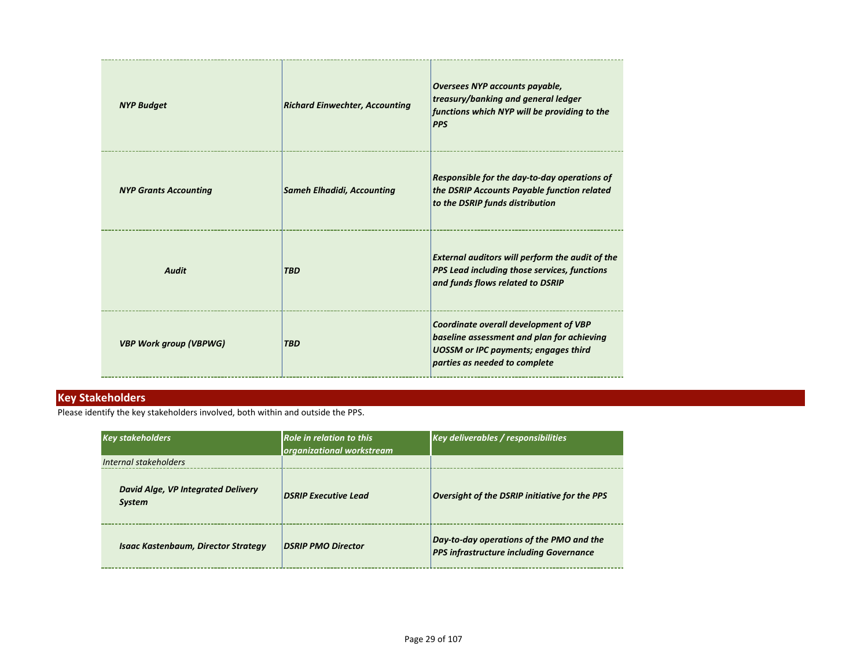| <b>NYP Budget</b>             | <b>Richard Einwechter, Accounting</b> | Oversees NYP accounts payable,<br>treasury/banking and general ledger<br>functions which NYP will be providing to the<br><b>PPS</b>                                 |
|-------------------------------|---------------------------------------|---------------------------------------------------------------------------------------------------------------------------------------------------------------------|
| <b>NYP Grants Accounting</b>  | <b>Sameh Elhadidi, Accounting</b>     | Responsible for the day-to-day operations of<br>the DSRIP Accounts Payable function related<br>to the DSRIP funds distribution                                      |
| <b>Audit</b>                  | <b>TBD</b>                            | <b>External auditors will perform the audit of the</b><br><b>PPS Lead including those services, functions</b><br>and funds flows related to DSRIP                   |
| <b>VBP Work group (VBPWG)</b> | <b>TBD</b>                            | Coordinate overall development of VBP<br>baseline assessment and plan for achieving<br><b>UOSSM</b> or IPC payments; engages third<br>parties as needed to complete |

## **Key Stakeholders**

Please identify the key stakeholders involved, both within and outside the PPS.

| <b>Key stakeholders</b>                             | <b>Role in relation to this</b><br>organizational workstream | Key deliverables / responsibilities                                                        |
|-----------------------------------------------------|--------------------------------------------------------------|--------------------------------------------------------------------------------------------|
| Internal stakeholders                               |                                                              |                                                                                            |
| David Alge, VP Integrated Delivery<br><b>System</b> | <b>DSRIP Executive Lead</b>                                  | Oversight of the DSRIP initiative for the PPS                                              |
| <b>Isaac Kastenbaum, Director Strategy</b>          | <b>DSRIP PMO Director</b>                                    | Day-to-day operations of the PMO and the<br><b>PPS infrastructure including Governance</b> |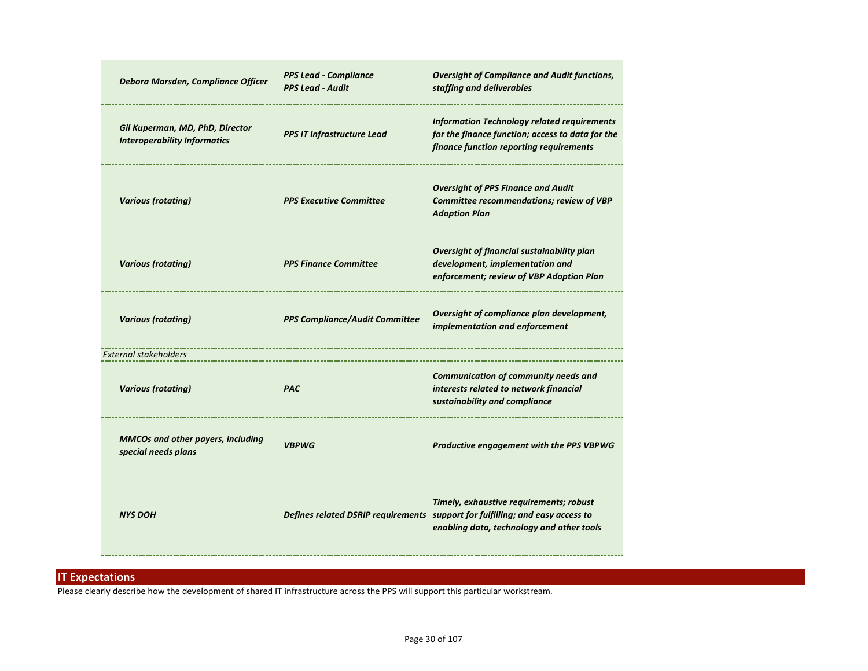| Debora Marsden, Compliance Officer                                     | <b>PPS Lead - Compliance</b><br><b>PPS Lead - Audit</b> | <b>Oversight of Compliance and Audit functions,</b><br>staffing and deliverables                                                                  |
|------------------------------------------------------------------------|---------------------------------------------------------|---------------------------------------------------------------------------------------------------------------------------------------------------|
| Gil Kuperman, MD, PhD, Director<br><b>Interoperability Informatics</b> | <b>PPS IT Infrastructure Lead</b>                       | <b>Information Technology related requirements</b><br>for the finance function; access to data for the<br>finance function reporting requirements |
| <b>Various (rotating)</b>                                              | <b>PPS Executive Committee</b>                          | <b>Oversight of PPS Finance and Audit</b><br>Committee recommendations; review of VBP<br><b>Adoption Plan</b>                                     |
| <b>Various (rotating)</b>                                              | <b>PPS Finance Committee</b>                            | Oversight of financial sustainability plan<br>development, implementation and<br>enforcement; review of VBP Adoption Plan                         |
| <b>Various (rotating)</b>                                              | <b>PPS Compliance/Audit Committee</b>                   | Oversight of compliance plan development,<br>implementation and enforcement                                                                       |
| <b>External stakeholders</b>                                           |                                                         |                                                                                                                                                   |
| <b>Various (rotating)</b>                                              | <b>PAC</b>                                              | <b>Communication of community needs and</b><br>interests related to network financial<br>sustainability and compliance                            |
| <b>MMCOs and other payers, including</b><br>special needs plans        | <b>VBPWG</b>                                            | Productive engagement with the PPS VBPWG                                                                                                          |
| <b>NYS DOH</b>                                                         | <b>Defines related DSRIP requirements</b>               | Timely, exhaustive requirements; robust<br>support for fulfilling; and easy access to<br>enabling data, technology and other tools                |

## **IT Expectations**

Please clearly describe how the development of shared IT infrastructure across the PPS will support this particular workstream.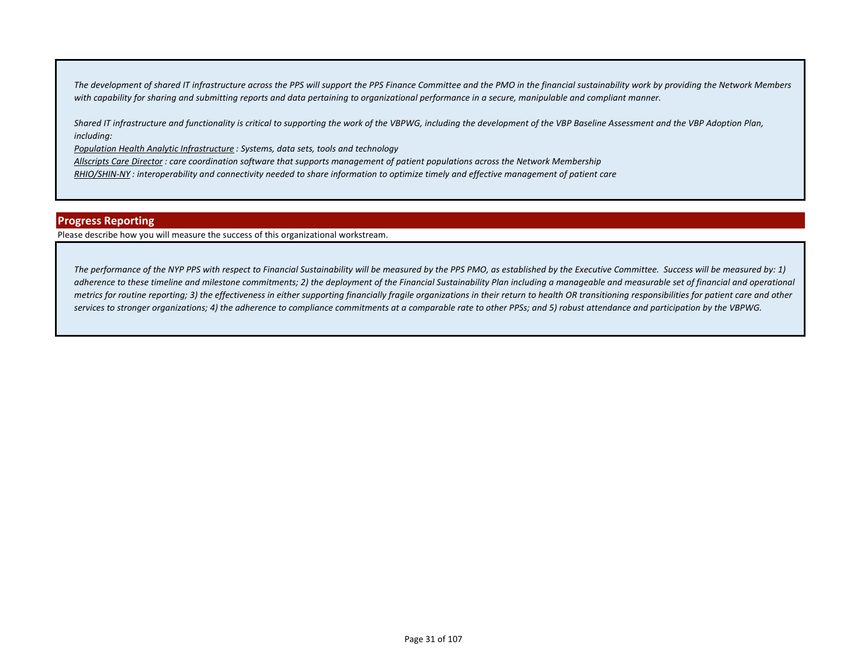*The development of shared IT infrastructure across the PPS will support the PPS Finance Committee and the PMO in the financial sustainability work by providing the Network Members with capability for sharing and submitting reports and data pertaining to organizational performance in a secure, manipulable and compliant manner.* 

*Shared IT infrastructure and functionality is critical to supporting the work of the VBPWG, including the development of the VBP Baseline Assessment and the VBP Adoption Plan, including:*

*Population Health Analytic Infrastructure : Systems, data sets, tools and technology* 

*Allscripts Care Director : care coordination software that supports management of patient populations across the Network Membership*

*RHIO/SHIN-NY : interoperability and connectivity needed to share information to optimize timely and effective management of patient care*

### **Progress Reporting**

Please describe how you will measure the success of this organizational workstream.

*The performance of the NYP PPS with respect to Financial Sustainability will be measured by the PPS PMO, as established by the Executive Committee. Success will be measured by: 1)*  adherence to these timeline and milestone commitments; 2) the deployment of the Financial Sustainability Plan including a manageable and measurable set of financial and operational *metrics for routine reporting; 3) the effectiveness in either supporting financially fragile organizations in their return to health OR transitioning responsibilities for patient care and other services to stronger organizations; 4) the adherence to compliance commitments at a comparable rate to other PPSs; and 5) robust attendance and participation by the VBPWG.*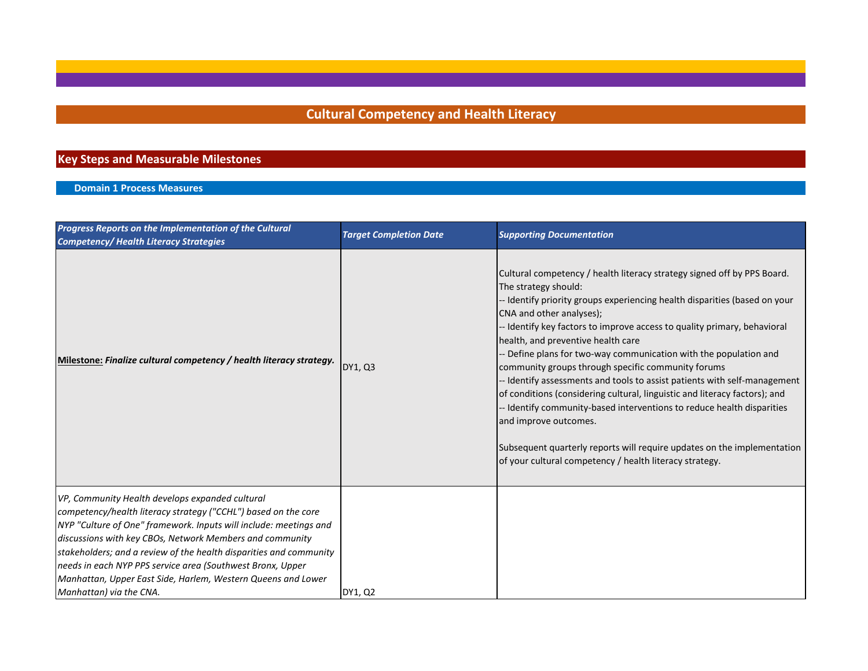# **Cultural Competency and Health Literacy**

## **Key Steps and Measurable Milestones**

## **Domain 1 Process Measures**

| Progress Reports on the Implementation of the Cultural<br><b>Competency/ Health Literacy Strategies</b>                                                                                                                                                                                                                                                                                                                                                                           | <b>Target Completion Date</b> | <b>Supporting Documentation</b>                                                                                                                                                                                                                                                                                                                                                                                                                                                                                                                                                                                                                                                                                                                                                                                                                       |
|-----------------------------------------------------------------------------------------------------------------------------------------------------------------------------------------------------------------------------------------------------------------------------------------------------------------------------------------------------------------------------------------------------------------------------------------------------------------------------------|-------------------------------|-------------------------------------------------------------------------------------------------------------------------------------------------------------------------------------------------------------------------------------------------------------------------------------------------------------------------------------------------------------------------------------------------------------------------------------------------------------------------------------------------------------------------------------------------------------------------------------------------------------------------------------------------------------------------------------------------------------------------------------------------------------------------------------------------------------------------------------------------------|
| Milestone: Finalize cultural competency / health literacy strategy.                                                                                                                                                                                                                                                                                                                                                                                                               | DY1, Q3                       | Cultural competency / health literacy strategy signed off by PPS Board.<br>The strategy should:<br>- Identify priority groups experiencing health disparities (based on your<br>CNA and other analyses);<br>- Identify key factors to improve access to quality primary, behavioral<br>health, and preventive health care<br>- Define plans for two-way communication with the population and<br>community groups through specific community forums<br>- Identify assessments and tools to assist patients with self-management<br>of conditions (considering cultural, linguistic and literacy factors); and<br>- Identify community-based interventions to reduce health disparities<br>and improve outcomes.<br>Subsequent quarterly reports will require updates on the implementation<br>of your cultural competency / health literacy strategy. |
| VP, Community Health develops expanded cultural<br>competency/health literacy strategy ("CCHL") based on the core<br>NYP "Culture of One" framework. Inputs will include: meetings and<br>discussions with key CBOs, Network Members and community<br>stakeholders; and a review of the health disparities and community<br>needs in each NYP PPS service area (Southwest Bronx, Upper<br>Manhattan, Upper East Side, Harlem, Western Queens and Lower<br>Manhattan) via the CNA. | DY1, Q2                       |                                                                                                                                                                                                                                                                                                                                                                                                                                                                                                                                                                                                                                                                                                                                                                                                                                                       |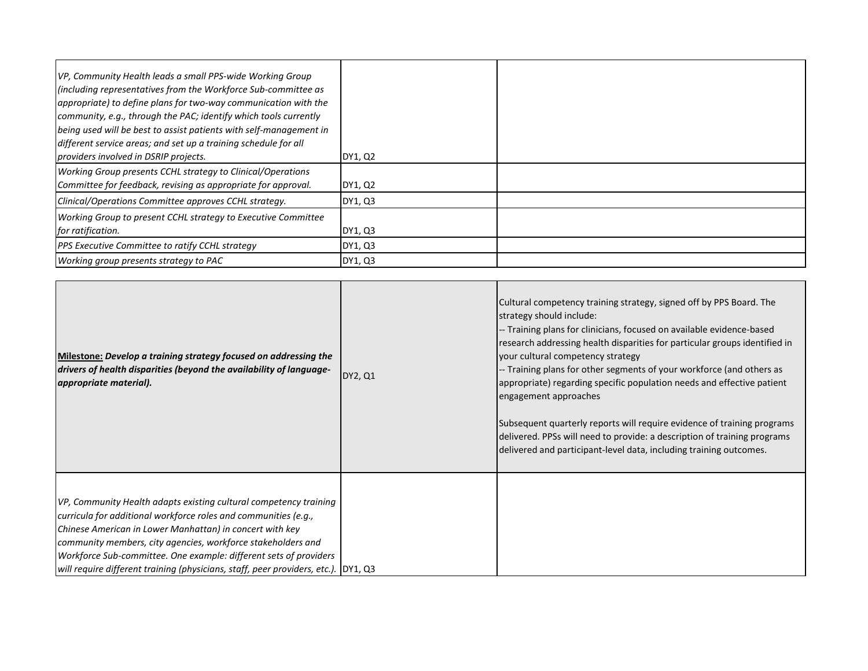| VP, Community Health leads a small PPS-wide Working Group<br>(including representatives from the Workforce Sub-committee as<br>appropriate) to define plans for two-way communication with the<br>community, e.g., through the PAC; identify which tools currently<br>being used will be best to assist patients with self-management in<br>different service areas; and set up a training schedule for all<br>providers involved in DSRIP projects. | DY1, Q2 |  |
|------------------------------------------------------------------------------------------------------------------------------------------------------------------------------------------------------------------------------------------------------------------------------------------------------------------------------------------------------------------------------------------------------------------------------------------------------|---------|--|
| Working Group presents CCHL strategy to Clinical/Operations<br>Committee for feedback, revising as appropriate for approval.                                                                                                                                                                                                                                                                                                                         | DY1, Q2 |  |
| Clinical/Operations Committee approves CCHL strategy.                                                                                                                                                                                                                                                                                                                                                                                                | DY1, Q3 |  |
| Working Group to present CCHL strategy to Executive Committee<br>for ratification.                                                                                                                                                                                                                                                                                                                                                                   | DY1, Q3 |  |
| <b>PPS Executive Committee to ratify CCHL strategy</b>                                                                                                                                                                                                                                                                                                                                                                                               | DY1, Q3 |  |
| Working group presents strategy to PAC                                                                                                                                                                                                                                                                                                                                                                                                               | DY1, Q3 |  |

| Milestone: Develop a training strategy focused on addressing the<br>drivers of health disparities (beyond the availability of language-<br>appropriate material).                                                                                                                                                                                                                                                           | DY2, Q1 | Cultural competency training strategy, signed off by PPS Board. The<br>strategy should include:<br>-- Training plans for clinicians, focused on available evidence-based<br>research addressing health disparities for particular groups identified in<br>your cultural competency strategy<br>-- Training plans for other segments of your workforce (and others as<br>appropriate) regarding specific population needs and effective patient<br>engagement approaches<br>Subsequent quarterly reports will require evidence of training programs<br>delivered. PPSs will need to provide: a description of training programs<br>delivered and participant-level data, including training outcomes. |
|-----------------------------------------------------------------------------------------------------------------------------------------------------------------------------------------------------------------------------------------------------------------------------------------------------------------------------------------------------------------------------------------------------------------------------|---------|------------------------------------------------------------------------------------------------------------------------------------------------------------------------------------------------------------------------------------------------------------------------------------------------------------------------------------------------------------------------------------------------------------------------------------------------------------------------------------------------------------------------------------------------------------------------------------------------------------------------------------------------------------------------------------------------------|
| VP, Community Health adapts existing cultural competency training<br>curricula for additional workforce roles and communities (e.g.,<br>Chinese American in Lower Manhattan) in concert with key<br>community members, city agencies, workforce stakeholders and<br>Workforce Sub-committee. One example: different sets of providers<br>will require different training (physicians, staff, peer providers, etc.). DY1, Q3 |         |                                                                                                                                                                                                                                                                                                                                                                                                                                                                                                                                                                                                                                                                                                      |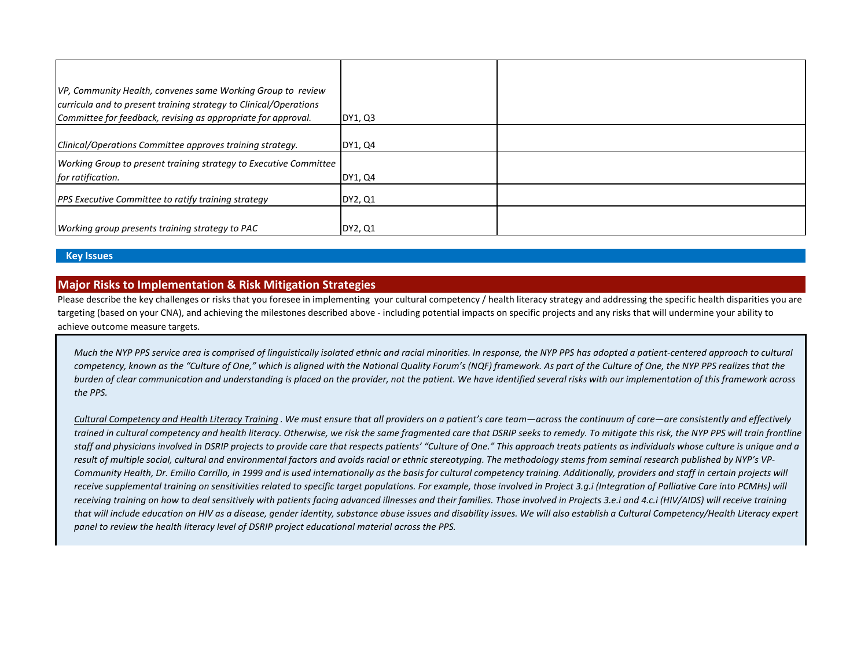| VP, Community Health, convenes same Working Group to review<br>curricula and to present training strategy to Clinical/Operations |         |  |
|----------------------------------------------------------------------------------------------------------------------------------|---------|--|
| Committee for feedback, revising as appropriate for approval.                                                                    | DY1, Q3 |  |
| Clinical/Operations Committee approves training strategy.                                                                        | DY1, Q4 |  |
| Working Group to present training strategy to Executive Committee<br>for ratification.                                           | DY1, Q4 |  |
| PPS Executive Committee to ratify training strategy                                                                              | DY2, Q1 |  |
| Working group presents training strategy to PAC                                                                                  | DY2, Q1 |  |

## **Key Issues**

## **Major Risks to Implementation & Risk Mitigation Strategies**

Please describe the key challenges or risks that you foresee in implementing your cultural competency / health literacy strategy and addressing the specific health disparities you are targeting (based on your CNA), and achieving the milestones described above - including potential impacts on specific projects and any risks that will undermine your ability to achieve outcome measure targets.

*Much the NYP PPS service area is comprised of linguistically isolated ethnic and racial minorities. In response, the NYP PPS has adopted a patient-centered approach to cultural competency, known as the "Culture of One," which is aligned with the National Quality Forum's (NQF) framework. As part of the Culture of One, the NYP PPS realizes that the burden of clear communication and understanding is placed on the provider, not the patient. We have identified several risks with our implementation of this framework across the PPS.*

*Cultural Competency and Health Literacy Training . We must ensure that all providers on a patient's care team—across the continuum of care—are consistently and effectively trained in cultural competency and health literacy. Otherwise, we risk the same fragmented care that DSRIP seeks to remedy. To mitigate this risk, the NYP PPS will train frontline staff and physicians involved in DSRIP projects to provide care that respects patients' "Culture of One." This approach treats patients as individuals whose culture is unique and a*  result of multiple social, cultural and environmental factors and avoids racial or ethnic stereotyping. The methodology stems from seminal research published by NYP's VP-*Community Health, Dr. Emilio Carrillo, in 1999 and is used internationally as the basis for cultural competency training. Additionally, providers and staff in certain projects will receive supplemental training on sensitivities related to specific target populations. For example, those involved in Project 3.g.i (Integration of Palliative Care into PCMHs) will receiving training on how to deal sensitively with patients facing advanced illnesses and their families. Those involved in Projects 3.e.i and 4.c.i (HIV/AIDS) will receive training that will include education on HIV as a disease, gender identity, substance abuse issues and disability issues. We will also establish a Cultural Competency/Health Literacy expert panel to review the health literacy level of DSRIP project educational material across the PPS.*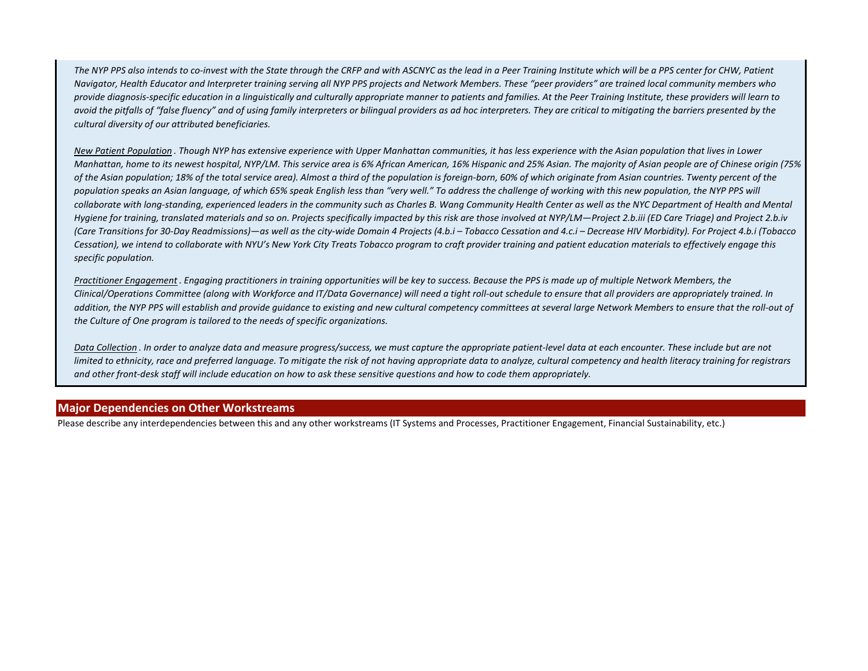*The NYP PPS also intends to co-invest with the State through the CRFP and with ASCNYC as the lead in a Peer Training Institute which will be a PPS center for CHW, Patient Navigator, Health Educator and Interpreter training serving all NYP PPS projects and Network Members. These "peer providers" are trained local community members who provide diagnosis-specific education in a linguistically and culturally appropriate manner to patients and families. At the Peer Training Institute, these providers will learn to avoid the pitfalls of "false fluency" and of using family interpreters or bilingual providers as ad hoc interpreters. They are critical to mitigating the barriers presented by the cultural diversity of our attributed beneficiaries.*

*New Patient Population . Though NYP has extensive experience with Upper Manhattan communities, it has less experience with the Asian population that lives in Lower Manhattan, home to its newest hospital, NYP/LM. This service area is 6% African American, 16% Hispanic and 25% Asian. The majority of Asian people are of Chinese origin (75% of the Asian population; 18% of the total service area). Almost a third of the population is foreign-born, 60% of which originate from Asian countries. Twenty percent of the*  population speaks an Asian language, of which 65% speak English less than "very well." To address the challenge of working with this new population, the NYP PPS will collaborate with long-standing, experienced leaders in the community such as Charles B. Wang Community Health Center as well as the NYC Department of Health and Mental *Hygiene for training, translated materials and so on. Projects specifically impacted by this risk are those involved at NYP/LM—Project 2.b.iii (ED Care Triage) and Project 2.b.iv (Care Transitions for 30-Day Readmissions)—as well as the city-wide Domain 4 Projects (4.b.i – Tobacco Cessation and 4.c.i – Decrease HIV Morbidity). For Project 4.b.i (Tobacco Cessation), we intend to collaborate with NYU's New York City Treats Tobacco program to craft provider training and patient education materials to effectively engage this specific population.*

*Practitioner Engagement . Engaging practitioners in training opportunities will be key to success. Because the PPS is made up of multiple Network Members, the Clinical/Operations Committee (along with Workforce and IT/Data Governance) will need a tight roll-out schedule to ensure that all providers are appropriately trained. In*  addition, the NYP PPS will establish and provide quidance to existing and new cultural competency committees at several large Network Members to ensure that the roll-out of *the Culture of One program is tailored to the needs of specific organizations.*

*Data Collection . In order to analyze data and measure progress/success, we must capture the appropriate patient-level data at each encounter. These include but are not limited to ethnicity, race and preferred language. To mitigate the risk of not having appropriate data to analyze, cultural competency and health literacy training for registrars and other front-desk staff will include education on how to ask these sensitive questions and how to code them appropriately.*

## **Major Dependencies on Other Workstreams**

Please describe any interdependencies between this and any other workstreams (IT Systems and Processes, Practitioner Engagement, Financial Sustainability, etc.)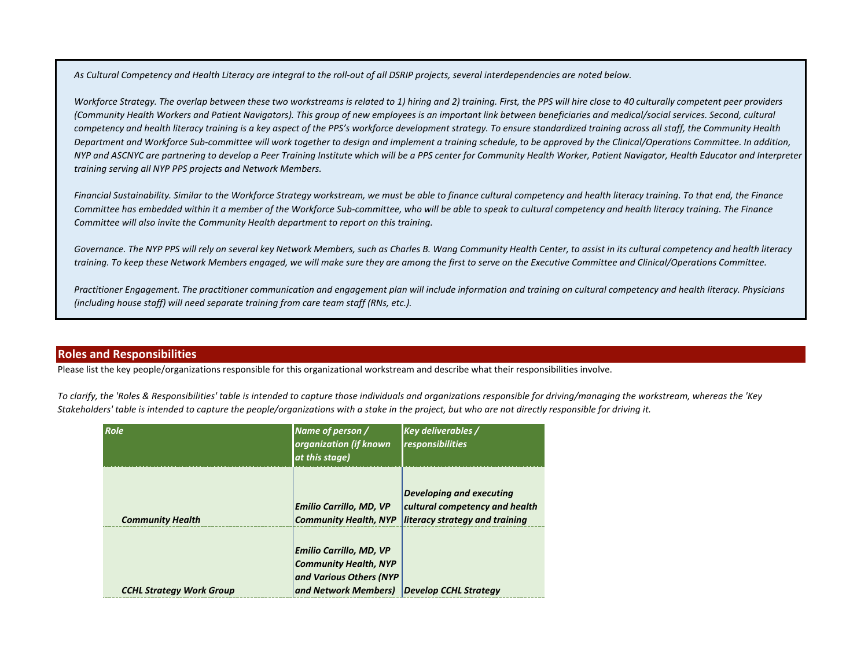*As Cultural Competency and Health Literacy are integral to the roll-out of all DSRIP projects, several interdependencies are noted below.*

*Workforce Strategy. The overlap between these two workstreams is related to 1) hiring and 2) training. First, the PPS will hire close to 40 culturally competent peer providers (Community Health Workers and Patient Navigators). This group of new employees is an important link between beneficiaries and medical/social services. Second, cultural competency and health literacy training is a key aspect of the PPS's workforce development strategy. To ensure standardized training across all staff, the Community Health Department and Workforce Sub-committee will work together to design and implement a training schedule, to be approved by the Clinical/Operations Committee. In addition, NYP and ASCNYC are partnering to develop a Peer Training Institute which will be a PPS center for Community Health Worker, Patient Navigator, Health Educator and Interpreter training serving all NYP PPS projects and Network Members.*

*Financial Sustainability. Similar to the Workforce Strategy workstream, we must be able to finance cultural competency and health literacy training. To that end, the Finance Committee has embedded within it a member of the Workforce Sub-committee, who will be able to speak to cultural competency and health literacy training. The Finance Committee will also invite the Community Health department to report on this training.*

*Governance. The NYP PPS will rely on several key Network Members, such as Charles B. Wang Community Health Center, to assist in its cultural competency and health literacy training. To keep these Network Members engaged, we will make sure they are among the first to serve on the Executive Committee and Clinical/Operations Committee.*

*Practitioner Engagement. The practitioner communication and engagement plan will include information and training on cultural competency and health literacy. Physicians (including house staff) will need separate training from care team staff (RNs, etc.).*

## **Roles and Responsibilities**

Please list the key people/organizations responsible for this organizational workstream and describe what their responsibilities involve.

*To clarify, the 'Roles & Responsibilities' table is intended to capture those individuals and organizations responsible for driving/managing the workstream, whereas the 'Key Stakeholders' table is intended to capture the people/organizations with a stake in the project, but who are not directly responsible for driving it.*

| Role                            | Name of person /<br>organization (if known<br>at this stage)                                                      | <b>Key deliverables /</b><br>responsibilities                                                       |
|---------------------------------|-------------------------------------------------------------------------------------------------------------------|-----------------------------------------------------------------------------------------------------|
| <b>Community Health</b>         | <b>Emilio Carrillo, MD, VP</b><br><b>Community Health, NYP</b>                                                    | <b>Developing and executing</b><br>cultural competency and health<br>literacy strategy and training |
| <b>CCHL Strategy Work Group</b> | <b>Emilio Carrillo, MD, VP</b><br><b>Community Health, NYP</b><br>and Various Others (NYP<br>and Network Members) | Develop CCHL Strategy                                                                               |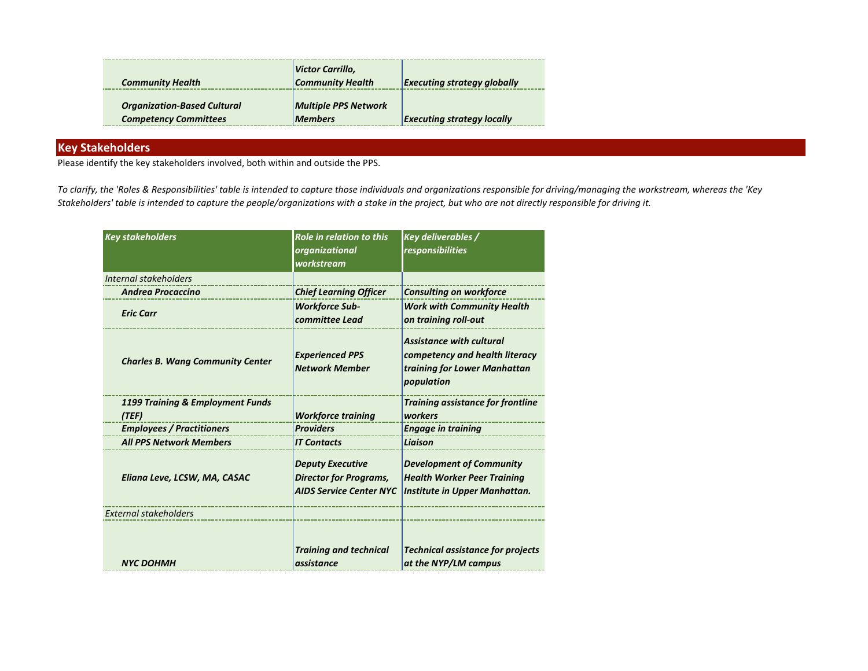| <b>Community Health</b>                                            | Victor Carrillo,<br><b>Community Health</b>   | <b>Executing strategy globally</b> |
|--------------------------------------------------------------------|-----------------------------------------------|------------------------------------|
| <b>Organization-Based Cultural</b><br><b>Competency Committees</b> | <b>Multiple PPS Network</b><br><b>Members</b> | <b>Executing strategy locally</b>  |

## **Key Stakeholders**

Please identify the key stakeholders involved, both within and outside the PPS.

*To clarify, the 'Roles & Responsibilities' table is intended to capture those individuals and organizations responsible for driving/managing the workstream, whereas the 'Key Stakeholders' table is intended to capture the people/organizations with a stake in the project, but who are not directly responsible for driving it.*

| <b>Key stakeholders</b>                 | <b>Role in relation to this</b><br>organizational<br>workstream                            | <b>Key deliverables /</b><br>responsibilities                                                                   |
|-----------------------------------------|--------------------------------------------------------------------------------------------|-----------------------------------------------------------------------------------------------------------------|
| Internal stakeholders                   |                                                                                            |                                                                                                                 |
| <b>Andrea Procaccino</b>                | <b>Chief Learning Officer</b>                                                              | <b>Consulting on workforce</b>                                                                                  |
| <b>Eric Carr</b>                        | <b>Workforce Sub-</b><br>committee Lead                                                    | <b>Work with Community Health</b><br>on training roll-out                                                       |
| <b>Charles B. Wang Community Center</b> | <b>Experienced PPS</b><br><b>Network Member</b>                                            | <b>Assistance with cultural</b><br>competency and health literacy<br>training for Lower Manhattan<br>population |
| 1199 Training & Employment Funds        |                                                                                            | <b>Training assistance for frontline</b>                                                                        |
| (TEF)                                   | <b>Workforce training</b>                                                                  | workers                                                                                                         |
| <b>Employees / Practitioners</b>        | <b>Providers</b>                                                                           | <b>Engage in training</b>                                                                                       |
| <b>All PPS Network Members</b>          | <b>IT Contacts</b>                                                                         | Liaison                                                                                                         |
| Eliana Leve, LCSW, MA, CASAC            | <b>Deputy Executive</b><br><b>Director for Programs,</b><br><b>AIDS Service Center NYC</b> | <b>Development of Community</b><br><b>Health Worker Peer Training</b><br>Institute in Upper Manhattan.          |
| <b>External stakeholders</b>            |                                                                                            |                                                                                                                 |
| <b>NYC DOHMH</b>                        | <b>Training and technical</b><br>assistance                                                | <b>Technical assistance for projects</b><br>at the NYP/LM campus                                                |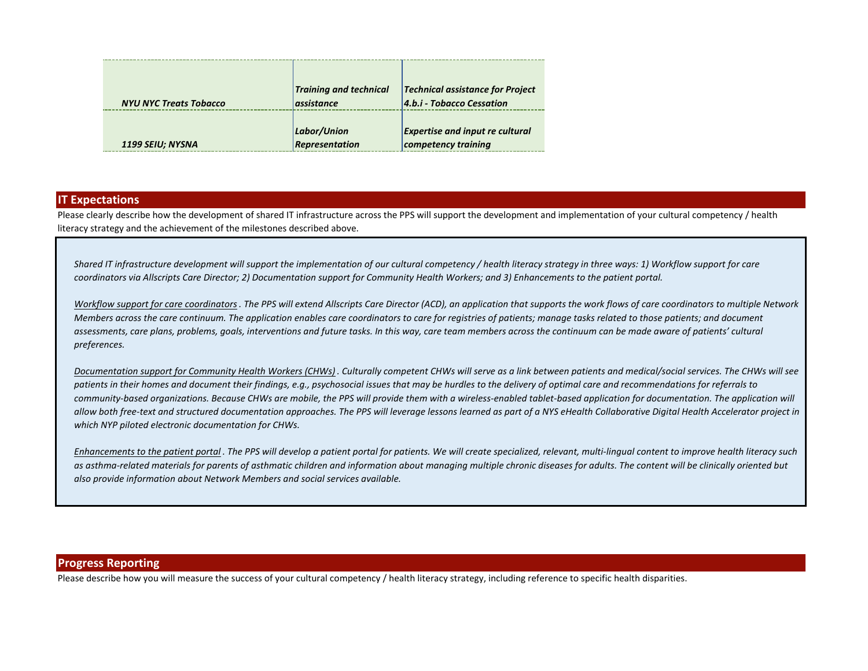| <b>NYU NYC Treats Tobacco</b> | <b>Training and technical</b><br>assistance | <b>Technical assistance for Project</b><br>4.b.i - Tobacco Cessation |
|-------------------------------|---------------------------------------------|----------------------------------------------------------------------|
| 1199 SEIU; NYSNA              | Labor/Union<br>Representation               | <b>Expertise and input re cultural</b><br>competency training        |

#### **IT Expectations**

Please clearly describe how the development of shared IT infrastructure across the PPS will support the development and implementation of your cultural competency / health literacy strategy and the achievement of the milestones described above.

*Shared IT infrastructure development will support the implementation of our cultural competency / health literacy strategy in three ways: 1) Workflow support for care coordinators via Allscripts Care Director; 2) Documentation support for Community Health Workers; and 3) Enhancements to the patient portal.* 

*Workflow support for care coordinators. The PPS will extend Allscripts Care Director (ACD), an application that supports the work flows of care coordinators to multiple Network Members across the care continuum. The application enables care coordinators to care for registries of patients; manage tasks related to those patients; and document assessments, care plans, problems, goals, interventions and future tasks. In this way, care team members across the continuum can be made aware of patients' cultural preferences.*

*Documentation support for Community Health Workers (CHWs) . Culturally competent CHWs will serve as a link between patients and medical/social services. The CHWs will see patients in their homes and document their findings, e.g., psychosocial issues that may be hurdles to the delivery of optimal care and recommendations for referrals to*  community-based organizations. Because CHWs are mobile, the PPS will provide them with a wireless-enabled tablet-based application for documentation. The application will *allow both free-text and structured documentation approaches. The PPS will leverage lessons learned as part of a NYS eHealth Collaborative Digital Health Accelerator project in which NYP piloted electronic documentation for CHWs.*

*Enhancements to the patient portal . The PPS will develop a patient portal for patients. We will create specialized, relevant, multi-lingual content to improve health literacy such as asthma-related materials for parents of asthmatic children and information about managing multiple chronic diseases for adults. The content will be clinically oriented but also provide information about Network Members and social services available.*

#### **Progress Reporting**

Please describe how you will measure the success of your cultural competency / health literacy strategy, including reference to specific health disparities.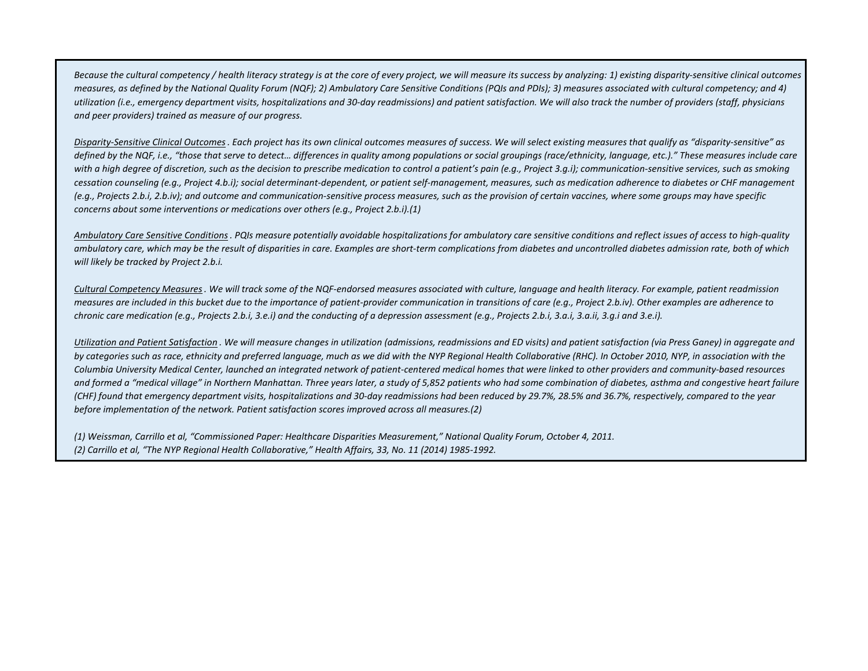*Because the cultural competency / health literacy strategy is at the core of every project, we will measure its success by analyzing: 1) existing disparity-sensitive clinical outcomes measures, as defined by the National Quality Forum (NQF); 2) Ambulatory Care Sensitive Conditions (PQIs and PDIs); 3) measures associated with cultural competency; and 4) utilization (i.e., emergency department visits, hospitalizations and 30-day readmissions) and patient satisfaction. We will also track the number of providers (staff, physicians and peer providers) trained as measure of our progress.*

*Disparity-Sensitive Clinical Outcomes. Each project has its own clinical outcomes measures of success. We will select existing measures that qualify as "disparity-sensitive" as*  defined by the NQF, i.e., "those that serve to detect... differences in quality among populations or social groupings (race/ethnicity, language, etc.)." These measures include care with a high degree of discretion, such as the decision to prescribe medication to control a patient's pain (e.g., Project 3.g.i); communication-sensitive services, such as smoking *cessation counseling (e.g., Project 4.b.i); social determinant-dependent, or patient self-management, measures, such as medication adherence to diabetes or CHF management (e.g., Projects 2.b.i, 2.b.iv); and outcome and communication-sensitive process measures, such as the provision of certain vaccines, where some groups may have specific concerns about some interventions or medications over others (e.g., Project 2.b.i).(1)*

*Ambulatory Care Sensitive Conditions. PQIs measure potentially avoidable hospitalizations for ambulatory care sensitive conditions and reflect issues of access to high-quality ambulatory care, which may be the result of disparities in care. Examples are short-term complications from diabetes and uncontrolled diabetes admission rate, both of which will likely be tracked by Project 2.b.i.*

*Cultural Competency Measures. We will track some of the NQF-endorsed measures associated with culture, language and health literacy. For example, patient readmission measures are included in this bucket due to the importance of patient-provider communication in transitions of care (e.g., Project 2.b.iv). Other examples are adherence to chronic care medication (e.g., Projects 2.b.i, 3.e.i) and the conducting of a depression assessment (e.g., Projects 2.b.i, 3.a.i, 3.a.ii, 3.g.i and 3.e.i).*

*Utilization and Patient Satisfaction . We will measure changes in utilization (admissions, readmissions and ED visits) and patient satisfaction (via Press Ganey) in aggregate and by categories such as race, ethnicity and preferred language, much as we did with the NYP Regional Health Collaborative (RHC). In October 2010, NYP, in association with the Columbia University Medical Center, launched an integrated network of patient-centered medical homes that were linked to other providers and community-based resources*  and formed a "medical village" in Northern Manhattan. Three years later, a study of 5,852 patients who had some combination of diabetes, asthma and congestive heart failure *(CHF) found that emergency department visits, hospitalizations and 30-day readmissions had been reduced by 29.7%, 28.5% and 36.7%, respectively, compared to the year before implementation of the network. Patient satisfaction scores improved across all measures.(2)*

*(1) Weissman, Carrillo et al, "Commissioned Paper: Healthcare Disparities Measurement," National Quality Forum, October 4, 2011. (2) Carrillo et al, "The NYP Regional Health Collaborative," Health Affairs, 33, No. 11 (2014) 1985-1992.*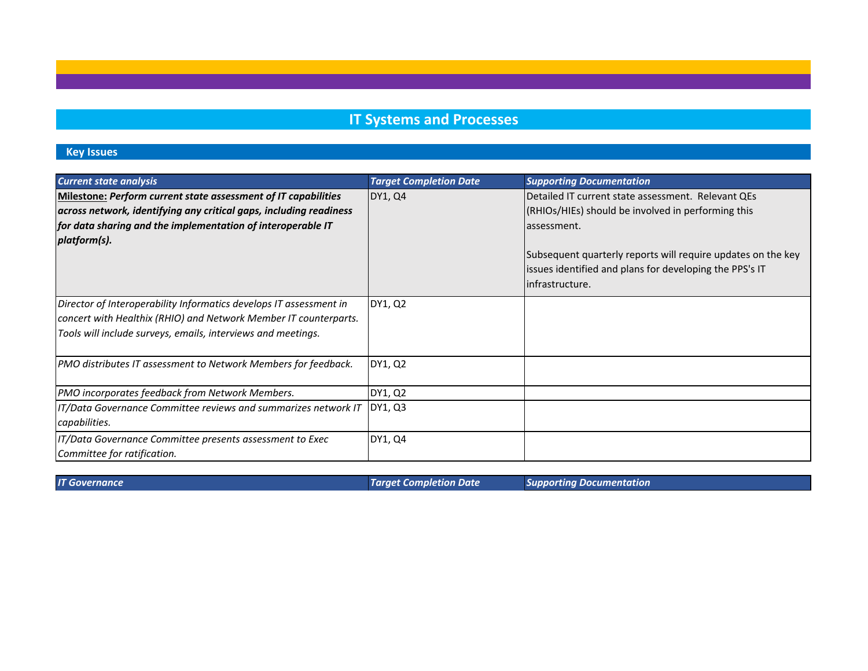# **IT Systems and Processes**

# **Key Issues**

| <b>Current state analysis</b>                                                                                                                                                                                       | <b>Target Completion Date</b> | <b>Supporting Documentation</b>                                                                                                                                                                                                                                       |
|---------------------------------------------------------------------------------------------------------------------------------------------------------------------------------------------------------------------|-------------------------------|-----------------------------------------------------------------------------------------------------------------------------------------------------------------------------------------------------------------------------------------------------------------------|
| Milestone: Perform current state assessment of IT capabilities<br>across network, identifying any critical gaps, including readiness<br>for data sharing and the implementation of interoperable IT<br>platform(s). | DY1, Q4                       | Detailed IT current state assessment. Relevant QEs<br>(RHIOs/HIEs) should be involved in performing this<br>assessment.<br>Subsequent quarterly reports will require updates on the key<br>issues identified and plans for developing the PPS's IT<br>infrastructure. |
| Director of Interoperability Informatics develops IT assessment in<br>concert with Healthix (RHIO) and Network Member IT counterparts.<br>Tools will include surveys, emails, interviews and meetings.              | DY1, Q2                       |                                                                                                                                                                                                                                                                       |
| <b>PMO distributes IT assessment to Network Members for feedback.</b>                                                                                                                                               | DY1, Q2                       |                                                                                                                                                                                                                                                                       |
| PMO incorporates feedback from Network Members.                                                                                                                                                                     | DY1, Q2                       |                                                                                                                                                                                                                                                                       |
| IT/Data Governance Committee reviews and summarizes network IT<br>capabilities.                                                                                                                                     | DY1, Q3                       |                                                                                                                                                                                                                                                                       |
| IT/Data Governance Committee presents assessment to Exec<br>Committee for ratification.                                                                                                                             | DY1, Q4                       |                                                                                                                                                                                                                                                                       |

*IT Governance Target Completion Date Supporting Documentation*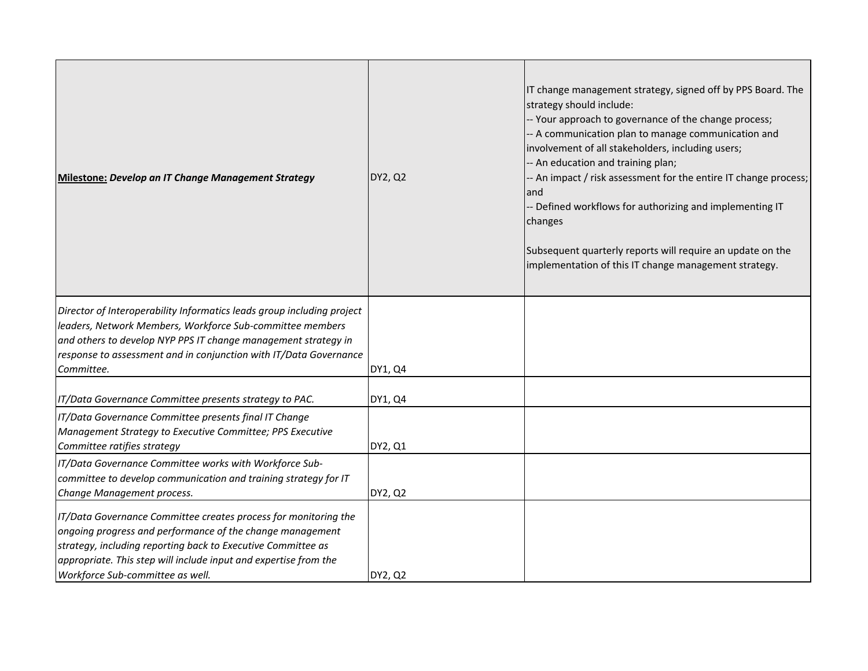| Milestone: Develop an IT Change Management Strategy                                                                                                                                                                                                                                                  | DY2, Q2 | IT change management strategy, signed off by PPS Board. The<br>strategy should include:<br>-- Your approach to governance of the change process;<br>-- A communication plan to manage communication and<br>involvement of all stakeholders, including users;<br>-- An education and training plan;<br>-- An impact / risk assessment for the entire IT change process;<br>land<br>- Defined workflows for authorizing and implementing IT<br>changes<br>Subsequent quarterly reports will require an update on the<br>implementation of this IT change management strategy. |
|------------------------------------------------------------------------------------------------------------------------------------------------------------------------------------------------------------------------------------------------------------------------------------------------------|---------|-----------------------------------------------------------------------------------------------------------------------------------------------------------------------------------------------------------------------------------------------------------------------------------------------------------------------------------------------------------------------------------------------------------------------------------------------------------------------------------------------------------------------------------------------------------------------------|
| Director of Interoperability Informatics leads group including project<br>leaders, Network Members, Workforce Sub-committee members<br>and others to develop NYP PPS IT change management strategy in<br>response to assessment and in conjunction with IT/Data Governance<br>Committee.             | DY1, Q4 |                                                                                                                                                                                                                                                                                                                                                                                                                                                                                                                                                                             |
| IT/Data Governance Committee presents strategy to PAC.                                                                                                                                                                                                                                               | DY1, Q4 |                                                                                                                                                                                                                                                                                                                                                                                                                                                                                                                                                                             |
| IT/Data Governance Committee presents final IT Change<br>Management Strategy to Executive Committee; PPS Executive<br>Committee ratifies strategy                                                                                                                                                    | DY2, Q1 |                                                                                                                                                                                                                                                                                                                                                                                                                                                                                                                                                                             |
| IT/Data Governance Committee works with Workforce Sub-<br>committee to develop communication and training strategy for IT<br>Change Management process.                                                                                                                                              | DY2, Q2 |                                                                                                                                                                                                                                                                                                                                                                                                                                                                                                                                                                             |
| IT/Data Governance Committee creates process for monitoring the<br>ongoing progress and performance of the change management<br>strategy, including reporting back to Executive Committee as<br>appropriate. This step will include input and expertise from the<br>Workforce Sub-committee as well. | DY2, Q2 |                                                                                                                                                                                                                                                                                                                                                                                                                                                                                                                                                                             |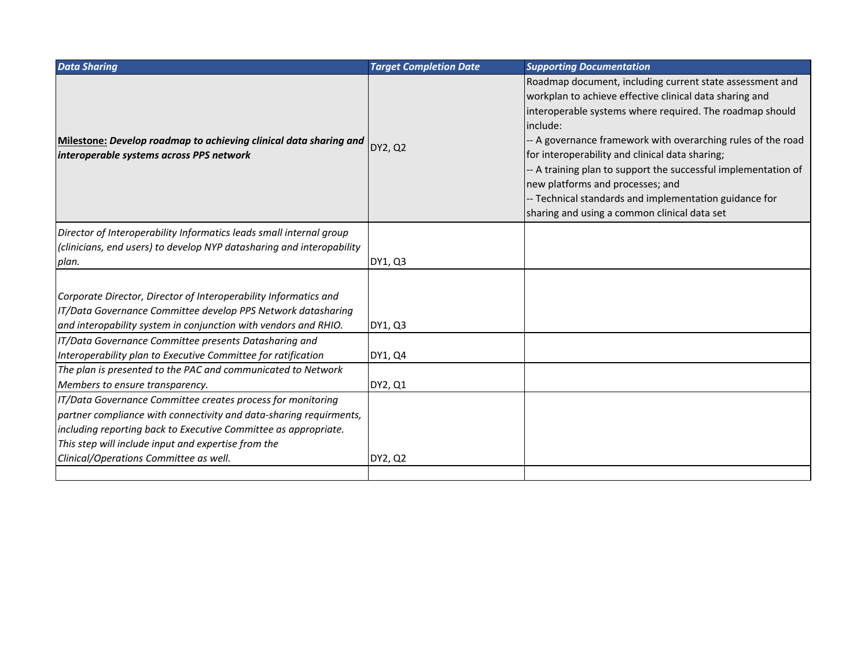| <b>Data Sharing</b>                                                                                                                                                                                 | <b>Target Completion Date</b> | <b>Supporting Documentation</b>                                                                                                                                                                                                                                                                                                                                                                                                                                                                                             |
|-----------------------------------------------------------------------------------------------------------------------------------------------------------------------------------------------------|-------------------------------|-----------------------------------------------------------------------------------------------------------------------------------------------------------------------------------------------------------------------------------------------------------------------------------------------------------------------------------------------------------------------------------------------------------------------------------------------------------------------------------------------------------------------------|
| Milestone: Develop roadmap to achieving clinical data sharing and<br>interoperable systems across PPS network                                                                                       | DY2, Q2                       | Roadmap document, including current state assessment and<br>workplan to achieve effective clinical data sharing and<br>interoperable systems where required. The roadmap should<br>include:<br>- A governance framework with overarching rules of the road<br>for interoperability and clinical data sharing;<br>- A training plan to support the successful implementation of<br>new platforms and processes; and<br>- Technical standards and implementation guidance for<br>sharing and using a common clinical data set |
| Director of Interoperability Informatics leads small internal group                                                                                                                                 |                               |                                                                                                                                                                                                                                                                                                                                                                                                                                                                                                                             |
| (clinicians, end users) to develop NYP datasharing and interopability                                                                                                                               |                               |                                                                                                                                                                                                                                                                                                                                                                                                                                                                                                                             |
| plan.                                                                                                                                                                                               | DY1, Q3                       |                                                                                                                                                                                                                                                                                                                                                                                                                                                                                                                             |
| Corporate Director, Director of Interoperability Informatics and<br>IT/Data Governance Committee develop PPS Network datasharing<br>and interopability system in conjunction with vendors and RHIO. | DY1, Q3                       |                                                                                                                                                                                                                                                                                                                                                                                                                                                                                                                             |
| IT/Data Governance Committee presents Datasharing and                                                                                                                                               |                               |                                                                                                                                                                                                                                                                                                                                                                                                                                                                                                                             |
| Interoperability plan to Executive Committee for ratification                                                                                                                                       | DY1, Q4                       |                                                                                                                                                                                                                                                                                                                                                                                                                                                                                                                             |
| The plan is presented to the PAC and communicated to Network                                                                                                                                        |                               |                                                                                                                                                                                                                                                                                                                                                                                                                                                                                                                             |
| Members to ensure transparency.                                                                                                                                                                     | DY2, Q1                       |                                                                                                                                                                                                                                                                                                                                                                                                                                                                                                                             |
| IT/Data Governance Committee creates process for monitoring                                                                                                                                         |                               |                                                                                                                                                                                                                                                                                                                                                                                                                                                                                                                             |
| partner compliance with connectivity and data-sharing requirments,                                                                                                                                  |                               |                                                                                                                                                                                                                                                                                                                                                                                                                                                                                                                             |
| including reporting back to Executive Committee as appropriate.                                                                                                                                     |                               |                                                                                                                                                                                                                                                                                                                                                                                                                                                                                                                             |
| This step will include input and expertise from the                                                                                                                                                 |                               |                                                                                                                                                                                                                                                                                                                                                                                                                                                                                                                             |
| Clinical/Operations Committee as well.                                                                                                                                                              | DY2, Q2                       |                                                                                                                                                                                                                                                                                                                                                                                                                                                                                                                             |
|                                                                                                                                                                                                     |                               |                                                                                                                                                                                                                                                                                                                                                                                                                                                                                                                             |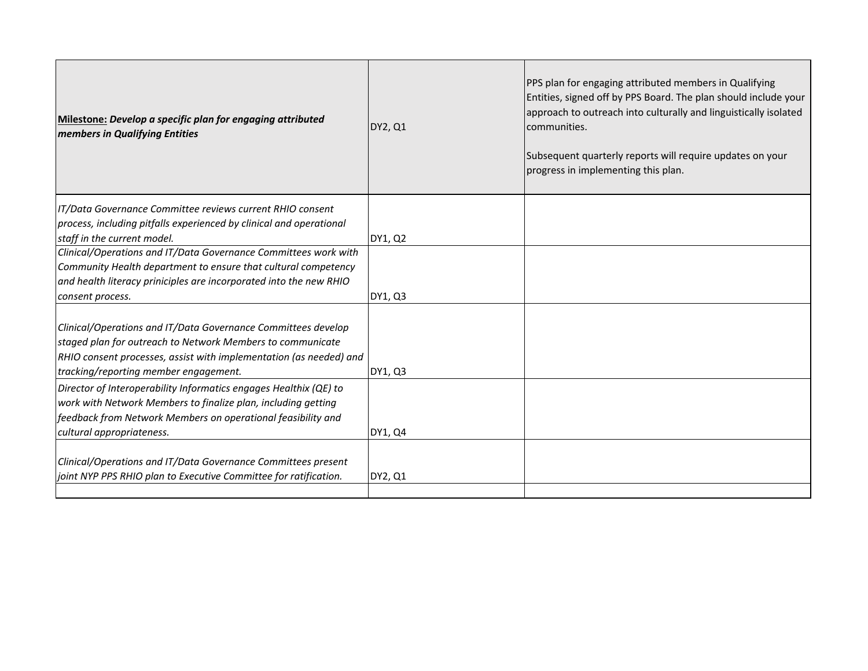| Milestone: Develop a specific plan for engaging attributed<br><b>members in Qualifying Entities</b>                                                                                                                                        | DY2, Q1 | PPS plan for engaging attributed members in Qualifying<br>Entities, signed off by PPS Board. The plan should include your<br>approach to outreach into culturally and linguistically isolated<br>communities.<br>Subsequent quarterly reports will require updates on your<br>progress in implementing this plan. |
|--------------------------------------------------------------------------------------------------------------------------------------------------------------------------------------------------------------------------------------------|---------|-------------------------------------------------------------------------------------------------------------------------------------------------------------------------------------------------------------------------------------------------------------------------------------------------------------------|
| IT/Data Governance Committee reviews current RHIO consent                                                                                                                                                                                  |         |                                                                                                                                                                                                                                                                                                                   |
| process, including pitfalls experienced by clinical and operational                                                                                                                                                                        |         |                                                                                                                                                                                                                                                                                                                   |
| staff in the current model.                                                                                                                                                                                                                | DY1, Q2 |                                                                                                                                                                                                                                                                                                                   |
| Clinical/Operations and IT/Data Governance Committees work with                                                                                                                                                                            |         |                                                                                                                                                                                                                                                                                                                   |
| Community Health department to ensure that cultural competency                                                                                                                                                                             |         |                                                                                                                                                                                                                                                                                                                   |
| and health literacy priniciples are incorporated into the new RHIO                                                                                                                                                                         |         |                                                                                                                                                                                                                                                                                                                   |
| consent process.                                                                                                                                                                                                                           | DY1, Q3 |                                                                                                                                                                                                                                                                                                                   |
| Clinical/Operations and IT/Data Governance Committees develop<br>staged plan for outreach to Network Members to communicate<br>RHIO consent processes, assist with implementation (as needed) and<br>tracking/reporting member engagement. | DY1, Q3 |                                                                                                                                                                                                                                                                                                                   |
| Director of Interoperability Informatics engages Healthix (QE) to<br>work with Network Members to finalize plan, including getting<br>feedback from Network Members on operational feasibility and<br>cultural appropriateness.            | DY1, Q4 |                                                                                                                                                                                                                                                                                                                   |
| Clinical/Operations and IT/Data Governance Committees present<br>joint NYP PPS RHIO plan to Executive Committee for ratification.                                                                                                          | DY2, Q1 |                                                                                                                                                                                                                                                                                                                   |
|                                                                                                                                                                                                                                            |         |                                                                                                                                                                                                                                                                                                                   |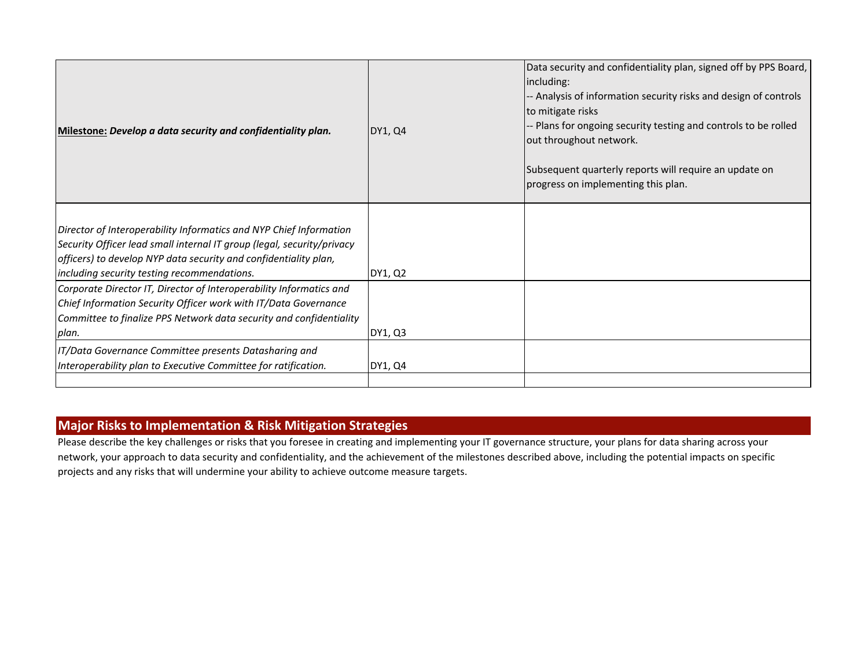| Milestone: Develop a data security and confidentiality plan.                                                                                                                                                                                                    | DY1, Q4 | Data security and confidentiality plan, signed off by PPS Board,<br>including:<br>-- Analysis of information security risks and design of controls<br>to mitigate risks<br>-- Plans for ongoing security testing and controls to be rolled<br>out throughout network.<br>Subsequent quarterly reports will require an update on<br>progress on implementing this plan. |
|-----------------------------------------------------------------------------------------------------------------------------------------------------------------------------------------------------------------------------------------------------------------|---------|------------------------------------------------------------------------------------------------------------------------------------------------------------------------------------------------------------------------------------------------------------------------------------------------------------------------------------------------------------------------|
| Director of Interoperability Informatics and NYP Chief Information<br>Security Officer lead small internal IT group (legal, security/privacy<br>officers) to develop NYP data security and confidentiality plan,<br>including security testing recommendations. | DY1, Q2 |                                                                                                                                                                                                                                                                                                                                                                        |
| Corporate Director IT, Director of Interoperability Informatics and<br>Chief Information Security Officer work with IT/Data Governance<br>Committee to finalize PPS Network data security and confidentiality<br>plan.                                          | DY1, Q3 |                                                                                                                                                                                                                                                                                                                                                                        |
| IT/Data Governance Committee presents Datasharing and<br>Interoperability plan to Executive Committee for ratification.                                                                                                                                         | DY1, Q4 |                                                                                                                                                                                                                                                                                                                                                                        |

# **Major Risks to Implementation & Risk Mitigation Strategies**

Please describe the key challenges or risks that you foresee in creating and implementing your IT governance structure, your plans for data sharing across your network, your approach to data security and confidentiality, and the achievement of the milestones described above, including the potential impacts on specific projects and any risks that will undermine your ability to achieve outcome measure targets.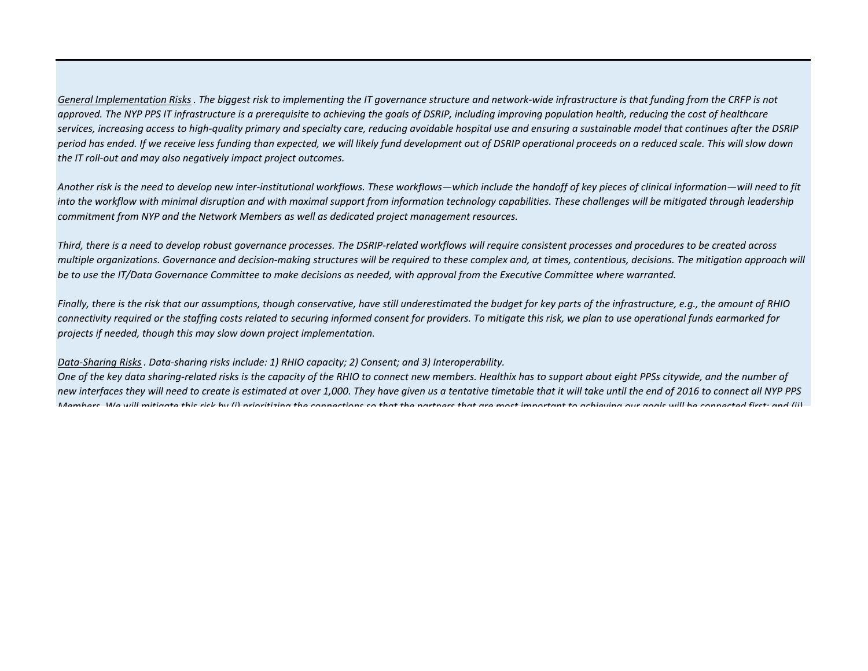*General Implementation Risks . The biggest risk to implementing the IT governance structure and network-wide infrastructure is that funding from the CRFP is not approved. The NYP PPS IT infrastructure is a prerequisite to achieving the goals of DSRIP, including improving population health, reducing the cost of healthcare services, increasing access to high-quality primary and specialty care, reducing avoidable hospital use and ensuring a sustainable model that continues after the DSRIP period has ended. If we receive less funding than expected, we will likely fund development out of DSRIP operational proceeds on a reduced scale. This will slow down the IT roll-out and may also negatively impact project outcomes.*

*Another risk is the need to develop new inter-institutional workflows. These workflows—which include the handoff of key pieces of clinical information—will need to fit*  into the workflow with minimal disruption and with maximal support from information technology capabilities. These challenges will be mitigated through leadership *commitment from NYP and the Network Members as well as dedicated project management resources.*

*Third, there is a need to develop robust governance processes. The DSRIP-related workflows will require consistent processes and procedures to be created across multiple organizations. Governance and decision-making structures will be required to these complex and, at times, contentious, decisions. The mitigation approach will be to use the IT/Data Governance Committee to make decisions as needed, with approval from the Executive Committee where warranted.*

*Finally, there is the risk that our assumptions, though conservative, have still underestimated the budget for key parts of the infrastructure, e.g., the amount of RHIO connectivity required or the staffing costs related to securing informed consent for providers. To mitigate this risk, we plan to use operational funds earmarked for projects if needed, though this may slow down project implementation.*

#### *Data-Sharing Risks. Data-sharing risks include: 1) RHIO capacity; 2) Consent; and 3) Interoperability.*

*One of the key data sharing-related risks is the capacity of the RHIO to connect new members. Healthix has to support about eight PPSs citywide, and the number of new interfaces they will need to create is estimated at over 1,000. They have given us a tentative timetable that it will take until the end of 2016 to connect all NYP PPS Members We will mitigate this risk by (i) prioritizing the connections so that the partners that are most important to achieving our goals will be connected first; and (ii)*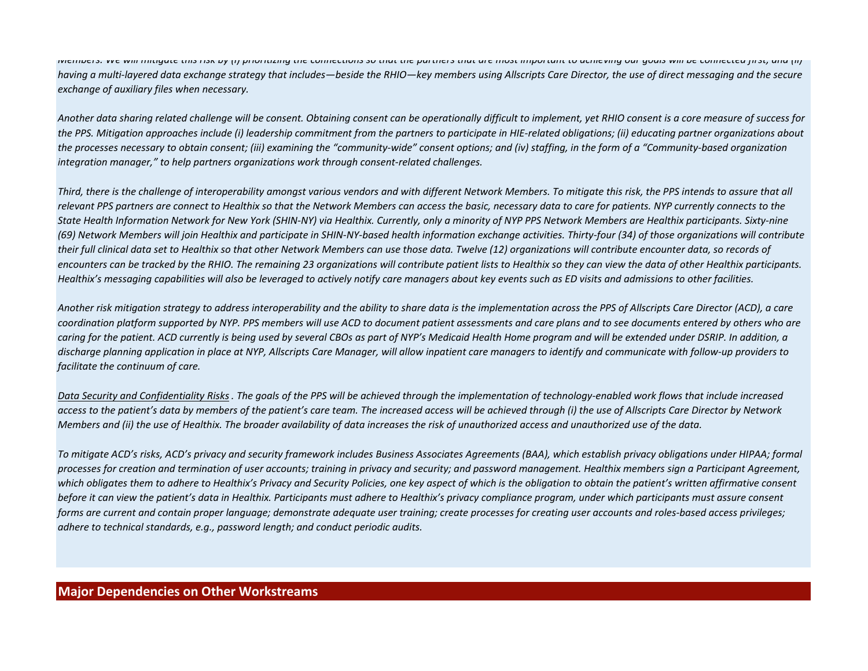*Members. We will mitigate this risk by (i) prioritizing the connections so that the partners that are most important to achieving our goals will be connected first; and (ii) having a multi-layered data exchange strategy that includes—beside the RHIO—key members using Allscripts Care Director, the use of direct messaging and the secure exchange of auxiliary files when necessary.*

*Another data sharing related challenge will be consent. Obtaining consent can be operationally difficult to implement, yet RHIO consent is a core measure of success for the PPS. Mitigation approaches include (i) leadership commitment from the partners to participate in HIE-related obligations; (ii) educating partner organizations about the processes necessary to obtain consent; (iii) examining the "community-wide" consent options; and (iv) staffing, in the form of a "Community-based organization integration manager," to help partners organizations work through consent-related challenges.*

*Third, there is the challenge of interoperability amongst various vendors and with different Network Members. To mitigate this risk, the PPS intends to assure that all relevant PPS partners are connect to Healthix so that the Network Members can access the basic, necessary data to care for patients. NYP currently connects to the State Health Information Network for New York (SHIN-NY) via Healthix. Currently, only a minority of NYP PPS Network Members are Healthix participants. Sixty-nine (69) Network Members will join Healthix and participate in SHIN-NY-based health information exchange activities. Thirty-four (34) of those organizations will contribute their full clinical data set to Healthix so that other Network Members can use those data. Twelve (12) organizations will contribute encounter data, so records of encounters can be tracked by the RHIO. The remaining 23 organizations will contribute patient lists to Healthix so they can view the data of other Healthix participants. Healthix's messaging capabilities will also be leveraged to actively notify care managers about key events such as ED visits and admissions to other facilities.*

*Another risk mitigation strategy to address interoperability and the ability to share data is the implementation across the PPS of Allscripts Care Director (ACD), a care coordination platform supported by NYP. PPS members will use ACD to document patient assessments and care plans and to see documents entered by others who are*  caring for the patient. ACD currently is being used by several CBOs as part of NYP's Medicaid Health Home program and will be extended under DSRIP. In addition, a *discharge planning application in place at NYP, Allscripts Care Manager, will allow inpatient care managers to identify and communicate with follow-up providers to facilitate the continuum of care.*

*Data Security and Confidentiality Risks . The goals of the PPS will be achieved through the implementation of technology-enabled work flows that include increased access to the patient's data by members of the patient's care team. The increased access will be achieved through (i) the use of Allscripts Care Director by Network Members and (ii) the use of Healthix. The broader availability of data increases the risk of unauthorized access and unauthorized use of the data.*

*To mitigate ACD's risks, ACD's privacy and security framework includes Business Associates Agreements (BAA), which establish privacy obligations under HIPAA; formal processes for creation and termination of user accounts; training in privacy and security; and password management. Healthix members sign a Participant Agreement, which obligates them to adhere to Healthix's Privacy and Security Policies, one key aspect of which is the obligation to obtain the patient's written affirmative consent before it can view the patient's data in Healthix. Participants must adhere to Healthix's privacy compliance program, under which participants must assure consent forms are current and contain proper language; demonstrate adequate user training; create processes for creating user accounts and roles-based access privileges; adhere to technical standards, e.g., password length; and conduct periodic audits.*

## **Major Dependencies on Other Workstreams**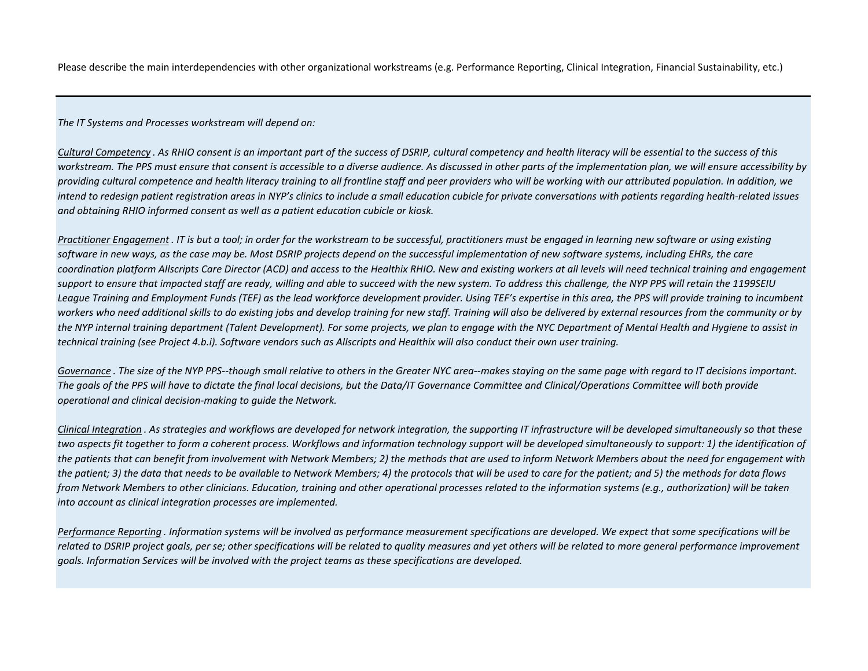Please describe the main interdependencies with other organizational workstreams (e.g. Performance Reporting, Clinical Integration, Financial Sustainability, etc.)

*The IT Systems and Processes workstream will depend on:*

*Cultural Competency . As RHIO consent is an important part of the success of DSRIP, cultural competency and health literacy will be essential to the success of this workstream. The PPS must ensure that consent is accessible to a diverse audience. As discussed in other parts of the implementation plan, we will ensure accessibility by providing cultural competence and health literacy training to all frontline staff and peer providers who will be working with our attributed population. In addition, we intend to redesign patient registration areas in NYP's clinics to include a small education cubicle for private conversations with patients regarding health-related issues and obtaining RHIO informed consent as well as a patient education cubicle or kiosk.*

*Practitioner Engagement . IT is but a tool; in order for the workstream to be successful, practitioners must be engaged in learning new software or using existing software in new ways, as the case may be. Most DSRIP projects depend on the successful implementation of new software systems, including EHRs, the care coordination platform Allscripts Care Director (ACD) and access to the Healthix RHIO. New and existing workers at all levels will need technical training and engagement support to ensure that impacted staff are ready, willing and able to succeed with the new system. To address this challenge, the NYP PPS will retain the 1199SEIU League Training and Employment Funds (TEF) as the lead workforce development provider. Using TEF's expertise in this area, the PPS will provide training to incumbent*  workers who need additional skills to do existing jobs and develop training for new staff. Training will also be delivered by external resources from the community or by *the NYP internal training department (Talent Development). For some projects, we plan to engage with the NYC Department of Mental Health and Hygiene to assist in technical training (see Project 4.b.i). Software vendors such as Allscripts and Healthix will also conduct their own user training.*

Governance. The size of the NYP PPS--though small relative to others in the Greater NYC area--makes staying on the same page with regard to IT decisions important. *The goals of the PPS will have to dictate the final local decisions, but the Data/IT Governance Committee and Clinical/Operations Committee will both provide operational and clinical decision-making to guide the Network.*

*Clinical Integration . As strategies and workflows are developed for network integration, the supporting IT infrastructure will be developed simultaneously so that these*  two aspects fit together to form a coherent process. Workflows and information technology support will be developed simultaneously to support: 1) the identification of *the patients that can benefit from involvement with Network Members; 2) the methods that are used to inform Network Members about the need for engagement with the patient; 3) the data that needs to be available to Network Members; 4) the protocols that will be used to care for the patient; and 5) the methods for data flows from Network Members to other clinicians. Education, training and other operational processes related to the information systems (e.g., authorization) will be taken into account as clinical integration processes are implemented.*

*Performance Reporting . Information systems will be involved as performance measurement specifications are developed. We expect that some specifications will be*  related to DSRIP project goals, per se; other specifications will be related to quality measures and yet others will be related to more general performance improvement *goals. Information Services will be involved with the project teams as these specifications are developed.*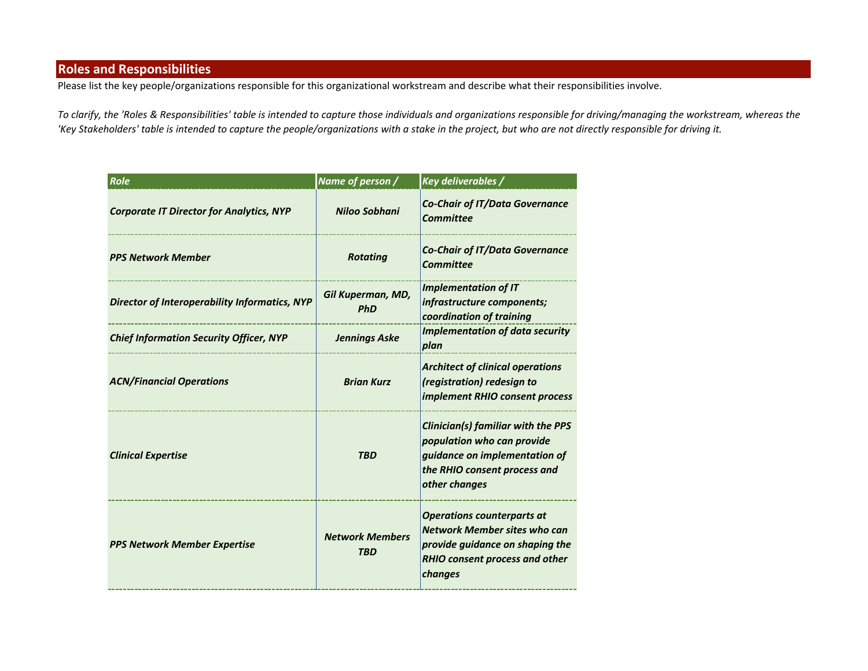# **Roles and Responsibilities**

Please list the key people/organizations responsible for this organizational workstream and describe what their responsibilities involve.

*To clarify, the 'Roles & Responsibilities' table is intended to capture those individuals and organizations responsible for driving/managing the workstream, whereas the 'Key Stakeholders' table is intended to capture the people/organizations with a stake in the project, but who are not directly responsible for driving it.*

| Role                                                 | Name of person /                     | Key deliverables /                                                                                                                                              |
|------------------------------------------------------|--------------------------------------|-----------------------------------------------------------------------------------------------------------------------------------------------------------------|
| <b>Corporate IT Director for Analytics, NYP</b>      | <b>Niloo Sobhani</b>                 | <b>Co-Chair of IT/Data Governance</b><br><b>Committee</b>                                                                                                       |
| <b>PPS Network Member</b>                            | <b>Rotating</b>                      | <b>Co-Chair of IT/Data Governance</b><br><b>Committee</b>                                                                                                       |
| <b>Director of Interoperability Informatics, NYP</b> | Gil Kuperman, MD,<br><b>PhD</b>      | <b>Implementation of IT</b><br>infrastructure components;<br>coordination of training                                                                           |
| <b>Chief Information Security Officer, NYP</b>       | <b>Jennings Aske</b>                 | <b>Implementation of data security</b><br>plan                                                                                                                  |
| <b>ACN/Financial Operations</b>                      | <b>Brian Kurz</b>                    | <b>Architect of clinical operations</b><br>(registration) redesign to<br>implement RHIO consent process                                                         |
| <b>Clinical Expertise</b>                            | <b>TBD</b>                           | Clinician(s) familiar with the PPS<br>population who can provide<br>guidance on implementation of<br>the RHIO consent process and<br>other changes              |
| <b>PPS Network Member Expertise</b>                  | <b>Network Members</b><br><b>TBD</b> | <b>Operations counterparts at</b><br><b>Network Member sites who can</b><br>provide guidance on shaping the<br><b>RHIO consent process and other</b><br>changes |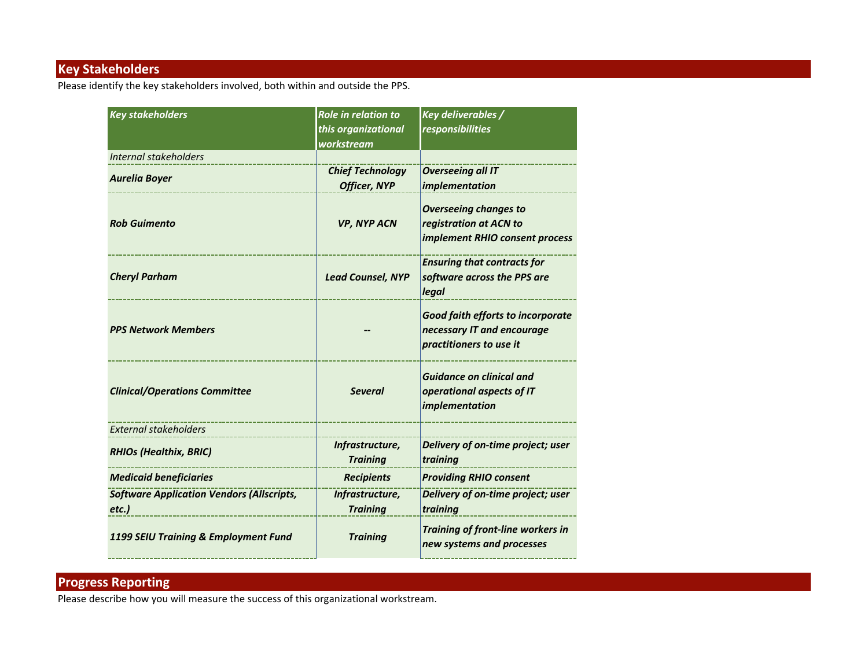# **Key Stakeholders**

Please identify the key stakeholders involved, both within and outside the PPS.

| <b>Key stakeholders</b>                                  | <b>Role in relation to</b><br>this organizational<br>workstream | Key deliverables /<br><i>responsibilities</i>                                                     |
|----------------------------------------------------------|-----------------------------------------------------------------|---------------------------------------------------------------------------------------------------|
| Internal stakeholders                                    |                                                                 |                                                                                                   |
| <b>Aurelia Boyer</b>                                     | <b>Chief Technology</b><br><b>Officer, NYP</b>                  | <b>Overseeing all IT</b><br>implementation                                                        |
| <b>Rob Guimento</b>                                      | <b>VP, NYP ACN</b>                                              | <b>Overseeing changes to</b><br>registration at ACN to<br>implement RHIO consent process          |
| <b>Cheryl Parham</b>                                     | <b>Lead Counsel, NYP</b>                                        | <b>Ensuring that contracts for</b><br>software across the PPS are<br>legal                        |
| <b>PPS Network Members</b>                               |                                                                 | <b>Good faith efforts to incorporate</b><br>necessary IT and encourage<br>practitioners to use it |
| <b>Clinical/Operations Committee</b>                     | <b>Several</b>                                                  | <b>Guidance on clinical and</b><br>operational aspects of IT<br>implementation                    |
| <b>External stakeholders</b>                             |                                                                 |                                                                                                   |
| <b>RHIOs (Healthix, BRIC)</b>                            | Infrastructure,<br><b>Training</b>                              | Delivery of on-time project; user<br>training                                                     |
| <b>Medicaid beneficiaries</b>                            | <b>Recipients</b>                                               | <b>Providing RHIO consent</b>                                                                     |
| <b>Software Application Vendors (Allscripts,</b><br>etc. | Infrastructure,<br><b>Training</b>                              | Delivery of on-time project; user<br>training                                                     |
| 1199 SEIU Training & Employment Fund                     | <b>Training</b>                                                 | Training of front-line workers in<br>new systems and processes                                    |

# **Progress Reporting**

Please describe how you will measure the success of this organizational workstream.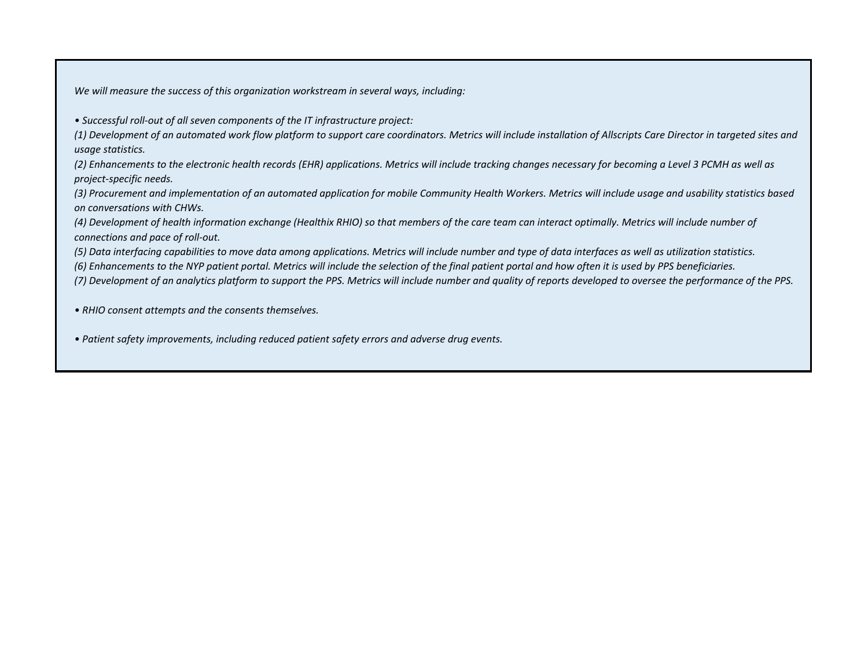*We will measure the success of this organization workstream in several ways, including:*

*• Successful roll-out of all seven components of the IT infrastructure project:* 

*(1) Development of an automated work flow platform to support care coordinators. Metrics will include installation of Allscripts Care Director in targeted sites and usage statistics.*

*(2) Enhancements to the electronic health records (EHR) applications. Metrics will include tracking changes necessary for becoming a Level 3 PCMH as well as project-specific needs.* 

*(3) Procurement and implementation of an automated application for mobile Community Health Workers. Metrics will include usage and usability statistics based on conversations with CHWs.*

*(4) Development of health information exchange (Healthix RHIO) so that members of the care team can interact optimally. Metrics will include number of connections and pace of roll-out.* 

*(5) Data interfacing capabilities to move data among applications. Metrics will include number and type of data interfaces as well as utilization statistics.* 

*(6) Enhancements to the NYP patient portal. Metrics will include the selection of the final patient portal and how often it is used by PPS beneficiaries.*

*(7) Development of an analytics platform to support the PPS. Metrics will include number and quality of reports developed to oversee the performance of the PPS.*

*• RHIO consent attempts and the consents themselves.*

*• Patient safety improvements, including reduced patient safety errors and adverse drug events.*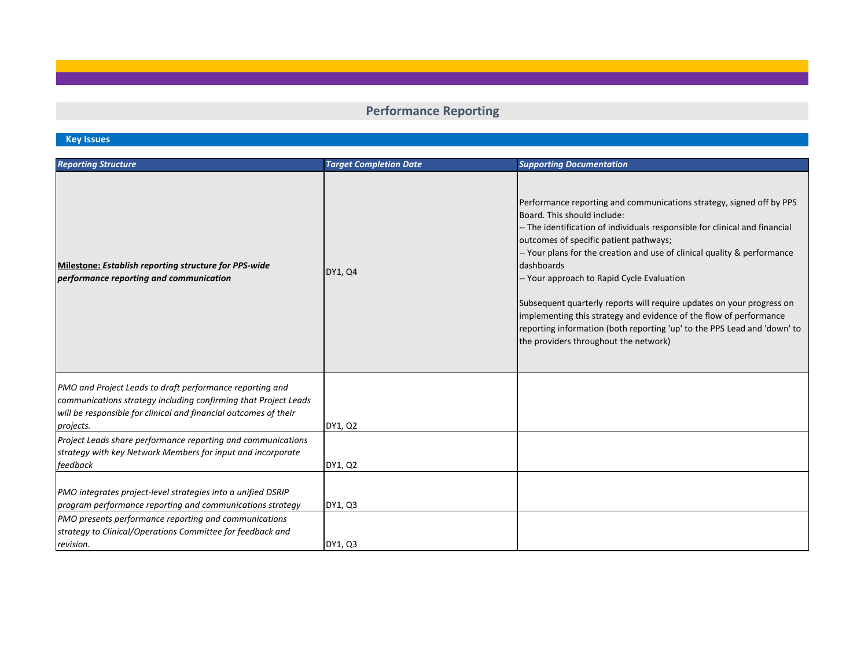# **Performance Reporting**

# **Key Issues**

| <b>Reporting Structure</b>                                                                                                                                                                                   | <b>Target Completion Date</b> | <b>Supporting Documentation</b>                                                                                                                                                                                                                                                                                                                                                                                                                                                                                                                                                                                                          |
|--------------------------------------------------------------------------------------------------------------------------------------------------------------------------------------------------------------|-------------------------------|------------------------------------------------------------------------------------------------------------------------------------------------------------------------------------------------------------------------------------------------------------------------------------------------------------------------------------------------------------------------------------------------------------------------------------------------------------------------------------------------------------------------------------------------------------------------------------------------------------------------------------------|
| Milestone: Establish reporting structure for PPS-wide<br>performance reporting and communication                                                                                                             | DY1, Q4                       | Performance reporting and communications strategy, signed off by PPS<br>Board. This should include:<br>-- The identification of individuals responsible for clinical and financial<br>outcomes of specific patient pathways;<br>-- Your plans for the creation and use of clinical quality & performance<br>dashboards<br>-- Your approach to Rapid Cycle Evaluation<br>Subsequent quarterly reports will require updates on your progress on<br>implementing this strategy and evidence of the flow of performance<br>reporting information (both reporting 'up' to the PPS Lead and 'down' to<br>the providers throughout the network) |
| PMO and Project Leads to draft performance reporting and<br>communications strategy including confirming that Project Leads<br>will be responsible for clinical and financial outcomes of their<br>projects. | DY1, Q2                       |                                                                                                                                                                                                                                                                                                                                                                                                                                                                                                                                                                                                                                          |
| Project Leads share performance reporting and communications<br>strategy with key Network Members for input and incorporate<br>feedback                                                                      | DY1, Q2                       |                                                                                                                                                                                                                                                                                                                                                                                                                                                                                                                                                                                                                                          |
| PMO integrates project-level strategies into a unified DSRIP<br>program performance reporting and communications strategy                                                                                    | DY1, Q3                       |                                                                                                                                                                                                                                                                                                                                                                                                                                                                                                                                                                                                                                          |
| PMO presents performance reporting and communications<br>strategy to Clinical/Operations Committee for feedback and<br>revision.                                                                             | DY1, Q3                       |                                                                                                                                                                                                                                                                                                                                                                                                                                                                                                                                                                                                                                          |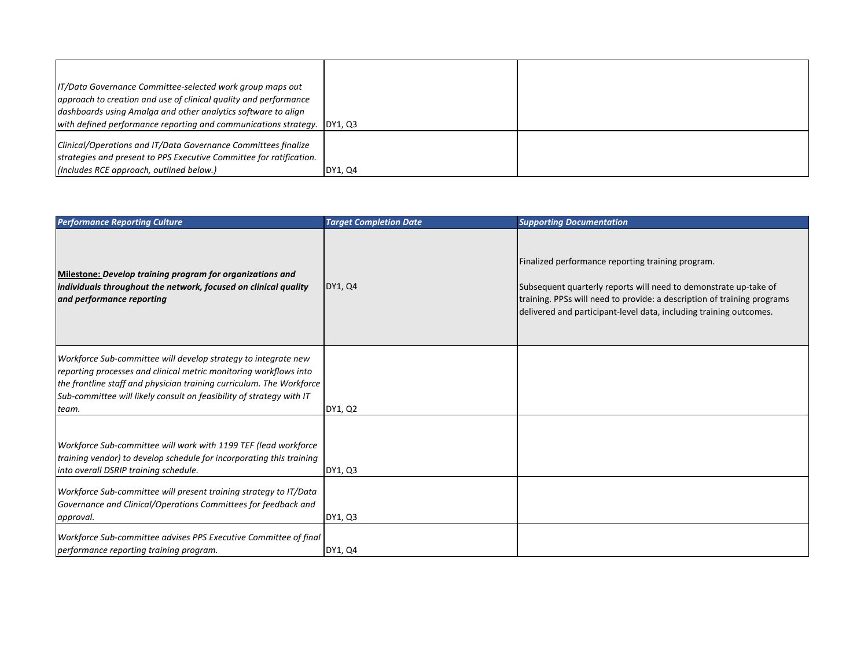| IT/Data Governance Committee-selected work group maps out<br>approach to creation and use of clinical quality and performance<br>dashboards using Amalga and other analytics software to align |         |  |
|------------------------------------------------------------------------------------------------------------------------------------------------------------------------------------------------|---------|--|
| with defined performance reporting and communications strategy. DY1, Q3                                                                                                                        |         |  |
| Clinical/Operations and IT/Data Governance Committees finalize<br>strategies and present to PPS Executive Committee for ratification.                                                          |         |  |
| (Includes RCE approach, outlined below.)                                                                                                                                                       | DY1, Q4 |  |

| <b>Performance Reporting Culture</b>                                                                                                                                                                                                                                                         | <b>Target Completion Date</b> | <b>Supporting Documentation</b>                                                                                                                                                                                                                                        |
|----------------------------------------------------------------------------------------------------------------------------------------------------------------------------------------------------------------------------------------------------------------------------------------------|-------------------------------|------------------------------------------------------------------------------------------------------------------------------------------------------------------------------------------------------------------------------------------------------------------------|
| Milestone: Develop training program for organizations and<br>individuals throughout the network, focused on clinical quality<br>and performance reporting                                                                                                                                    | DY1, Q4                       | Finalized performance reporting training program.<br>Subsequent quarterly reports will need to demonstrate up-take of<br>training. PPSs will need to provide: a description of training programs<br>delivered and participant-level data, including training outcomes. |
| Workforce Sub-committee will develop strategy to integrate new<br>reporting processes and clinical metric monitoring workflows into<br>the frontline staff and physician training curriculum. The Workforce<br>Sub-committee will likely consult on feasibility of strategy with IT<br>team. | DY1, Q2                       |                                                                                                                                                                                                                                                                        |
| Workforce Sub-committee will work with 1199 TEF (lead workforce<br>training vendor) to develop schedule for incorporating this training<br>into overall DSRIP training schedule.                                                                                                             | DY1, Q3                       |                                                                                                                                                                                                                                                                        |
| Workforce Sub-committee will present training strategy to IT/Data<br>Governance and Clinical/Operations Committees for feedback and<br>approval.                                                                                                                                             | DY1, Q3                       |                                                                                                                                                                                                                                                                        |
| Workforce Sub-committee advises PPS Executive Committee of final<br>performance reporting training program.                                                                                                                                                                                  | DY1, Q4                       |                                                                                                                                                                                                                                                                        |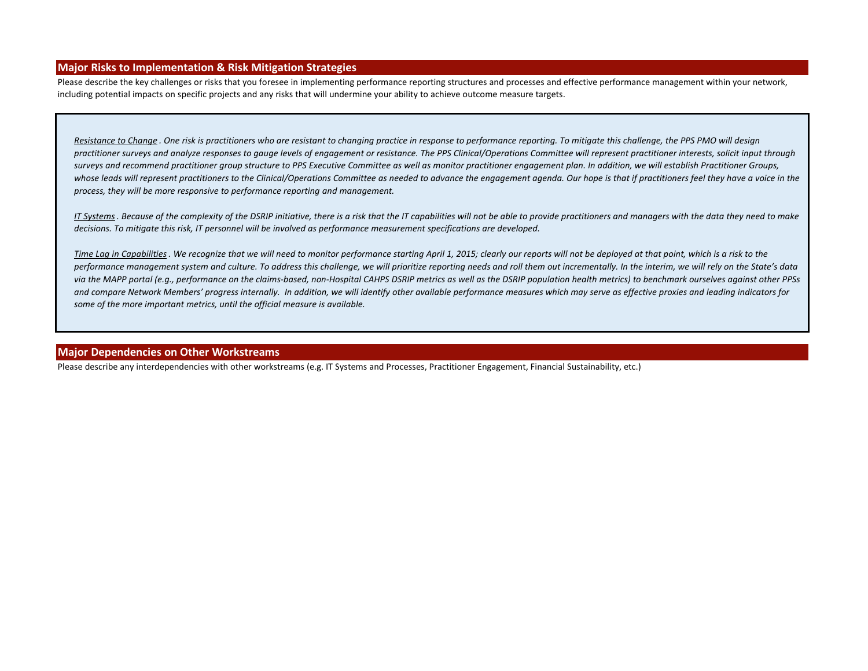#### **Major Risks to Implementation & Risk Mitigation Strategies**

Please describe the key challenges or risks that you foresee in implementing performance reporting structures and processes and effective performance management within your network, including potential impacts on specific projects and any risks that will undermine your ability to achieve outcome measure targets.

*Resistance to Change . One risk is practitioners who are resistant to changing practice in response to performance reporting. To mitigate this challenge, the PPS PMO will design practitioner surveys and analyze responses to gauge levels of engagement or resistance. The PPS Clinical/Operations Committee will represent practitioner interests, solicit input through surveys and recommend practitioner group structure to PPS Executive Committee as well as monitor practitioner engagement plan. In addition, we will establish Practitioner Groups,*  whose leads will represent practitioners to the Clinical/Operations Committee as needed to advance the engagement agenda. Our hope is that if practitioners feel they have a voice in the *process, they will be more responsive to performance reporting and management.* 

*IT Systems. Because of the complexity of the DSRIP initiative, there is a risk that the IT capabilities will not be able to provide practitioners and managers with the data they need to make decisions. To mitigate this risk, IT personnel will be involved as performance measurement specifications are developed.*

*Time Lag in Capabilities. We recognize that we will need to monitor performance starting April 1, 2015; clearly our reports will not be deployed at that point, which is a risk to the performance management system and culture. To address this challenge, we will prioritize reporting needs and roll them out incrementally. In the interim, we will rely on the State's data via the MAPP portal (e.g., performance on the claims-based, non-Hospital CAHPS DSRIP metrics as well as the DSRIP population health metrics) to benchmark ourselves against other PPSs and compare Network Members' progress internally. In addition, we will identify other available performance measures which may serve as effective proxies and leading indicators for some of the more important metrics, until the official measure is available.*

#### **Major Dependencies on Other Workstreams**

Please describe any interdependencies with other workstreams (e.g. IT Systems and Processes, Practitioner Engagement, Financial Sustainability, etc.)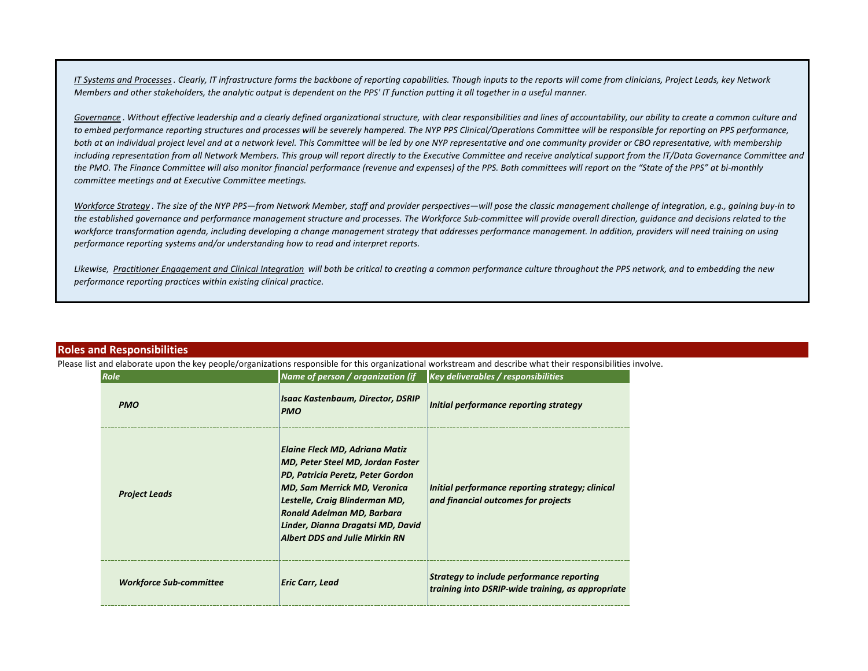*IT Systems and Processes. Clearly, IT infrastructure forms the backbone of reporting capabilities. Though inputs to the reports will come from clinicians, Project Leads, key Network Members and other stakeholders, the analytic output is dependent on the PPS' IT function putting it all together in a useful manner.*

Governance . Without effective leadership and a clearly defined organizational structure, with clear responsibilities and lines of accountability, our ability to create a common culture and to embed performance reporting structures and processes will be severely hampered. The NYP PPS Clinical/Operations Committee will be responsible for reporting on PPS performance, both at an individual project level and at a network level. This Committee will be led by one NYP representative and one community provider or CBO representative, with membership including representation from all Network Members. This group will report directly to the Executive Committee and receive analytical support from the IT/Data Governance Committee and *the PMO. The Finance Committee will also monitor financial performance (revenue and expenses) of the PPS. Both committees will report on the "State of the PPS" at bi-monthly committee meetings and at Executive Committee meetings.*

*Workforce Strategy . The size of the NYP PPS—from Network Member, staff and provider perspectives—will pose the classic management challenge of integration, e.g., gaining buy-in to the established governance and performance management structure and processes. The Workforce Sub-committee will provide overall direction, guidance and decisions related to the*  workforce transformation agenda, including developing a change management strategy that addresses performance management. In addition, providers will need training on using *performance reporting systems and/or understanding how to read and interpret reports.*

*Likewise, Practitioner Engagement and Clinical Integration will both be critical to creating a common performance culture throughout the PPS network, and to embedding the new performance reporting practices within existing clinical practice.* 

#### **Roles and Responsibilities**

Please list and elaborate upon the key people/organizations responsible for this organizational workstream and describe what their responsibilities involve.

| Role                           | Name of person / organization (if                                                                                                                                                                                                                                                                | <b>Key deliverables / responsibilities</b>                                                     |  |
|--------------------------------|--------------------------------------------------------------------------------------------------------------------------------------------------------------------------------------------------------------------------------------------------------------------------------------------------|------------------------------------------------------------------------------------------------|--|
| <b>PMO</b>                     | <b>Isaac Kastenbaum, Director, DSRIP</b><br><b>PMO</b>                                                                                                                                                                                                                                           | Initial performance reporting strategy                                                         |  |
| <b>Project Leads</b>           | Elaine Fleck MD, Adriana Matiz<br> MD, Peter Steel MD, Jordan Foster<br><b>PD, Patricia Peretz, Peter Gordon</b><br> MD, Sam Merrick MD, Veronica<br> Lestelle, Craig Blinderman MD,<br>Ronald Adelman MD, Barbara<br>Linder, Dianna Dragatsi MD, David<br><b>Albert DDS and Julie Mirkin RN</b> | Initial performance reporting strategy; clinical<br>and financial outcomes for projects        |  |
| <b>Workforce Sub-committee</b> | Eric Carr, Lead                                                                                                                                                                                                                                                                                  | Strategy to include performance reporting<br>training into DSRIP-wide training, as appropriate |  |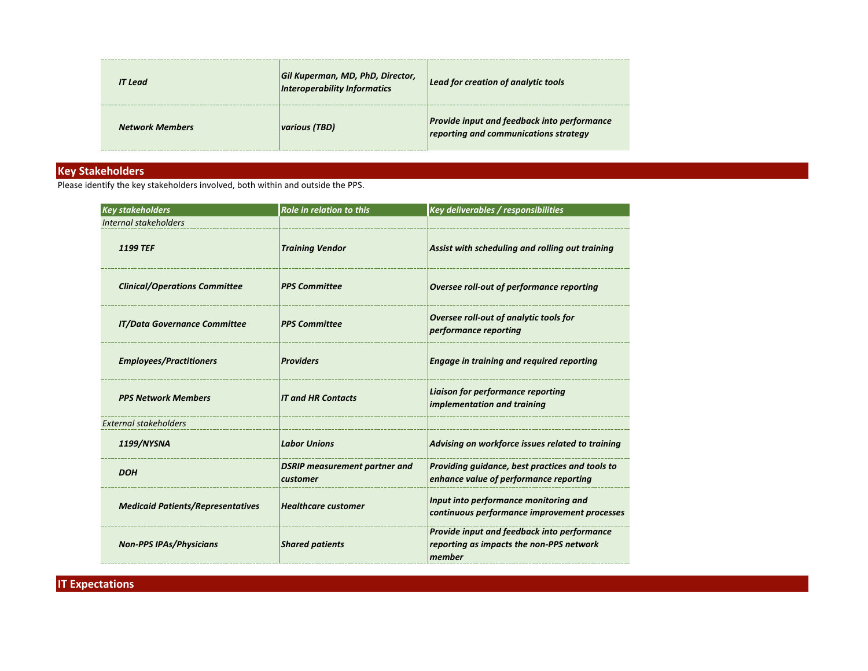| <b>IT Lead</b>         | Gil Kuperman, MD, PhD, Director,<br>Interoperability Informatics | Lead for creation of analytic tools                                                         |
|------------------------|------------------------------------------------------------------|---------------------------------------------------------------------------------------------|
| <b>Network Members</b> | <i><b>various (TBD)</b></i>                                      | <b>Provide input and feedback into performance</b><br>reporting and communications strategy |

## **Key Stakeholders**

Please identify the key stakeholders involved, both within and outside the PPS.

| <b>Key stakeholders</b>                  | <b>Role in relation to this</b>                  | Key deliverables / responsibilities                                                               |
|------------------------------------------|--------------------------------------------------|---------------------------------------------------------------------------------------------------|
| Internal stakeholders                    |                                                  |                                                                                                   |
| <b>1199 TEF</b>                          | <b>Training Vendor</b>                           | Assist with scheduling and rolling out training                                                   |
| <b>Clinical/Operations Committee</b>     | <b>PPS Committee</b>                             | Oversee roll-out of performance reporting                                                         |
| <b>IT/Data Governance Committee</b>      | <b>PPS Committee</b>                             | Oversee roll-out of analytic tools for<br>performance reporting                                   |
| <b>Employees/Practitioners</b>           | <b>Providers</b>                                 | <b>Engage in training and required reporting</b>                                                  |
| <b>PPS Network Members</b>               | <b>IT and HR Contacts</b>                        | Liaison for performance reporting<br>implementation and training                                  |
| <b>External stakeholders</b>             |                                                  |                                                                                                   |
| 1199/NYSNA                               | <b>Labor Unions</b>                              | Advising on workforce issues related to training                                                  |
| <b>DOH</b>                               | <b>DSRIP measurement partner and</b><br>customer | Providing guidance, best practices and tools to<br>enhance value of performance reporting         |
| <b>Medicaid Patients/Representatives</b> | <b>Healthcare customer</b>                       | Input into performance monitoring and<br>continuous performance improvement processes             |
| <b>Non-PPS IPAs/Physicians</b>           | <b>Shared patients</b>                           | Provide input and feedback into performance<br>reporting as impacts the non-PPS network<br>member |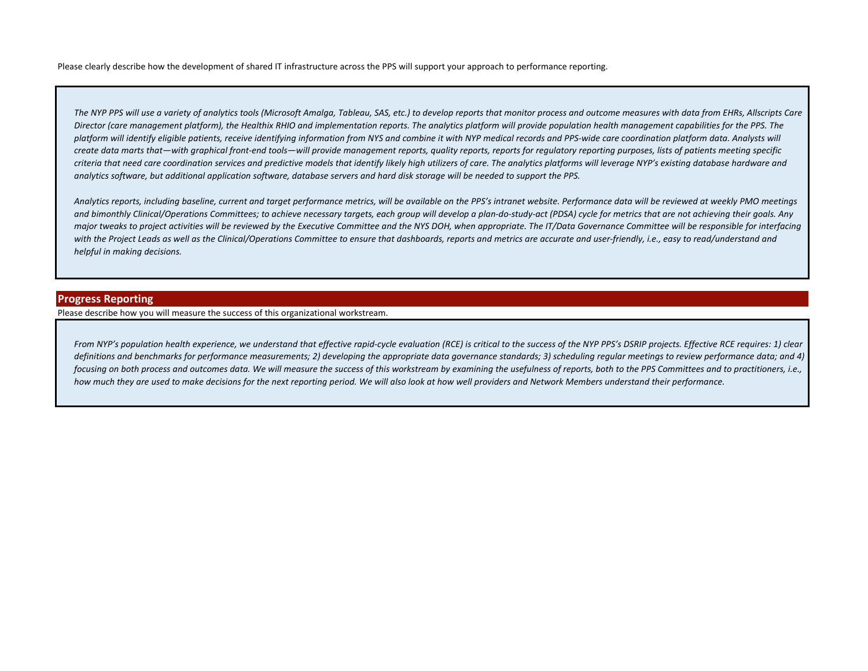Please clearly describe how the development of shared IT infrastructure across the PPS will support your approach to performance reporting.

*The NYP PPS will use a variety of analytics tools (Microsoft Amalga, Tableau, SAS, etc.) to develop reports that monitor process and outcome measures with data from EHRs, Allscripts Care Director (care management platform), the Healthix RHIO and implementation reports. The analytics platform will provide population health management capabilities for the PPS. The platform will identify eligible patients, receive identifying information from NYS and combine it with NYP medical records and PPS-wide care coordination platform data. Analysts will create data marts that—with graphical front-end tools—will provide management reports, quality reports, reports for regulatory reporting purposes, lists of patients meeting specific criteria that need care coordination services and predictive models that identify likely high utilizers of care. The analytics platforms will leverage NYP's existing database hardware and analytics software, but additional application software, database servers and hard disk storage will be needed to support the PPS.*

*Analytics reports, including baseline, current and target performance metrics, will be available on the PPS's intranet website. Performance data will be reviewed at weekly PMO meetings and bimonthly Clinical/Operations Committees; to achieve necessary targets, each group will develop a plan-do-study-act (PDSA) cycle for metrics that are not achieving their goals. Any major tweaks to project activities will be reviewed by the Executive Committee and the NYS DOH, when appropriate. The IT/Data Governance Committee will be responsible for interfacing*  with the Project Leads as well as the Clinical/Operations Committee to ensure that dashboards, reports and metrics are accurate and user-friendly, i.e., easy to read/understand and *helpful in making decisions.*

#### **Progress Reporting**

Please describe how you will measure the success of this organizational workstream.

*From NYP's population health experience, we understand that effective rapid-cycle evaluation (RCE) is critical to the success of the NYP PPS's DSRIP projects. Effective RCE requires: 1) clear*  definitions and benchmarks for performance measurements; 2) developing the appropriate data governance standards; 3) scheduling regular meetings to review performance data; and 4) *focusing on both process and outcomes data. We will measure the success of this workstream by examining the usefulness of reports, both to the PPS Committees and to practitioners, i.e., how much they are used to make decisions for the next reporting period. We will also look at how well providers and Network Members understand their performance.*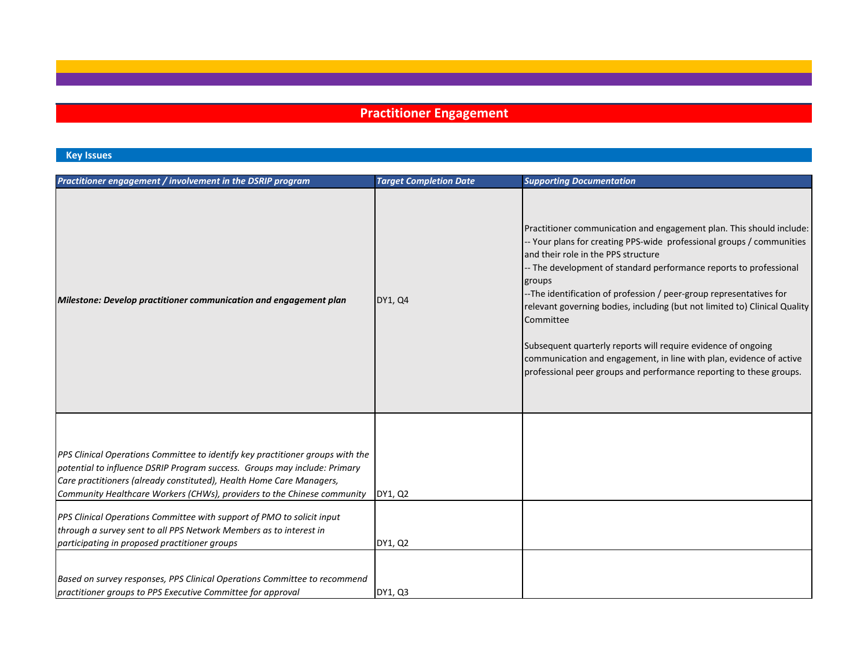# **Practitioner Engagement**

## **Key Issues**

| Practitioner engagement / involvement in the DSRIP program                                                                                                                                                                                                                                                                                                                                                                                                     | <b>Target Completion Date</b> | <b>Supporting Documentation</b>                                                                                                                                                                                                                                                                                                                                                                                                                                                                                                                                                                                                                     |
|----------------------------------------------------------------------------------------------------------------------------------------------------------------------------------------------------------------------------------------------------------------------------------------------------------------------------------------------------------------------------------------------------------------------------------------------------------------|-------------------------------|-----------------------------------------------------------------------------------------------------------------------------------------------------------------------------------------------------------------------------------------------------------------------------------------------------------------------------------------------------------------------------------------------------------------------------------------------------------------------------------------------------------------------------------------------------------------------------------------------------------------------------------------------------|
| Milestone: Develop practitioner communication and engagement plan                                                                                                                                                                                                                                                                                                                                                                                              | DY1, Q4                       | Practitioner communication and engagement plan. This should include:<br>- Your plans for creating PPS-wide professional groups / communities<br>and their role in the PPS structure<br>-- The development of standard performance reports to professional<br>groups<br>-The identification of profession / peer-group representatives for<br>relevant governing bodies, including (but not limited to) Clinical Quality<br>Committee<br>Subsequent quarterly reports will require evidence of ongoing<br>communication and engagement, in line with plan, evidence of active<br>professional peer groups and performance reporting to these groups. |
| PPS Clinical Operations Committee to identify key practitioner groups with the<br>potential to influence DSRIP Program success. Groups may include: Primary<br>Care practitioners (already constituted), Health Home Care Managers,<br>Community Healthcare Workers (CHWs), providers to the Chinese community<br>PPS Clinical Operations Committee with support of PMO to solicit input<br>through a survey sent to all PPS Network Members as to interest in | DY1, Q2                       |                                                                                                                                                                                                                                                                                                                                                                                                                                                                                                                                                                                                                                                     |
| participating in proposed practitioner groups                                                                                                                                                                                                                                                                                                                                                                                                                  | DY1, Q2                       |                                                                                                                                                                                                                                                                                                                                                                                                                                                                                                                                                                                                                                                     |
| Based on survey responses, PPS Clinical Operations Committee to recommend<br>practitioner groups to PPS Executive Committee for approval                                                                                                                                                                                                                                                                                                                       | DY1, Q3                       |                                                                                                                                                                                                                                                                                                                                                                                                                                                                                                                                                                                                                                                     |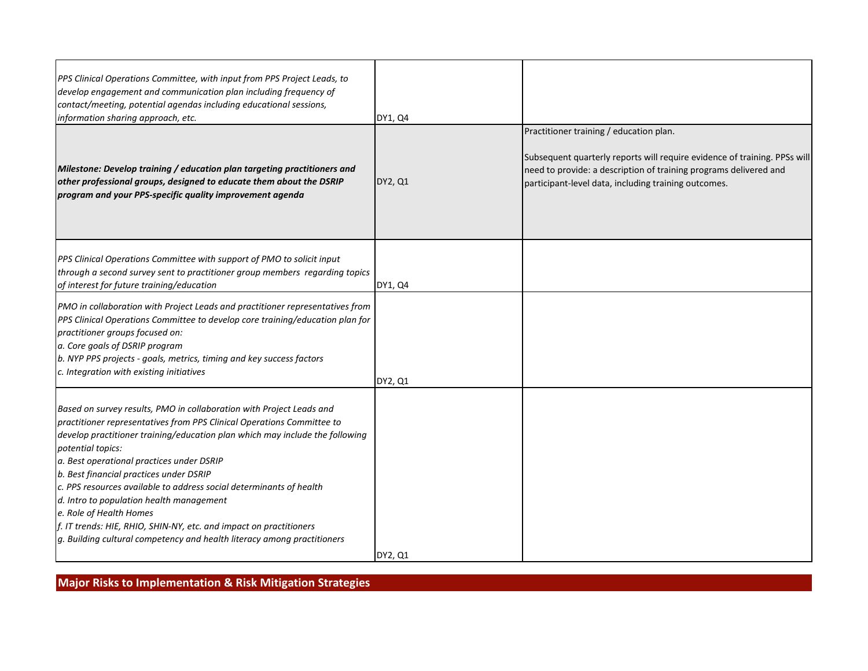| PPS Clinical Operations Committee, with input from PPS Project Leads, to<br>develop engagement and communication plan including frequency of<br>contact/meeting, potential agendas including educational sessions,<br>information sharing approach, etc.                                                                                                                                                                                                                                                                                                                                                                                   | DY1, Q4        |                                                                                                                                                                                                                                                   |
|--------------------------------------------------------------------------------------------------------------------------------------------------------------------------------------------------------------------------------------------------------------------------------------------------------------------------------------------------------------------------------------------------------------------------------------------------------------------------------------------------------------------------------------------------------------------------------------------------------------------------------------------|----------------|---------------------------------------------------------------------------------------------------------------------------------------------------------------------------------------------------------------------------------------------------|
| Milestone: Develop training / education plan targeting practitioners and<br>other professional groups, designed to educate them about the DSRIP<br>program and your PPS-specific quality improvement agenda                                                                                                                                                                                                                                                                                                                                                                                                                                | <b>DY2, Q1</b> | Practitioner training / education plan.<br>Subsequent quarterly reports will require evidence of training. PPSs will<br>need to provide: a description of training programs delivered and<br>participant-level data, including training outcomes. |
| PPS Clinical Operations Committee with support of PMO to solicit input<br>through a second survey sent to practitioner group members regarding topics<br>of interest for future training/education                                                                                                                                                                                                                                                                                                                                                                                                                                         | DY1, Q4        |                                                                                                                                                                                                                                                   |
| PMO in collaboration with Project Leads and practitioner representatives from<br>PPS Clinical Operations Committee to develop core training/education plan for<br>practitioner groups focused on:<br>a. Core goals of DSRIP program<br>b. NYP PPS projects - goals, metrics, timing and key success factors<br>c. Integration with existing initiatives                                                                                                                                                                                                                                                                                    | DY2, Q1        |                                                                                                                                                                                                                                                   |
| Based on survey results, PMO in collaboration with Project Leads and<br>practitioner representatives from PPS Clinical Operations Committee to<br>develop practitioner training/education plan which may include the following<br>potential topics:<br>a. Best operational practices under DSRIP<br>b. Best financial practices under DSRIP<br>c. PPS resources available to address social determinants of health<br>d. Intro to population health management<br>e. Role of Health Homes<br>f. IT trends: HIE, RHIO, SHIN-NY, etc. and impact on practitioners<br>g. Building cultural competency and health literacy among practitioners | DY2, Q1        |                                                                                                                                                                                                                                                   |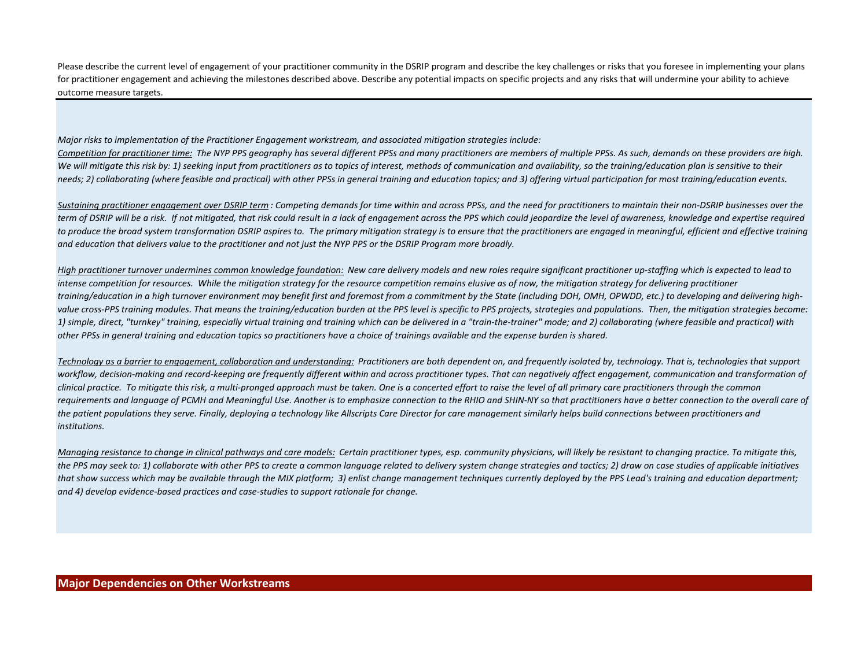Please describe the current level of engagement of your practitioner community in the DSRIP program and describe the key challenges or risks that you foresee in implementing your plans for practitioner engagement and achieving the milestones described above. Describe any potential impacts on specific projects and any risks that will undermine your ability to achieve outcome measure targets.

*Major risks to implementation of the Practitioner Engagement workstream, and associated mitigation strategies include:*

*Competition for practitioner time: The NYP PPS geography has several different PPSs and many practitioners are members of multiple PPSs. As such, demands on these providers are high.*  We will mitigate this risk by: 1) seeking input from practitioners as to topics of interest, methods of communication and availability, so the training/education plan is sensitive to their *needs; 2) collaborating (where feasible and practical) with other PPSs in general training and education topics; and 3) offering virtual participation for most training/education events.*

*Sustaining practitioner engagement over DSRIP term : Competing demands for time within and across PPSs, and the need for practitioners to maintain their non-DSRIP businesses over the term of DSRIP will be a risk. If not mitigated, that risk could result in a lack of engagement across the PPS which could jeopardize the level of awareness, knowledge and expertise required to produce the broad system transformation DSRIP aspires to. The primary mitigation strategy is to ensure that the practitioners are engaged in meaningful, efficient and effective training and education that delivers value to the practitioner and not just the NYP PPS or the DSRIP Program more broadly.* 

*High practitioner turnover undermines common knowledge foundation: New care delivery models and new roles require significant practitioner up-staffing which is expected to lead to intense competition for resources. While the mitigation strategy for the resource competition remains elusive as of now, the mitigation strategy for delivering practitioner training/education in a high turnover environment may benefit first and foremost from a commitment by the State (including DOH, OMH, OPWDD, etc.) to developing and delivering high*value cross-PPS training modules. That means the training/education burden at the PPS level is specific to PPS projects, strategies and populations. Then, the mitigation strategies become: *1) simple, direct, "turnkey" training, especially virtual training and training which can be delivered in a "train-the-trainer" mode; and 2) collaborating (where feasible and practical) with other PPSs in general training and education topics so practitioners have a choice of trainings available and the expense burden is shared.*

*Technology as a barrier to engagement, collaboration and understanding: Practitioners are both dependent on, and frequently isolated by, technology. That is, technologies that support*  workflow, decision-making and record-keeping are frequently different within and across practitioner types. That can negatively affect engagement, communication and transformation of *clinical practice. To mitigate this risk, a multi-pronged approach must be taken. One is a concerted effort to raise the level of all primary care practitioners through the common requirements and language of PCMH and Meaningful Use. Another is to emphasize connection to the RHIO and SHIN-NY so that practitioners have a better connection to the overall care of the patient populations they serve. Finally, deploying a technology like Allscripts Care Director for care management similarly helps build connections between practitioners and institutions.*

*Managing resistance to change in clinical pathways and care models: Certain practitioner types, esp. community physicians, will likely be resistant to changing practice. To mitigate this, the PPS may seek to: 1) collaborate with other PPS to create a common language related to delivery system change strategies and tactics; 2) draw on case studies of applicable initiatives that show success which may be available through the MIX platform; 3) enlist change management techniques currently deployed by the PPS Lead's training and education department; and 4) develop evidence-based practices and case-studies to support rationale for change.*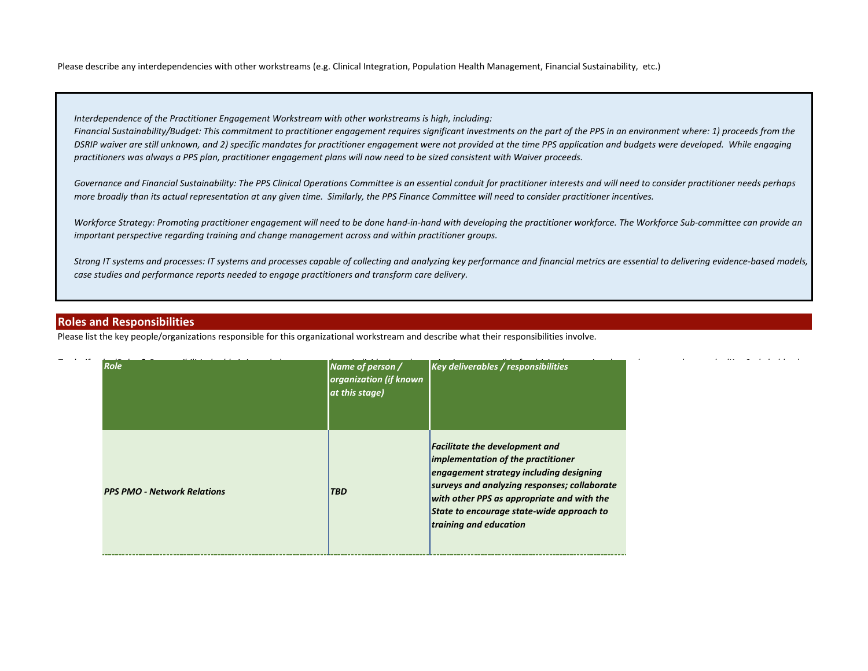Please describe any interdependencies with other workstreams (e.g. Clinical Integration, Population Health Management, Financial Sustainability, etc.)

*Interdependence of the Practitioner Engagement Workstream with other workstreams is high, including:*

*Financial Sustainability/Budget: This commitment to practitioner engagement requires significant investments on the part of the PPS in an environment where: 1) proceeds from the DSRIP waiver are still unknown, and 2) specific mandates for practitioner engagement were not provided at the time PPS application and budgets were developed. While engaging practitioners was always a PPS plan, practitioner engagement plans will now need to be sized consistent with Waiver proceeds.*

Governance and Financial Sustainability: The PPS Clinical Operations Committee is an essential conduit for practitioner interests and will need to consider practitioner needs perhaps *more broadly than its actual representation at any given time. Similarly, the PPS Finance Committee will need to consider practitioner incentives.*

Workforce Strategy: Promoting practitioner engagement will need to be done hand-in-hand with developing the practitioner workforce. The Workforce Sub-committee can provide an *important perspective regarding training and change management across and within practitioner groups.*

*Strong IT systems and processes: IT systems and processes capable of collecting and analyzing key performance and financial metrics are essential to delivering evidence-based models, case studies and performance reports needed to engage practitioners and transform care delivery.*

### **Roles and Responsibilities**

Please list the key people/organizations responsible for this organizational workstream and describe what their responsibilities involve.

| Role                               | organization (if known<br>at this stage) | Name of person / Key deliverables / responsibilities                                                                                                                                                                                                                                        |  |
|------------------------------------|------------------------------------------|---------------------------------------------------------------------------------------------------------------------------------------------------------------------------------------------------------------------------------------------------------------------------------------------|--|
| <b>PPS PMO - Network Relations</b> | <b>TBD</b>                               | <b>Facilitate the development and</b><br>implementation of the practitioner<br>engagement strategy including designing<br>surveys and analyzing responses; collaborate<br>with other PPS as appropriate and with the<br>State to encourage state-wide approach to<br>training and education |  |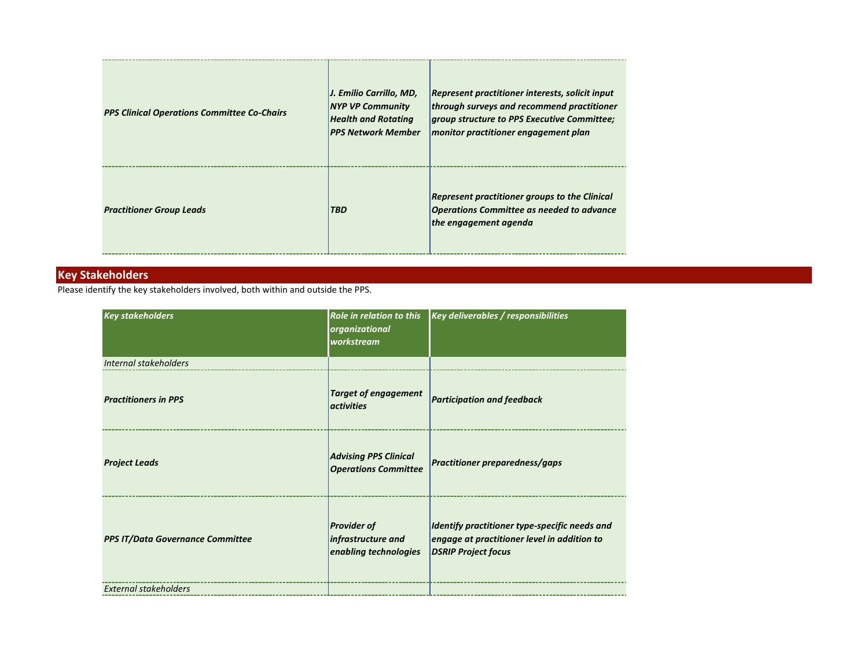| <b>PPS Clinical Operations Committee Co-Chairs</b> | J. Emilio Carrillo, MD,<br><b>NYP VP Community</b><br><b>Health and Rotating</b><br><b>PPS Network Member</b> | Represent practitioner interests, solicit input<br>through surveys and recommend practitioner<br><i><u><b>group structure to PPS Executive Committee;</b></u></i><br>monitor practitioner engagement plan |
|----------------------------------------------------|---------------------------------------------------------------------------------------------------------------|-----------------------------------------------------------------------------------------------------------------------------------------------------------------------------------------------------------|
| <b>Practitioner Group Leads</b>                    | <b>TBD</b>                                                                                                    | <b>Represent practitioner groups to the Clinical</b><br><b>Operations Committee as needed to advance</b><br>the engagement agenda                                                                         |

## **Key Stakeholders**

Please identify the key stakeholders involved, both within and outside the PPS.

| <b>Key stakeholders</b>                 | organizational<br>workstream                                      | Role in relation to this $\kappa$ Key deliverables / responsibilities                                                      |
|-----------------------------------------|-------------------------------------------------------------------|----------------------------------------------------------------------------------------------------------------------------|
| Internal stakeholders                   |                                                                   |                                                                                                                            |
| <b>Practitioners in PPS</b>             | <b>Target of engagement</b><br><i><u><b>activities</b></u></i>    | <b>Participation and feedback</b>                                                                                          |
| <b>Project Leads</b>                    | <b>Advising PPS Clinical</b><br><b>Operations Committee</b>       | <b>Practitioner preparedness/gaps</b>                                                                                      |
| <b>PPS IT/Data Governance Committee</b> | <b>Provider of</b><br>infrastructure and<br>enabling technologies | Identify practitioner type-specific needs and<br>engage at practitioner level in addition to<br><b>DSRIP Project focus</b> |
| <b>External stakeholders</b>            |                                                                   |                                                                                                                            |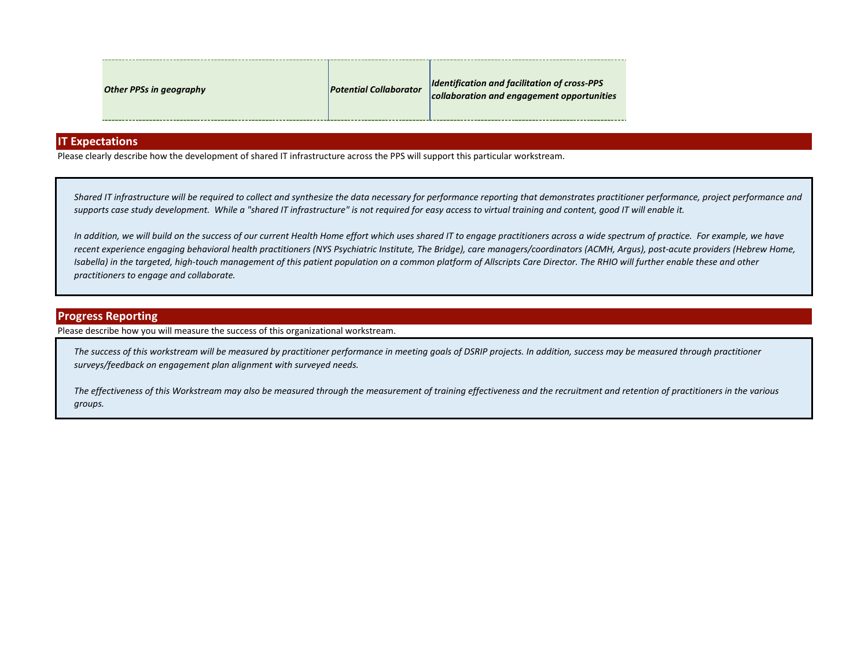| <b>Identification and facilitation of cross-PPS</b><br><b>Potential Collaborator</b><br><b>Other PPSs in geography</b><br>collaboration and engagement opportunities |  |
|----------------------------------------------------------------------------------------------------------------------------------------------------------------------|--|
|----------------------------------------------------------------------------------------------------------------------------------------------------------------------|--|

### **IT Expectations**

Please clearly describe how the development of shared IT infrastructure across the PPS will support this particular workstream.

*Shared IT infrastructure will be required to collect and synthesize the data necessary for performance reporting that demonstrates practitioner performance, project performance and supports case study development. While a "shared IT infrastructure" is not required for easy access to virtual training and content, good IT will enable it.*

In addition, we will build on the success of our current Health Home effort which uses shared IT to engage practitioners across a wide spectrum of practice. For example, we have *recent experience engaging behavioral health practitioners (NYS Psychiatric Institute, The Bridge), care managers/coordinators (ACMH, Argus), post-acute providers (Hebrew Home, Isabella) in the targeted, high-touch management of this patient population on a common platform of Allscripts Care Director. The RHIO will further enable these and other practitioners to engage and collaborate.*

#### **Progress Reporting**

Please describe how you will measure the success of this organizational workstream.

*The success of this workstream will be measured by practitioner performance in meeting goals of DSRIP projects. In addition, success may be measured through practitioner surveys/feedback on engagement plan alignment with surveyed needs.*

*The effectiveness of this Workstream may also be measured through the measurement of training effectiveness and the recruitment and retention of practitioners in the various groups.*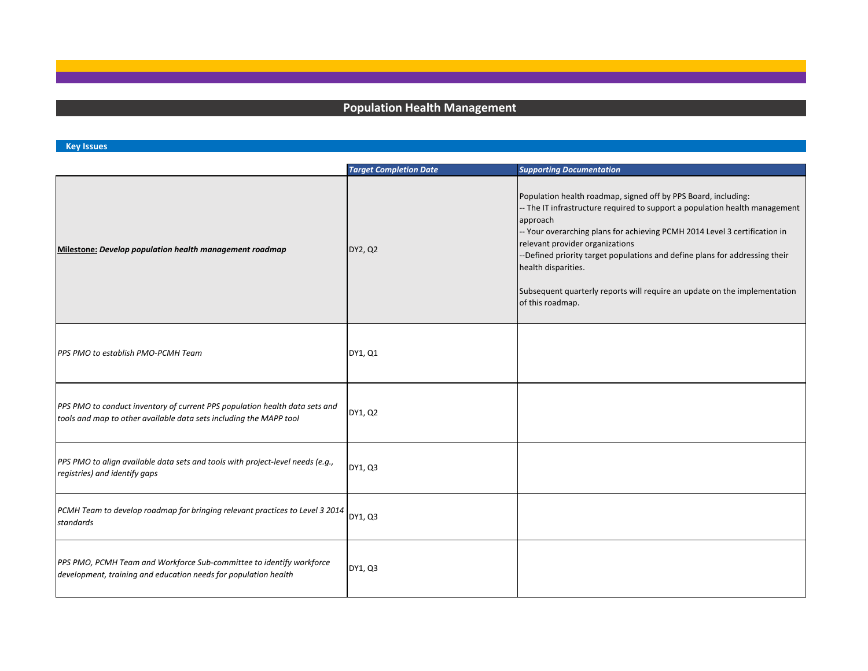# **Population Health Management**

### **Key Issues**

|                                                                                                                                                   | <b>Target Completion Date</b> | <b>Supporting Documentation</b>                                                                                                                                                                                                                                                                                                                                                                                                                                                  |
|---------------------------------------------------------------------------------------------------------------------------------------------------|-------------------------------|----------------------------------------------------------------------------------------------------------------------------------------------------------------------------------------------------------------------------------------------------------------------------------------------------------------------------------------------------------------------------------------------------------------------------------------------------------------------------------|
| Milestone: Develop population health management roadmap                                                                                           | DY2, Q2                       | Population health roadmap, signed off by PPS Board, including:<br>-- The IT infrastructure required to support a population health management<br>approach<br>-- Your overarching plans for achieving PCMH 2014 Level 3 certification in<br>relevant provider organizations<br>-Defined priority target populations and define plans for addressing their<br>health disparities.<br>Subsequent quarterly reports will require an update on the implementation<br>of this roadmap. |
| PPS PMO to establish PMO-PCMH Team                                                                                                                | DY1, Q1                       |                                                                                                                                                                                                                                                                                                                                                                                                                                                                                  |
| PPS PMO to conduct inventory of current PPS population health data sets and<br>tools and map to other available data sets including the MAPP tool | DY1, Q2                       |                                                                                                                                                                                                                                                                                                                                                                                                                                                                                  |
| PPS PMO to align available data sets and tools with project-level needs (e.g.,<br>registries) and identify gaps                                   | DY1, Q3                       |                                                                                                                                                                                                                                                                                                                                                                                                                                                                                  |
| PCMH Team to develop roadmap for bringing relevant practices to Level 3 2014<br>standards                                                         | DY1, Q3                       |                                                                                                                                                                                                                                                                                                                                                                                                                                                                                  |
| PPS PMO, PCMH Team and Workforce Sub-committee to identify workforce<br>development, training and education needs for population health           | DY1, Q3                       |                                                                                                                                                                                                                                                                                                                                                                                                                                                                                  |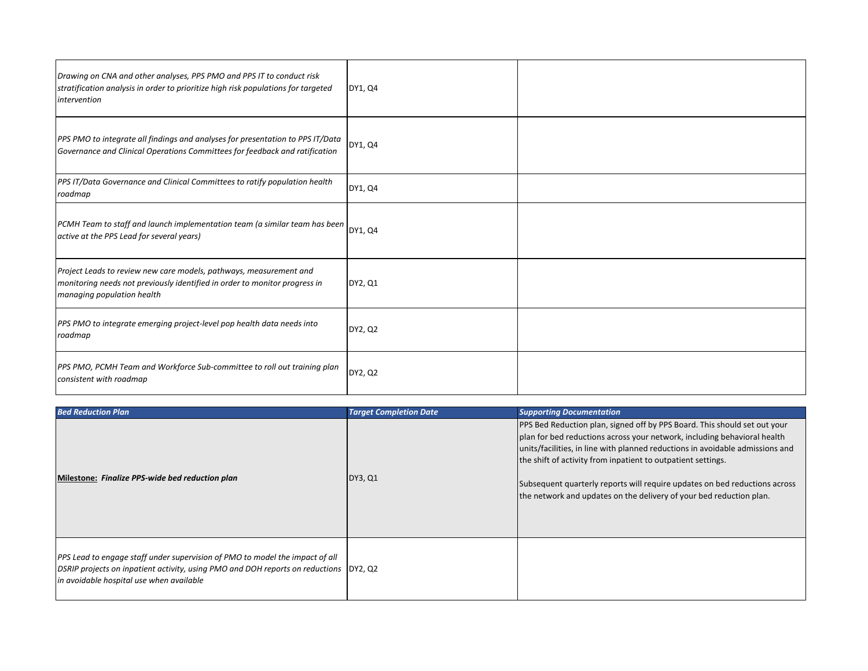| Drawing on CNA and other analyses, PPS PMO and PPS IT to conduct risk<br>stratification analysis in order to prioritize high risk populations for targeted<br>intervention     | DY1, Q4 |  |
|--------------------------------------------------------------------------------------------------------------------------------------------------------------------------------|---------|--|
| PPS PMO to integrate all findings and analyses for presentation to PPS IT/Data<br>Governance and Clinical Operations Committees for feedback and ratification                  | DY1, Q4 |  |
| PPS IT/Data Governance and Clinical Committees to ratify population health<br>roadmap                                                                                          | DY1, Q4 |  |
| PCMH Team to staff and launch implementation team (a similar team has been<br>active at the PPS Lead for several years)                                                        | DY1, Q4 |  |
| Project Leads to review new care models, pathways, measurement and<br>monitoring needs not previously identified in order to monitor progress in<br>managing population health | DY2, Q1 |  |
| PPS PMO to integrate emerging project-level pop health data needs into<br>roadmap                                                                                              | DY2, Q2 |  |
| PPS PMO, PCMH Team and Workforce Sub-committee to roll out training plan<br>consistent with roadmap                                                                            | DY2, Q2 |  |

| <b>Bed Reduction Plan</b>                                                                                                                                                                                          | <b>Target Completion Date</b> | <b>Supporting Documentation</b>                                                                                                                                                                                                                                                                                                                                                                                                                             |
|--------------------------------------------------------------------------------------------------------------------------------------------------------------------------------------------------------------------|-------------------------------|-------------------------------------------------------------------------------------------------------------------------------------------------------------------------------------------------------------------------------------------------------------------------------------------------------------------------------------------------------------------------------------------------------------------------------------------------------------|
| Milestone: Finalize PPS-wide bed reduction plan                                                                                                                                                                    | DY3, Q1                       | PPS Bed Reduction plan, signed off by PPS Board. This should set out your<br>plan for bed reductions across your network, including behavioral health<br>units/facilities, in line with planned reductions in avoidable admissions and<br>the shift of activity from inpatient to outpatient settings.<br>Subsequent quarterly reports will require updates on bed reductions across<br>the network and updates on the delivery of your bed reduction plan. |
| PPS Lead to engage staff under supervision of PMO to model the impact of all<br>DSRIP projects on inpatient activity, using PMO and DOH reports on reductions  DY2, Q2<br>in avoidable hospital use when available |                               |                                                                                                                                                                                                                                                                                                                                                                                                                                                             |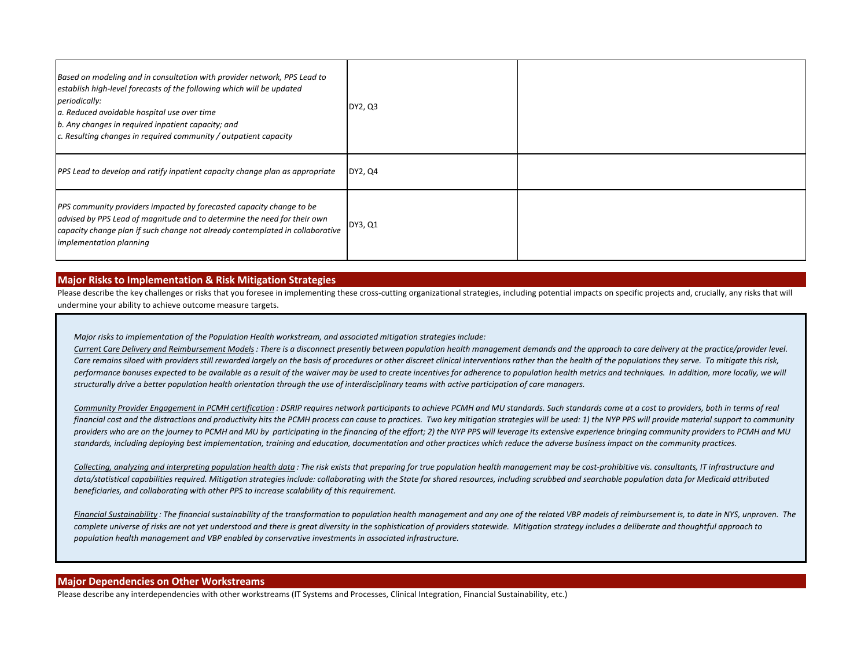| Based on modeling and in consultation with provider network, PPS Lead to<br>establish high-level forecasts of the following which will be updated<br>periodically:<br>a. Reduced avoidable hospital use over time<br>b. Any changes in required inpatient capacity; and<br>c. Resulting changes in required community / outpatient capacity | DY2, Q3 |  |
|---------------------------------------------------------------------------------------------------------------------------------------------------------------------------------------------------------------------------------------------------------------------------------------------------------------------------------------------|---------|--|
| <b>PPS</b> Lead to develop and ratify inpatient capacity change plan as appropriate                                                                                                                                                                                                                                                         | DY2, Q4 |  |
| PPS community providers impacted by forecasted capacity change to be<br>advised by PPS Lead of magnitude and to determine the need for their own<br>capacity change plan if such change not already contemplated in collaborative<br><i>implementation planning</i>                                                                         | DY3, Q1 |  |

#### **Major Risks to Implementation & Risk Mitigation Strategies**

Please describe the key challenges or risks that you foresee in implementing these cross-cutting organizational strategies, including potential impacts on specific projects and, crucially, any risks that will undermine your ability to achieve outcome measure targets.

*Major risks to implementation of the Population Health workstream, and associated mitigation strategies include:*

*Current Care Delivery and Reimbursement Models: There is a disconnect presently between population health management demands and the approach to care delivery at the practice/provider level. Care remains siloed with providers still rewarded largely on the basis of procedures or other discreet clinical interventions rather than the health of the populations they serve. To mitigate this risk,*  performance bonuses expected to be available as a result of the waiver may be used to create incentives for adherence to population health metrics and techniques. In addition, more locally, we will *structurally drive a better population health orientation through the use of interdisciplinary teams with active participation of care managers.* 

*Community Provider Engagement in PCMH certification : DSRIP requires network participants to achieve PCMH and MU standards. Such standards come at a cost to providers, both in terms of real financial cost and the distractions and productivity hits the PCMH process can cause to practices. Two key mitigation strategies will be used: 1) the NYP PPS will provide material support to community providers who are on the journey to PCMH and MU by participating in the financing of the effort; 2) the NYP PPS will leverage its extensive experience bringing community providers to PCMH and MU standards, including deploying best implementation, training and education, documentation and other practices which reduce the adverse business impact on the community practices.*

Collecting, analyzing and interpreting population health data : The risk exists that preparing for true population health management may be cost-prohibitive vis. consultants, IT infrastructure and data/statistical capabilities required. Mitigation strategies include: collaborating with the State for shared resources, including scrubbed and searchable population data for Medicaid attributed *beneficiaries, and collaborating with other PPS to increase scalability of this requirement.*

Financial Sustainability: The financial sustainability of the transformation to population health management and any one of the related VBP models of reimbursement is, to date in NYS, unproven. The *complete universe of risks are not yet understood and there is great diversity in the sophistication of providers statewide. Mitigation strategy includes a deliberate and thoughtful approach to population health management and VBP enabled by conservative investments in associated infrastructure.*

#### **Major Dependencies on Other Workstreams**

Please describe any interdependencies with other workstreams (IT Systems and Processes, Clinical Integration, Financial Sustainability, etc.)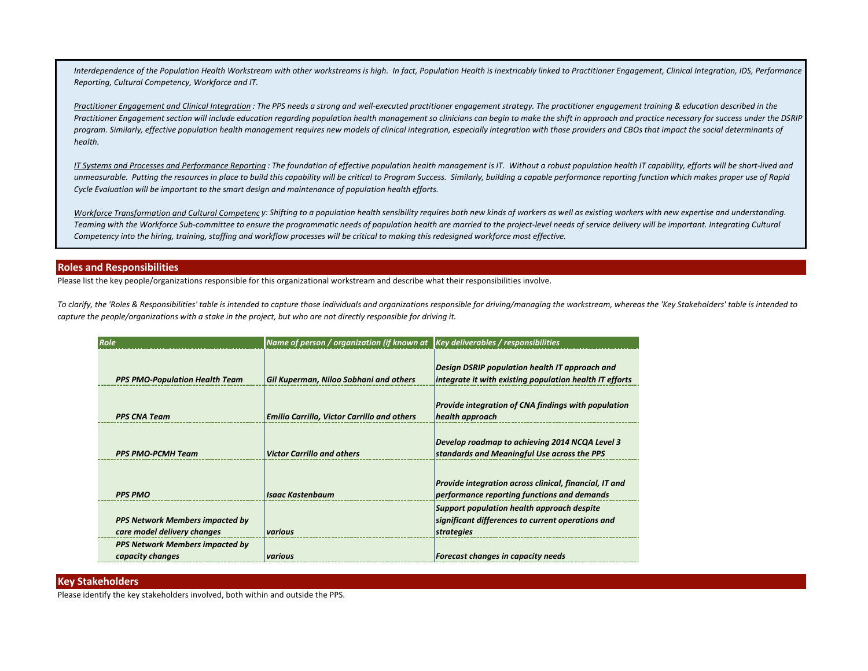*Interdependence of the Population Health Workstream with other workstreams is high. In fact, Population Health is inextricably linked to Practitioner Engagement, Clinical Integration, IDS, Performance Reporting, Cultural Competency, Workforce and IT.*

*Practitioner Engagement and Clinical Integration : The PPS needs a strong and well-executed practitioner engagement strategy. The practitioner engagement training & education described in the*  Practitioner Engagement section will include education regarding population health management so clinicians can begin to make the shift in approach and practice necessary for success under the DSRIP program. Similarly, effective population health management requires new models of clinical integration, especially integration with those providers and CBOs that impact the social determinants of *health.* 

*IT Systems and Processes and Performance Reporting : The foundation of effective population health management is IT. Without a robust population health IT capability, efforts will be short-lived and unmeasurable. Putting the resources in place to build this capability will be critical to Program Success. Similarly, building a capable performance reporting function which makes proper use of Rapid Cycle Evaluation will be important to the smart design and maintenance of population health efforts.*

Workforce Transformation and Cultural Competency: Shifting to a population health sensibility requires both new kinds of workers as well as existing workers with new expertise and understanding. *Teaming with the Workforce Sub-committee to ensure the programmatic needs of population health are married to the project-level needs of service delivery will be important. Integrating Cultural Competency into the hiring, training, staffing and workflow processes will be critical to making this redesigned workforce most effective.*

#### **Roles and Responsibilities**

Please list the key people/organizations responsible for this organizational workstream and describe what their responsibilities involve.

*To clarify, the 'Roles & Responsibilities' table is intended to capture those individuals and organizations responsible for driving/managing the workstream, whereas the 'Key Stakeholders' table is intended to capture the people/organizations with a stake in the project, but who are not directly responsible for driving it.*

| Role                                                                  | Name of person / organization (if known at Key deliverables / responsibilities |                                                                                                                  |
|-----------------------------------------------------------------------|--------------------------------------------------------------------------------|------------------------------------------------------------------------------------------------------------------|
| <b>PPS PMO-Population Health Team</b>                                 | Gil Kuperman, Niloo Sobhani and others                                         | <b>Design DSRIP population health IT approach and</b><br>integrate it with existing population health IT efforts |
| <b>PPS CNA Team</b>                                                   | <b>Emilio Carrillo, Victor Carrillo and others</b>                             | Provide integration of CNA findings with population<br>health approach                                           |
| <b>PPS PMO-PCMH Team</b>                                              | <b>Victor Carrillo and others</b>                                              | Develop roadmap to achieving 2014 NCQA Level 3<br>standards and Meaningful Use across the PPS                    |
| <b>PPS PMO</b>                                                        | <b>Isaac Kastenbaum</b>                                                        | Provide integration across clinical, financial, IT and<br>performance reporting functions and demands            |
| <b>PPS Network Members impacted by</b><br>care model delivery changes | various                                                                        | Support population health approach despite<br>significant differences to current operations and<br>strategies    |
| PPS Network Members impacted by<br>capacity changes                   | various                                                                        | Forecast changes in capacity needs                                                                               |

#### **Key Stakeholders**

Please identify the key stakeholders involved, both within and outside the PPS.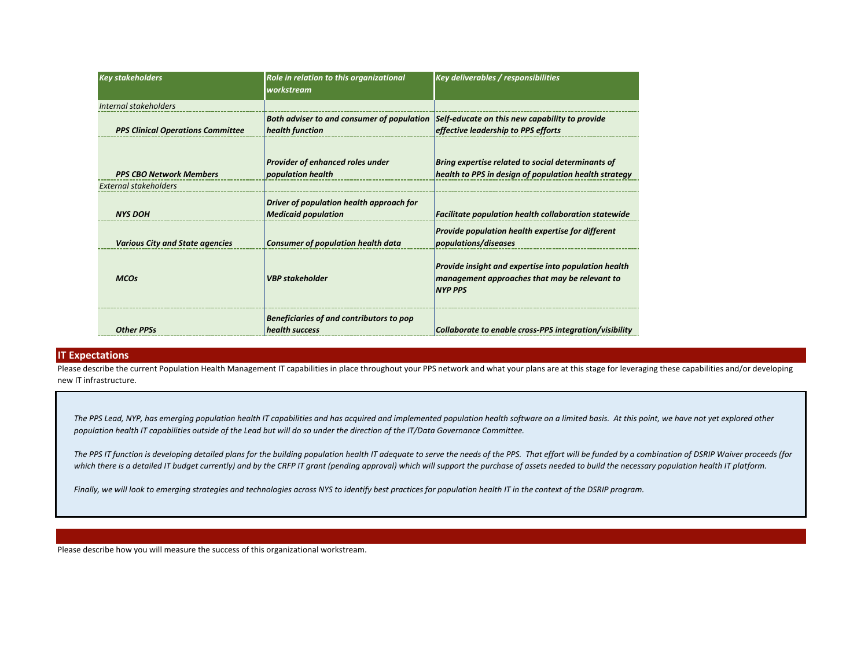| <b>Key stakeholders</b>                                        | Role in relation to this organizational<br>workstream                  | <b>Key deliverables / responsibilities</b>                                                                              |
|----------------------------------------------------------------|------------------------------------------------------------------------|-------------------------------------------------------------------------------------------------------------------------|
| Internal stakeholders                                          |                                                                        |                                                                                                                         |
| <b>PPS Clinical Operations Committee</b>                       | Both adviser to and consumer of population<br>health function          | Self-educate on this new capability to provide<br>effective leadership to PPS efforts                                   |
| <b>PPS CBO Network Members</b><br><b>External stakeholders</b> | Provider of enhanced roles under<br>population health                  | Bring expertise related to social determinants of<br>health to PPS in design of population health strategy              |
|                                                                |                                                                        |                                                                                                                         |
| <b>NYS DOH</b>                                                 | Driver of population health approach for<br><b>Medicaid population</b> | <b>Facilitate population health collaboration statewide</b>                                                             |
| <b>Various City and State agencies</b>                         | <b>Consumer of population health data</b>                              | Provide population health expertise for different<br>populations/diseases                                               |
| <b>MCOs</b>                                                    | <b>VBP</b> stakeholder                                                 | Provide insight and expertise into population health<br>management approaches that may be relevant to<br><b>NYP PPS</b> |
| <b>Other PPSs</b>                                              | Beneficiaries of and contributors to pop<br>health success             | Collaborate to enable cross-PPS integration/visibility                                                                  |

#### **IT Expectations**

Please describe the current Population Health Management IT capabilities in place throughout your PPS network and what your plans are at this stage for leveraging these capabilities and/or developing new IT infrastructure.

*The PPS Lead, NYP, has emerging population health IT capabilities and has acquired and implemented population health software on a limited basis. At this point, we have not yet explored other population health IT capabilities outside of the Lead but will do so under the direction of the IT/Data Governance Committee.*

*The PPS IT function is developing detailed plans for the building population health IT adequate to serve the needs of the PPS. That effort will be funded by a combination of DSRIP Waiver proceeds (for*  which there is a detailed IT budget currently) and by the CRFP IT grant (pending approval) which will support the purchase of assets needed to build the necessary population health IT platform.

*Finally, we will look to emerging strategies and technologies across NYS to identify best practices for population health IT in the context of the DSRIP program.*

Please describe how you will measure the success of this organizational workstream.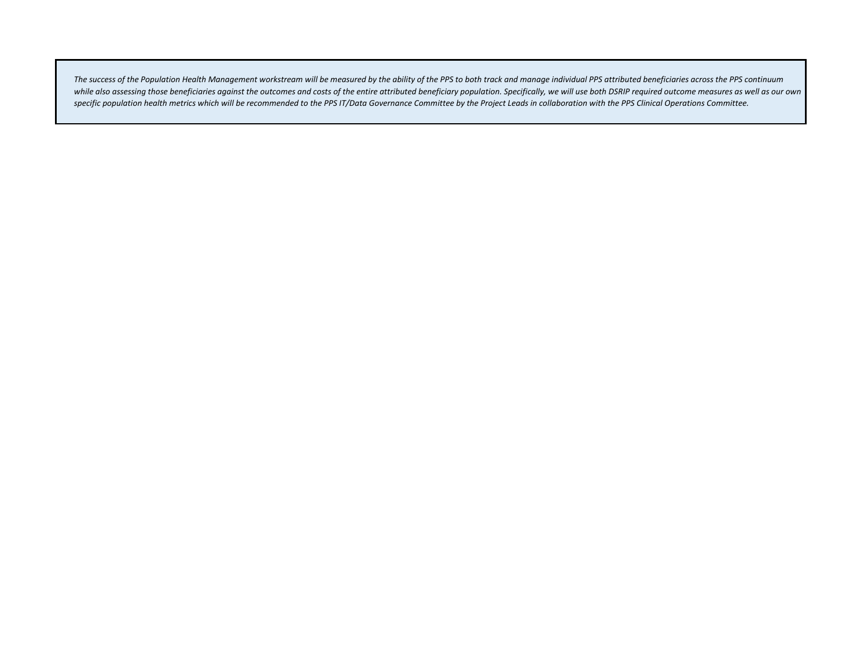*The success of the Population Health Management workstream will be measured by the ability of the PPS to both track and manage individual PPS attributed beneficiaries across the PPS continuum*  while also assessing those beneficiaries against the outcomes and costs of the entire attributed beneficiary population. Specifically, we will use both DSRIP required outcome measures as well as our own *specific population health metrics which will be recommended to the PPS IT/Data Governance Committee by the Project Leads in collaboration with the PPS Clinical Operations Committee.*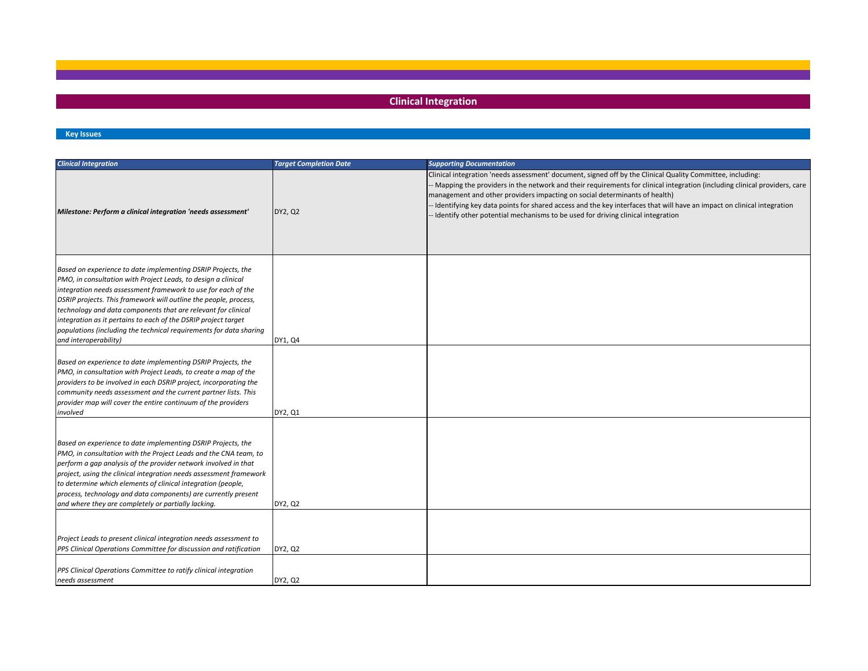## **Clinical Integration**

#### **Key Issues**

| <b>Clinical Integration</b>                                                                                                                                                                                                                                                                                                                                                                                                                                                                          | <b>Target Completion Date</b> | <b>Supporting Documentation</b>                                                                                                                                                                                                                                                                                                                                                                                                                                                                                                      |
|------------------------------------------------------------------------------------------------------------------------------------------------------------------------------------------------------------------------------------------------------------------------------------------------------------------------------------------------------------------------------------------------------------------------------------------------------------------------------------------------------|-------------------------------|--------------------------------------------------------------------------------------------------------------------------------------------------------------------------------------------------------------------------------------------------------------------------------------------------------------------------------------------------------------------------------------------------------------------------------------------------------------------------------------------------------------------------------------|
| Milestone: Perform a clinical integration 'needs assessment'                                                                                                                                                                                                                                                                                                                                                                                                                                         | DY2, Q2                       | Clinical integration 'needs assessment' document, signed off by the Clinical Quality Committee, including:<br>- Mapping the providers in the network and their requirements for clinical integration (including clinical providers, care<br>management and other providers impacting on social determinants of health)<br>Identifying key data points for shared access and the key interfaces that will have an impact on clinical integration<br>- Identify other potential mechanisms to be used for driving clinical integration |
| Based on experience to date implementing DSRIP Projects, the<br>PMO, in consultation with Project Leads, to design a clinical<br>integration needs assessment framework to use for each of the<br>DSRIP projects. This framework will outline the people, process,<br>technology and data components that are relevant for clinical<br>integration as it pertains to each of the DSRIP project target<br>populations (including the technical requirements for data sharing<br>and interoperability) | DY1, Q4                       |                                                                                                                                                                                                                                                                                                                                                                                                                                                                                                                                      |
| Based on experience to date implementing DSRIP Projects, the<br>PMO, in consultation with Project Leads, to create a map of the<br>providers to be involved in each DSRIP project, incorporating the<br>community needs assessment and the current partner lists. This<br>provider map will cover the entire continuum of the providers<br>involved                                                                                                                                                  | DY2, Q1                       |                                                                                                                                                                                                                                                                                                                                                                                                                                                                                                                                      |
| Based on experience to date implementing DSRIP Projects, the<br>PMO, in consultation with the Project Leads and the CNA team, to<br>perform a gap analysis of the provider network involved in that<br>project, using the clinical integration needs assessment framework<br>to determine which elements of clinical integration (people,<br>process, technology and data components) are currently present<br>and where they are completely or partially lacking.                                   | DY2, Q2                       |                                                                                                                                                                                                                                                                                                                                                                                                                                                                                                                                      |
| Project Leads to present clinical integration needs assessment to<br>PPS Clinical Operations Committee for discussion and ratification<br>PPS Clinical Operations Committee to ratify clinical integration                                                                                                                                                                                                                                                                                           | DY2, Q2                       |                                                                                                                                                                                                                                                                                                                                                                                                                                                                                                                                      |
| needs assessment                                                                                                                                                                                                                                                                                                                                                                                                                                                                                     | DY2, Q2                       |                                                                                                                                                                                                                                                                                                                                                                                                                                                                                                                                      |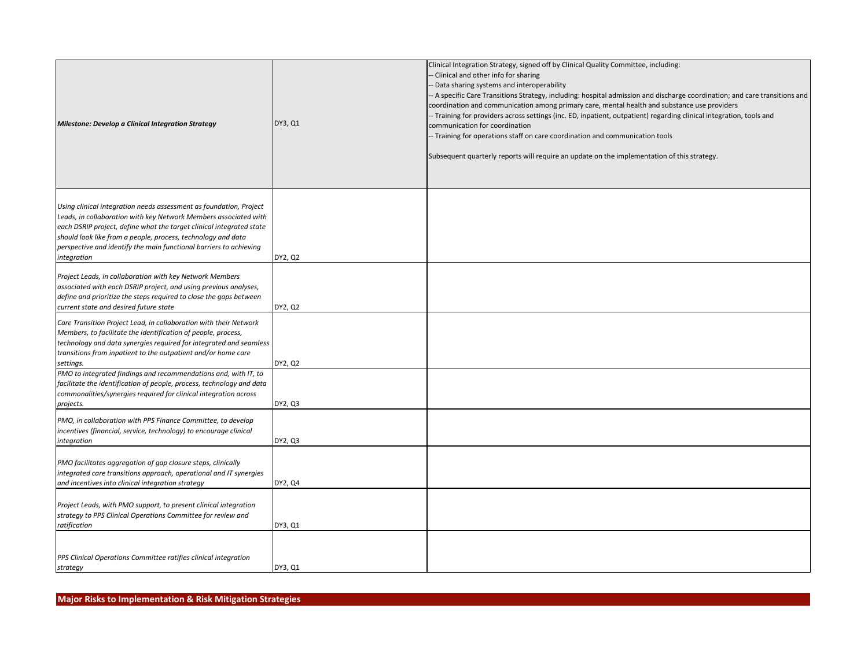| <b>Milestone: Develop a Clinical Integration Strategy</b>                                                                                                                                                                                                                                                                                                           | DY3, Q1 | Clinical Integration Strategy, signed off by Clinical Quality Committee, including:<br>Clinical and other info for sharing<br>- Data sharing systems and interoperability<br>- A specific Care Transitions Strategy, including: hospital admission and discharge coordination; and care transitions and<br>coordination and communication among primary care, mental health and substance use providers<br>- Training for providers across settings (inc. ED, inpatient, outpatient) regarding clinical integration, tools and<br>communication for coordination<br>- Training for operations staff on care coordination and communication tools<br>Subsequent quarterly reports will require an update on the implementation of this strategy. |
|---------------------------------------------------------------------------------------------------------------------------------------------------------------------------------------------------------------------------------------------------------------------------------------------------------------------------------------------------------------------|---------|-------------------------------------------------------------------------------------------------------------------------------------------------------------------------------------------------------------------------------------------------------------------------------------------------------------------------------------------------------------------------------------------------------------------------------------------------------------------------------------------------------------------------------------------------------------------------------------------------------------------------------------------------------------------------------------------------------------------------------------------------|
| Using clinical integration needs assessment as foundation, Project<br>Leads, in collaboration with key Network Members associated with<br>each DSRIP project, define what the target clinical integrated state<br>should look like from a people, process, technology and data<br>perspective and identify the main functional barriers to achieving<br>integration | DY2, Q2 |                                                                                                                                                                                                                                                                                                                                                                                                                                                                                                                                                                                                                                                                                                                                                 |
| Project Leads, in collaboration with key Network Members<br>associated with each DSRIP project, and using previous analyses,<br>define and prioritize the steps required to close the gaps between<br>current state and desired future state                                                                                                                        | DY2, Q2 |                                                                                                                                                                                                                                                                                                                                                                                                                                                                                                                                                                                                                                                                                                                                                 |
| Care Transition Project Lead, in collaboration with their Network<br>Members, to facilitate the identification of people, process,<br>technology and data synergies required for integrated and seamless<br>transitions from inpatient to the outpatient and/or home care<br>settings.                                                                              | DY2, Q2 |                                                                                                                                                                                                                                                                                                                                                                                                                                                                                                                                                                                                                                                                                                                                                 |
| PMO to integrated findings and recommendations and, with IT, to<br>facilitate the identification of people, process, technology and data<br>commonalities/synergies required for clinical integration across<br>projects.                                                                                                                                           | DY2, Q3 |                                                                                                                                                                                                                                                                                                                                                                                                                                                                                                                                                                                                                                                                                                                                                 |
| PMO, in collaboration with PPS Finance Committee, to develop<br>incentives (financial, service, technology) to encourage clinical<br>integration                                                                                                                                                                                                                    | DY2, Q3 |                                                                                                                                                                                                                                                                                                                                                                                                                                                                                                                                                                                                                                                                                                                                                 |
| PMO facilitates aggregation of gap closure steps, clinically<br>integrated care transitions approach, operational and IT synergies<br>and incentives into clinical integration strategy                                                                                                                                                                             | DY2, Q4 |                                                                                                                                                                                                                                                                                                                                                                                                                                                                                                                                                                                                                                                                                                                                                 |
| Project Leads, with PMO support, to present clinical integration<br>strategy to PPS Clinical Operations Committee for review and<br>ratification                                                                                                                                                                                                                    | DY3, Q1 |                                                                                                                                                                                                                                                                                                                                                                                                                                                                                                                                                                                                                                                                                                                                                 |
| PPS Clinical Operations Committee ratifies clinical integration<br>strategy                                                                                                                                                                                                                                                                                         | DY3, Q1 |                                                                                                                                                                                                                                                                                                                                                                                                                                                                                                                                                                                                                                                                                                                                                 |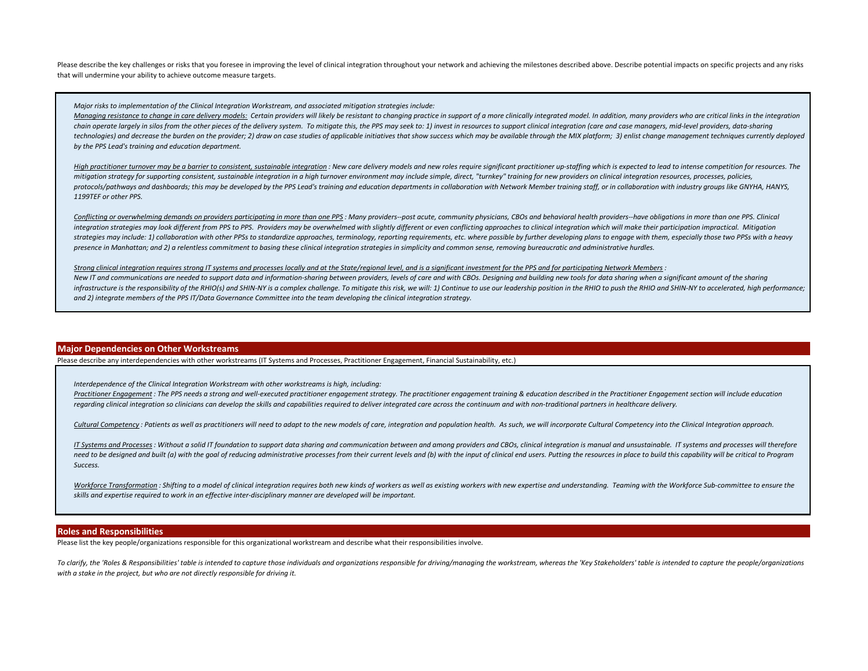Please describe the key challenges or risks that you foresee in improving the level of clinical integration throughout your network and achieving the milestones described above. Describe potential impacts on specific proje that will undermine your ability to achieve outcome measure targets.

#### *Major risks to implementation of the Clinical Integration Workstream, and associated mitigation strategies include:*

Mangaina resistance to change in care delivery models: Certain providers will likely be resistant to changing practice in support of a more clinically integrated model. In addition, many providers who are critical links in chain operate largely in silos from the other pieces of the delivery system. To mitigate this, the PPS may seek to: 1) invest in resources to support clinical integration (care and case managers, mid-level providers, datatechnologies) and decrease the burden on the provider; 2) draw on case studies of applicable initiatives that show success which may be available through the MIX platform; 3) enlist change management techniques currently d *by the PPS Lead's training and education department.*

High practitioner turnover may be a barrier to consistent, sustainable integration: New care delivery models and new roles require significant practitioner up-staffing which is expected to lead to intense competition for r mitigation strategy for supporting consistent, sustainable integration in a high turnover environment may include simple, direct, "turnkey" training for new providers on clinical integration resources, processes, policies, protocols/pathways and dashboards; this may be developed by the PPS Lead's training and education departments in collaboration with Network Member training staff, or in collaboration with industry groups like GNYHA, HANYS, *1199TEF or other PPS.*

Conflicting or overwhelming demands on providers participating in more than one PPS : Many providers--post acute, community physicians, CBOs and behavioral health providers--have obligations in more than one PPS, Clinical integration strategies may look different from PPS to PPS. Providers may be overwhelmed with slightly different or even conflicting approaches to clinical integration which will make their participation impractical. Mitiga strategies may include: 1) collaboration with other PPSs to standardize approaches, terminology, reporting requirements, etc. where possible by further developing plans to engage with them, especially those two PPSs with a *presence in Manhattan; and 2) a relentless commitment to basing these clinical integration strategies in simplicity and common sense, removing bureaucratic and administrative hurdles.*

#### *Strong clinical integration requires strong IT systems and processes locally and at the State/regional level, and is a significant investment for the PPS and for participating Network Members :*

New IT and communications are needed to support data and information-sharing between providers, levels of care and with CBOs. Designing and building new tools for data sharing when a significant amount of the sharing infrastructure is the responsibility of the RHIO(s) and SHIN-NY is a complex challenge. To mitigate this risk, we will: 1) Continue to use our leadership position in the RHIO to push the RHIO and SHIN-NY to accelerated, hi *and 2) integrate members of the PPS IT/Data Governance Committee into the team developing the clinical integration strategy.*

#### **Major Dependencies on Other Workstreams**

Please describe any interdependencies with other workstreams (IT Systems and Processes, Practitioner Engagement, Financial Sustainability, etc.)

*Interdependence of the Clinical Integration Workstream with other workstreams is high, including:*

Practitioner Engagement: The PPS needs a strong and well-executed practitioner engagement strategy. The practitioner engagement training & education described in the Practitioner Engagement section will include education regarding clinical integration so clinicians can develop the skills and capabilities required to deliver integrated care across the continuum and with non-traditional partners in healthcare delivery.

Cultural Competency: Patients as well as practitioners will need to adapt to the new models of care, integration and population health. As such, we will incorporate Cultural Competency into the Clinical Integration approac

IT Systems and Processes : Without a solid IT foundation to support data sharing and communication between and among providers and CBOs, clinical integration is manual and unsustainable. IT systems and processes will there need to be designed and built (a) with the goal of reducing administrative processes from their current levels and (b) with the input of clinical end users. Putting the resources in place to build this capability will be c *Success.* 

Workforce Transformation: Shifting to a model of clinical integration requires both new kinds of workers as well as existing workers with new expertise and understanding. Teaming with the Workforce Sub-committee to ensure *skills and expertise required to work in an effective inter-disciplinary manner are developed will be important.* 

#### **Roles and Responsibilities**

Please list the key people/organizations responsible for this organizational workstream and describe what their responsibilities involve.

To clarify, the 'Roles & Responsibilities' table is intended to capture those individuals and organizations responsible for driving/managing the workstream, whereas the 'Key Stakeholders' table is intended to capture the p *with a stake in the project, but who are not directly responsible for driving it.*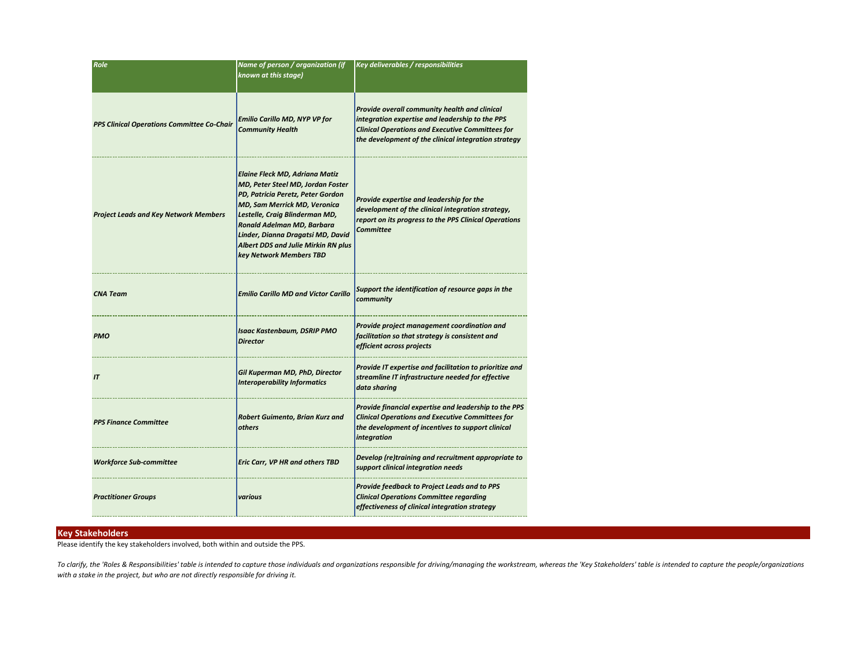| <b>Role</b>                                  | Name of person / organization (if<br>known at this stage)                                                                                                                                                                                                                                                              | Key deliverables / responsibilities                                                                                                                                                                                 |
|----------------------------------------------|------------------------------------------------------------------------------------------------------------------------------------------------------------------------------------------------------------------------------------------------------------------------------------------------------------------------|---------------------------------------------------------------------------------------------------------------------------------------------------------------------------------------------------------------------|
| PPS Clinical Operations Committee Co-Chair   | <b>Emilio Carillo MD, NYP VP for</b><br><b>Community Health</b>                                                                                                                                                                                                                                                        | Provide overall community health and clinical<br>integration expertise and leadership to the PPS<br><b>Clinical Operations and Executive Committees for</b><br>the development of the clinical integration strategy |
| <b>Project Leads and Key Network Members</b> | <b>Elaine Fleck MD, Adriana Matiz</b><br>MD, Peter Steel MD, Jordan Foster<br>PD, Patricia Peretz, Peter Gordon<br>MD, Sam Merrick MD, Veronica<br>Lestelle, Craig Blinderman MD,<br>Ronald Adelman MD, Barbara<br>Linder, Dianna Dragatsi MD, David<br>Albert DDS and Julie Mirkin RN plus<br>key Network Members TBD | Provide expertise and leadership for the<br>development of the clinical integration strategy,<br>report on its progress to the PPS Clinical Operations<br>Committee                                                 |
| <b>CNA Team</b>                              | <b>Emilio Carillo MD and Victor Carillo</b>                                                                                                                                                                                                                                                                            | Support the identification of resource gaps in the<br>community                                                                                                                                                     |
| <b>PMO</b>                                   | <b>Isaac Kastenbaum, DSRIP PMO</b><br><b>Director</b>                                                                                                                                                                                                                                                                  | Provide project management coordination and<br>facilitation so that strategy is consistent and<br>efficient across projects                                                                                         |
| IT                                           | Gil Kuperman MD, PhD, Director<br><b>Interoperability Informatics</b>                                                                                                                                                                                                                                                  | Provide IT expertise and facilitation to prioritize and<br>streamline IT infrastructure needed for effective<br>data sharing                                                                                        |
| <b>PPS Finance Committee</b>                 | Robert Guimento, Brian Kurz and<br>others                                                                                                                                                                                                                                                                              | Provide financial expertise and leadership to the PPS<br><b>Clinical Operations and Executive Committees for</b><br>the development of incentives to support clinical<br>integration                                |
| <b>Workforce Sub-committee</b>               | <b>Eric Carr, VP HR and others TBD</b>                                                                                                                                                                                                                                                                                 | Develop (re)training and recruitment appropriate to<br>support clinical integration needs                                                                                                                           |
| <b>Practitioner Groups</b>                   | various                                                                                                                                                                                                                                                                                                                | <b>Provide feedback to Project Leads and to PPS</b><br><b>Clinical Operations Committee regarding</b><br>effectiveness of clinical integration strategy                                                             |

#### **Key Stakeholders**

Please identify the key stakeholders involved, both within and outside the PPS.

To clarify, the 'Roles & Responsibilities' table is intended to capture those individuals and organizations responsible for driving/managing the workstream, whereas the 'Key Stakeholders' table is intended to capture the p *with a stake in the project, but who are not directly responsible for driving it.*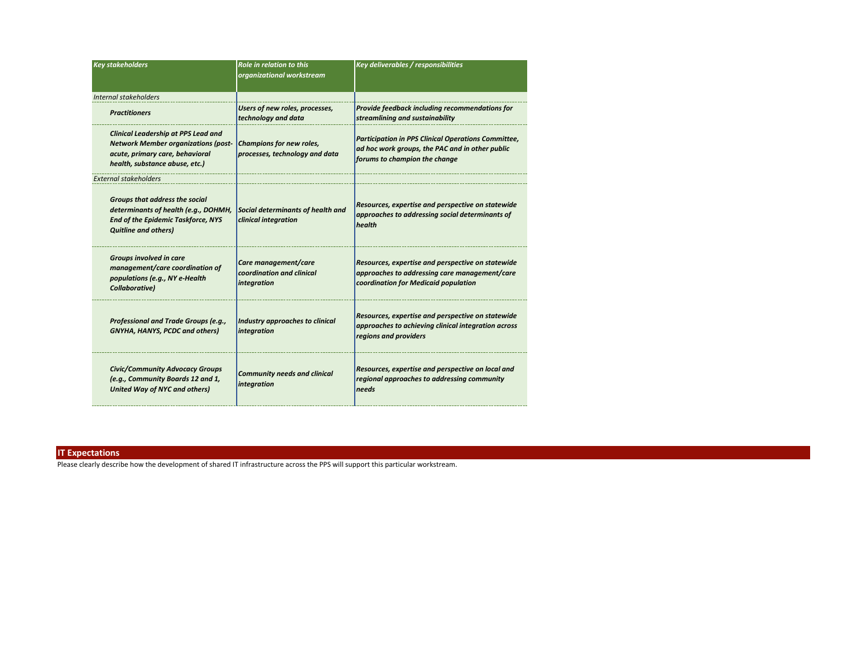| <b>Key stakeholders</b>                                                                                                                                       | <b>Role in relation to this</b><br>organizational workstream     | Key deliverables / responsibilities                                                                                                            |
|---------------------------------------------------------------------------------------------------------------------------------------------------------------|------------------------------------------------------------------|------------------------------------------------------------------------------------------------------------------------------------------------|
| Internal stakeholders                                                                                                                                         |                                                                  |                                                                                                                                                |
| <b>Practitioners</b>                                                                                                                                          | Users of new roles, processes,<br>technology and data            | Provide feedback including recommendations for<br>streamlining and sustainability                                                              |
| <b>Clinical Leadership at PPS Lead and</b><br><b>Network Member organizations (post-</b><br>acute, primary care, behavioral<br>health, substance abuse, etc.) | Champions for new roles,<br>processes, technology and data       | <b>Participation in PPS Clinical Operations Committee,</b><br>ad hoc work groups, the PAC and in other public<br>forums to champion the change |
| <b>External stakeholders</b>                                                                                                                                  |                                                                  |                                                                                                                                                |
| Groups that address the social<br>determinants of health (e.g., DOHMH,<br><b>End of the Epidemic Taskforce, NYS</b><br><b>Quitline and others)</b>            | Social determinants of health and<br>clinical integration        | Resources, expertise and perspective on statewide<br>approaches to addressing social determinants of<br>health                                 |
| Groups involved in care<br>management/care coordination of<br>populations (e.g., NY e-Health<br>Collaborative)                                                | Care management/care<br>coordination and clinical<br>integration | Resources, expertise and perspective on statewide<br>approaches to addressing care management/care<br>coordination for Medicaid population     |
| Professional and Trade Groups (e.g.,<br>GNYHA, HANYS, PCDC and others)                                                                                        | Industry approaches to clinical<br>integration                   | Resources, expertise and perspective on statewide<br>approaches to achieving clinical integration across<br>regions and providers              |
| <b>Civic/Community Advocacy Groups</b><br>(e.g., Community Boards 12 and 1,<br><b>United Way of NYC and others)</b>                                           | <b>Community needs and clinical</b><br>integration               | Resources, expertise and perspective on local and<br>regional approaches to addressing community<br>needs                                      |

## **IT Expectations**

Please clearly describe how the development of shared IT infrastructure across the PPS will support this particular workstream.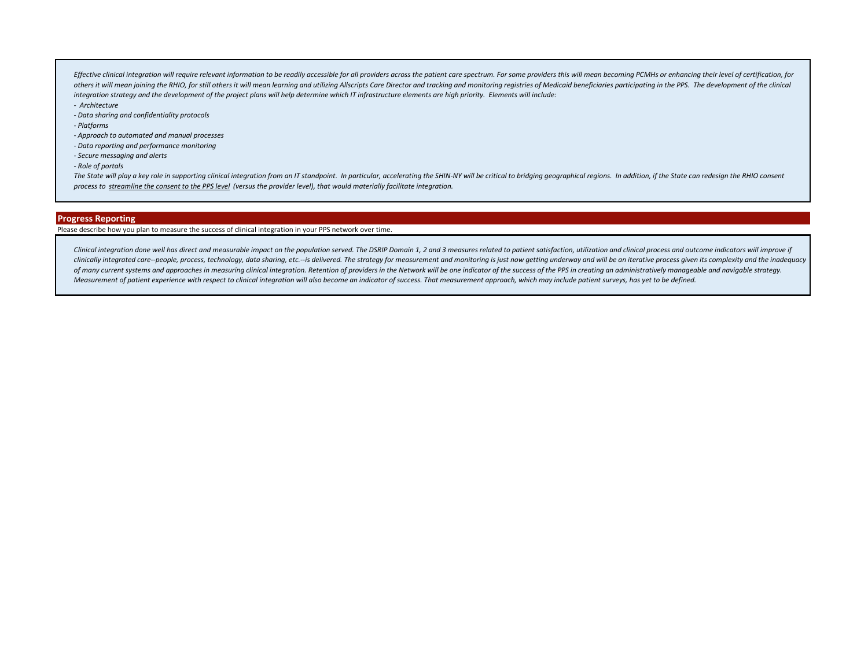Effective clinical integration will require relevant information to be readily accessible for all providers across the patient care spectrum. For some providers this will mean becoming PCMHs or enhancing their level of cer others it will mean joining the RHIO, for still others it will mean learning and utilizing Allscripts Care Director and tracking and monitoring registries of Medicaid beneficiaries participating in the PPS. The development *integration strategy and the development of the project plans will help determine which IT infrastructure elements are high priority. Elements will include:*

- *Architecture*
- *Data sharing and confidentiality protocols*
- *Platforms*
- *Approach to automated and manual processes*
- *Data reporting and performance monitoring*
- *Secure messaging and alerts*
- *Role of portals*

The State will play a key role in supporting clinical integration from an IT standpoint. In particular, accelerating the SHIN-NY will be critical to bridging geographical regions. In addition, if the State can redesign the *process to streamline the consent to the PPS level (versus the provider level), that would materially facilitate integration.*

## **Progress Reporting**

### Please describe how you plan to measure the success of clinical integration in your PPS network over time.

Clinical integration done well has direct and measurable impact on the population served. The DSRIP Domain 1, 2 and 3 measures related to patient satisfaction, utilization and clinical process and outcome indicators will i clinically integrated care--people, process, technology, data sharing, etc.--is delivered. The strategy for measurement and monitoring is just now getting underway and will be an iterative process given its complexity and of many current systems and approaches in measuring clinical integration. Retention of providers in the Network will be one indicator of the success of the PPS in creating an administratively manageable and navigable strat *Measurement of patient experience with respect to clinical integration will also become an indicator of success. That measurement approach, which may include patient surveys, has yet to be defined.*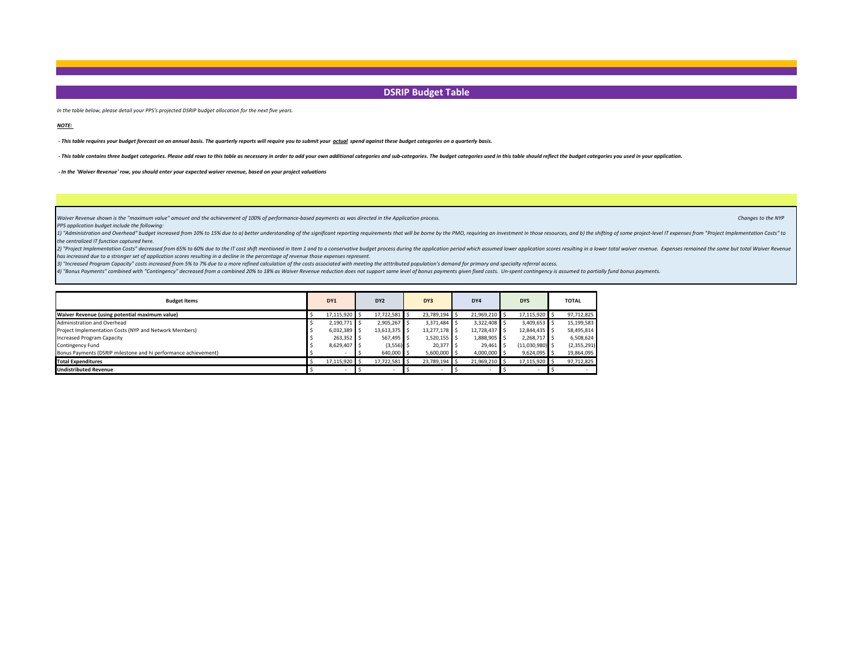## **DSRIP Budget Table**

*In the table below, please detail your PPS's projected DSRIP budget allocation for the next five years.* 

*NOTE:* 

 *- This table requires your budget forecast on an annual basis. The quarterly reports will require you to submit your actual spend against these budget categories on a quarterly basis.*

- This table contains three budget categories. Please add rows to this table as necessary in order to add your own additional categories and sub-categories. The budget categories used in this table should reflect the budge

 *- In the 'Waiver Revenue' row, you should enter your expected waiver revenue, based on your project valuations*

*Waiver Revenue shown is the "maximum value" amount and the achievement of 100% of performance-based payments as was directed in the Application process. Changes to the NYP 
Changes to the NYP* 

*PPS application budget include the following:*

1) "Administration and Overhead" budget increased from 10% to 15% due to a) better understanding of the significant reporting requirements that will be borne by the PMO, requiring an investment in those resources, and b) t *the centralized IT function captured here.*

2) "Project Implementation Costs" decreased from 65% to 60% due to the IT cost shift mentioned in Item 1 and to a conservative budget process during the application period which assumed lower application scores resulting i *has increased due to a stronger set of application scores resulting in a decline in the percentage of revenue those expenses represent.*

*3) "Increased Program Capacity" costs increased from 5% to 7% due to a more refined calculation of the costs associated with meeting the atttributed population's demand for primary and specialty referral access.* 

4) "Bonus Payments" combined with "Contingency" decreased from a combined 20% to 18% as Waiver Revenue reduction does not support same level of bonus payments given fixed costs. Un-spent contingency is assumed to partially

| <b>Budget Items</b>                                             | DY <sub>1</sub> | DY <sub>2</sub>          | DY3            | DY4           | DY5               | <b>TOTAL</b> |
|-----------------------------------------------------------------|-----------------|--------------------------|----------------|---------------|-------------------|--------------|
| Waiver Revenue (using potential maximum value)                  | 17,115,920 \$   | 17,722,581 \$            | 23,789,194 \$  | 21,969,210 \$ | 17,115,920 \$     | 97,712,825   |
| Administration and Overhead                                     | 2,190,771 \$    | 2.905.267                | 3,371,484 \$   | 3.322.408 S   | 3,409,653         | 15,199,583   |
| Project Implementation Costs (NYP and Network Members)          | $6,032,389$ \$  | 13,613,375 \$            | 13,277,178 \$  | 12,728,437    | 12,844,435 \$     | 58,495,814   |
| Increased Program Capacity                                      | 263,352 \$      | 567,495                  | $1,520,155$ \$ | 1,888,905 \$  | 2,268,717 \$      | 6,508,624    |
| Contingency Fund                                                | 8,629,407 \$    | (3,556)                  | 20,377 \$      | 29,461        | $(11,030,980)$ \$ | (2,355,291)  |
| Bonus Payments (DSRIP milestone and hi performance achievement) |                 | 640,000 S                | $5,600,000$ \$ | 4,000,000 \$  | $9,624,095$ \$    | 19,864,095   |
| <b>Total Expenditures</b>                                       | 17,115,920 \$   | 17,722,581 \$            | 23,789,194 \$  | 21,969,210 \$ | 17,115,920        | 97,712,825   |
| <b>Undistributed Revenue</b>                                    |                 | $\overline{\phantom{0}}$ |                |               |                   |              |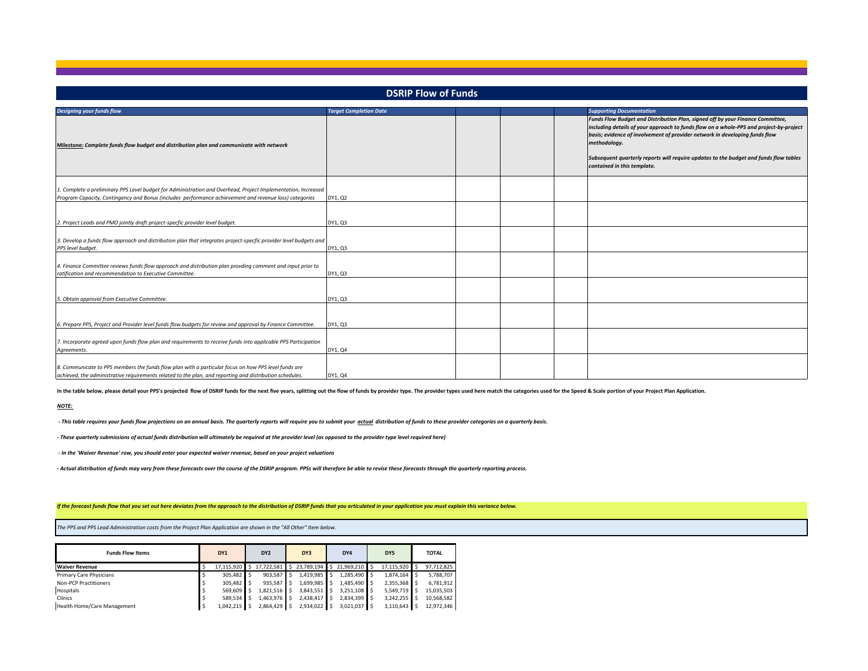| <b>DSRIP Flow of Funds</b>                                                                                                                                                                                              |                               |  |  |  |                                                                                                                                                                                                                                                                                                                                                                                                 |  |  |
|-------------------------------------------------------------------------------------------------------------------------------------------------------------------------------------------------------------------------|-------------------------------|--|--|--|-------------------------------------------------------------------------------------------------------------------------------------------------------------------------------------------------------------------------------------------------------------------------------------------------------------------------------------------------------------------------------------------------|--|--|
| <b>Designing your funds flow</b>                                                                                                                                                                                        | <b>Target Completion Date</b> |  |  |  | <b>Supporting Documentation</b>                                                                                                                                                                                                                                                                                                                                                                 |  |  |
| Milestone: Complete funds flow budget and distribution plan and communicate with network                                                                                                                                |                               |  |  |  | Funds Flow Budget and Distribution Plan, signed off by your Finance Committee,<br>including details of your approach to funds flow on a whole-PPS and project-by-project<br>basis; evidence of involvement of provider network in developing funds flow<br>methodology.<br>Subsequent quarterly reports will require updates to the budget and funds flow tables<br>contained in this template. |  |  |
| 1. Complete a preliminary PPS Level budget for Administration and Overhead, Project Implementation, Increased<br>Program Capacity, Contingency and Bonus (includes performance achievement and revenue loss) categories | DY1, Q2                       |  |  |  |                                                                                                                                                                                                                                                                                                                                                                                                 |  |  |
| 2. Project Leads and PMO jointly draft project-specfic provider level budget.                                                                                                                                           | DY1, Q3                       |  |  |  |                                                                                                                                                                                                                                                                                                                                                                                                 |  |  |
| 3. Develop a funds flow approach and distribution plan that integrates project-specfic provider level budgets and<br>PPS level budget.                                                                                  | DY1, Q3                       |  |  |  |                                                                                                                                                                                                                                                                                                                                                                                                 |  |  |
| 4. Finance Committee reviews funds flow approach and distribution plan provding comment and input prior to<br>ratification and recommendation to Executive Committee.                                                   | DY1, Q3                       |  |  |  |                                                                                                                                                                                                                                                                                                                                                                                                 |  |  |
| 5. Obtain approval from Executive Committee.                                                                                                                                                                            | DY1, Q3                       |  |  |  |                                                                                                                                                                                                                                                                                                                                                                                                 |  |  |
| 6. Prepare PPS, Project and Provider level funds flow budgets for review and approval by Finance Committee.                                                                                                             | DY1, Q3                       |  |  |  |                                                                                                                                                                                                                                                                                                                                                                                                 |  |  |
| 7. Incorporate agreed upon funds flow plan and requirements to receive funds into applicable PPS Participation<br>Agreements.                                                                                           | DY1, Q4                       |  |  |  |                                                                                                                                                                                                                                                                                                                                                                                                 |  |  |
| 8. Communicate to PPS members the funds flow plan with a particular focus on how PPS level funds are<br>achieved, the administrative requirements related to the plan, and reporting and distribution schedules.        | DY1, Q4                       |  |  |  |                                                                                                                                                                                                                                                                                                                                                                                                 |  |  |

In the table below, please detail your PPS's projected flow of DSRIP funds for the next five years, splitting out the flow of funds by provider type. The provider types used here match the categories used for the Speed & S

#### *NOTE:*

 *- This table requires your funds flow projections on an annual basis. The quarterly reports will require you to submit your actual distribution of funds to these provider categories on a quarterly basis.*

*- These quarterly submissions of actual funds distribution will ultimately be required at the provider level (as opposed to the provider type level required here)*

 *- In the 'Waiver Revenue' row, you should enter your expected waiver revenue, based on your project valuations*

*- Actual distribution of funds may vary from these forecasts over the course of the DSRIP program. PPSs will therefore be able to revise these forecasts through the quarterly reporting process.*

*If the forecast funds flow that you set out here deviates from the approach to the distribution of DSRIP funds that you articulated in your application you must explain this variance below.*

*The PPS and PPS Lead Administration costs from the Project Plan Application are shown in the "All Other" Item below.*

| <b>Funds Flow Items</b>        | DY1           | DY <sub>2</sub> | DY3         |                | DY4          |   | DY5          | <b>TOTAL</b> |
|--------------------------------|---------------|-----------------|-------------|----------------|--------------|---|--------------|--------------|
| <b>Waiver Revenue</b>          | 17.115.920 \$ | 17,722,581 \$   | 23.789.194  | $\blacksquare$ | 21.969.210   | S | 17.115.920 S | 97.712.825   |
| <b>Primary Care Physicians</b> | 305.482 \$    | 903.587         | 1.419.985   |                | 1.285.490    |   | 1.874.164    | 5.788.707    |
| Non-PCP Practitioners          | 305.482 S     | 935.587         | 1.699.985   |                | 1.485.490 S  |   | 2,355,368    | 6.781.912    |
| Hospitals                      | 569.609       | 1.821.516       | 3.843.551   |                | 3.251.108 S  |   | 5,549,719    | 15.035.503   |
| Clinics                        | 589.534       | 1.463.976       | 2.438.417   |                | 2,834,399 \$ |   | 3.242.255    | 10.568.582   |
| Health Home/Care Management    | $1.042.215$ S | 2,864,429       | 2.934.022 S |                | 3,021,037 \$ |   | 3,110,643    | 12.972.346   |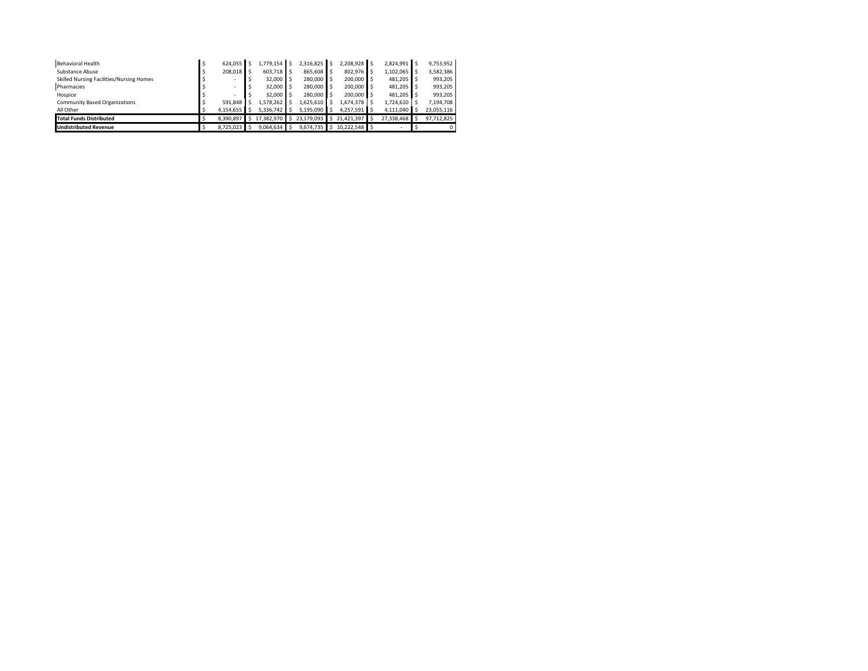| Behavioral Health                        | 624.055       | 1.779.154  |    | 2.316.825      |    | 2,208,928 \$  | 2.824.991 \$  | 9.753.952  |
|------------------------------------------|---------------|------------|----|----------------|----|---------------|---------------|------------|
| Substance Abuse                          | 208.018 S     | 603.718    |    | 865.608        |    | 802.976       | 1,102,065     | 3,582,386  |
| Skilled Nursing Facilities/Nursing Homes |               | 32,000     |    | 280,000 S      |    | 200,000       | 481.205 S     | 993.205    |
| Pharmacies                               |               | 32,000     |    | 280,000        |    | 200,000       | 481.205 S     | 993.205    |
| Hospice                                  |               | 32,000     |    | 280,000        |    | 200,000       | 481.205 S     | 993.205    |
| <b>Community Based Organizations</b>     | 591.848       | 1.578.262  |    | $1.625.610$ S  |    | 1.674.378     | 1,724,610     | 7.194.708  |
| All Other                                | 4,154,655     | 5,336,742  |    | 5,195,090      | ΙS | 4,257,591     | 4,111,040     | 23.055.116 |
| <b>Total Funds Distributed</b>           | 8.390.897     | 17.382.970 | Ŝ. | 23,179,093 \$  |    | 21.421.397 S  | 27.338.468 \$ | 97.712.825 |
| <b>Undistributed Revenue</b>             | $8.725.023$ S | 9.064.634  |    | $9,674,735$ \$ |    | 10.222.548 \$ |               |            |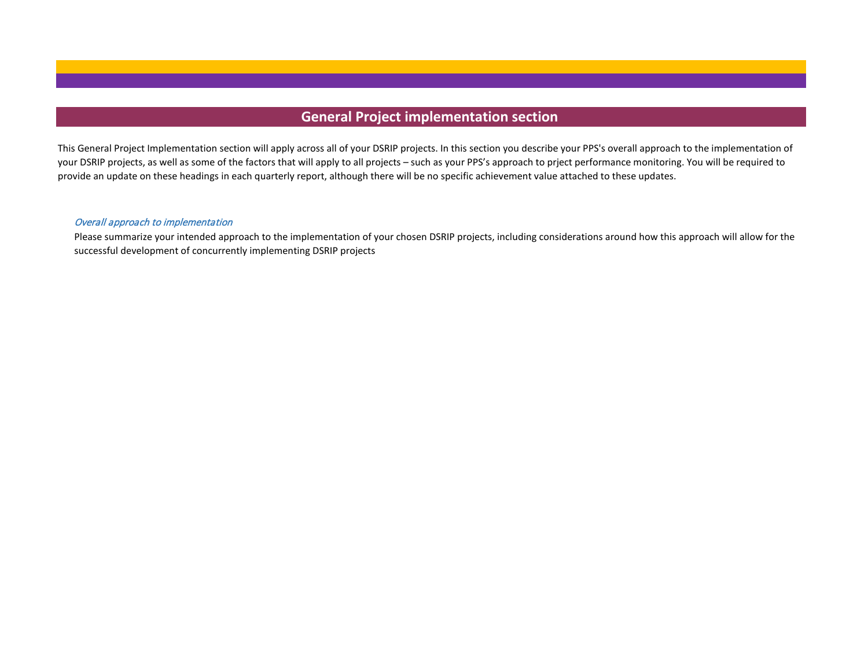# **General Project implementation section**

This General Project Implementation section will apply across all of your DSRIP projects. In this section you describe your PPS's overall approach to the implementation of your DSRIP projects, as well as some of the factors that will apply to all projects – such as your PPS's approach to prject performance monitoring. You will be required to provide an update on these headings in each quarterly report, although there will be no specific achievement value attached to these updates.

## Overall approach to implementation

Please summarize your intended approach to the implementation of your chosen DSRIP projects, including considerations around how this approach will allow for the successful development of concurrently implementing DSRIP projects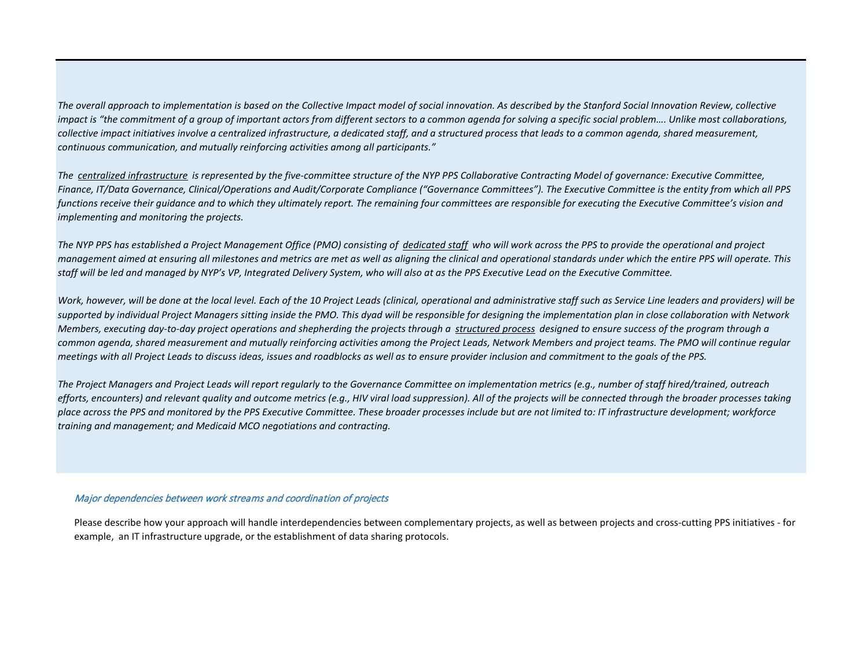*The overall approach to implementation is based on the Collective Impact model of social innovation. As described by the Stanford Social Innovation Review, collective impact is "the commitment of a group of important actors from different sectors to a common agenda for solving a specific social problem.... Unlike most collaborations, collective impact initiatives involve a centralized infrastructure, a dedicated staff, and a structured process that leads to a common agenda, shared measurement, continuous communication, and mutually reinforcing activities among all participants."* 

*The centralized infrastructure is represented by the five-committee structure of the NYP PPS Collaborative Contracting Model of governance: Executive Committee, Finance, IT/Data Governance, Clinical/Operations and Audit/Corporate Compliance ("Governance Committees"). The Executive Committee is the entity from which all PPS functions receive their guidance and to which they ultimately report. The remaining four committees are responsible for executing the Executive Committee's vision and implementing and monitoring the projects.* 

*The NYP PPS has established a Project Management Office (PMO) consisting of dedicated staff who will work across the PPS to provide the operational and project management aimed at ensuring all milestones and metrics are met as well as aligning the clinical and operational standards under which the entire PPS will operate. This staff will be led and managed by NYP's VP, Integrated Delivery System, who will also at as the PPS Executive Lead on the Executive Committee.*

*Work, however, will be done at the local level. Each of the 10 Project Leads (clinical, operational and administrative staff such as Service Line leaders and providers) will be supported by individual Project Managers sitting inside the PMO. This dyad will be responsible for designing the implementation plan in close collaboration with Network Members, executing day-to-day project operations and shepherding the projects through a structured process designed to ensure success of the program through a common agenda, shared measurement and mutually reinforcing activities among the Project Leads, Network Members and project teams. The PMO will continue regular meetings with all Project Leads to discuss ideas, issues and roadblocks as well as to ensure provider inclusion and commitment to the goals of the PPS.*

*The Project Managers and Project Leads will report regularly to the Governance Committee on implementation metrics (e.g., number of staff hired/trained, outreach efforts, encounters) and relevant quality and outcome metrics (e.g., HIV viral load suppression). All of the projects will be connected through the broader processes taking place across the PPS and monitored by the PPS Executive Committee. These broader processes include but are not limited to: IT infrastructure development; workforce training and management; and Medicaid MCO negotiations and contracting.*

## Major dependencies between work streams and coordination of projects

Please describe how your approach will handle interdependencies between complementary projects, as well as between projects and cross-cutting PPS initiatives - for example, an IT infrastructure upgrade, or the establishment of data sharing protocols.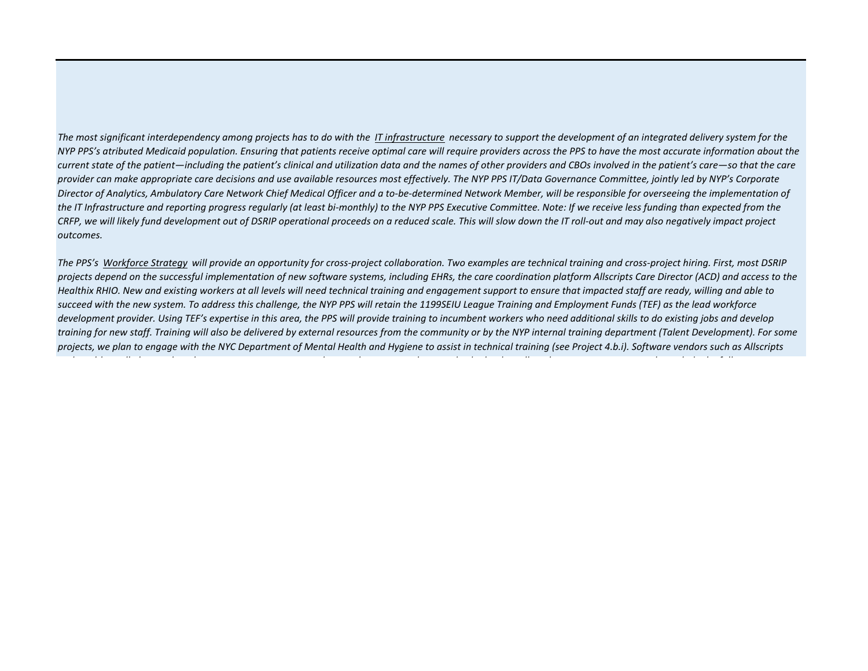*The most significant interdependency among projects has to do with the IT infrastructure necessary to support the development of an integrated delivery system for the NYP PPS's atributed Medicaid population. Ensuring that patients receive optimal care will require providers across the PPS to have the most accurate information about the current state of the patient—including the patient's clinical and utilization data and the names of other providers and CBOs involved in the patient's care—so that the care provider can make appropriate care decisions and use available resources most effectively. The NYP PPS IT/Data Governance Committee, jointly led by NYP's Corporate Director of Analytics, Ambulatory Care Network Chief Medical Officer and a to-be-determined Network Member, will be responsible for overseeing the implementation of*  the IT Infrastructure and reporting progress regularly (at least bi-monthly) to the NYP PPS Executive Committee. Note: If we receive less funding than expected from the *CRFP, we will likely fund development out of DSRIP operational proceeds on a reduced scale. This will slow down the IT roll-out and may also negatively impact project outcomes.*

*The PPS's Workforce Strategy will provide an opportunity for cross-project collaboration. Two examples are technical training and cross-project hiring. First, most DSRIP projects depend on the successful implementation of new software systems, including EHRs, the care coordination platform Allscripts Care Director (ACD) and access to the Healthix RHIO. New and existing workers at all levels will need technical training and engagement support to ensure that impacted staff are ready, willing and able to succeed with the new system. To address this challenge, the NYP PPS will retain the 1199SEIU League Training and Employment Funds (TEF) as the lead workforce development provider. Using TEF's expertise in this area, the PPS will provide training to incumbent workers who need additional skills to do existing jobs and develop training for new staff. Training will also be delivered by external resources from the community or by the NYP internal training department (Talent Development). For some projects, we plan to engage with the NYC Department of Mental Health and Hygiene to assist in technical training (see Project 4.b.i). Software vendors such as Allscripts* 

*d l h ll l d h d l h d d l h ll k l l d h f ll*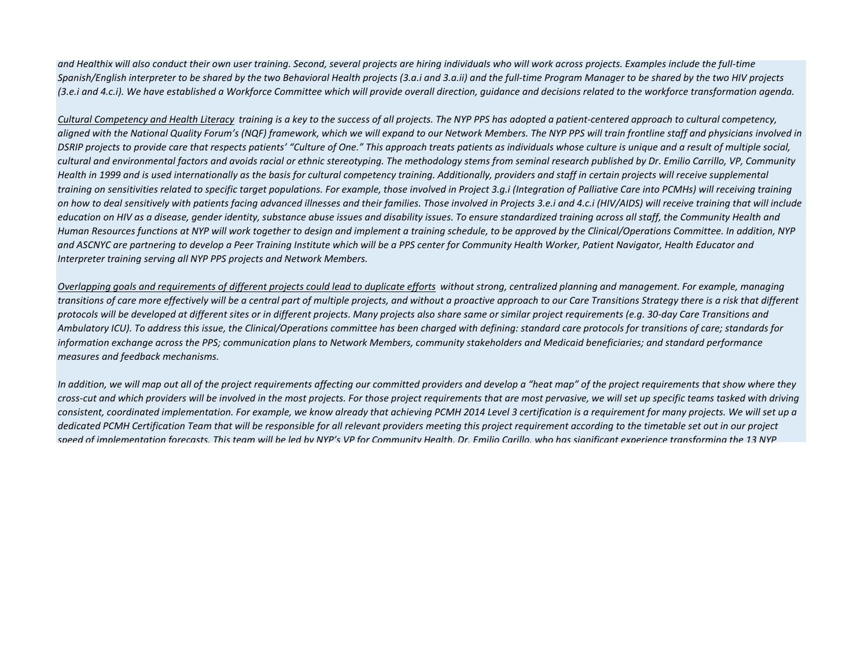*and Healthix will also conduct their own user training. Second, several projects are hiring individuals who will work across projects. Examples include the full-time Spanish/English interpreter to be shared by the two Behavioral Health projects (3.a.i and 3.a.ii) and the full-time Program Manager to be shared by the two HIV projects (3.e.i and 4.c.i). We have established a Workforce Committee which will provide overall direction, guidance and decisions related to the workforce transformation agenda.*

*Cultural Competency and Health Literacy training is a key to the success of all projects. The NYP PPS has adopted a patient-centered approach to cultural competency, aligned with the National Quality Forum's (NQF) framework, which we will expand to our Network Members. The NYP PPS will train frontline staff and physicians involved in*  DSRIP projects to provide care that respects patients' "Culture of One." This approach treats patients as individuals whose culture is unique and a result of multiple social, *cultural and environmental factors and avoids racial or ethnic stereotyping. The methodology stems from seminal research published by Dr. Emilio Carrillo, VP, Community Health in 1999 and is used internationally as the basis for cultural competency training. Additionally, providers and staff in certain projects will receive supplemental training on sensitivities related to specific target populations. For example, those involved in Project 3.g.i (Integration of Palliative Care into PCMHs) will receiving training on how to deal sensitively with patients facing advanced illnesses and their families. Those involved in Projects 3.e.i and 4.c.i (HIV/AIDS) will receive training that will include education on HIV as a disease, gender identity, substance abuse issues and disability issues. To ensure standardized training across all staff, the Community Health and Human Resources functions at NYP will work together to design and implement a training schedule, to be approved by the Clinical/Operations Committee. In addition, NYP and ASCNYC are partnering to develop a Peer Training Institute which will be a PPS center for Community Health Worker, Patient Navigator, Health Educator and Interpreter training serving all NYP PPS projects and Network Members.*

*Overlapping goals and requirements of different projects could lead to duplicate efforts without strong, centralized planning and management. For example, managing transitions of care more effectively will be a central part of multiple projects, and without a proactive approach to our Care Transitions Strategy there is a risk that different protocols will be developed at different sites or in different projects. Many projects also share same or similar project requirements (e.g. 30-day Care Transitions and Ambulatory ICU). To address this issue, the Clinical/Operations committee has been charged with defining: standard care protocols for transitions of care; standards for information exchange across the PPS; communication plans to Network Members, community stakeholders and Medicaid beneficiaries; and standard performance measures and feedback mechanisms.*

*In addition, we will map out all of the project requirements affecting our committed providers and develop a "heat map" of the project requirements that show where they cross-cut and which providers will be involved in the most projects. For those project requirements that are most pervasive, we will set up specific teams tasked with driving consistent, coordinated implementation. For example, we know already that achieving PCMH 2014 Level 3 certification is a requirement for many projects. We will set up a dedicated PCMH Certification Team that will be responsible for all relevant providers meeting this project requirement according to the timetable set out in our project speed of implementation forecasts. This team will be led by NYP's VP for Community Health, Dr. Emilio Carillo, who has significant experience transforming the 13 NYP*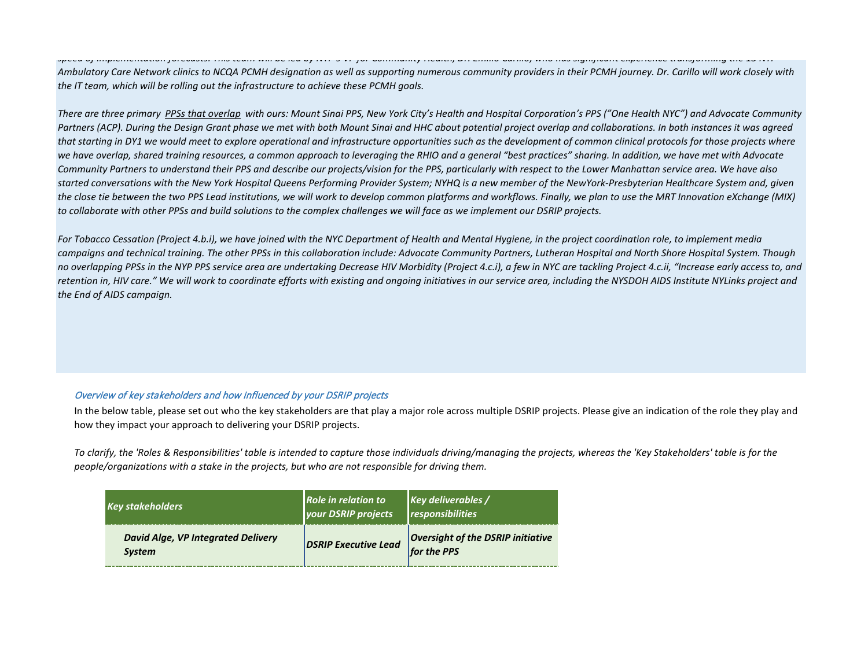## *speed of implementation forecasts. This team will be led by NYP s VP for Community Health, Dr. Emilio Carillo, who has significant experience transforming the 13 NYP*

*Ambulatory Care Network clinics to NCQA PCMH designation as well as supporting numerous community providers in their PCMH journey. Dr. Carillo will work closely with the IT team, which will be rolling out the infrastructure to achieve these PCMH goals.*

*There are three primary PPSs that overlap with ours: Mount Sinai PPS, New York City's Health and Hospital Corporation's PPS ("One Health NYC") and Advocate Community*  Partners (ACP). During the Design Grant phase we met with both Mount Sinai and HHC about potential project overlap and collaborations. In both instances it was agreed *that starting in DY1 we would meet to explore operational and infrastructure opportunities such as the development of common clinical protocols for those projects where*  we have overlap, shared training resources, a common approach to leveraging the RHIO and a general "best practices" sharing. In addition, we have met with Advocate *Community Partners to understand their PPS and describe our projects/vision for the PPS, particularly with respect to the Lower Manhattan service area. We have also started conversations with the New York Hospital Queens Performing Provider System; NYHQ is a new member of the NewYork-Presbyterian Healthcare System and, given the close tie between the two PPS Lead institutions, we will work to develop common platforms and workflows. Finally, we plan to use the MRT Innovation eXchange (MIX) to collaborate with other PPSs and build solutions to the complex challenges we will face as we implement our DSRIP projects.*

*For Tobacco Cessation (Project 4.b.i), we have joined with the NYC Department of Health and Mental Hygiene, in the project coordination role, to implement media campaigns and technical training. The other PPSs in this collaboration include: Advocate Community Partners, Lutheran Hospital and North Shore Hospital System. Though no overlapping PPSs in the NYP PPS service area are undertaking Decrease HIV Morbidity (Project 4.c.i), a few in NYC are tackling Project 4.c.ii, "Increase early access to, and retention in, HIV care." We will work to coordinate efforts with existing and ongoing initiatives in our service area, including the NYSDOH AIDS Institute NYLinks project and the End of AIDS campaign.*

## Overview of key stakeholders and how influenced by your DSRIP projects

In the below table, please set out who the key stakeholders are that play a major role across multiple DSRIP projects. Please give an indication of the role they play and how they impact your approach to delivering your DSRIP projects.

*To clarify, the 'Roles & Responsibilities' table is intended to capture those individuals driving/managing the projects, whereas the 'Key Stakeholders' table is for the people/organizations with a stake in the projects, but who are not responsible for driving them.*

| <b>Key stakeholders</b>                                    | Role in relation to<br><b>your DSRIP projects</b> | $\kappa$ Key deliverables /<br>responsibilities         |
|------------------------------------------------------------|---------------------------------------------------|---------------------------------------------------------|
| <b>David Alge, VP Integrated Delivery</b><br><b>System</b> | <b>DSRIP Executive Lead</b>                       | <b>Oversight of the DSRIP initiative</b><br>for the PPS |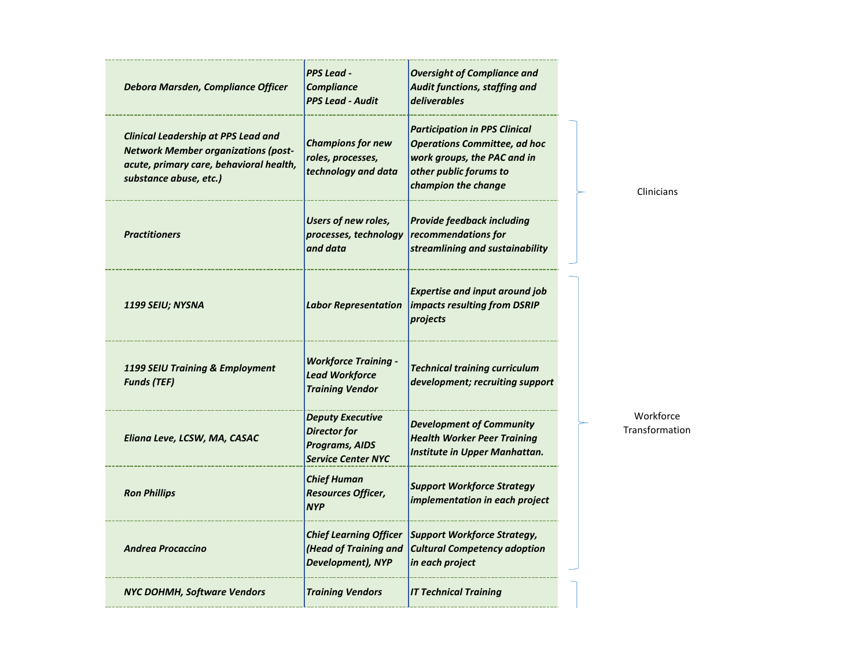| Debora Marsden, Compliance Officer                                                                                                                            | <b>PPS Lead -</b><br><b>Compliance</b><br><b>PPS Lead - Audit</b>                                    | <b>Oversight of Compliance and</b><br>Audit functions, staffing and<br>deliverables                                                                         |
|---------------------------------------------------------------------------------------------------------------------------------------------------------------|------------------------------------------------------------------------------------------------------|-------------------------------------------------------------------------------------------------------------------------------------------------------------|
| <b>Clinical Leadership at PPS Lead and</b><br><b>Network Member organizations (post-</b><br>acute, primary care, behavioral health,<br>substance abuse, etc.) | <b>Champions for new</b><br>roles, processes,<br>technology and data                                 | <b>Participation in PPS Clinical</b><br><b>Operations Committee, ad hoc</b><br>work groups, the PAC and in<br>other public forums to<br>champion the change |
| <b>Practitioners</b>                                                                                                                                          | <b>Users of new roles,</b><br>processes, technology<br>and data                                      | <b>Provide feedback including</b><br>recommendations for<br>streamlining and sustainability                                                                 |
| 1199 SEIU; NYSNA                                                                                                                                              | <b>Labor Representation</b>                                                                          | <b>Expertise and input around job</b><br>impacts resulting from DSRIP<br>projects                                                                           |
| 1199 SEIU Training & Employment<br><b>Funds (TEF)</b>                                                                                                         | <b>Workforce Training -</b><br><b>Lead Workforce</b><br><b>Training Vendor</b>                       | <b>Technical training curriculum</b><br>development; recruiting support                                                                                     |
| Eliana Leve, LCSW, MA, CASAC                                                                                                                                  | <b>Deputy Executive</b><br><b>Director</b> for<br><b>Programs, AIDS</b><br><b>Service Center NYC</b> | <b>Development of Community</b><br><b>Health Worker Peer Training</b><br>Institute in Upper Manhattan.                                                      |
| <b>Ron Phillips</b>                                                                                                                                           | <b>Chief Human</b><br>Resources Officer,<br><b>NYP</b>                                               | <b>Support Workforce Strategy</b><br>implementation in each project                                                                                         |
| <b>Andrea Procaccino</b>                                                                                                                                      | <b>Chief Learning Officer</b><br>(Head of Training and<br>Development), NYP                          | <b>Support Workforce Strategy,</b><br><b>Cultural Competency adoption</b><br>in each project                                                                |
| <b>NYC DOHMH, Software Vendors</b>                                                                                                                            | <b>Training Vendors</b>                                                                              | <b>IT Technical Training</b>                                                                                                                                |

Clinicians

Workforce Transformation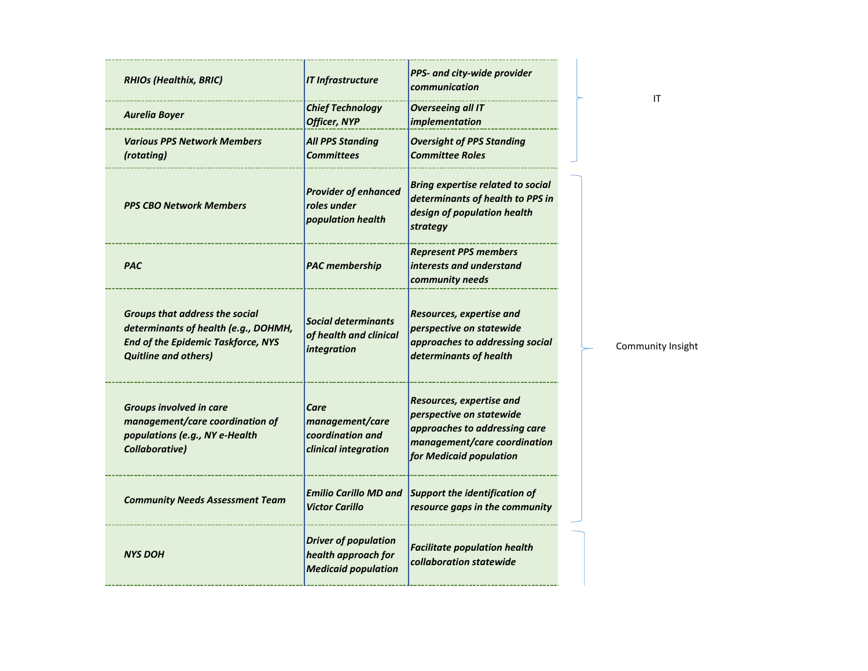| <b>RHIOs (Healthix, BRIC)</b>                                                                                                                      | <b>IT Infrastructure</b>                                                         | PPS- and city-wide provider<br>communication                                                                                                     |
|----------------------------------------------------------------------------------------------------------------------------------------------------|----------------------------------------------------------------------------------|--------------------------------------------------------------------------------------------------------------------------------------------------|
| <b>Aurelia Boyer</b>                                                                                                                               | <b>Chief Technology</b><br><b>Officer, NYP</b>                                   | <b>Overseeing all IT</b><br>implementation                                                                                                       |
| <b>Various PPS Network Members</b><br>(rotating)                                                                                                   | <b>All PPS Standing</b><br><b>Committees</b>                                     | <b>Oversight of PPS Standing</b><br><b>Committee Roles</b>                                                                                       |
| <b>PPS CBO Network Members</b>                                                                                                                     | <b>Provider of enhanced</b><br>roles under<br>population health                  | <b>Bring expertise related to social</b><br>determinants of health to PPS in<br>design of population health<br>strategy                          |
| <b>PAC</b>                                                                                                                                         | <b>PAC</b> membership                                                            | <b>Represent PPS members</b><br>interests and understand<br>community needs                                                                      |
| Groups that address the social<br>determinants of health (e.g., DOHMH,<br><b>End of the Epidemic Taskforce, NYS</b><br><b>Quitline and others)</b> | <b>Social determinants</b><br>of health and clinical<br>integration              | Resources, expertise and<br>perspective on statewide<br>approaches to addressing social<br>determinants of health                                |
| <b>Groups involved in care</b><br>management/care coordination of<br>populations (e.g., NY e-Health<br>Collaborative)                              | Care<br>management/care<br>coordination and<br>clinical integration              | Resources, expertise and<br>perspective on statewide<br>approaches to addressing care<br>management/care coordination<br>for Medicaid population |
| <b>Community Needs Assessment Team</b>                                                                                                             | <b>Emilio Carillo MD and</b><br><b>Victor Carillo</b>                            | <b>Support the identification of</b><br>resource gaps in the community                                                                           |
| <b>NYS DOH</b>                                                                                                                                     | <b>Driver of population</b><br>health approach for<br><b>Medicaid population</b> | <b>Facilitate population health</b><br>collaboration statewide                                                                                   |

IT

Community Insight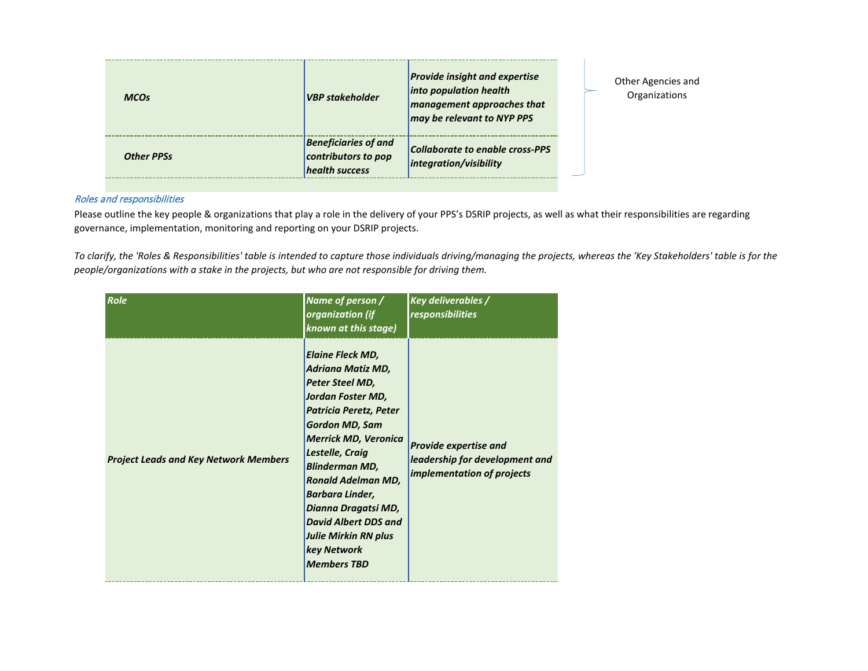| <b>MCO<sub>S</sub></b> | <b>VBP</b> stakeholder                                               | <b>Provide insight and expertise</b><br>into population health<br>management approaches that<br>may be relevant to NYP PPS |  |
|------------------------|----------------------------------------------------------------------|----------------------------------------------------------------------------------------------------------------------------|--|
| <b>Other PPSs</b>      | <b>Beneficiaries of and</b><br>contributors to pop<br>health success | Collaborate to enable cross-PPS<br>integration/visibility                                                                  |  |

Other Agencies and Organizations

## Roles and responsibilities

Please outline the key people & organizations that play a role in the delivery of your PPS's DSRIP projects, as well as what their responsibilities are regarding governance, implementation, monitoring and reporting on your DSRIP projects.

*To clarify, the 'Roles & Responsibilities' table is intended to capture those individuals driving/managing the projects, whereas the 'Key Stakeholders' table is for the people/organizations with a stake in the projects, but who are not responsible for driving them.*

| Role                                         | Name of person /<br>organization (if<br>known at this stage)                                                                                                                                                                                                                                                                                                                                               | <b>Key deliverables /</b><br>responsibilities                                                       |
|----------------------------------------------|------------------------------------------------------------------------------------------------------------------------------------------------------------------------------------------------------------------------------------------------------------------------------------------------------------------------------------------------------------------------------------------------------------|-----------------------------------------------------------------------------------------------------|
| <b>Project Leads and Key Network Members</b> | <b>Elaine Fleck MD,</b><br>Adriana Matiz MD,<br>Peter Steel MD,<br>Jordan Foster MD,<br><b>Patricia Peretz, Peter</b><br><b>Gordon MD, Sam</b><br><b>Merrick MD, Veronica</b><br>Lestelle, Craig<br><b>Blinderman MD,</b><br><b>Ronald Adelman MD,</b><br>Barbara Linder,<br>Dianna Dragatsi MD,<br><b>David Albert DDS and</b><br><b>Julie Mirkin RN plus</b><br><b>key Network</b><br><b>Members TBD</b> | <b>Provide expertise and</b><br>leadership for development and<br><i>implementation of projects</i> |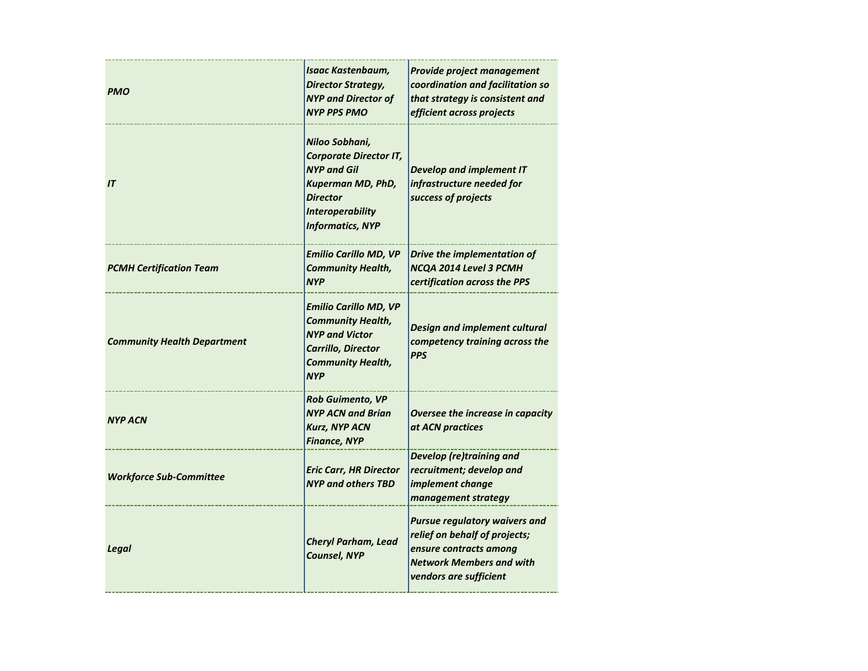| <b>PMO</b>                         | Isaac Kastenbaum,<br><b>Director Strategy,</b><br><b>NYP and Director of</b><br><b>NYP PPS PMO</b>                                                                         | Provide project management<br>coordination and facilitation so<br>that strategy is consistent and<br>efficient across projects                               |
|------------------------------------|----------------------------------------------------------------------------------------------------------------------------------------------------------------------------|--------------------------------------------------------------------------------------------------------------------------------------------------------------|
| IT                                 | Niloo Sobhani,<br><b>Corporate Director IT,</b><br><b>NYP and Gil</b><br><b>Kuperman MD, PhD,</b><br><b>Director</b><br><b>Interoperability</b><br><b>Informatics, NYP</b> | <b>Develop and implement IT</b><br>infrastructure needed for<br>success of projects                                                                          |
| <b>PCMH Certification Team</b>     | <b>Emilio Carillo MD, VP</b><br><b>Community Health,</b><br><b>NYP</b>                                                                                                     | Drive the implementation of<br>NCQA 2014 Level 3 PCMH<br>certification across the PPS                                                                        |
| <b>Community Health Department</b> | <b>Emilio Carillo MD, VP</b><br><b>Community Health,</b><br><b>NYP and Victor</b><br>Carrillo, Director<br><b>Community Health,</b><br><b>NYP</b>                          | Design and implement cultural<br>competency training across the<br><b>PPS</b>                                                                                |
| <b>NYP ACN</b>                     | <b>Rob Guimento, VP</b><br><b>NYP ACN and Brian</b><br><b>Kurz, NYP ACN</b><br>Finance, NYP                                                                                | Oversee the increase in capacity<br>at ACN practices                                                                                                         |
| <b>Workforce Sub-Committee</b>     | <b>Eric Carr, HR Director</b><br><b>NYP and others TBD</b>                                                                                                                 | Develop (re)training and<br>recruitment; develop and<br>implement change<br>management strategy                                                              |
| Legal                              | <b>Cheryl Parham, Lead</b><br><b>Counsel, NYP</b>                                                                                                                          | <b>Pursue regulatory waivers and</b><br>relief on behalf of projects;<br>ensure contracts among<br><b>Network Members and with</b><br>vendors are sufficient |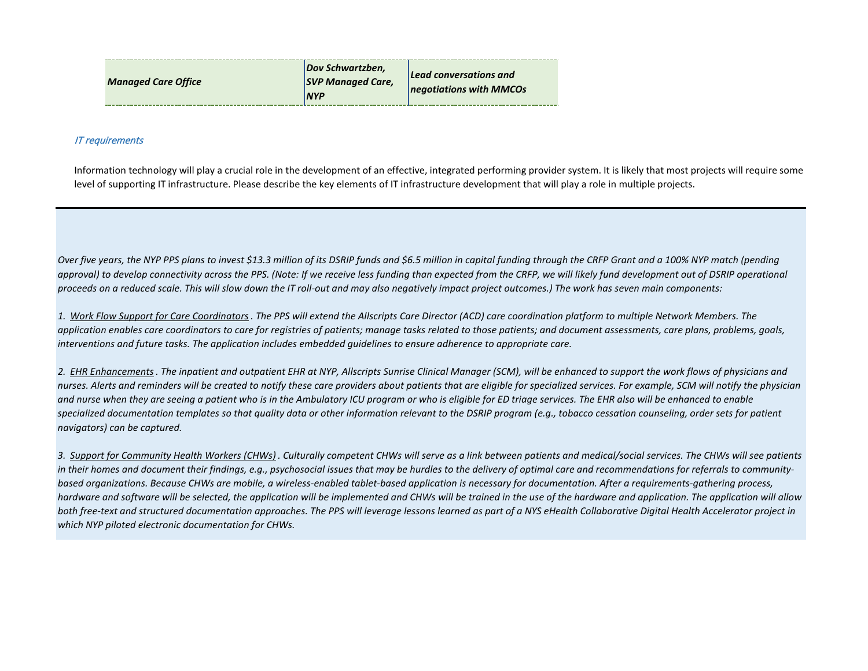| <b>Managed Care Office</b> | Dov Schwartzben,<br><b>SVP Managed Care,</b><br><b>NYP</b> | Lead conversations and<br>negotiations with MMCOs |
|----------------------------|------------------------------------------------------------|---------------------------------------------------|
|----------------------------|------------------------------------------------------------|---------------------------------------------------|

## IT requirements

Information technology will play a crucial role in the development of an effective, integrated performing provider system. It is likely that most projects will require some level of supporting IT infrastructure. Please describe the key elements of IT infrastructure development that will play a role in multiple projects.

*Over five years, the NYP PPS plans to invest \$13.3 million of its DSRIP funds and \$6.5 million in capital funding through the CRFP Grant and a 100% NYP match (pending*  approval) to develop connectivity across the PPS. (Note: If we receive less funding than expected from the CRFP, we will likely fund development out of DSRIP operational *proceeds on a reduced scale. This will slow down the IT roll-out and may also negatively impact project outcomes.) The work has seven main components:*

*1. Work Flow Support for Care Coordinators . The PPS will extend the Allscripts Care Director (ACD) care coordination platform to multiple Network Members. The application enables care coordinators to care for registries of patients; manage tasks related to those patients; and document assessments, care plans, problems, goals, interventions and future tasks. The application includes embedded guidelines to ensure adherence to appropriate care.*

*2. EHR Enhancements. The inpatient and outpatient EHR at NYP, Allscripts Sunrise Clinical Manager (SCM), will be enhanced to support the work flows of physicians and nurses. Alerts and reminders will be created to notify these care providers about patients that are eligible for specialized services. For example, SCM will notify the physician and nurse when they are seeing a patient who is in the Ambulatory ICU program or who is eligible for ED triage services. The EHR also will be enhanced to enable*  specialized documentation templates so that quality data or other information relevant to the DSRIP program (e.g., tobacco cessation counseling, order sets for patient *navigators) can be captured.*

*3. Support for Community Health Workers (CHWs) . Culturally competent CHWs will serve as a link between patients and medical/social services. The CHWs will see patients in their homes and document their findings, e.g., psychosocial issues that may be hurdles to the delivery of optimal care and recommendations for referrals to communitybased organizations. Because CHWs are mobile, a wireless-enabled tablet-based application is necessary for documentation. After a requirements-gathering process, hardware and software will be selected, the application will be implemented and CHWs will be trained in the use of the hardware and application. The application will allow both free-text and structured documentation approaches. The PPS will leverage lessons learned as part of a NYS eHealth Collaborative Digital Health Accelerator project in which NYP piloted electronic documentation for CHWs.*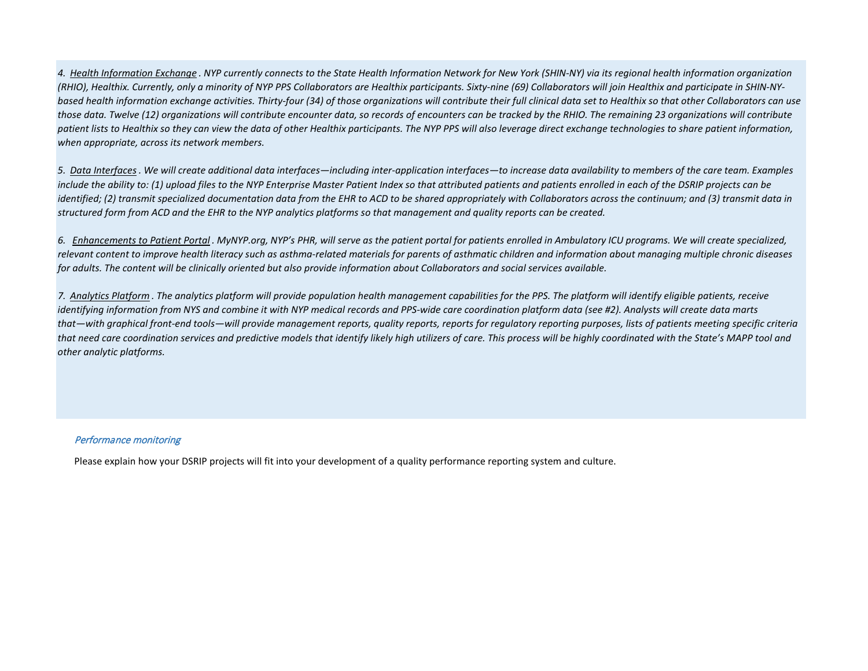*4. Health Information Exchange . NYP currently connects to the State Health Information Network for New York (SHIN-NY) via its regional health information organization (RHIO), Healthix. Currently, only a minority of NYP PPS Collaborators are Healthix participants. Sixty-nine (69) Collaborators will join Healthix and participate in SHIN-NYbased health information exchange activities. Thirty-four (34) of those organizations will contribute their full clinical data set to Healthix so that other Collaborators can use those data. Twelve (12) organizations will contribute encounter data, so records of encounters can be tracked by the RHIO. The remaining 23 organizations will contribute*  patient lists to Healthix so they can view the data of other Healthix participants. The NYP PPS will also leverage direct exchange technologies to share patient information, *when appropriate, across its network members.* 

*5. Data Interfaces. We will create additional data interfaces—including inter-application interfaces—to increase data availability to members of the care team. Examples include the ability to: (1) upload files to the NYP Enterprise Master Patient Index so that attributed patients and patients enrolled in each of the DSRIP projects can be identified; (2) transmit specialized documentation data from the EHR to ACD to be shared appropriately with Collaborators across the continuum; and (3) transmit data in structured form from ACD and the EHR to the NYP analytics platforms so that management and quality reports can be created.*

*6. Enhancements to Patient Portal . MyNYP.org, NYP's PHR, will serve as the patient portal for patients enrolled in Ambulatory ICU programs. We will create specialized, relevant content to improve health literacy such as asthma-related materials for parents of asthmatic children and information about managing multiple chronic diseases for adults. The content will be clinically oriented but also provide information about Collaborators and social services available.*

*7. Analytics Platform . The analytics platform will provide population health management capabilities for the PPS. The platform will identify eligible patients, receive identifying information from NYS and combine it with NYP medical records and PPS-wide care coordination platform data (see #2). Analysts will create data marts that—with graphical front-end tools—will provide management reports, quality reports, reports for regulatory reporting purposes, lists of patients meeting specific criteria that need care coordination services and predictive models that identify likely high utilizers of care. This process will be highly coordinated with the State's MAPP tool and other analytic platforms.* 

## Performance monitoring

Please explain how your DSRIP projects will fit into your development of a quality performance reporting system and culture.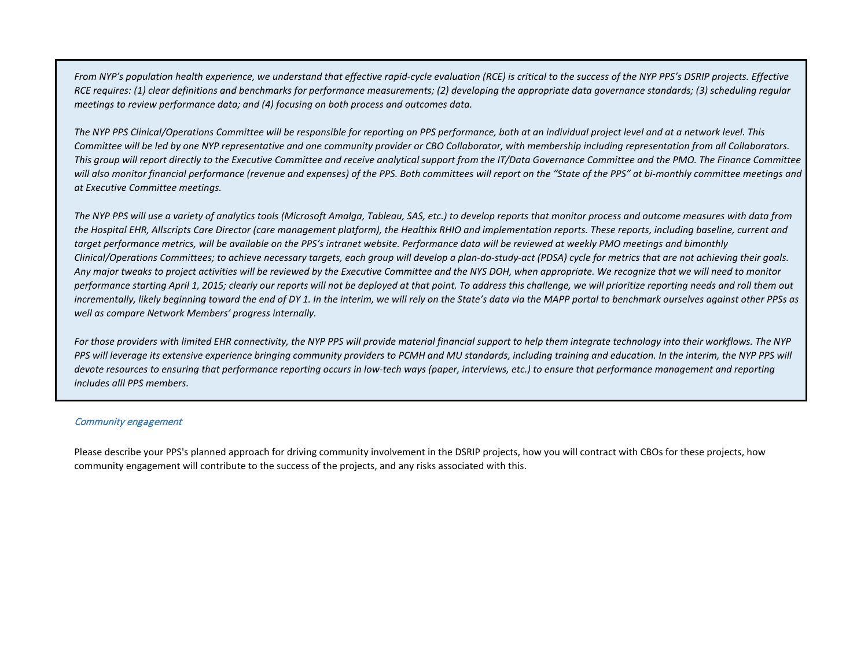From NYP's population health experience, we understand that effective rapid-cycle evaluation (RCE) is critical to the success of the NYP PPS's DSRIP projects. Effective *RCE requires: (1) clear definitions and benchmarks for performance measurements; (2) developing the appropriate data governance standards; (3) scheduling regular meetings to review performance data; and (4) focusing on both process and outcomes data.* 

*The NYP PPS Clinical/Operations Committee will be responsible for reporting on PPS performance, both at an individual project level and at a network level. This Committee will be led by one NYP representative and one community provider or CBO Collaborator, with membership including representation from all Collaborators. This group will report directly to the Executive Committee and receive analytical support from the IT/Data Governance Committee and the PMO. The Finance Committee*  will also monitor financial performance (revenue and expenses) of the PPS. Both committees will report on the "State of the PPS" at bi-monthly committee meetings and *at Executive Committee meetings.*

*The NYP PPS will use a variety of analytics tools (Microsoft Amalga, Tableau, SAS, etc.) to develop reports that monitor process and outcome measures with data from the Hospital EHR, Allscripts Care Director (care management platform), the Healthix RHIO and implementation reports. These reports, including baseline, current and target performance metrics, will be available on the PPS's intranet website. Performance data will be reviewed at weekly PMO meetings and bimonthly Clinical/Operations Committees; to achieve necessary targets, each group will develop a plan-do-study-act (PDSA) cycle for metrics that are not achieving their goals. Any major tweaks to project activities will be reviewed by the Executive Committee and the NYS DOH, when appropriate. We recognize that we will need to monitor performance starting April 1, 2015; clearly our reports will not be deployed at that point. To address this challenge, we will prioritize reporting needs and roll them out incrementally, likely beginning toward the end of DY 1. In the interim, we will rely on the State's data via the MAPP portal to benchmark ourselves against other PPSs as well as compare Network Members' progress internally.*

For those providers with limited EHR connectivity, the NYP PPS will provide material financial support to help them integrate technology into their workflows. The NYP PPS will leverage its extensive experience bringing community providers to PCMH and MU standards, including training and education. In the interim, the NYP PPS will *devote resources to ensuring that performance reporting occurs in low-tech ways (paper, interviews, etc.) to ensure that performance management and reporting includes alll PPS members.*

## Community engagement

Please describe your PPS's planned approach for driving community involvement in the DSRIP projects, how you will contract with CBOs for these projects, how community engagement will contribute to the success of the projects, and any risks associated with this.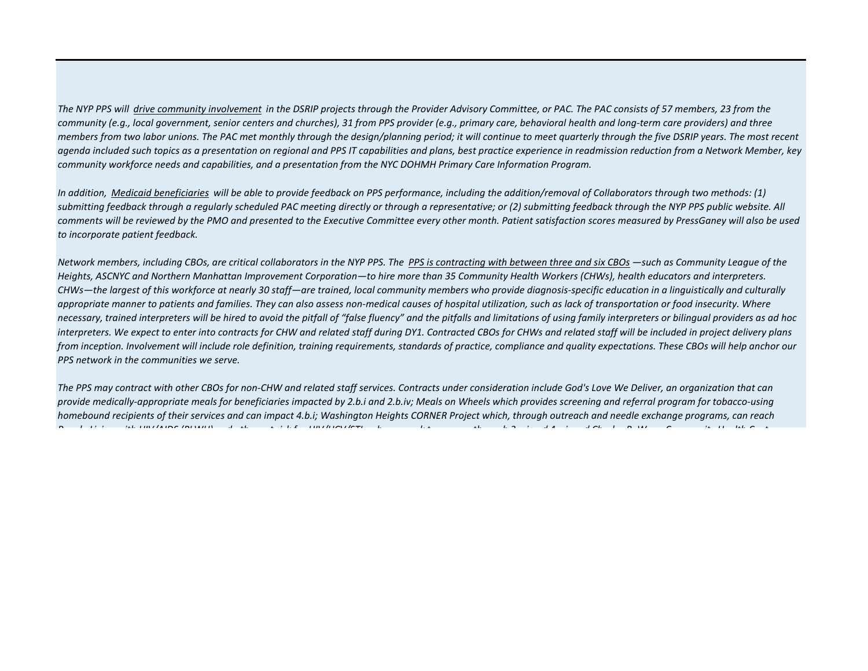*The NYP PPS will drive community involvement in the DSRIP projects through the Provider Advisory Committee, or PAC. The PAC consists of 57 members, 23 from the community (e.g., local government, senior centers and churches), 31 from PPS provider (e.g., primary care, behavioral health and long-term care providers) and three members from two labor unions. The PAC met monthly through the design/planning period; it will continue to meet quarterly through the five DSRIP years. The most recent agenda included such topics as a presentation on regional and PPS IT capabilities and plans, best practice experience in readmission reduction from a Network Member, key community workforce needs and capabilities, and a presentation from the NYC DOHMH Primary Care Information Program.*

In addition, Medicaid beneficiaries will be able to provide feedback on PPS performance, including the addition/removal of Collaborators through two methods: (1) submitting feedback through a regularly scheduled PAC meeting directly or through a representative; or (2) submitting feedback through the NYP PPS public website. All *comments will be reviewed by the PMO and presented to the Executive Committee every other month. Patient satisfaction scores measured by PressGaney will also be used to incorporate patient feedback.*

*Network members, including CBOs, are critical collaborators in the NYP PPS. The PPS is contracting with between three and six CBOs —such as Community League of the Heights, ASCNYC and Northern Manhattan Improvement Corporation—to hire more than 35 Community Health Workers (CHWs), health educators and interpreters. CHWs—the largest of this workforce at nearly 30 staff—are trained, local community members who provide diagnosis-specific education in a linguistically and culturally appropriate manner to patients and families. They can also assess non-medical causes of hospital utilization, such as lack of transportation or food insecurity. Where necessary, trained interpreters will be hired to avoid the pitfall of "false fluency" and the pitfalls and limitations of using family interpreters or bilingual providers as ad hoc interpreters. We expect to enter into contracts for CHW and related staff during DY1. Contracted CBOs for CHWs and related staff will be included in project delivery plans from inception. Involvement will include role definition, training requirements, standards of practice, compliance and quality expectations. These CBOs will help anchor our PPS network in the communities we serve.*

*The PPS may contract with other CBOs for non-CHW and related staff services. Contracts under consideration include God's Love We Deliver, an organization that can provide medically-appropriate meals for beneficiaries impacted by 2.b.i and 2.b.iv; Meals on Wheels which provides screening and referral program for tobacco-using homebound recipients of their services and can impact 4.b.i; Washington Heights CORNER Project which, through outreach and needle exchange programs, can reach P l Li i ith HIV/AIDS (PLWH) d th t i k f HIV/HCV/STI h k t th h 3 i d 4 i d Ch l B W C it H lth C t*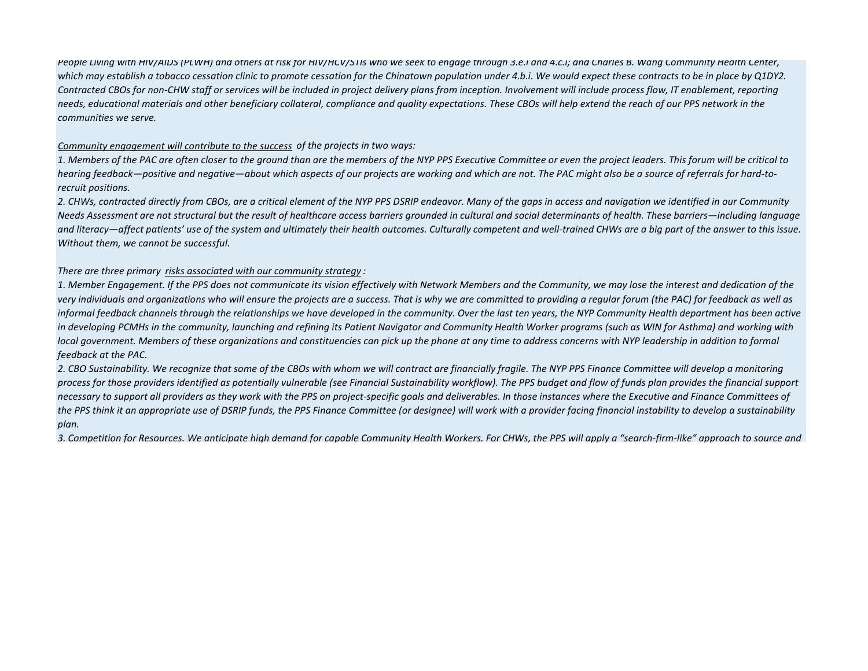*People Living with HIV/AIDS (PLWH) and others at risk for HIV/HCV/STIs who we seek to engage through 3.e.i and 4.c.i; and Charles B. Wang Community Health Center,*  which may establish a tobacco cessation clinic to promote cessation for the Chinatown population under 4.b.i. We would expect these contracts to be in place by Q1DY2. *Contracted CBOs for non-CHW staff or services will be included in project delivery plans from inception. Involvement will include process flow, IT enablement, reporting needs, educational materials and other beneficiary collateral, compliance and quality expectations. These CBOs will help extend the reach of our PPS network in the communities we serve.*

## *Community engagement will contribute to the success of the projects in two ways:*

*1. Members of the PAC are often closer to the ground than are the members of the NYP PPS Executive Committee or even the project leaders. This forum will be critical to hearing feedback—positive and negative—about which aspects of our projects are working and which are not. The PAC might also be a source of referrals for hard-torecruit positions.*

*2. CHWs, contracted directly from CBOs, are a critical element of the NYP PPS DSRIP endeavor. Many of the gaps in access and navigation we identified in our Community Needs Assessment are not structural but the result of healthcare access barriers grounded in cultural and social determinants of health. These barriers—including language and literacy—affect patients' use of the system and ultimately their health outcomes. Culturally competent and well-trained CHWs are a big part of the answer to this issue. Without them, we cannot be successful.*

## *There are three primary risks associated with our community strategy :*

*1. Member Engagement. If the PPS does not communicate its vision effectively with Network Members and the Community, we may lose the interest and dedication of the very individuals and organizations who will ensure the projects are a success. That is why we are committed to providing a regular forum (the PAC) for feedback as well as informal feedback channels through the relationships we have developed in the community. Over the last ten years, the NYP Community Health department has been active in developing PCMHs in the community, launching and refining its Patient Navigator and Community Health Worker programs (such as WIN for Asthma) and working with local government. Members of these organizations and constituencies can pick up the phone at any time to address concerns with NYP leadership in addition to formal feedback at the PAC.*

*2. CBO Sustainability. We recognize that some of the CBOs with whom we will contract are financially fragile. The NYP PPS Finance Committee will develop a monitoring process for those providers identified as potentially vulnerable (see Financial Sustainability workflow). The PPS budget and flow of funds plan provides the financial support necessary to support all providers as they work with the PPS on project-specific goals and deliverables. In those instances where the Executive and Finance Committees of the PPS think it an appropriate use of DSRIP funds, the PPS Finance Committee (or designee) will work with a provider facing financial instability to develop a sustainability plan.*

*3. Competition for Resources. We anticipate high demand for capable Community Health Workers. For CHWs, the PPS will apply a "search-firm-like" approach to source and*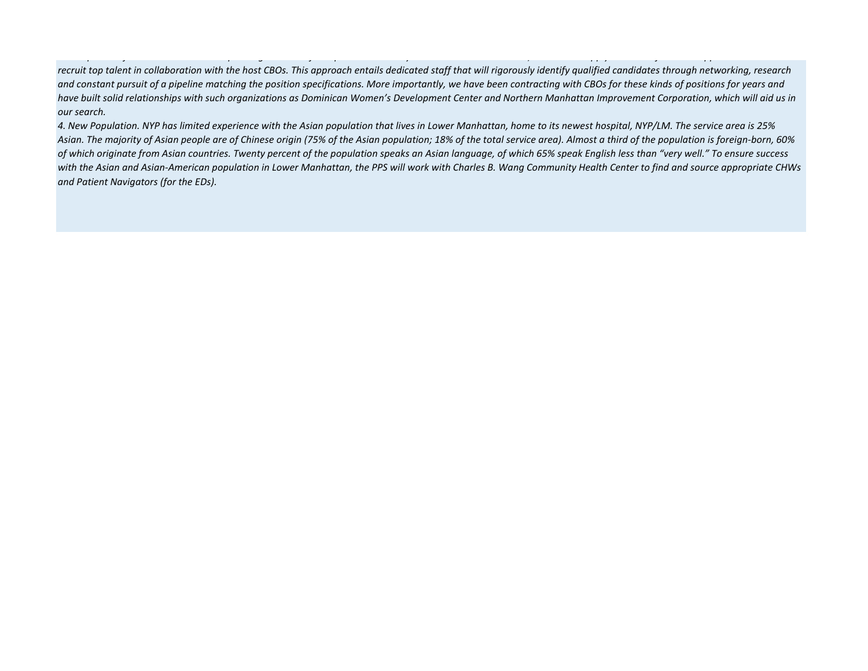*p f p g f p y , pp y f pp recruit top talent in collaboration with the host CBOs. This approach entails dedicated staff that will rigorously identify qualified candidates through networking, research and constant pursuit of a pipeline matching the position specifications. More importantly, we have been contracting with CBOs for these kinds of positions for years and have built solid relationships with such organizations as Dominican Women's Development Center and Northern Manhattan Improvement Corporation, which will aid us in our search.* 

*4. New Population. NYP has limited experience with the Asian population that lives in Lower Manhattan, home to its newest hospital, NYP/LM. The service area is 25% Asian. The majority of Asian people are of Chinese origin (75% of the Asian population; 18% of the total service area). Almost a third of the population is foreign-born, 60% of which originate from Asian countries. Twenty percent of the population speaks an Asian language, of which 65% speak English less than "very well." To ensure success with the Asian and Asian-American population in Lower Manhattan, the PPS will work with Charles B. Wang Community Health Center to find and source appropriate CHWs and Patient Navigators (for the EDs).*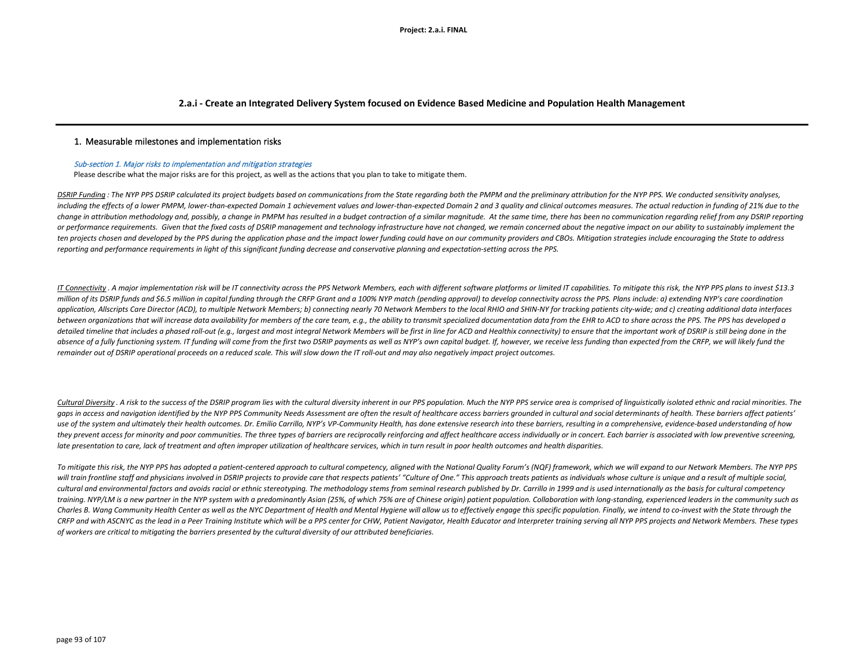## **2.a.i - Create an Integrated Delivery System focused on Evidence Based Medicine and Population Health Management**

## 1.Measurable milestones and implementation risks

### Sub-section 1. Major risks to implementation and mitigation strategies

Please describe what the major risks are for this project, as well as the actions that you plan to take to mitigate them.

DSRIP Funding: The NYP PPS DSRIP calculated its project budgets based on communications from the State regarding both the PMPM and the preliminary attribution for the NYP PPS. We conducted sensitivity analyses, including the effects of a lower PMPM, lower-than-expected Domain 1 achievement values and lower-than-expected Domain 2 and 3 quality and clinical outcomes measures. The actual reduction in funding of 21% due to the change in attribution methodology and, possibly, a change in PMPM has resulted in a budget contraction of a similar magnitude. At the same time, there has been no communication regarding relief from any DSRIP reporting *or performance requirements. Given that the fixed costs of DSRIP management and technology infrastructure have not changed, we remain concerned about the negative impact on our ability to sustainably implement the ten projects chosen and developed by the PPS during the application phase and the impact lower funding could have on our community providers and CBOs. Mitigation strategies include encouraging the State to address reporting and performance requirements in light of this significant funding decrease and conservative planning and expectation-setting across the PPS.*

IT Connectivity . A major implementation risk will be IT connectivity across the PPS Network Members, each with different software platforms or limited IT capabilities. To mitigate this risk, the NYP PPS plans to invest \$1 million of its DSRIP funds and \$6.5 million in capital funding through the CRFP Grant and a 100% NYP match (pending approval) to develop connectivity across the PPS. Plans include: a) extending NYP's care coordination application. Allscripts Care Director (ACD), to multiple Network Members: b) connecting nearly 70 Network Members to the local RHIO and SHIN-NY for tracking patients city-wide: and c) creating additional data interfaces between organizations that will increase data availability for members of the care team, e.g., the ability to transmit specialized documentation data from the EHR to ACD to share across the PPS. The PPS has developed a detailed timeline that includes a phased roll-out (e.q., largest and most integral Network Members will be first in line for ACD and Healthix connectivity) to ensure that the important work of DSRIP is still being done in absence of a fully functioning system. IT funding will come from the first two DSRIP payments as well as NYP's own capital budget. If, however, we receive less funding than expected from the CRFP, we will likely fund the *remainder out of DSRIP operational proceeds on a reduced scale. This will slow down the IT roll-out and may also negatively impact project outcomes.*

Cultural Diversity. A risk to the success of the DSRIP program lies with the cultural diversity inherent in our PPS population. Much the NYP PPS service area is comprised of linguistically isolated ethnic and racial minori agps in access and navigation identified by the NYP PPS Community Needs Assessment are often the result of healthcare access barriers arounded in cultural and social determinants of health. These barriers affect patients' use of the system and ultimately their health outcomes. Dr. Emilio Carrillo, NYP's VP-Community Health, has done extensive research into these barriers, resulting in a comprehensive, evidence-based understanding of how they prevent access for minority and poor communities. The three types of barriers are reciprocally reinforcing and affect healthcare access individually or in concert. Each barrier is associated with low preventive screen *late presentation to care, lack of treatment and often improper utilization of healthcare services, which in turn result in poor health outcomes and health disparities.* 

*To mitigate this risk, the NYP PPS has adopted a patient-centered approach to cultural competency, aligned with the National Quality Forum's (NQF) framework, which we will expand to our Network Members. The NYP PPS*  will train frontline staff and physicians involved in DSRIP projects to provide care that respects patients' "Culture of One." This approach treats patients as individuals whose culture is unique and a result of multiple s cultural and environmental factors and avoids racial or ethnic stereotyping. The methodology stems from seminal research published by Dr. Carrillo in 1999 and is used internationally as the basis for cultural competency training. NYP/LM is a new partner in the NYP system with a predominantly Asian (25%, of which 75% are of Chinese origin) patient population. Collaboration with long-standing, experienced leaders in the community such as Charles B. Wang Community Health Center as well as the NYC Department of Health and Mental Hygiene will allow us to effectively engage this specific population. Finally, we intend to co-invest with the State through the CRFP and with ASCNYC as the lead in a Peer Training Institute which will be a PPS center for CHW, Patient Navigator, Health Educator and Interpreter training serving all NYP PPS projects and Network Members. These types *of workers are critical to mitigating the barriers presented by the cultural diversity of our attributed beneficiaries.*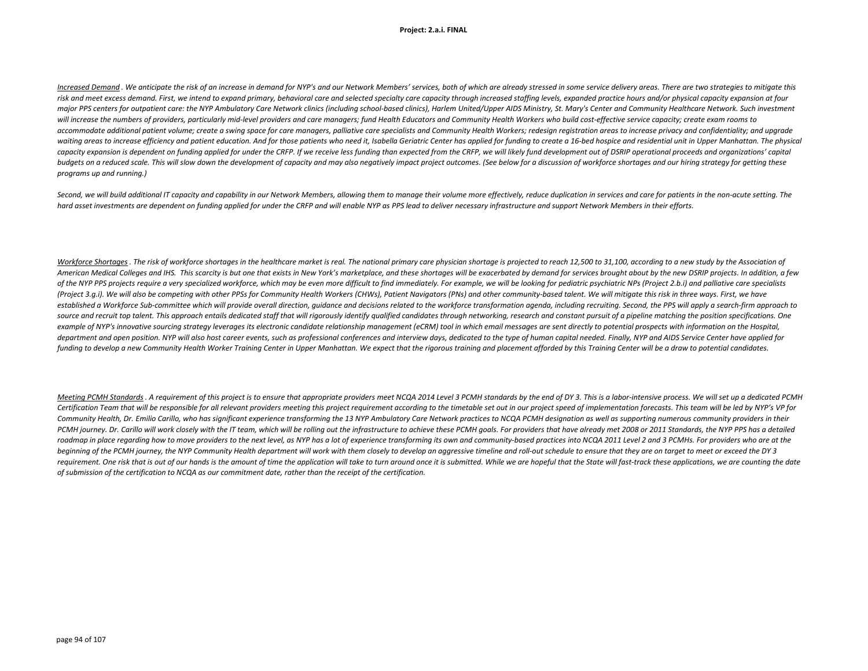### **Project: 2.a.i. FINAL**

Increased Demand, We anticipate the risk of an increase in demand for NYP's and our Network Members' services, both of which are already stressed in some service delivery areas. There are two strateaies to mitiaate this risk and meet excess demand. First, we intend to expand primary, behavioral care and selected specialty care capacity through increased staffing levels, expanded practice hours and/or physical capacity expansion at four major PPS centers for outpatient care: the NYP Ambulatory Care Network clinics (including school-based clinics), Harlem United/Upper AIDS Ministry, St. Mary's Center and Community Healthcare Network. Such investment will increase the numbers of providers, particularly mid-level providers and care managers; fund Health Educators and Community Health Workers who build cost-effective service capacity; create exam rooms to accommodate additional patient volume; create a swing space for care managers, palliative care specialists and Community Health Workers; redesign registration areas to increase privacy and confidentiality; and upgrade waiting areas to increase efficiency and patient education. And for those patients who need it, Isabella Geriatric Center has applied for funding to create a 16-bed hospice and residential unit in Upper Manhattan. The phys capacity expansion is dependent on funding applied for under the CRFP. If we receive less funding than expected from the CRFP, we will likely fund development out of DSRIP operational proceeds and organizations' capital budgets on a reduced scale. This will slow down the development of capacity and may also negatively impact project outcomes. (See below for a discussion of workforce shortages and our hiring strategy for getting these *programs up and running.)* 

Second, we will build additional IT capacity and capability in our Network Members, allowing them to manage their volume more effectively, reduce duplication in services and care for patients in the non-acute setting. The *hard asset investments are dependent on funding applied for under the CRFP and will enable NYP as PPS lead to deliver necessary infrastructure and support Network Members in their efforts.*

Workforce Shortages. The risk of workforce shortages in the healthcare market is real. The national primary care physician shortage is projected to reach 12.500 to 31.100, according to a new study by the Association of American Medical Colleges and IHS. This scarcity is but one that exists in New York's marketplace, and these shortages will be exacerbated by demand for services brought about by the new DSRIP projects. In addition, a few of the NYP PPS projects require a very specialized workforce, which may be even more difficult to find immediately. For example, we will be looking for pediatric psychiatric NPs (Project 2.b.i) and palliative care speciali *(Project 3.g.i). We will also be competing with other PPSs for Community Health Workers (CHWs), Patient Navigators (PNs) and other community-based talent. We will mitigate this risk in three ways. First, we have*  established a Workforce Sub-committee which will provide overall direction, quidance and decisions related to the workforce transformation agenda, including recruiting. Second, the PPS will apply a search-firm approach to source and recruit top talent. This approach entails dedicated staff that will rigorously identify qualified candidates through networking, research and constant pursuit of a pipeline matching the position specifications. example of NYP's innovative sourcing strategy leverages its electronic candidate relationship management (eCRM) tool in which email messages are sent directly to potential prospects with information on the Hospital, department and open position. NYP will also host career events, such as professional conferences and interview days, dedicated to the type of human capital needed. Finally, NYP and AIDS Service Center have applied for *funding to develop a new Community Health Worker Training Center in Upper Manhattan. We expect that the rigorous training and placement afforded by this Training Center will be a draw to potential candidates.*

Meeting PCMH Standards. A requirement of this project is to ensure that appropriate providers meet NCQA 2014 Level 3 PCMH standards by the end of DY 3. This is a labor-intensive process. We will set up a dedicated PCMH Certification Team that will be responsible for all relevant providers meeting this project requirement according to the timetable set out in our project speed of implementation forecasts. This team will be led by NYP's VP Community Health, Dr. Emilio Carillo, who has significant experience transforming the 13 NYP Ambulatory Care Network practices to NCQA PCMH designation as well as supporting numerous community providers in their PCMH journey. Dr. Carillo will work closely with the IT team, which will be rolling out the infrastructure to achieve these PCMH goals. For providers that have already met 2008 or 2011 Standards, the NYP PPS has a detailed roadmap in place regarding how to move providers to the next level, as NYP has a lot of experience transforming its own and community-based practices into NCQA 2011 Level 2 and 3 PCMHs. For providers who are at the *beginning of the PCMH journey, the NYP Community Health department will work with them closely to develop an aggressive timeline and roll-out schedule to ensure that they are on target to meet or exceed the DY 3*  requirement. One risk that is out of our hands is the amount of time the application will take to turn around once it is submitted. While we are hopeful that the State will fast-track these applications, we are counting th *of submission of the certification to NCQA as our commitment date, rather than the receipt of the certification.*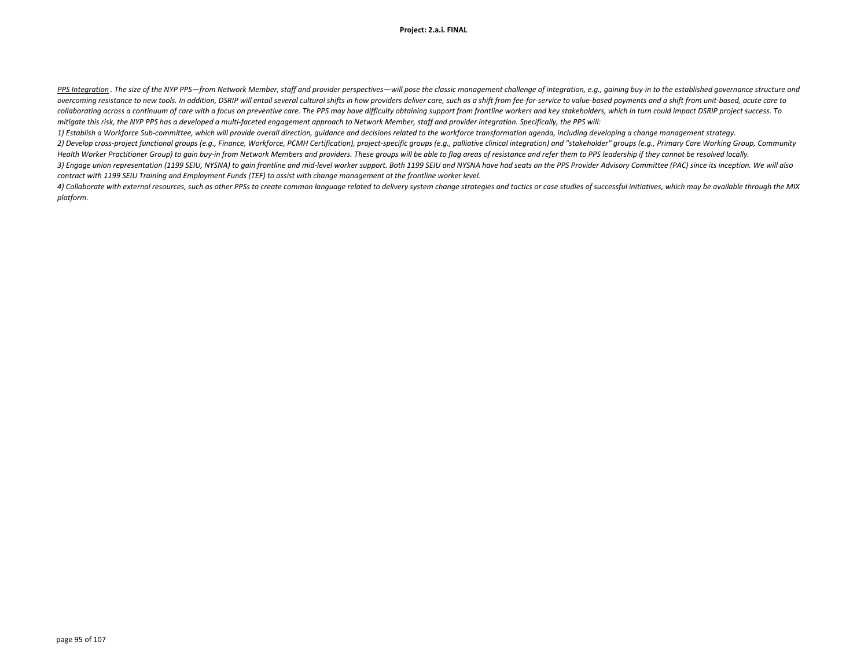PPS Integration. The size of the NYP PPS-from Network Member, staff and provider perspectives-will pose the classic mangaement challenge of integration, e.g., gaining buy-in to the established governance structure and overcoming resistance to new tools. In addition, DSRIP will entail several cultural shifts in how providers deliver care, such as a shift from fee-for-service to value-based payments and a shift from unit-based, acute care collaborating across a continuum of care with a focus on preventive care. The PPS may have difficulty obtaining support from frontline workers and key stakeholders, which in turn could impact DSRIP project success. To *mitigate this risk, the NYP PPS has a developed a multi-faceted engagement approach to Network Member, staff and provider integration. Specifically, the PPS will:* 

*1) Establish a Workforce Sub-committee, which will provide overall direction, guidance and decisions related to the workforce transformation agenda, including developing a change management strategy.*  2) Develop cross-project functional groups (e.g., Finance, Workforce, PCMH Certification), project-specific groups (e.g., palliative clinical integration) and "stakeholder" groups (e.g., Primary Care Working Group, Communi *Health Worker Practitioner Group) to gain buy-in from Network Members and providers. These groups will be able to flag areas of resistance and refer them to PPS leadership if they cannot be resolved locally. 3) Engage union representation (1199 SEIU, NYSNA) to gain frontline and mid-level worker support. Both 1199 SEIU and NYSNA have had seats on the PPS Provider Advisory Committee (PAC) since its inception. We will also* 

*contract with 1199 SEIU Training and Employment Funds (TEF) to assist with change management at the frontline worker level.*

4) Collaborate with external resources, such as other PPSs to create common language related to delivery system change strategies and tactics or case studies of successful initiatives, which may be available through the MI *platform.*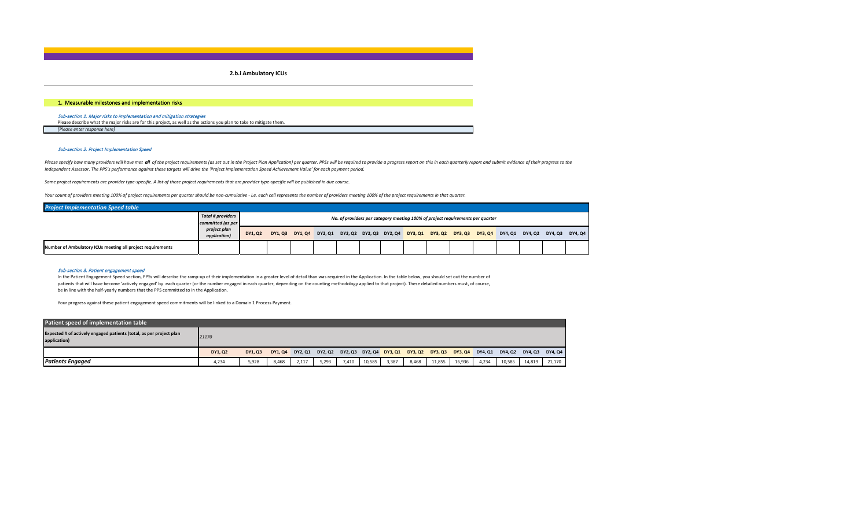**2.b.i Ambulatory ICUs**

## 1.Measurable milestones and implementation risks

### Sub-section 1. Major risks to implementation and mitigation strategies

Please describe what the major risks are for this project, as well as the actions you plan to take to mitigate them. *[Please enter response here]*

## Sub-section 2. Project Implementation Speed

Please specify how many providers will have met all of the project requirements (as set out in the Project Plan Application) per quarter. PPSs will be required to provide a progress report on this in each quarterly report *Independent Assessor. The PPS's performance against these targets will drive the 'Project Implementation Speed Achievement Value' for each payment period.* 

*Some project requirements are provider type-specific. A list of those project requirements that are provider type-specific will be published in due course.*

*Your count of providers meeting 100% of project requirements per quarter should be non-cumulative - i.e. each cell represents the number of providers meeting 100% of the project requirements in that quarter.*

| <b>Project Implementation Speed table</b>                  |                                               |         |  |                         |  |  |                                                                                |  |                                                                         |         |         |
|------------------------------------------------------------|-----------------------------------------------|---------|--|-------------------------|--|--|--------------------------------------------------------------------------------|--|-------------------------------------------------------------------------|---------|---------|
|                                                            | <b>Total # providers</b><br>committed (as per |         |  |                         |  |  | No. of providers per category meeting 100% of project requirements per quarter |  |                                                                         |         |         |
|                                                            | project plan<br>application)                  | DY1, Q2 |  | DY1, Q3 DY1, Q4 DY2, Q1 |  |  |                                                                                |  | DY2, Q2 DY2, Q3 DY2, Q4 DY3, Q1 DY3, Q2 DY3, Q3 DY3, Q4 DY4, Q1 DY4, Q2 | DY4. Q3 | DY4, Q4 |
| Number of Ambulatory ICUs meeting all project requirements |                                               |         |  |                         |  |  |                                                                                |  |                                                                         |         |         |

#### Sub-section 3. Patient engagement speed

In the Patient Engagement Speed section, PPSs will describe the ramp-up of their implementation in a greater level of detail than was required in the Application. In the table below, you should set out the number of patients that will have become 'actively engaged' by each quarter (or the number engaged in each quarter, depending on the counting methodology applied to that project). These detailed numbers must, of course, be in line with the half-yearly numbers that the PPS committed to in the Application.

| Patient speed of implementation table                                               |         |         |         |         |         |         |        |                 |       |                 |                |         |         |         |         |
|-------------------------------------------------------------------------------------|---------|---------|---------|---------|---------|---------|--------|-----------------|-------|-----------------|----------------|---------|---------|---------|---------|
| Expected # of actively engaged patients (total, as per project plan<br>application) | 21170   |         |         |         |         |         |        |                 |       |                 |                |         |         |         |         |
|                                                                                     | DY1, Q2 | DY1, Q3 | DY1, Q4 | DY2, Q1 | DY2, Q2 | DY2, Q3 |        | DY2, Q4 DY3, Q1 |       | DY3, Q2 DY3, Q3 | <b>DY3, Q4</b> | DY4, Q1 | DY4, Q2 | DY4, Q3 | DY4, Q4 |
| <b>Patients Engaged</b>                                                             | 4,234   | 5,928   | 8,468   | 2,117   | 5,293   | 7,410   | 10,585 | 3,387           | 8,468 | 11,855          | 16,936         | 4,234   | 10,585  | 14,819  | 21,170  |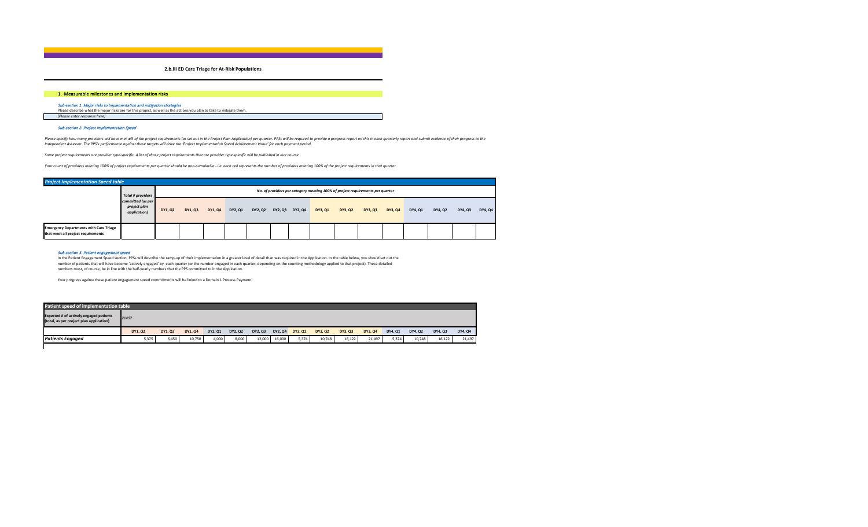**2.b.iii ED Care Triage for At-Risk Populations**

## 1.Measurable milestones and implementation risks

*Sub-section 1. Major risks to implementation and mitigation strategies*<br>Please describe what the major risks are for this project, as well as the actions you plan to take to mitigate them. *[Please enter response here]*

### Sub-section 2. Project Implementation Speed

Please specify how many providers will have met all of the project requirements (as set out in the Project Plan Application) per quarter. PPSs will be required to provide a progress report on this in each quarterly report *Independent Assessor. The PPS's performance against these targets will drive the 'Project Implementation Speed Achievement Value' for each payment period.* 

*Some project requirements are provider type-specific. A list of those project requirements that are provider type-specific will be published in due course.*

*Your count of providers meeting 100% of project requirements per quarter should be non-cumulative - i.e. each cell represents the number of providers meeting 100% of the project requirements in that quarter.*

| <b>Project Implementation Speed table</b>                                           |                                                   |         |         |         |         |         |                 |         |                                                                                |         |         |         |         |         |         |
|-------------------------------------------------------------------------------------|---------------------------------------------------|---------|---------|---------|---------|---------|-----------------|---------|--------------------------------------------------------------------------------|---------|---------|---------|---------|---------|---------|
|                                                                                     | <b>Total # providers</b>                          |         |         |         |         |         |                 |         | No. of providers per category meeting 100% of project requirements per quarter |         |         |         |         |         |         |
|                                                                                     | committed (as per<br>project plan<br>application) | DY1, Q2 | DY1, Q3 | DY1, Q4 | DY2, Q1 | DY2, Q2 | DY2, Q3 DY2, Q4 | DY3, Q1 | DY3, Q2                                                                        | DY3, Q3 | DY3, Q4 | DY4, Q1 | DY4, Q2 | DY4, Q3 | DY4, Q4 |
| <b>Emergency Departments with Care Triage</b><br>that meet all project requirements |                                                   |         |         |         |         |         |                 |         |                                                                                |         |         |         |         |         |         |

#### Sub-section 3. Patient engagement speed

In the Patient Engagement Speed section, PPSs will describe the ramp-up of their implementation in a greater level of detail than was required in the Application. In the table below, you should set out the number of patients that will have become 'actively engaged' by each quarter (or the number engaged in each quarter, depending on the counting methodology applied to that project). These detailed numbers must, of course, be in line with the half-yearly numbers that the PPS committed to in the Application.

| Patient speed of implementation table                                                      |         |         |         |         |         |         |         |         |         |         |         |         |         |         |         |
|--------------------------------------------------------------------------------------------|---------|---------|---------|---------|---------|---------|---------|---------|---------|---------|---------|---------|---------|---------|---------|
| <b>Expected # of actively engaged patients</b><br>(total, as per project plan application) | 21497   |         |         |         |         |         |         |         |         |         |         |         |         |         |         |
|                                                                                            | DY1, Q2 | DY1, Q3 | DY1, Q4 | DY2, Q1 | DY2, Q2 | DY2, Q3 | DY2, Q4 | DY3, Q1 | DY3, Q2 | DY3, Q3 | DY3, Q4 | DY4, Q1 | DY4, Q2 | DY4, Q3 | DY4, Q4 |
| <b>Patients Engaged</b>                                                                    | 5,375   | 6,450   | 10,750  | 4,000   | 8,000   | 12,000  | 16,000  | 5,374   | 10,748  | 16.122  | 21.497  | 5,374   | 10.748  | 16.122  | 21,497  |
|                                                                                            |         |         |         |         |         |         |         |         |         |         |         |         |         |         |         |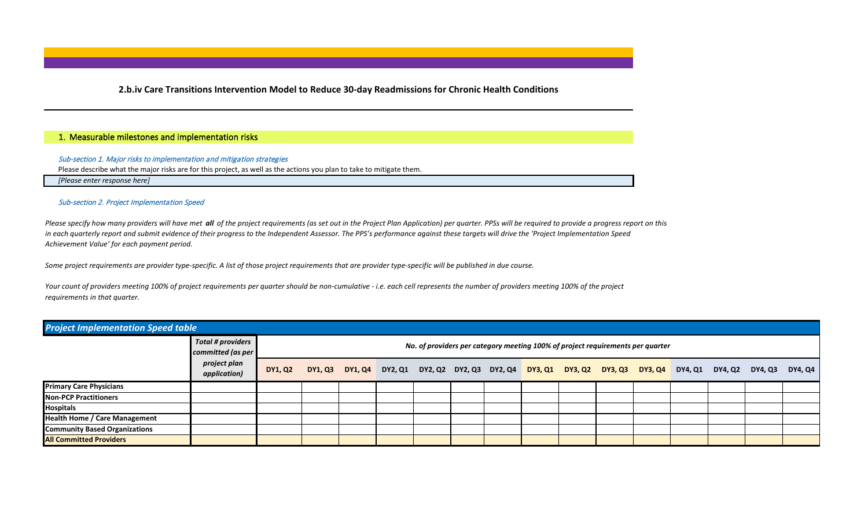**2.b.iv Care Transitions Intervention Model to Reduce 30-day Readmissions for Chronic Health Conditions**

## 1.Measurable milestones and implementation risks

## Sub-section 1. Major risks to implementation and mitigation strategies

Please describe what the major risks are for this project, as well as the actions you plan to take to mitigate them.

*[Please enter response here]*

## Sub-section 2. Project Implementation Speed

*Please specify how many providers will have met all of the project requirements (as set out in the Project Plan Application) per quarter. PPSs will be required to provide a progress report on this in each quarterly report and submit evidence of their progress to the Independent Assessor. The PPS's performance against these targets will drive the 'Project Implementation Speed Achievement Value' for each payment period.* 

*Some project requirements are provider type-specific. A list of those project requirements that are provider type-specific will be published in due course.*

*Your count of providers meeting 100% of project requirements per quarter should be non-cumulative - i.e. each cell represents the number of providers meeting 100% of the project requirements in that quarter.*

| <b>Project Implementation Speed table</b> |                                               |                |  |  |  |                                                                                |  |                                                                                                         |  |         |
|-------------------------------------------|-----------------------------------------------|----------------|--|--|--|--------------------------------------------------------------------------------|--|---------------------------------------------------------------------------------------------------------|--|---------|
|                                           | <b>Total # providers</b><br>committed (as per |                |  |  |  | No. of providers per category meeting 100% of project requirements per quarter |  |                                                                                                         |  |         |
|                                           | project plan<br>application)                  | <b>DY1, Q2</b> |  |  |  |                                                                                |  | DY1, Q3 DY1, Q4 DY2, Q1 DY2, Q2 DY2, Q3 DY2, Q4 DY3, Q1 DY3, Q2 DY3, Q3 DY3, Q4 DY4, Q1 DY4, Q2 DY4, Q3 |  | DY4, Q4 |
| <b>Primary Care Physicians</b>            |                                               |                |  |  |  |                                                                                |  |                                                                                                         |  |         |
| <b>Non-PCP Practitioners</b>              |                                               |                |  |  |  |                                                                                |  |                                                                                                         |  |         |
| Hospitals                                 |                                               |                |  |  |  |                                                                                |  |                                                                                                         |  |         |
| <b>Health Home / Care Management</b>      |                                               |                |  |  |  |                                                                                |  |                                                                                                         |  |         |
| <b>Community Based Organizations</b>      |                                               |                |  |  |  |                                                                                |  |                                                                                                         |  |         |
| <b>All Committed Providers</b>            |                                               |                |  |  |  |                                                                                |  |                                                                                                         |  |         |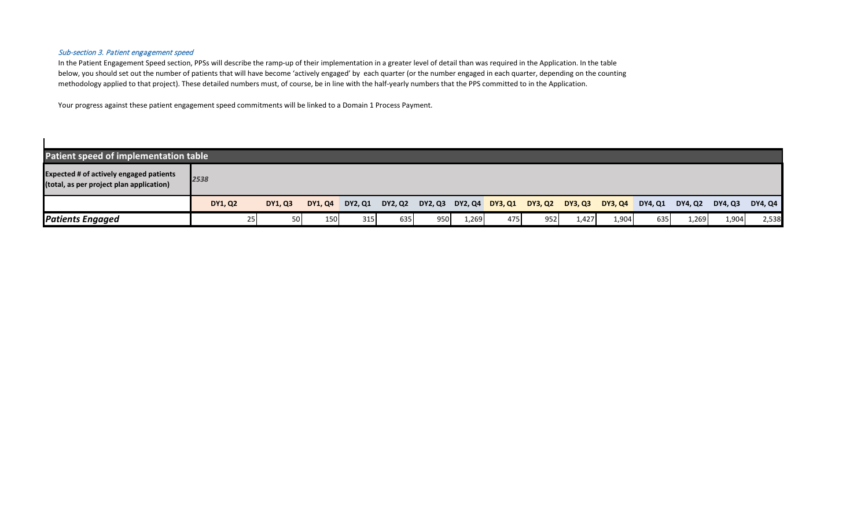## Sub-section 3. Patient engagement speed

 $\blacksquare$ 

In the Patient Engagement Speed section, PPSs will describe the ramp-up of their implementation in a greater level of detail than was required in the Application. In the table below, you should set out the number of patients that will have become 'actively engaged' by each quarter (or the number engaged in each quarter, depending on the counting methodology applied to that project). These detailed numbers must, of course, be in line with the half-yearly numbers that the PPS committed to in the Application.

| Patient speed of implementation table                                                      |                 |                |                |                |         |                         |       |     |         |                |                |                |         |                |                |
|--------------------------------------------------------------------------------------------|-----------------|----------------|----------------|----------------|---------|-------------------------|-------|-----|---------|----------------|----------------|----------------|---------|----------------|----------------|
| <b>Expected # of actively engaged patients</b><br>(total, as per project plan application) | 2538            |                |                |                |         |                         |       |     |         |                |                |                |         |                |                |
|                                                                                            | <b>DY1, Q2</b>  | <b>DY1, Q3</b> | <b>DY1, Q4</b> | <b>DY2, Q1</b> | DY2, Q2 | DY2, Q3 DY2, Q4 DY3, Q1 |       |     | DY3, Q2 | <b>DY3, Q3</b> | <b>DY3, Q4</b> | <b>DY4, Q1</b> | DY4, Q2 | <b>DY4, Q3</b> | <b>DY4, Q4</b> |
| <b>Patients Engaged</b>                                                                    | 25 <sub>1</sub> | <b>50</b>      | 150            | <b>315</b>     | 635     | 950                     | 1,269 | 475 | 952     | 1,427          | 1,904          | 635            | 1,269   | 1,904          | 2,538          |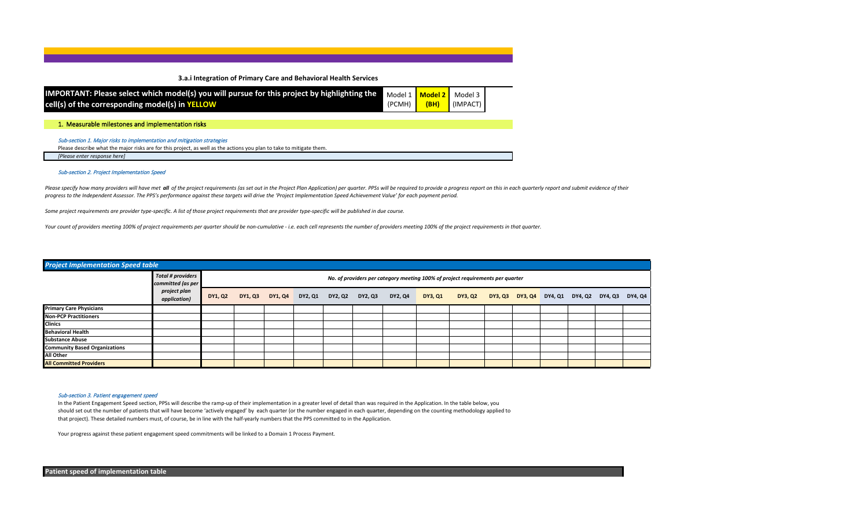**3.a.i Integration of Primary Care and Behavioral Health Services** 

| IMPORTANT: Please select which model(s) you will pursue for this project by highlighting the Model 1   Model 2   Model 3  <br>cell(s) of the corresponding model(s) in YELLOW | (PCMH) <mark>  (BH)</mark> | $\blacksquare$ (IMPACT) |  |
|-------------------------------------------------------------------------------------------------------------------------------------------------------------------------------|----------------------------|-------------------------|--|
|                                                                                                                                                                               |                            |                         |  |

1.Measurable milestones and implementation risks

Sub-section 1. Major risks to implementation and mitigation strategies

Please describe what the major risks are for this project, as well as the actions you plan to take to mitigate them.

*[Please enter response here]*

### Sub-section 2. Project Implementation Speed

Please specify how many providers will have met all of the project requirements (as set out in the Project Plan Application) per quarter. PPSs will be required to provide a progress report on this in each quarterly report *progress to the Independent Assessor. The PPS's performance against these targets will drive the 'Project Implementation Speed Achievement Value' for each payment period.* 

*Some project requirements are provider type-specific. A list of those project requirements that are provider type-specific will be published in due course.*

*Your count of providers meeting 100% of project requirements per quarter should be non-cumulative - i.e. each cell represents the number of providers meeting 100% of the project requirements in that quarter.*

| <b>Project Implementation Speed table</b> |                                               |         |                                 |  |                 |         |                                                                                |  |                                         |  |         |
|-------------------------------------------|-----------------------------------------------|---------|---------------------------------|--|-----------------|---------|--------------------------------------------------------------------------------|--|-----------------------------------------|--|---------|
|                                           | <b>Total # providers</b><br>committed (as per |         |                                 |  |                 |         | No. of providers per category meeting 100% of project requirements per quarter |  |                                         |  |         |
|                                           | project plan<br>application)                  | DY1, Q2 | DY1, Q3 DY1, Q4 DY2, Q1 DY2, Q2 |  | DY2, Q3 DY2, Q4 | DY3, Q1 | DY3, Q2                                                                        |  | DY3, Q3 DY3, Q4 DY4, Q1 DY4, Q2 DY4, Q3 |  | DY4, Q4 |
| <b>Primary Care Physicians</b>            |                                               |         |                                 |  |                 |         |                                                                                |  |                                         |  |         |
| <b>Non-PCP Practitioners</b>              |                                               |         |                                 |  |                 |         |                                                                                |  |                                         |  |         |
| <b>Clinics</b>                            |                                               |         |                                 |  |                 |         |                                                                                |  |                                         |  |         |
| <b>Behavioral Health</b>                  |                                               |         |                                 |  |                 |         |                                                                                |  |                                         |  |         |
| <b>Substance Abuse</b>                    |                                               |         |                                 |  |                 |         |                                                                                |  |                                         |  |         |
| <b>Community Based Organizations</b>      |                                               |         |                                 |  |                 |         |                                                                                |  |                                         |  |         |
| <b>All Other</b>                          |                                               |         |                                 |  |                 |         |                                                                                |  |                                         |  |         |
| <b>All Committed Providers</b>            |                                               |         |                                 |  |                 |         |                                                                                |  |                                         |  |         |

### Sub-section 3. Patient engagement speed

In the Patient Engagement Speed section, PPSs will describe the ramp-up of their implementation in a greater level of detail than was required in the Application. In the table below, you should set out the number of patients that will have become 'actively engaged' by each quarter (or the number engaged in each quarter, depending on the counting methodology applied to that project). These detailed numbers must, of course, be in line with the half-yearly numbers that the PPS committed to in the Application.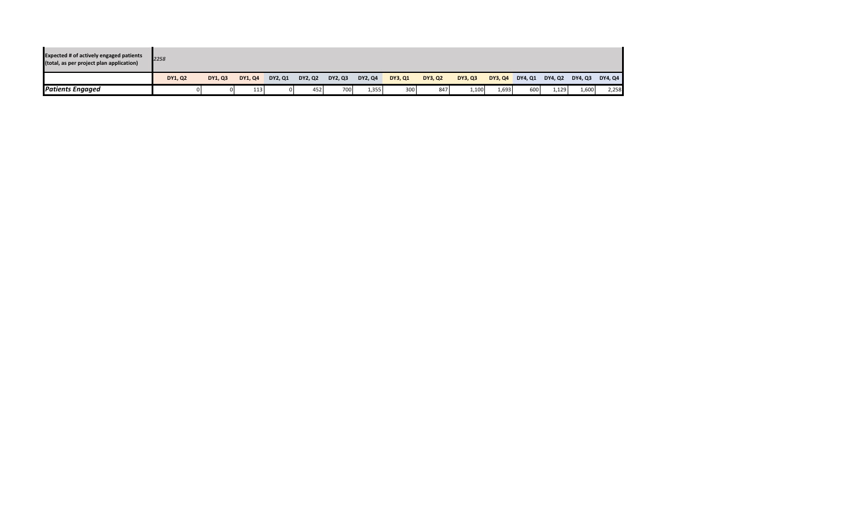| <b>Expected # of actively engaged patients</b><br>(total, as per project plan application) | 2258           |         |         |                |         |         |         |                |         |                |                |                |         |         |         |
|--------------------------------------------------------------------------------------------|----------------|---------|---------|----------------|---------|---------|---------|----------------|---------|----------------|----------------|----------------|---------|---------|---------|
|                                                                                            | <b>DY1, Q2</b> | DY1, Q3 | DY1, Q4 | <b>DY2, Q1</b> | DY2, Q2 | DY2, Q3 | DY2, Q4 | <b>DY3, Q1</b> | DY3, Q2 | <b>DY3, Q3</b> | <b>DY3, Q4</b> | <b>DY4, Q1</b> | DY4, Q2 | DY4, Q3 | DY4, Q4 |
| <b>Patients Engaged</b>                                                                    |                |         | 113     | ΩI             | 452     | 7001    | 1,355   | 300            | 847     | 1,100          | 1,693          | 600            | 1.129   | 1,600   | 2,258   |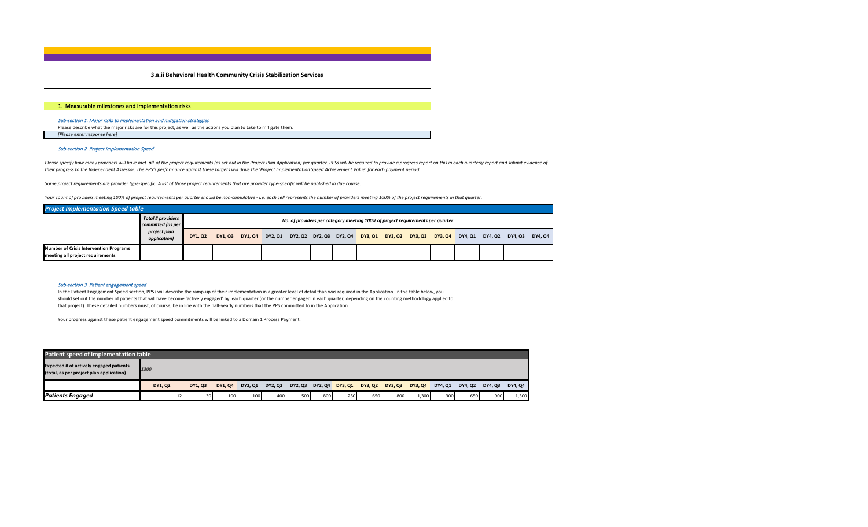### **3.a.ii Behavioral Health Community Crisis Stabilization Services**

### 1.Measurable milestones and implementation risks

## Sub-section 1. Major risks to implementation and mitigation strategies

Please describe what the major risks are for this project, as well as the actions you plan to take to mitigate them. *[Please enter response here]*

#### Sub-section 2. Project Implementation Speed

Please specify how many providers will have met all of the project requirements (as set out in the Project Plan Application) per quarter. PPSs will be required to provide a progress report on this in each quarterly report *their progress to the Independent Assessor. The PPS's performance against these targets will drive the 'Project Implementation Speed Achievement Value' for each payment period.* 

*Some project requirements are provider type-specific. A list of those project requirements that are provider type-specific will be published in due course.*

*Your count of providers meeting 100% of project requirements per quarter should be non-cumulative - i.e. each cell represents the number of providers meeting 100% of the project requirements in that quarter.*

| <b>Project Implementation Speed table</b>                                         |                                               |         |               |         |         |  |                         |         |                 |                                                                                |         |         |         |         |
|-----------------------------------------------------------------------------------|-----------------------------------------------|---------|---------------|---------|---------|--|-------------------------|---------|-----------------|--------------------------------------------------------------------------------|---------|---------|---------|---------|
|                                                                                   | <b>Total # providers</b><br>committed (as per |         |               |         |         |  |                         |         |                 | No. of providers per category meeting 100% of project requirements per quarter |         |         |         |         |
|                                                                                   | project plan<br>application)                  | DY1, Q2 | <b>DY1.03</b> | DY1, Q4 | DY2, Q1 |  | DY2, Q2 DY2, Q3 DY2, Q4 | DY3, Q1 | DY3, Q2 DY3, Q3 | <b>DY3.04</b>                                                                  | DY4, Q1 | DY4, Q2 | DY4. Q3 | DY4, Q4 |
| <b>Number of Crisis Intervention Programs</b><br>meeting all project requirements |                                               |         |               |         |         |  |                         |         |                 |                                                                                |         |         |         |         |

#### Sub-section 3. Patient engagement speed

In the Patient Engagement Speed section, PPSs will describe the ramp-up of their implementation in a greater level of detail than was required in the Application. In the table below, you should set out the number of patients that will have become 'actively engaged' by each quarter (or the number engaged in each quarter, depending on the counting methodology applied to that project). These detailed numbers must, of course, be in line with the half-yearly numbers that the PPS committed to in the Application.

| Patient speed of implementation table                                                      |         |                 |         |         |         |                 |     |         |         |         |         |         |         |         |         |
|--------------------------------------------------------------------------------------------|---------|-----------------|---------|---------|---------|-----------------|-----|---------|---------|---------|---------|---------|---------|---------|---------|
| <b>Expected # of actively engaged patients</b><br>(total, as per project plan application) | 1300    |                 |         |         |         |                 |     |         |         |         |         |         |         |         |         |
|                                                                                            | DY1, Q2 | DY1, Q3         | DY1, Q4 | DY2, Q1 | DY2, Q2 | DY2, Q3 DY2, Q4 |     | DY3, Q1 | DY3, Q2 | DY3, Q3 | DY3, Q4 | DY4, Q1 | DY4, Q2 | DY4, Q3 | DY4, Q4 |
| <b>Patients Engaged</b>                                                                    | 12      | 30 <sup>1</sup> | 100     | 100     | 400     | 500             | 800 | 250     | 650     | 800     | 1,300   | 300     | 650     | 900     | 1,300   |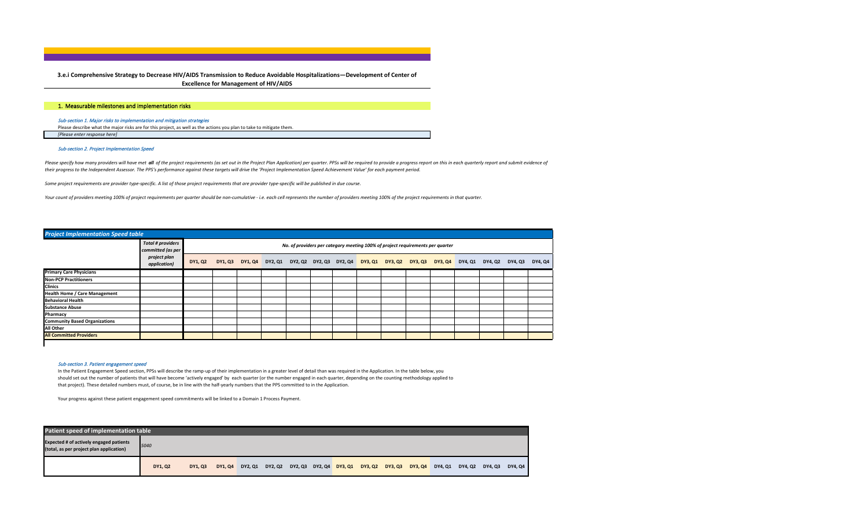**3.e.i Comprehensive Strategy to Decrease HIV/AIDS Transmission to Reduce Avoidable Hospitalizations—Development of Center of Excellence for Management of HIV/AIDS**

### 1.Measurable milestones and implementation risks

## Sub-section 1. Major risks to implementation and mitigation strategies

Please describe what the major risks are for this project, as well as the actions you plan to take to mitigate them. *[Please enter response here]*

### Sub-section 2. Project Implementation Speed

Please specify how many providers will have met all of the project requirements (as set out in the Project Plan Application) per quarter. PPSs will be required to provide a progress report on this in each quarterly report *their progress to the Independent Assessor. The PPS's performance against these targets will drive the 'Project Implementation Speed Achievement Value' for each payment period.* 

*Some project requirements are provider type-specific. A list of those project requirements that are provider type-specific will be published in due course.*

*Your count of providers meeting 100% of project requirements per quarter should be non-cumulative - i.e. each cell represents the number of providers meeting 100% of the project requirements in that quarter.*

### *Project Implementation Speed table*

|                                      | <b>Total # providers</b><br>committed (as per |         |  |  |  |  | No. of providers per category meeting 100% of project requirements per quarter |  |                                                                                                         |         |
|--------------------------------------|-----------------------------------------------|---------|--|--|--|--|--------------------------------------------------------------------------------|--|---------------------------------------------------------------------------------------------------------|---------|
|                                      | project plan<br>application)                  | DY1, Q2 |  |  |  |  |                                                                                |  | DY1, Q3 DY1, Q4 DY2, Q1 DY2, Q2 DY2, Q3 DY2, Q4 DY3, Q1 DY3, Q2 DY3, Q3 DY3, Q4 DY4, Q1 DY4, Q2 DY4, Q3 | DY4, Q4 |
| <b>Primary Care Physicians</b>       |                                               |         |  |  |  |  |                                                                                |  |                                                                                                         |         |
| <b>Non-PCP Practitioners</b>         |                                               |         |  |  |  |  |                                                                                |  |                                                                                                         |         |
| Clinics                              |                                               |         |  |  |  |  |                                                                                |  |                                                                                                         |         |
| <b>Health Home / Care Management</b> |                                               |         |  |  |  |  |                                                                                |  |                                                                                                         |         |
| <b>Behavioral Health</b>             |                                               |         |  |  |  |  |                                                                                |  |                                                                                                         |         |
| <b>Substance Abuse</b>               |                                               |         |  |  |  |  |                                                                                |  |                                                                                                         |         |
| Pharmacy                             |                                               |         |  |  |  |  |                                                                                |  |                                                                                                         |         |
| <b>Community Based Organizations</b> |                                               |         |  |  |  |  |                                                                                |  |                                                                                                         |         |
| <b>All Other</b>                     |                                               |         |  |  |  |  |                                                                                |  |                                                                                                         |         |
| <b>All Committed Providers</b>       |                                               |         |  |  |  |  |                                                                                |  |                                                                                                         |         |
|                                      |                                               |         |  |  |  |  |                                                                                |  |                                                                                                         |         |

#### Sub-section 3. Patient engagement speed

In the Patient Engagement Speed section, PPSs will describe the ramp-up of their implementation in a greater level of detail than was required in the Application. In the table below, you should set out the number of patients that will have become 'actively engaged' by each quarter (or the number engaged in each quarter, depending on the counting methodology applied to that project). These detailed numbers must, of course, be in line with the half-yearly numbers that the PPS committed to in the Application.

| Patient speed of implementation table                                                      |         |         |  |  |                                                                         |  |  |  |  |  |  |         |         |  |                 |
|--------------------------------------------------------------------------------------------|---------|---------|--|--|-------------------------------------------------------------------------|--|--|--|--|--|--|---------|---------|--|-----------------|
| <b>Expected # of actively engaged patients</b><br>(total, as per project plan application) | 5040    |         |  |  |                                                                         |  |  |  |  |  |  |         |         |  |                 |
|                                                                                            | DY1, Q2 | DY1, Q3 |  |  | DY1, Q4 DY2, Q1 DY2, Q2 DY2, Q3 DY2, Q4 DY3, Q1 DY3, Q2 DY3, Q3 DY3, Q4 |  |  |  |  |  |  | DY4, Q1 | DY4, Q2 |  | DY4, Q3 DY4, Q4 |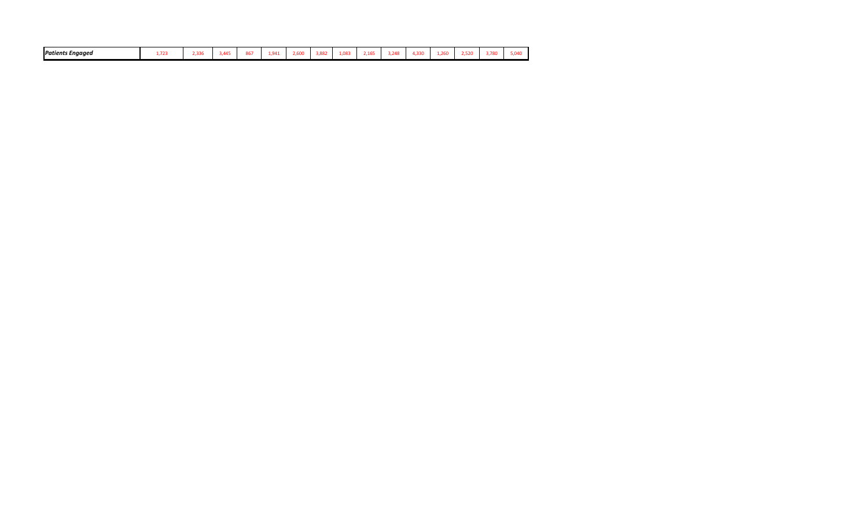| <b>Patients Engaged</b><br>$-$<br>2.600<br>1.882<br>1,330<br>1.087<br>260<br>$ -$<br>$-$<br><b>COMO</b><br>---<br>3.780<br>445<br>2,165<br>0.88<br>$\sim$ $\sim$<br>5.040<br>2,336<br>520<br>. |
|------------------------------------------------------------------------------------------------------------------------------------------------------------------------------------------------|
|------------------------------------------------------------------------------------------------------------------------------------------------------------------------------------------------|